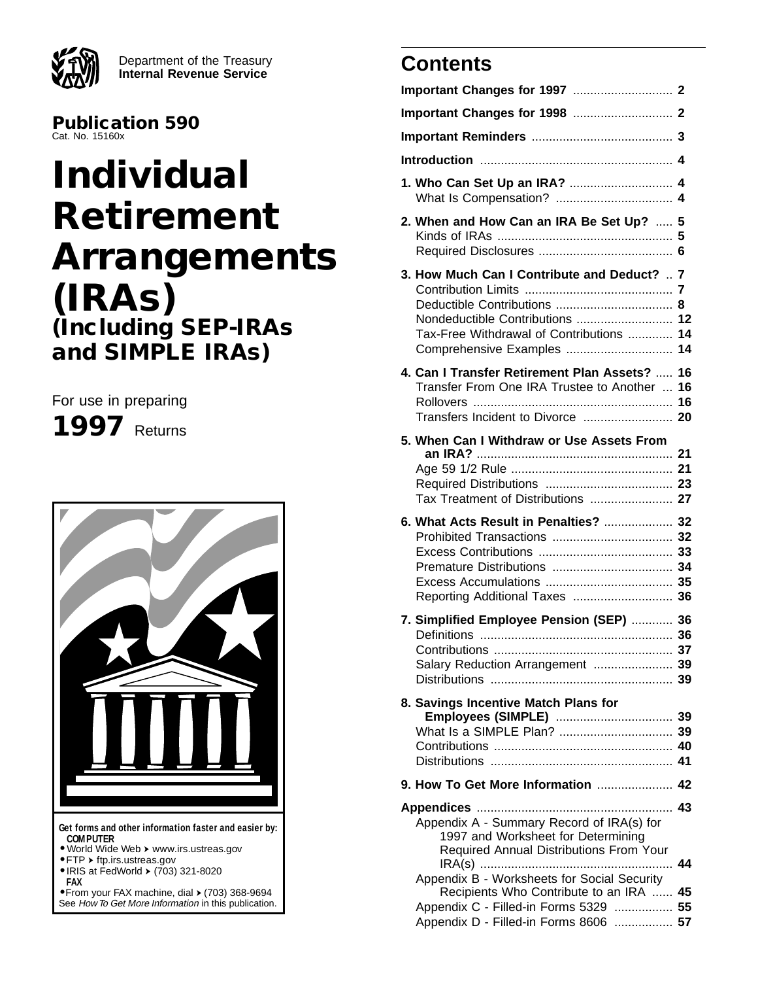Department of the Treasury **Internal Revenue Service**

**Publication 590** Cat. No. 15160x

# **Individual Retirement Arrangements (IRAs) (Including SEP-IRAs and SIMPLE IRAs)**

For use in preparing

**1997** Returns



**•** From your FAX machine, dial ➤ (703) 368-9694 See How To Get More Information in this publication.

# **Contents**

| 2. When and How Can an IRA Be Set Up?  5                                                                                                    |    |  |  |
|---------------------------------------------------------------------------------------------------------------------------------------------|----|--|--|
| 3. How Much Can I Contribute and Deduct? $\vec{v}$<br>Tax-Free Withdrawal of Contributions <b>j4</b>                                        |    |  |  |
| 4. Can I Transfer Retirement Plan Assets? $\overline{\mathfrak{g}}$ 6<br>Transfer From One IRA Trustee to Another $\overline{\mathbf{y}}$ 6 |    |  |  |
| 5. When Can I Withdraw or Use Assets From                                                                                                   |    |  |  |
| 6. What Acts Result in Penalties?  \$2                                                                                                      |    |  |  |
| 7. Simplified Employee Pension (SEP)  \$6<br>Salary Reduction Arrangement  99                                                               |    |  |  |
| 8. Savings Incentive Match Plans for                                                                                                        |    |  |  |
|                                                                                                                                             |    |  |  |
| Appendix A - Summary Record of IRA(s) for<br>1997 and Worksheet for Determining<br>Required Annual Distributions From Your<br>.             | 44 |  |  |
| Appendix B - Worksheets for Social Security<br>Recipients Who Contribute to an IRA  \$5                                                     |    |  |  |
| Appendix C - Filled-in Forms 5329  55<br>Appendix D - Filled-in Forms 8606  57                                                              |    |  |  |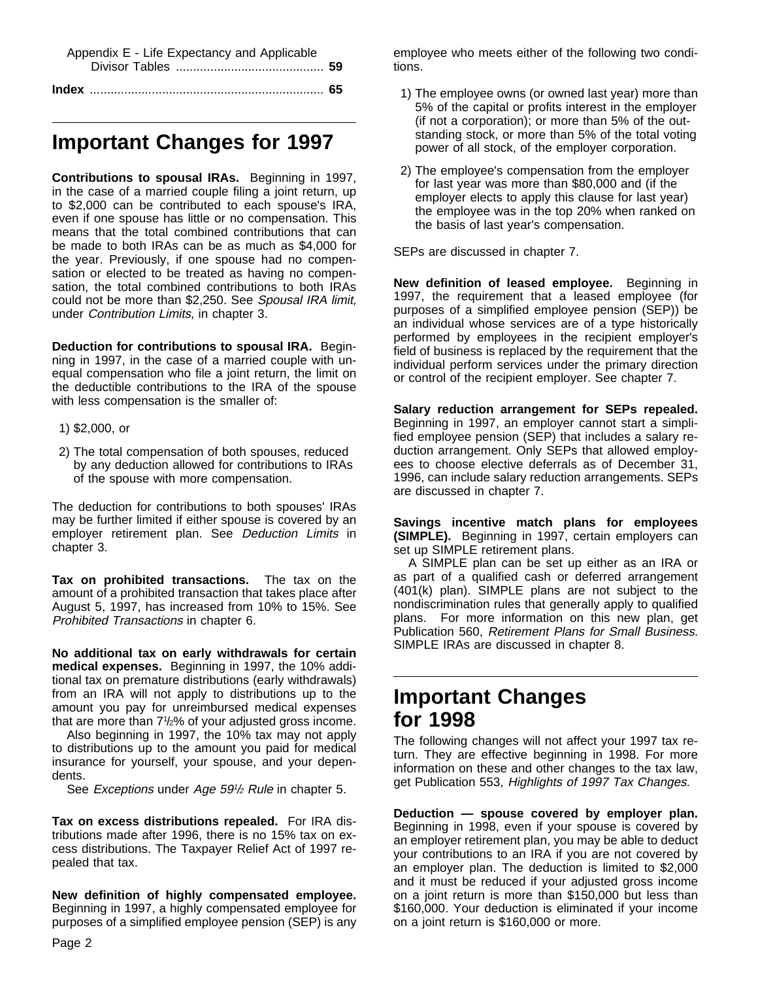| Appendix E - Life Expectancy and Applicable |  |
|---------------------------------------------|--|
|                                             |  |
|                                             |  |

# **Important Changes for 1997**

**Contributions to spousal IRAs.** Beginning in 1997, in the case of a married couple filing a joint return, up to \$2,000 can be contributed to each spouse's IRA, even if one spouse has little or no compensation. This means that the total combined contributions that can be made to both IRAs can be as much as \$4,000 for the year. Previously, if one spouse had no compensation or elected to be treated as having no compensation, the total combined contributions to both IRAs could not be more than \$2,250. See Spousal IRA limit, under Contribution Limits, in chapter 3.

**Deduction for contributions to spousal IRA.** Beginning in 1997, in the case of a married couple with unequal compensation who file a joint return, the limit on the deductible contributions to the IRA of the spouse with less compensation is the smaller of:

- 1) \$2,000, or
- 2) The total compensation of both spouses, reduced by any deduction allowed for contributions to IRAs of the spouse with more compensation.

The deduction for contributions to both spouses' IRAs may be further limited if either spouse is covered by an employer retirement plan. See Deduction Limits in chapter 3.

**Tax on prohibited transactions.** The tax on the amount of a prohibited transaction that takes place after August 5, 1997, has increased from 10% to 15%. See Prohibited Transactions in chapter 6.

**No additional tax on early withdrawals for certain medical expenses.** Beginning in 1997, the 10% additional tax on premature distributions (early withdrawals) from an IRA will not apply to distributions up to the amount you pay for unreimbursed medical expenses that are more than 71 /2% of your adjusted gross income.

Also beginning in 1997, the 10% tax may not apply to distributions up to the amount you paid for medical insurance for yourself, your spouse, and your dependents.

See Exceptions under Age 59<sup>1</sup>/2 Rule in chapter 5.

**Tax on excess distributions repealed.** For IRA distributions made after 1996, there is no 15% tax on excess distributions. The Taxpayer Relief Act of 1997 repealed that tax.

**New definition of highly compensated employee.** Beginning in 1997, a highly compensated employee for purposes of a simplified employee pension (SEP) is any employee who meets either of the following two conditions.

- 1) The employee owns (or owned last year) more than 5% of the capital or profits interest in the employer (if not a corporation); or more than 5% of the outstanding stock, or more than 5% of the total voting power of all stock, of the employer corporation.
- 2) The employee's compensation from the employer for last year was more than \$80,000 and (if the employer elects to apply this clause for last year) the employee was in the top 20% when ranked on the basis of last year's compensation.

SEPs are discussed in chapter 7.

**New definition of leased employee.** Beginning in 1997, the requirement that a leased employee (for purposes of a simplified employee pension (SEP)) be an individual whose services are of a type historically performed by employees in the recipient employer's field of business is replaced by the requirement that the individual perform services under the primary direction or control of the recipient employer. See chapter 7.

**Salary reduction arrangement for SEPs repealed.** Beginning in 1997, an employer cannot start a simplified employee pension (SEP) that includes a salary reduction arrangement. Only SEPs that allowed employees to choose elective deferrals as of December 31, 1996, can include salary reduction arrangements. SEPs are discussed in chapter 7.

**Savings incentive match plans for employees (SIMPLE).** Beginning in 1997, certain employers can set up SIMPLE retirement plans.

A SIMPLE plan can be set up either as an IRA or as part of a qualified cash or deferred arrangement (401(k) plan). SIMPLE plans are not subject to the nondiscrimination rules that generally apply to qualified plans. For more information on this new plan, get Publication 560, Retirement Plans for Small Business. SIMPLE IRAs are discussed in chapter 8.

# **Important Changes for 1998**

The following changes will not affect your 1997 tax return. They are effective beginning in 1998. For more information on these and other changes to the tax law, get Publication 553, Highlights of 1997 Tax Changes.

**Deduction — spouse covered by employer plan.** Beginning in 1998, even if your spouse is covered by an employer retirement plan, you may be able to deduct your contributions to an IRA if you are not covered by an employer plan. The deduction is limited to \$2,000 and it must be reduced if your adjusted gross income on a joint return is more than \$150,000 but less than \$160,000. Your deduction is eliminated if your income on a joint return is \$160,000 or more.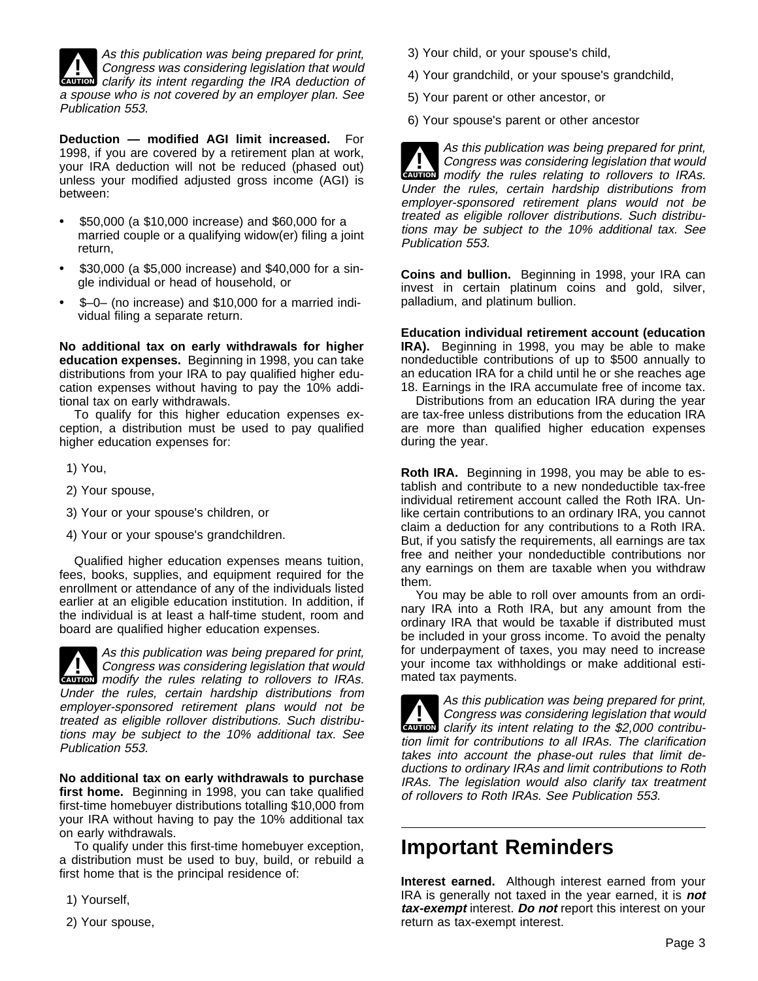

**CAUTION** clarify its intent regarding the IRA deduction of As this publication was being prepared for print,<br>Congress was considering legislation that would a spouse who is not covered by an employer plan. See Publication 553.

**Deduction — modified AGI limit increased.** For 1998, if you are covered by a retirement plan at work, your IRA deduction will not be reduced (phased out) unless your modified adjusted gross income (AGI) is between:

- $\ddot{\mathbf{y}}$  \$50,000 (a \$10,000 increase) and \$60,000 for a married couple or a qualifying widow(er) filing a joint return,
- $\ddot{\mathbf{y}}$  \$30,000 (a \$5,000 increase) and \$40,000 for a single individual or head of household, or
- $\ddot{\mathbf{y}}$  \$-0– (no increase) and \$10,000 for a married individual filing a separate return.

**No additional tax on early withdrawals for higher education expenses.** Beginning in 1998, you can take distributions from your IRA to pay qualified higher education expenses without having to pay the 10% additional tax on early withdrawals.

To qualify for this higher education expenses exception, a distribution must be used to pay qualified higher education expenses for:

- 1) You,
- 2) Your spouse,
- 3) Your or your spouse's children, or
- 4) Your or your spouse's grandchildren.

Qualified higher education expenses means tuition, fees, books, supplies, and equipment required for the enrollment or attendance of any of the individuals listed earlier at an eligible education institution. In addition, if the individual is at least a half-time student, room and board are qualified higher education expenses.

**CAUTION** modify the rules relating to rollovers to IRAs. **1998 As this publication was being prepared for print,<br>Congress was considering legislation that would<br>may be a set of the property of the property of the property** Under the rules, certain hardship distributions from employer-sponsored retirement plans would not be treated as eligible rollover distributions. Such distributions may be subject to the 10% additional tax. See Publication 553.

**No additional tax on early withdrawals to purchase first home.** Beginning in 1998, you can take qualified first-time homebuyer distributions totalling \$10,000 from your IRA without having to pay the 10% additional tax on early withdrawals.

To qualify under this first-time homebuyer exception, a distribution must be used to buy, build, or rebuild a first home that is the principal residence of:

1) Yourself,

2) Your spouse,

- 3) Your child, or your spouse's child,
- 4) Your grandchild, or your spouse's grandchild,
- 5) Your parent or other ancestor, or
- 6) Your spouse's parent or other ancestor

**CAUTION** modify the rules relating to rollovers to IRAs. **1998 As this publication was being prepared for print,<br>Congress was considering legislation that would** Under the rules, certain hardship distributions from employer-sponsored retirement plans would not be treated as eligible rollover distributions. Such distributions may be subject to the 10% additional tax. See Publication 553.

**Coins and bullion.** Beginning in 1998, your IRA can invest in certain platinum coins and gold, silver, palladium, and platinum bullion.

**Education individual retirement account (education IRA).** Beginning in 1998, you may be able to make nondeductible contributions of up to \$500 annually to an education IRA for a child until he or she reaches age 18. Earnings in the IRA accumulate free of income tax.

Distributions from an education IRA during the year are tax-free unless distributions from the education IRA are more than qualified higher education expenses during the year.

**Roth IRA.** Beginning in 1998, you may be able to establish and contribute to a new nondeductible tax-free individual retirement account called the Roth IRA. Unlike certain contributions to an ordinary IRA, you cannot claim a deduction for any contributions to a Roth IRA. But, if you satisfy the requirements, all earnings are tax free and neither your nondeductible contributions nor any earnings on them are taxable when you withdraw them.

You may be able to roll over amounts from an ordinary IRA into a Roth IRA, but any amount from the ordinary IRA that would be taxable if distributed must be included in your gross income. To avoid the penalty for underpayment of taxes, you may need to increase your income tax withholdings or make additional estimated tax payments.

**CAUTION** clarify its intent relating to the \$2,000 contribu-**1998 As this publication was being prepared for print,<br>Congress was considering legislation that would<br>class to the first property in the first property in** tion limit for contributions to all IRAs. The clarification takes into account the phase-out rules that limit deductions to ordinary IRAs and limit contributions to Roth IRAs. The legislation would also clarify tax treatment of rollovers to Roth IRAs. See Publication 553.

## **Important Reminders**

**Interest earned.** Although interest earned from your IRA is generally not taxed in the year earned, it is **not tax-exempt** interest. **Do not** report this interest on your return as tax-exempt interest.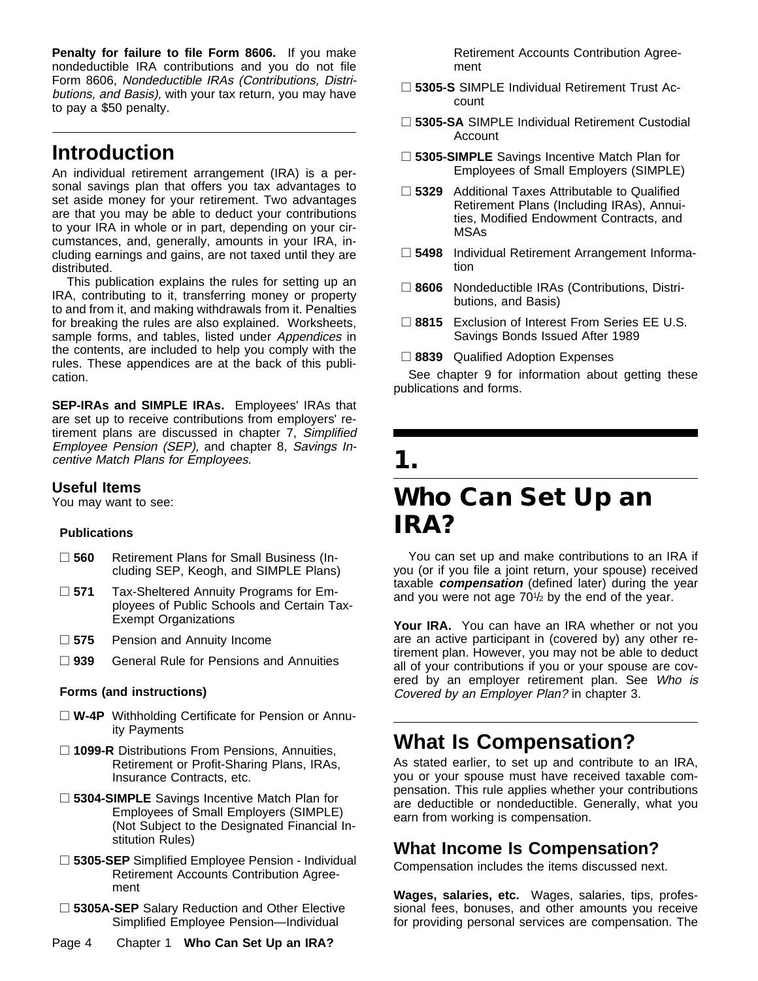**Penalty for failure to file Form 8606.** If you make nondeductible IRA contributions and you do not file Form 8606, Nondeductible IRAs (Contributions, Distributions, and Basis), with your tax return, you may have to pay a \$50 penalty.

# **Introduction**

An individual retirement arrangement (IRA) is a personal savings plan that offers you tax advantages to set aside money for your retirement. Two advantages are that you may be able to deduct your contributions to your IRA in whole or in part, depending on your circumstances, and, generally, amounts in your IRA, including earnings and gains, are not taxed until they are distributed.

This publication explains the rules for setting up an IRA, contributing to it, transferring money or property to and from it, and making withdrawals from it. Penalties for breaking the rules are also explained. Worksheets, sample forms, and tables, listed under Appendices in the contents, are included to help you comply with the rules. These appendices are at the back of this publication.

**SEP-IRAs and SIMPLE IRAs.** Employees' IRAs that are set up to receive contributions from employers' retirement plans are discussed in chapter 7, Simplified Employee Pension (SEP), and chapter 8, Savings Incentive Match Plans for Employees.

#### **Useful Items**

You may want to see:

#### **Publications**

- □ 560 Retirement Plans for Small Business (Including SEP, Keogh, and SIMPLE Plans)
- □ 571 Tax-Sheltered Annuity Programs for Employees of Public Schools and Certain Tax-Exempt Organizations
- □ 575 Pension and Annuity Income
- □ 939 General Rule for Pensions and Annuities

#### **Forms (and instructions)**

- □ W-4P Withholding Certificate for Pension or Annuity Payments
- □ 1099-R Distributions From Pensions, Annuities, Retirement or Profit-Sharing Plans, IRAs, Insurance Contracts, etc.
- □ 5304-SIMPLE Savings Incentive Match Plan for Employees of Small Employers (SIMPLE) (Not Subject to the Designated Financial Institution Rules)
- □ 5305-SEP Simplified Employee Pension Individual Retirement Accounts Contribution Agreement
- □ 5305A-SEP Salary Reduction and Other Elective Simplified Employee Pension—Individual
- Retirement Accounts Contribution Agreement
- □ 5305-S SIMPLE Individual Retirement Trust Account
- □ 5305-SA SIMPLE Individual Retirement Custodial Account
- □ 5305-SIMPLE Savings Incentive Match Plan for Employees of Small Employers (SIMPLE)
- □ 5329 Additional Taxes Attributable to Qualified Retirement Plans (Including IRAs), Annuities, Modified Endowment Contracts, and MSAs
- □ 5498 Individual Retirement Arrangement Information
- □ 8606 Nondeductible IRAs (Contributions, Distributions, and Basis)
- □ 8815 Exclusion of Interest From Series EE U.S. Savings Bonds Issued After 1989
- □ 8839 Qualified Adoption Expenses

See chapter 9 for information about getting these publications and forms.

# **1.**

# **Who Can Set Up an IRA?**

You can set up and make contributions to an IRA if you (or if you file a joint return, your spouse) received taxable **compensation** (defined later) during the year and you were not age  $70\frac{1}{2}$  by the end of the year.

Your IRA. You can have an IRA whether or not you are an active participant in (covered by) any other retirement plan. However, you may not be able to deduct all of your contributions if you or your spouse are covered by an employer retirement plan. See Who is Covered by an Employer Plan? in chapter 3.

# **What Is Compensation?**

As stated earlier, to set up and contribute to an IRA, you or your spouse must have received taxable compensation. This rule applies whether your contributions are deductible or nondeductible. Generally, what you earn from working is compensation.

## **What Income Is Compensation?**

Compensation includes the items discussed next.

**Wages, salaries, etc.** Wages, salaries, tips, professional fees, bonuses, and other amounts you receive for providing personal services are compensation. The

Page 4 Chapter 1 **Who Can Set Up an IRA?**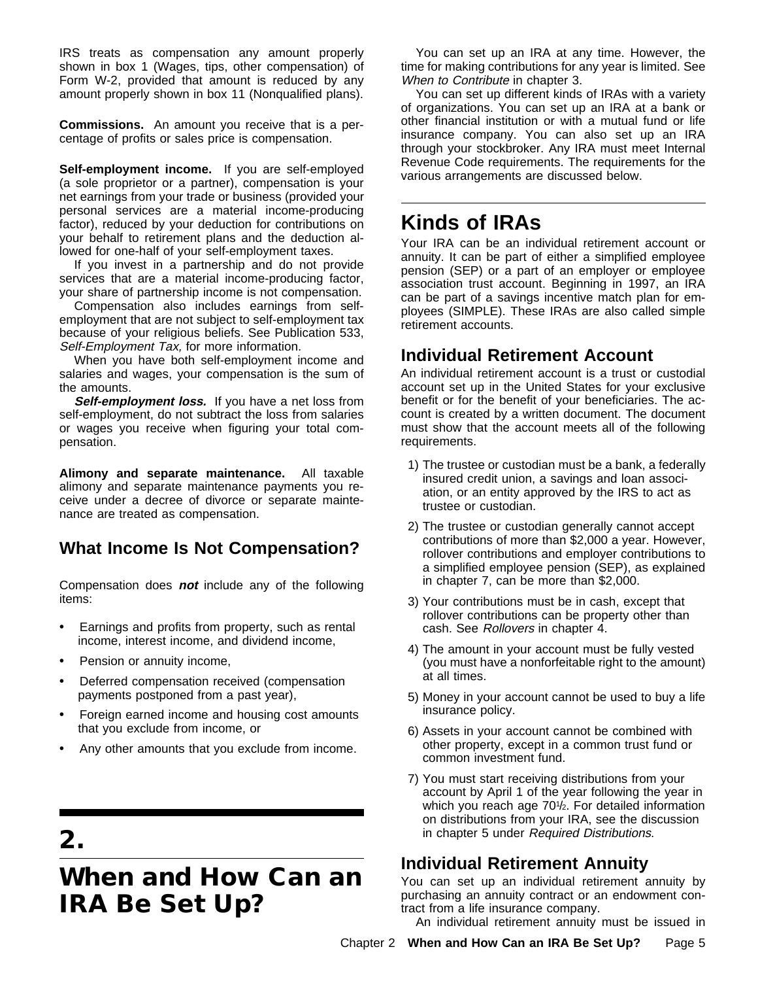IRS treats as compensation any amount properly shown in box 1 (Wages, tips, other compensation) of Form W-2, provided that amount is reduced by any amount properly shown in box 11 (Nonqualified plans).

**Commissions.** An amount you receive that is a percentage of profits or sales price is compensation.

**Self-employment income.** If you are self-employed (a sole proprietor or a partner), compensation is your net earnings from your trade or business (provided your personal services are a material income-producing factor), reduced by your deduction for contributions on your behalf to retirement plans and the deduction allowed for one-half of your self-employment taxes.

If you invest in a partnership and do not provide services that are a material income-producing factor, your share of partnership income is not compensation.

Compensation also includes earnings from selfemployment that are not subject to self-employment tax because of your religious beliefs. See Publication 533, Self-Employment Tax, for more information.

When you have both self-employment income and salaries and wages, your compensation is the sum of the amounts.

Self-employment loss. If you have a net loss from self-employment, do not subtract the loss from salaries or wages you receive when figuring your total compensation.

**Alimony and separate maintenance.** All taxable alimony and separate maintenance payments you receive under a decree of divorce or separate maintenance are treated as compensation.

## **What Income Is Not Compensation?**

Compensation does **not** include any of the following items:

- $\ddot{\mathbf{y}}$  Earnings and profits from property, such as rental income, interest income, and dividend income,
- Pension or annuity income,
- $\ddot{\mathbf{y}}$  Deferred compensation received (compensation payments postponed from a past year),
- $\ddot{\mathbf{y}}$  Foreign earned income and housing cost amounts that you exclude from income, or
- $\ddot{\mathbf{y}}$  Any other amounts that you exclude from income.

# **2.**

# **When and How Can an IRA Be Set Up?**

You can set up an IRA at any time. However, the time for making contributions for any year is limited. See When to Contribute in chapter 3.

You can set up different kinds of IRAs with a variety of organizations. You can set up an IRA at a bank or other financial institution or with a mutual fund or life insurance company. You can also set up an IRA through your stockbroker. Any IRA must meet Internal Revenue Code requirements. The requirements for the various arrangements are discussed below.

# **Kinds of IRAs**

Your IRA can be an individual retirement account or annuity. It can be part of either a simplified employee pension (SEP) or a part of an employer or employee association trust account. Beginning in 1997, an IRA can be part of a savings incentive match plan for employees (SIMPLE). These IRAs are also called simple retirement accounts.

## **Individual Retirement Account**

An individual retirement account is a trust or custodial account set up in the United States for your exclusive benefit or for the benefit of your beneficiaries. The account is created by a written document. The document must show that the account meets all of the following requirements.

- 1) The trustee or custodian must be a bank, a federally insured credit union, a savings and loan association, or an entity approved by the IRS to act as trustee or custodian.
- 2) The trustee or custodian generally cannot accept contributions of more than \$2,000 a year. However, rollover contributions and employer contributions to a simplified employee pension (SEP), as explained in chapter 7, can be more than \$2,000.
- 3) Your contributions must be in cash, except that rollover contributions can be property other than cash. See Rollovers in chapter 4.
- 4) The amount in your account must be fully vested (you must have a nonforfeitable right to the amount) at all times.
- 5) Money in your account cannot be used to buy a life insurance policy.
- 6) Assets in your account cannot be combined with other property, except in a common trust fund or common investment fund.
- 7) You must start receiving distributions from your account by April 1 of the year following the year in which you reach age 70<sup>1</sup>/<sub>2</sub>. For detailed information on distributions from your IRA, see the discussion in chapter 5 under Required Distributions.

## **Individual Retirement Annuity**

You can set up an individual retirement annuity by purchasing an annuity contract or an endowment contract from a life insurance company.

An individual retirement annuity must be issued in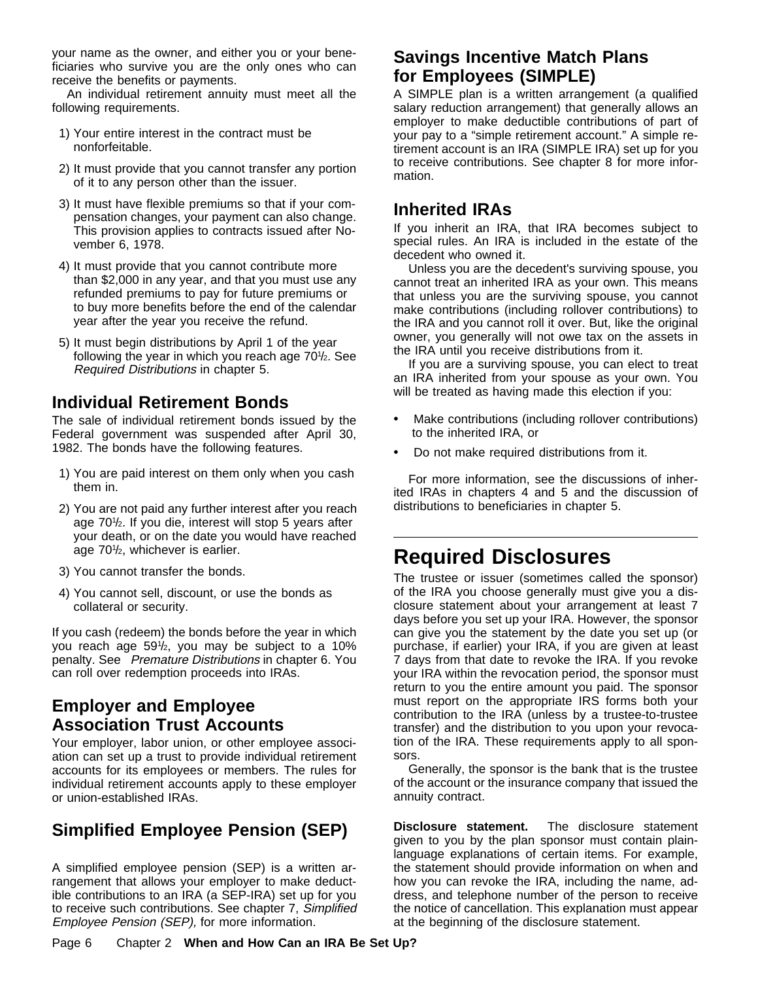your name as the owner, and either you or your beneficiaries who survive you are the only ones who can receive the benefits or payments.

An individual retirement annuity must meet all the following requirements.

- 1) Your entire interest in the contract must be nonforfeitable.
- 2) It must provide that you cannot transfer any portion of it to any person other than the issuer.
- 3) It must have flexible premiums so that if your compensation changes, your payment can also change. This provision applies to contracts issued after November 6, 1978.
- 4) It must provide that you cannot contribute more than \$2,000 in any year, and that you must use any refunded premiums to pay for future premiums or to buy more benefits before the end of the calendar year after the year you receive the refund.
- 5) It must begin distributions by April 1 of the year following the year in which you reach age 70<sup>1</sup>/<sub>2</sub>. See Required Distributions in chapter 5.

## **Individual Retirement Bonds**

The sale of individual retirement bonds issued by the Federal government was suspended after April 30, 1982. The bonds have the following features.

- 1) You are paid interest on them only when you cash them in.
- 2) You are not paid any further interest after you reach age 701/<sub>2</sub>. If you die, interest will stop 5 years after your death, or on the date you would have reached age 70<sup>1</sup>/<sub>2</sub>, whichever is earlier.
- 3) You cannot transfer the bonds.
- 4) You cannot sell, discount, or use the bonds as collateral or security.

If you cash (redeem) the bonds before the year in which you reach age 591 /2, you may be subject to a 10% penalty. See Premature Distributions in chapter 6. You can roll over redemption proceeds into IRAs.

## **Employer and Employee Association Trust Accounts**

Your employer, labor union, or other employee association can set up a trust to provide individual retirement accounts for its employees or members. The rules for individual retirement accounts apply to these employer or union-established IRAs.

## **Simplified Employee Pension (SEP)**

A simplified employee pension (SEP) is a written arrangement that allows your employer to make deductible contributions to an IRA (a SEP-IRA) set up for you to receive such contributions. See chapter 7, Simplified Employee Pension (SEP), for more information.

## **Savings Incentive Match Plans for Employees (SIMPLE)**

A SIMPLE plan is a written arrangement (a qualified salary reduction arrangement) that generally allows an employer to make deductible contributions of part of your pay to a "simple retirement account." A simple retirement account is an IRA (SIMPLE IRA) set up for you to receive contributions. See chapter 8 for more information.

## **Inherited IRAs**

If you inherit an IRA, that IRA becomes subject to special rules. An IRA is included in the estate of the decedent who owned it.

Unless you are the decedent's surviving spouse, you cannot treat an inherited IRA as your own. This means that unless you are the surviving spouse, you cannot make contributions (including rollover contributions) to the IRA and you cannot roll it over. But, like the original owner, you generally will not owe tax on the assets in the IRA until you receive distributions from it.

If you are a surviving spouse, you can elect to treat an IRA inherited from your spouse as your own. You will be treated as having made this election if you:

- ÿ• Make contributions (including rollover contributions) to the inherited IRA, or
- $\ddot{\mathbf{y}}$  Do not make required distributions from it.

For more information, see the discussions of inherited IRAs in chapters 4 and 5 and the discussion of distributions to beneficiaries in chapter 5.

# **Required Disclosures**

The trustee or issuer (sometimes called the sponsor) of the IRA you choose generally must give you a disclosure statement about your arrangement at least 7 days before you set up your IRA. However, the sponsor can give you the statement by the date you set up (or purchase, if earlier) your IRA, if you are given at least 7 days from that date to revoke the IRA. If you revoke your IRA within the revocation period, the sponsor must return to you the entire amount you paid. The sponsor must report on the appropriate IRS forms both your contribution to the IRA (unless by a trustee-to-trustee transfer) and the distribution to you upon your revocation of the IRA. These requirements apply to all sponsors.

Generally, the sponsor is the bank that is the trustee of the account or the insurance company that issued the annuity contract.

**Disclosure statement.** The disclosure statement given to you by the plan sponsor must contain plainlanguage explanations of certain items. For example, the statement should provide information on when and how you can revoke the IRA, including the name, address, and telephone number of the person to receive the notice of cancellation. This explanation must appear at the beginning of the disclosure statement.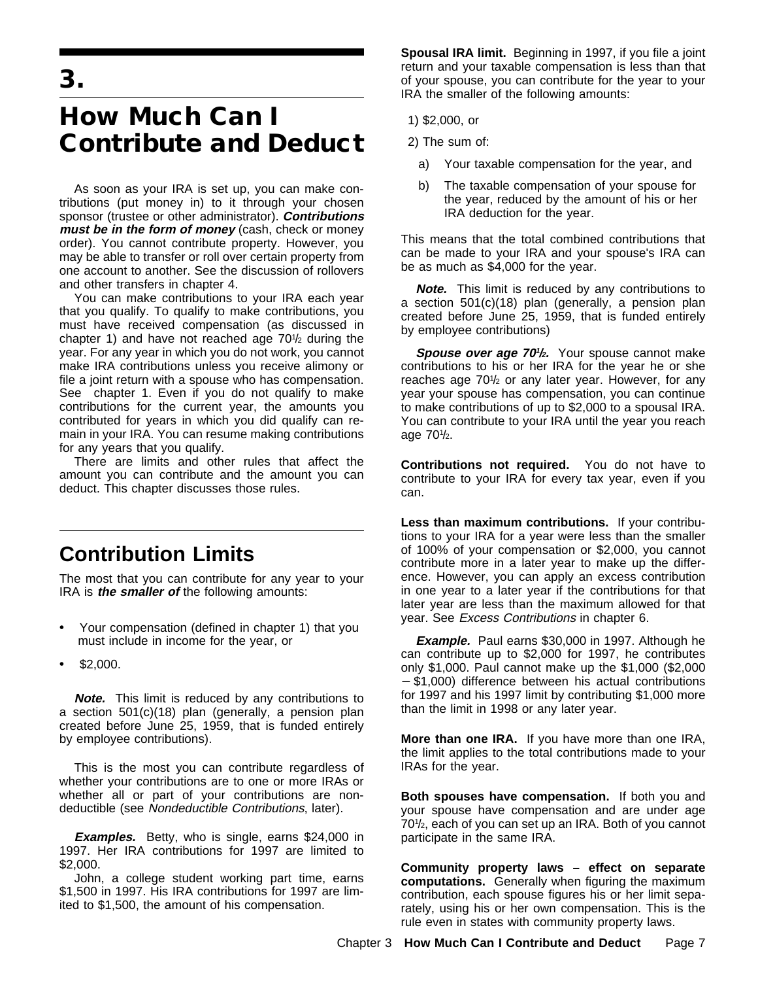**3.**

# **How Much Can I Contribute and Deduct**

As soon as your IRA is set up, you can make contributions (put money in) to it through your chosen sponsor (trustee or other administrator). **Contributions must be in the form of money** (cash, check or money order). You cannot contribute property. However, you may be able to transfer or roll over certain property from one account to another. See the discussion of rollovers and other transfers in chapter 4.

You can make contributions to your IRA each year that you qualify. To qualify to make contributions, you must have received compensation (as discussed in chapter 1) and have not reached age  $70\frac{1}{2}$  during the year. For any year in which you do not work, you cannot make IRA contributions unless you receive alimony or file a joint return with a spouse who has compensation. See chapter 1. Even if you do not qualify to make contributions for the current year, the amounts you contributed for years in which you did qualify can remain in your IRA. You can resume making contributions for any years that you qualify.

There are limits and other rules that affect the amount you can contribute and the amount you can deduct. This chapter discusses those rules.

# **Contribution Limits**

The most that you can contribute for any year to your IRA is **the smaller of** the following amounts:

- $\ddot{\mathbf{y}}$  Your compensation (defined in chapter 1) that you must include in income for the year, or
- $\ddot{\mathbf{y}}$  \$2,000.

**Note.** This limit is reduced by any contributions to a section 501(c)(18) plan (generally, a pension plan created before June 25, 1959, that is funded entirely by employee contributions).

This is the most you can contribute regardless of whether your contributions are to one or more IRAs or whether all or part of your contributions are nondeductible (see Nondeductible Contributions, later).

**Examples.** Betty, who is single, earns \$24,000 in 1997. Her IRA contributions for 1997 are limited to \$2,000.

John, a college student working part time, earns \$1,500 in 1997. His IRA contributions for 1997 are limited to \$1,500, the amount of his compensation.

**Spousal IRA limit.** Beginning in 1997, if you file a joint return and your taxable compensation is less than that of your spouse, you can contribute for the year to your IRA the smaller of the following amounts:

- 1) \$2,000, or
- 2) The sum of:
	- a) Your taxable compensation for the year, and
	- b) The taxable compensation of your spouse for the year, reduced by the amount of his or her IRA deduction for the year.

This means that the total combined contributions that can be made to your IRA and your spouse's IRA can be as much as \$4,000 for the year.

**Note.** This limit is reduced by any contributions to a section 501(c)(18) plan (generally, a pension plan created before June 25, 1959, that is funded entirely by employee contributions)

**Spouse over age 701/<sup>2</sup>.** Your spouse cannot make contributions to his or her IRA for the year he or she reaches age 701 /2 or any later year. However, for any year your spouse has compensation, you can continue to make contributions of up to \$2,000 to a spousal IRA. You can contribute to your IRA until the year you reach age 70<sup>1</sup>/<sub>2</sub>.

**Contributions not required.** You do not have to contribute to your IRA for every tax year, even if you can.

**Less than maximum contributions.** If your contributions to your IRA for a year were less than the smaller of 100% of your compensation or \$2,000, you cannot contribute more in a later year to make up the difference. However, you can apply an excess contribution in one year to a later year if the contributions for that later year are less than the maximum allowed for that year. See Excess Contributions in chapter 6.

**Example.** Paul earns \$30,000 in 1997. Although he can contribute up to \$2,000 for 1997, he contributes only \$1,000. Paul cannot make up the \$1,000 (\$2,000 − \$1,000) difference between his actual contributions for 1997 and his 1997 limit by contributing \$1,000 more than the limit in 1998 or any later year.

**More than one IRA.** If you have more than one IRA, the limit applies to the total contributions made to your IRAs for the year.

**Both spouses have compensation.** If both you and your spouse have compensation and are under age 701/<sub>2</sub>, each of you can set up an IRA. Both of you cannot participate in the same IRA.

**Community property laws – effect on separate computations.** Generally when figuring the maximum contribution, each spouse figures his or her limit separately, using his or her own compensation. This is the rule even in states with community property laws.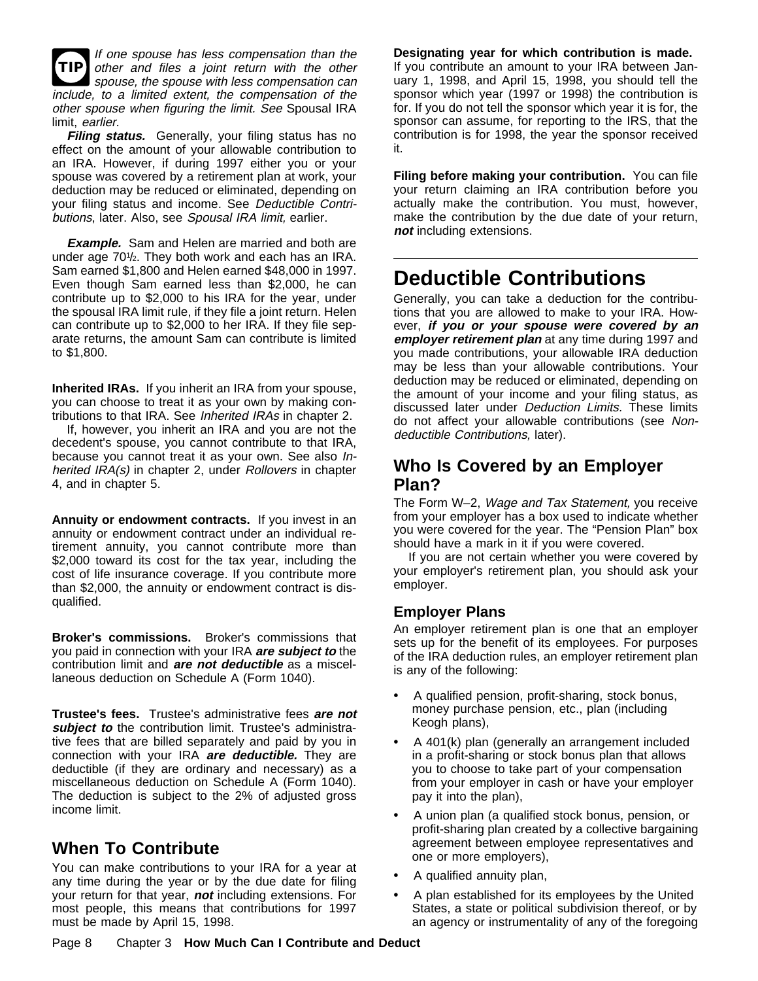**TIP** If one spouse has less compensation than the other and files a joint return with the other spouse, the spouse with less compensation can include, to a limited extent, the compensation of the other spouse when figuring the limit. See Spousal IRA limit, earlier.

**Filing status.** Generally, your filing status has no effect on the amount of your allowable contribution to an IRA. However, if during 1997 either you or your spouse was covered by a retirement plan at work, your deduction may be reduced or eliminated, depending on your filing status and income. See Deductible Contributions, later. Also, see Spousal IRA limit, earlier.

**Example.** Sam and Helen are married and both are under age 701 /2. They both work and each has an IRA. Sam earned \$1,800 and Helen earned \$48,000 in 1997. Even though Sam earned less than \$2,000, he can contribute up to \$2,000 to his IRA for the year, under the spousal IRA limit rule, if they file a joint return. Helen can contribute up to \$2,000 to her IRA. If they file separate returns, the amount Sam can contribute is limited to \$1,800.

**Inherited IRAs.** If you inherit an IRA from your spouse, you can choose to treat it as your own by making contributions to that IRA. See Inherited IRAs in chapter 2.

If, however, you inherit an IRA and you are not the decedent's spouse, you cannot contribute to that IRA, because you cannot treat it as your own. See also Inherited IRA(s) in chapter 2, under Rollovers in chapter 4, and in chapter 5.

**Annuity or endowment contracts.** If you invest in an annuity or endowment contract under an individual retirement annuity, you cannot contribute more than \$2,000 toward its cost for the tax year, including the cost of life insurance coverage. If you contribute more than \$2,000, the annuity or endowment contract is disqualified.

**Broker's commissions.** Broker's commissions that you paid in connection with your IRA **are subject to** the contribution limit and **are not deductible** as a miscellaneous deduction on Schedule A (Form 1040).

**Trustee's fees.** Trustee's administrative fees **are not** subject to the contribution limit. Trustee's administrative fees that are billed separately and paid by you in connection with your IRA **are deductible.** They are deductible (if they are ordinary and necessary) as a miscellaneous deduction on Schedule A (Form 1040). The deduction is subject to the 2% of adjusted gross income limit.

## **When To Contribute**

You can make contributions to your IRA for a year at any time during the year or by the due date for filing your return for that year, **not** including extensions. For most people, this means that contributions for 1997 must be made by April 15, 1998.

#### **Designating year for which contribution is made.**

If you contribute an amount to your IRA between January 1, 1998, and April 15, 1998, you should tell the sponsor which year (1997 or 1998) the contribution is for. If you do not tell the sponsor which year it is for, the sponsor can assume, for reporting to the IRS, that the contribution is for 1998, the year the sponsor received it.

**Filing before making your contribution.** You can file your return claiming an IRA contribution before you actually make the contribution. You must, however, make the contribution by the due date of your return, **not** including extensions.

# **Deductible Contributions**

Generally, you can take a deduction for the contributions that you are allowed to make to your IRA. However, **if you or your spouse were covered by an employer retirement plan** at any time during 1997 and you made contributions, your allowable IRA deduction may be less than your allowable contributions. Your deduction may be reduced or eliminated, depending on the amount of your income and your filing status, as discussed later under Deduction Limits. These limits do not affect your allowable contributions (see Nondeductible Contributions, later).

## **Who Is Covered by an Employer Plan?**

The Form W–2, Wage and Tax Statement, you receive from your employer has a box used to indicate whether you were covered for the year. The "Pension Plan" box should have a mark in it if you were covered.

If you are not certain whether you were covered by your employer's retirement plan, you should ask your employer.

#### **Employer Plans**

An employer retirement plan is one that an employer sets up for the benefit of its employees. For purposes of the IRA deduction rules, an employer retirement plan is any of the following:

- $\ddot{\mathbf{y}}$  A qualified pension, profit-sharing, stock bonus, money purchase pension, etc., plan (including Keogh plans),
- $\ddot{\mathbf{y}}$  A 401(k) plan (generally an arrangement included in a profit-sharing or stock bonus plan that allows you to choose to take part of your compensation from your employer in cash or have your employer pay it into the plan),
- ÿ• A union plan (a qualified stock bonus, pension, or profit-sharing plan created by a collective bargaining agreement between employee representatives and one or more employers),
- $\ddot{\mathbf{v}}$  A qualified annuity plan,
- $\ddot{\mathbf{y}}$  A plan established for its employees by the United States, a state or political subdivision thereof, or by an agency or instrumentality of any of the foregoing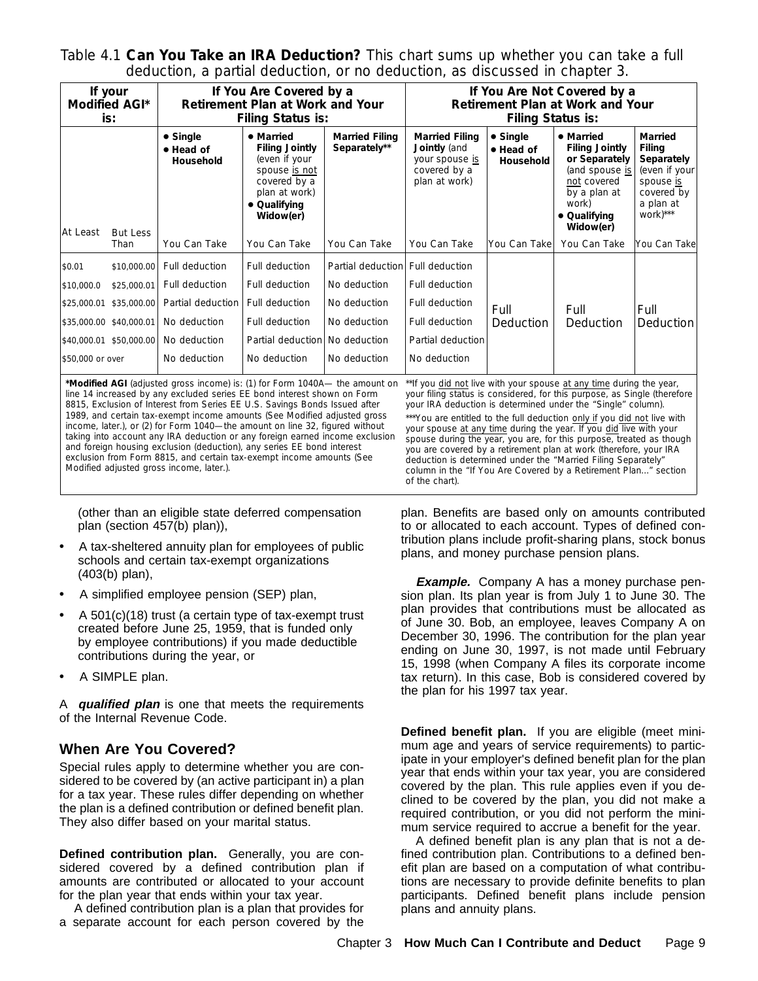Table 4.1 **Can You Take an IRA Deduction?** This chart sums up whether you can take a full deduction, a partial deduction, or no deduction, as discussed in chapter 3.

| If your<br><b>Modified AGI*</b><br>is:                  |                                                                                                 | If You Are Covered by a<br><b>Retirement Plan at Work and Your</b><br><b>Filing Status is:</b>        |                                                                                                                                    |                                                                                                   | If You Are Not Covered by a<br><b>Retirement Plan at Work and Your</b><br><b>Filing Status is:</b>          |                                                   |                                                                                                                                            |                                                                                                             |
|---------------------------------------------------------|-------------------------------------------------------------------------------------------------|-------------------------------------------------------------------------------------------------------|------------------------------------------------------------------------------------------------------------------------------------|---------------------------------------------------------------------------------------------------|-------------------------------------------------------------------------------------------------------------|---------------------------------------------------|--------------------------------------------------------------------------------------------------------------------------------------------|-------------------------------------------------------------------------------------------------------------|
|                                                         | <b>But Less</b>                                                                                 | • Single<br>• Head of<br><b>Household</b>                                                             | • Married<br><b>Filing Jointly</b><br>(even if your<br>spouse is not<br>covered by a<br>plan at work)<br>• Qualifying<br>Widow(er) | <b>Married Filing</b><br>Separately**                                                             | <b>Married Filing</b><br>Jointly (and<br>your spouse is<br>covered by a<br>plan at work)                    | $\bullet$ Single<br>• Head of<br><b>Household</b> | • Married<br><b>Filing Jointly</b><br>or Separately<br>(and spouse is<br>not covered<br>by a plan at<br>work)<br>• Qualifying<br>Widow(er) | <b>Married</b><br>Filing<br>Separately<br>(even if your<br>spouse is<br>covered by<br>a plan at<br>work)*** |
| At Least                                                | Than                                                                                            | You Can Take                                                                                          | You Can Take                                                                                                                       | You Can Take                                                                                      | You Can Take                                                                                                | You Can Take                                      | You Can Take                                                                                                                               | lYou Can Take                                                                                               |
| \$0.01<br>\$10,000.0<br>\$25,000.01<br>\$50,000 or over | \$10,000.00<br>\$25,000.01<br>\$35,000.00<br>\$35,000.00 \$40,000.01<br>\$40,000.01 \$50,000.00 | Full deduction<br>Full deduction<br>Partial deduction<br>No deduction<br>No deduction<br>No deduction | Full deduction<br>Full deduction<br>Full deduction<br>Full deduction<br>Partial deduction<br>No deduction                          | Partial deduction<br>No deduction<br>No deduction<br>No deduction<br>No deduction<br>No deduction | l Full deduction<br>Full deduction<br>Full deduction<br>Full deduction<br>Partial deduction<br>No deduction | Full<br><b>Deduction</b>                          | Full<br>Deduction                                                                                                                          | Full<br><b>Deduction</b>                                                                                    |

**\*Modified AGI** (adjusted gross income) is: (1) for Form 1040A— the amount on \*\*If you did not live with your spouse at any time during the year, line 14 increased by any excluded series EE bond interest shown on Form 8815, *Exclusion of Interest from Series EE U.S. Savings Bonds Issued after 1989,* and certain tax-exempt income amounts (See *Modified adjusted gross income,* later.), or (2) for Form 1040—the amount on line 32, figured without taking into account any IRA deduction or any foreign earned income exclusion and foreign housing exclusion (deduction), any series EE bond interest exclusion from Form 8815, and certain tax-exempt income amounts (See *Modified adjusted gross income,* later.).

(other than an eligible state deferred compensation plan (section 457(b) plan)),

- A tax-sheltered annuity plan for employees of public schools and certain tax-exempt organizations (403(b) plan),
- $\ddot{\mathbf{y}}$  A simplified employee pension (SEP) plan,
- A  $501(c)(18)$  trust (a certain type of tax-exempt trust created before June 25, 1959, that is funded only by employee contributions) if you made deductible contributions during the year, or
- $\ddot{\mathbf{y}}$  A SIMPLE plan.

A **qualified plan** is one that meets the requirements of the Internal Revenue Code.

### **When Are You Covered?**

Special rules apply to determine whether you are considered to be covered by (an active participant in) a plan for a tax year. These rules differ depending on whether the plan is a defined contribution or defined benefit plan. They also differ based on your marital status.

**Defined contribution plan.** Generally, you are considered covered by a defined contribution plan if amounts are contributed or allocated to your account for the plan year that ends within your tax year.

A defined contribution plan is a plan that provides for a separate account for each person covered by the

your filing status is considered, for this purpose, as Single (therefore your IRA deduction is determined under the "Single" column).

\*\*\*You are entitled to the full deduction only if you did not live with your spouse at any time during the year. If you did live with your spouse during the year, you are, for this purpose, treated as though you are covered by a retirement plan at work (therefore, your IRA deduction is determined under the "Married Filing Separately" column in the "If You Are Covered by a Retirement Plan..." section of the chart).

plan. Benefits are based only on amounts contributed to or allocated to each account. Types of defined contribution plans include profit-sharing plans, stock bonus plans, and money purchase pension plans.

**Example.** Company A has a money purchase pension plan. Its plan year is from July 1 to June 30. The plan provides that contributions must be allocated as of June 30. Bob, an employee, leaves Company A on December 30, 1996. The contribution for the plan year ending on June 30, 1997, is not made until February 15, 1998 (when Company A files its corporate income tax return). In this case, Bob is considered covered by the plan for his 1997 tax year.

**Defined benefit plan.** If you are eligible (meet minimum age and years of service requirements) to participate in your employer's defined benefit plan for the plan year that ends within your tax year, you are considered covered by the plan. This rule applies even if you declined to be covered by the plan, you did not make a required contribution, or you did not perform the minimum service required to accrue a benefit for the year.

A defined benefit plan is any plan that is not a defined contribution plan. Contributions to a defined benefit plan are based on a computation of what contributions are necessary to provide definite benefits to plan participants. Defined benefit plans include pension plans and annuity plans.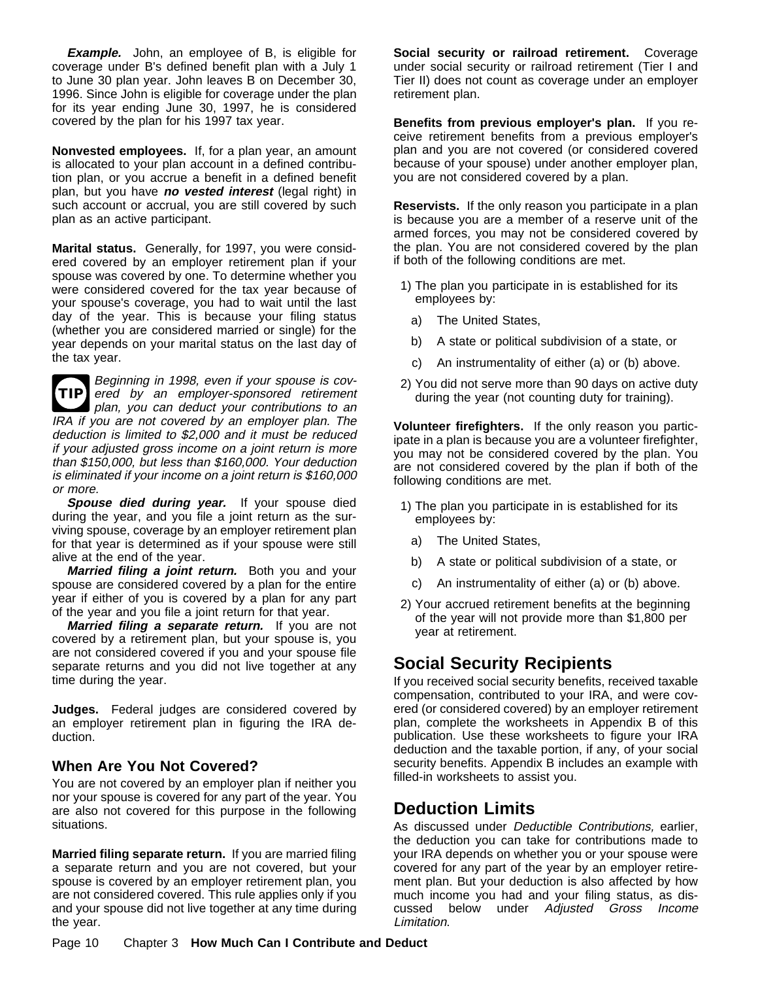**Example.** John, an employee of B, is eligible for coverage under B's defined benefit plan with a July 1 to June 30 plan year. John leaves B on December 30, 1996. Since John is eligible for coverage under the plan for its year ending June 30, 1997, he is considered covered by the plan for his 1997 tax year.

**Nonvested employees.** If, for a plan year, an amount is allocated to your plan account in a defined contribution plan, or you accrue a benefit in a defined benefit plan, but you have **no vested interest** (legal right) in such account or accrual, you are still covered by such plan as an active participant.

**Marital status.** Generally, for 1997, you were considered covered by an employer retirement plan if your spouse was covered by one. To determine whether you were considered covered for the tax year because of your spouse's coverage, you had to wait until the last day of the year. This is because your filing status (whether you are considered married or single) for the year depends on your marital status on the last day of the tax year.

**TIP** Beginning in 1998, even if your spouse is covered by an employer-sponsored retirement plan, you can deduct your contributions to an IRA if you are not covered by an employer plan. The deduction is limited to \$2,000 and it must be reduced if your adjusted gross income on a joint return is more than \$150,000, but less than \$160,000. Your deduction is eliminated if your income on a joint return is \$160,000 or more.

**Spouse died during year.** If your spouse died during the year, and you file a joint return as the surviving spouse, coverage by an employer retirement plan for that year is determined as if your spouse were still alive at the end of the year.

**Married filing a joint return.** Both you and your spouse are considered covered by a plan for the entire year if either of you is covered by a plan for any part of the year and you file a joint return for that year.

**Married filing a separate return.** If you are not covered by a retirement plan, but your spouse is, you are not considered covered if you and your spouse file separate returns and you did not live together at any time during the year.

**Judges.** Federal judges are considered covered by an employer retirement plan in figuring the IRA deduction.

#### **When Are You Not Covered?**

You are not covered by an employer plan if neither you nor your spouse is covered for any part of the year. You are also not covered for this purpose in the following situations.

**Married filing separate return.** If you are married filing a separate return and you are not covered, but your spouse is covered by an employer retirement plan, you are not considered covered. This rule applies only if you and your spouse did not live together at any time during the year.

**Social security or railroad retirement.** Coverage under social security or railroad retirement (Tier I and Tier II) does not count as coverage under an employer retirement plan.

**Benefits from previous employer's plan.** If you receive retirement benefits from a previous employer's plan and you are not covered (or considered covered because of your spouse) under another employer plan, you are not considered covered by a plan.

**Reservists.** If the only reason you participate in a plan is because you are a member of a reserve unit of the armed forces, you may not be considered covered by the plan. You are not considered covered by the plan if both of the following conditions are met.

- 1) The plan you participate in is established for its employees by:
	- a) The United States,
	- b) A state or political subdivision of a state, or
	- c) An instrumentality of either (a) or (b) above.
- 2) You did not serve more than 90 days on active duty during the year (not counting duty for training).

**Volunteer firefighters.** If the only reason you participate in a plan is because you are a volunteer firefighter, you may not be considered covered by the plan. You are not considered covered by the plan if both of the following conditions are met.

- 1) The plan you participate in is established for its employees by:
	- a) The United States,
	- b) A state or political subdivision of a state, or
	- c) An instrumentality of either (a) or (b) above.
- 2) Your accrued retirement benefits at the beginning of the year will not provide more than \$1,800 per year at retirement.

## **Social Security Recipients**

If you received social security benefits, received taxable compensation, contributed to your IRA, and were covered (or considered covered) by an employer retirement plan, complete the worksheets in Appendix B of this publication. Use these worksheets to figure your IRA deduction and the taxable portion, if any, of your social security benefits. Appendix B includes an example with filled-in worksheets to assist you.

## **Deduction Limits**

As discussed under Deductible Contributions, earlier, the deduction you can take for contributions made to your IRA depends on whether you or your spouse were covered for any part of the year by an employer retirement plan. But your deduction is also affected by how much income you had and your filing status, as discussed below under Adjusted Gross Income Limitation.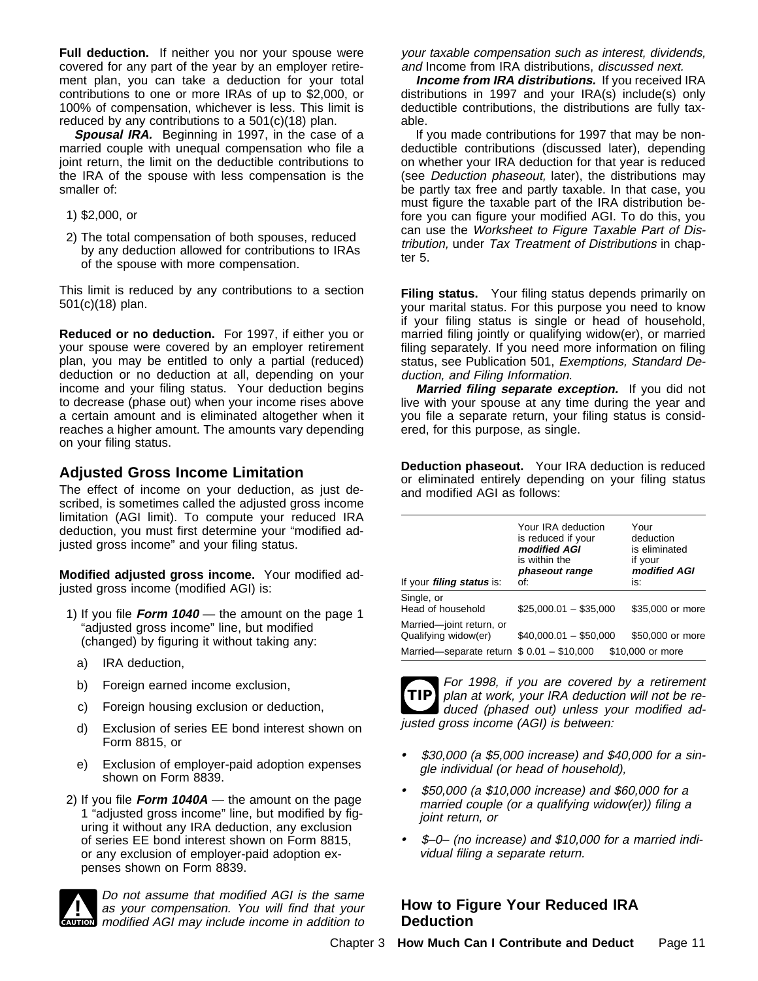**Full deduction.** If neither you nor your spouse were covered for any part of the year by an employer retirement plan, you can take a deduction for your total contributions to one or more IRAs of up to \$2,000, or 100% of compensation, whichever is less. This limit is reduced by any contributions to a 501(c)(18) plan.

**Spousal IRA.** Beginning in 1997, in the case of a married couple with unequal compensation who file a joint return, the limit on the deductible contributions to the IRA of the spouse with less compensation is the smaller of:

- 1) \$2,000, or
- 2) The total compensation of both spouses, reduced by any deduction allowed for contributions to IRAs of the spouse with more compensation.

This limit is reduced by any contributions to a section 501(c)(18) plan.

**Reduced or no deduction.** For 1997, if either you or your spouse were covered by an employer retirement plan, you may be entitled to only a partial (reduced) deduction or no deduction at all, depending on your income and your filing status. Your deduction begins to decrease (phase out) when your income rises above a certain amount and is eliminated altogether when it reaches a higher amount. The amounts vary depending on your filing status.

#### **Adjusted Gross Income Limitation**

The effect of income on your deduction, as just described, is sometimes called the adjusted gross income limitation (AGI limit). To compute your reduced IRA deduction, you must first determine your "modified adjusted gross income" and your filing status.

**Modified adjusted gross income.** Your modified adjusted gross income (modified AGI) is:

- 1) If you file **Form 1040** the amount on the page 1 "adjusted gross income" line, but modified (changed) by figuring it without taking any:
	- a) IRA deduction,
	- b) Foreign earned income exclusion,
	- c) Foreign housing exclusion or deduction,
	- d) Exclusion of series EE bond interest shown on Form 8815, or
	- e) Exclusion of employer-paid adoption expenses shown on Form 8839.
- 2) If you file **Form 1040A** the amount on the page 1 "adjusted gross income" line, but modified by figuring it without any IRA deduction, any exclusion of series EE bond interest shown on Form 8815, or any exclusion of employer-paid adoption expenses shown on Form 8839.



**IN THE CAUTION**<br> **EXECUTION** modified AGI may include income in addition to Do not assume that modified AGI is the same as your compensation. You will find that your your taxable compensation such as interest, dividends, and Income from IRA distributions, discussed next.

**Income from IRA distributions.** If you received IRA distributions in 1997 and your IRA(s) include(s) only deductible contributions, the distributions are fully taxable.

If you made contributions for 1997 that may be nondeductible contributions (discussed later), depending on whether your IRA deduction for that year is reduced (see Deduction phaseout, later), the distributions may be partly tax free and partly taxable. In that case, you must figure the taxable part of the IRA distribution before you can figure your modified AGI. To do this, you can use the Worksheet to Figure Taxable Part of Distribution, under Tax Treatment of Distributions in chapter 5.

**Filing status.** Your filing status depends primarily on your marital status. For this purpose you need to know if your filing status is single or head of household, married filing jointly or qualifying widow(er), or married filing separately. If you need more information on filing status, see Publication 501, Exemptions, Standard Deduction, and Filing Information.

**Married filing separate exception.** If you did not live with your spouse at any time during the year and you file a separate return, your filing status is considered, for this purpose, as single.

**Deduction phaseout.** Your IRA deduction is reduced or eliminated entirely depending on your filing status and modified AGI as follows:

| If your <i>filing status</i> is:                     | Your IRA deduction<br>is reduced if your<br>modified AGI<br>is within the<br>phaseout range<br>of: | Your<br>deduction<br>is eliminated<br>if your<br>modified AGI<br>is: |
|------------------------------------------------------|----------------------------------------------------------------------------------------------------|----------------------------------------------------------------------|
| Single, or<br>Head of household                      | $$25,000.01 - $35,000$                                                                             | \$35,000 or more                                                     |
| Married-joint return, or<br>Qualifying widow(er)     | $$40.000.01 - $50.000$                                                                             | \$50,000 or more                                                     |
| Married-separate return $\sqrt[6]{9}$ .01 - \$10,000 |                                                                                                    | \$10,000 or more                                                     |



For 1998, if you are covered by a retirement plan at work, your IRA deduction will not be reduced (phased out) unless your modified adjusted gross income (AGI) is between:

- $\ddot{\mathbf{y}}$  \$30,000 (a \$5,000 increase) and \$40,000 for a single individual (or head of household),
- $\ddot{\mathbf{y}}$  \$50,000 (a \$10,000 increase) and \$60,000 for a married couple (or a qualifying widow(er)) filing a joint return, or
- $\ddot{\mathbf{y}}$  \$-0- (no increase) and \$10,000 for a married individual filing a separate return.

### **How to Figure Your Reduced IRA Deduction**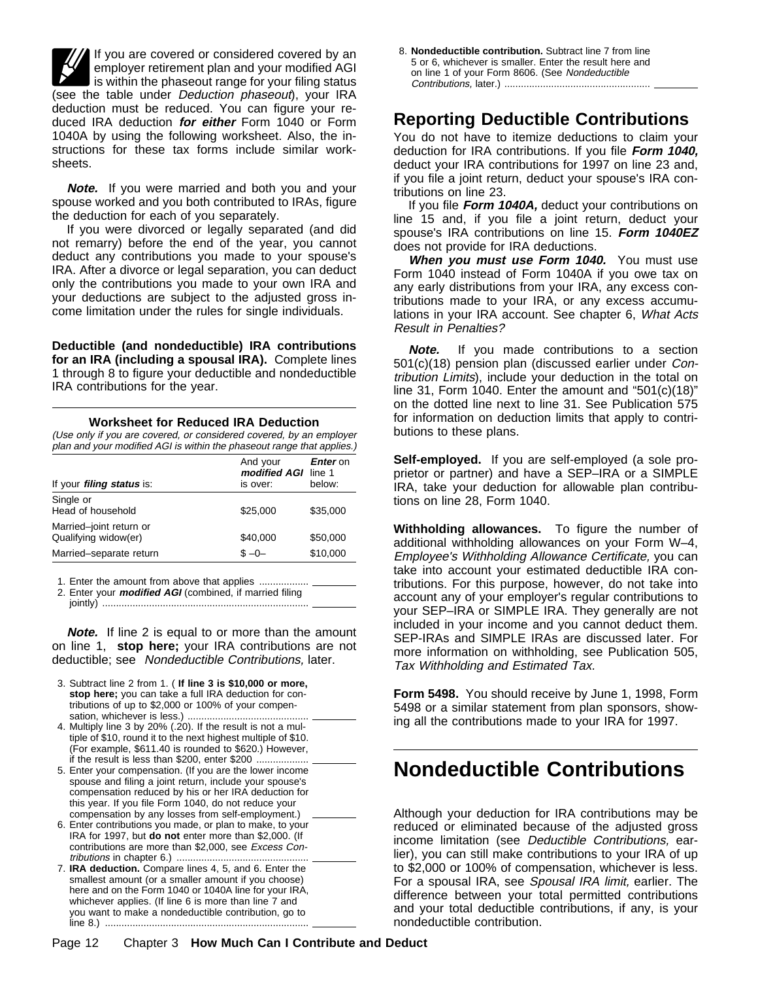If you are covered or considered covered by an employer retirement plan and your modified AGI I is within the phaseout range for your filing status (see the table under Deduction phaseout), your IRA deduction must be reduced. You can figure your reduced IRA deduction **for either** Form 1040 or Form 1040A by using the following worksheet. Also, the instructions for these tax forms include similar worksheets.

**Note.** If you were married and both you and your spouse worked and you both contributed to IRAs, figure the deduction for each of you separately.

If you were divorced or legally separated (and did not remarry) before the end of the year, you cannot deduct any contributions you made to your spouse's IRA. After a divorce or legal separation, you can deduct only the contributions you made to your own IRA and your deductions are subject to the adjusted gross income limitation under the rules for single individuals.

**Deductible (and nondeductible) IRA contributions for an IRA (including a spousal IRA).** Complete lines 1 through 8 to figure your deductible and nondeductible IRA contributions for the year.

#### **Worksheet for Reduced IRA Deduction**

(Use only if you are covered, or considered covered, by an employer plan and your modified AGI is within the phaseout range that applies.)

| If your <i>filing status</i> is:                | And your<br>modified AGI line 1<br>is over: | <b>Enter</b> on<br>below: |
|-------------------------------------------------|---------------------------------------------|---------------------------|
| Single or<br>Head of household                  | \$25,000                                    | \$35,000                  |
| Married-joint return or<br>Qualifying widow(er) | \$40,000                                    | \$50,000                  |
| Married-separate return                         | $$ -0-$                                     | \$10,000                  |

1. Enter the amount from above that applies ........

2. Enter your **modified AGI** (combined, if married filing jointly) ...........................................................................

**Note.** If line 2 is equal to or more than the amount on line 1, **stop here;** your IRA contributions are not deductible; see Nondeductible Contributions, later.

- 3. Subtract line 2 from 1. ( **If line 3 is \$10,000 or more, stop here;** you can take a full IRA deduction for contributions of up to \$2,000 or 100% of your compensation, whichever is less.) ............................................
- 4. Multiply line 3 by 20% (.20). If the result is not a multiple of \$10, round it to the next highest multiple of \$10. (For example, \$611.40 is rounded to \$620.) However, if the result is less than \$200, enter \$200 ...................
- 5. Enter your compensation. (If you are the lower income spouse and filing a joint return, include your spouse's compensation reduced by his or her IRA deduction for this year. If you file Form 1040, do not reduce your compensation by any losses from self-employment.)
- 6. Enter contributions you made, or plan to make, to your IRA for 1997, but **do not** enter more than \$2,000. (If contributions are more than \$2,000, see Excess Contributions in chapter 6.) ................................................
- 7. **IRA deduction.** Compare lines 4, 5, and 6. Enter the smallest amount (or a smaller amount if you choose) here and on the Form 1040 or 1040A line for your IRA, whichever applies. (If line 6 is more than line 7 and you want to make a nondeductible contribution, go to line 8.) ..........................................................................

8. **Nondeductible contribution.** Subtract line 7 from line 5 or 6, whichever is smaller. Enter the result here and on line 1 of your Form 8606. (See Nondeductible Contributions, later.) .....................................................

## **Reporting Deductible Contributions**

You do not have to itemize deductions to claim your deduction for IRA contributions. If you file **Form 1040,** deduct your IRA contributions for 1997 on line 23 and, if you file a joint return, deduct your spouse's IRA contributions on line 23.

If you file **Form 1040A,** deduct your contributions on line 15 and, if you file a joint return, deduct your spouse's IRA contributions on line 15. **Form 1040EZ** does not provide for IRA deductions.

**When you must use Form 1040.** You must use Form 1040 instead of Form 1040A if you owe tax on any early distributions from your IRA, any excess contributions made to your IRA, or any excess accumulations in your IRA account. See chapter 6, What Acts Result in Penalties?

**Note.** If you made contributions to a section 501(c)(18) pension plan (discussed earlier under Contribution Limits), include your deduction in the total on line 31, Form 1040. Enter the amount and "501(c)(18)" on the dotted line next to line 31. See Publication 575 for information on deduction limits that apply to contributions to these plans.

**Self-employed.** If you are self-employed (a sole proprietor or partner) and have a SEP–IRA or a SIMPLE IRA, take your deduction for allowable plan contributions on line 28, Form 1040.

**Withholding allowances.** To figure the number of additional withholding allowances on your Form W–4, Employee's Withholding Allowance Certificate, you can take into account your estimated deductible IRA contributions. For this purpose, however, do not take into account any of your employer's regular contributions to your SEP–IRA or SIMPLE IRA. They generally are not included in your income and you cannot deduct them. SEP-IRAs and SIMPLE IRAs are discussed later. For more information on withholding, see Publication 505, Tax Withholding and Estimated Tax.

**Form 5498.** You should receive by June 1, 1998, Form 5498 or a similar statement from plan sponsors, showing all the contributions made to your IRA for 1997.

# **Nondeductible Contributions**

Although your deduction for IRA contributions may be reduced or eliminated because of the adjusted gross income limitation (see Deductible Contributions, earlier), you can still make contributions to your IRA of up to \$2,000 or 100% of compensation, whichever is less. For a spousal IRA, see Spousal IRA limit, earlier. The difference between your total permitted contributions and your total deductible contributions, if any, is your nondeductible contribution.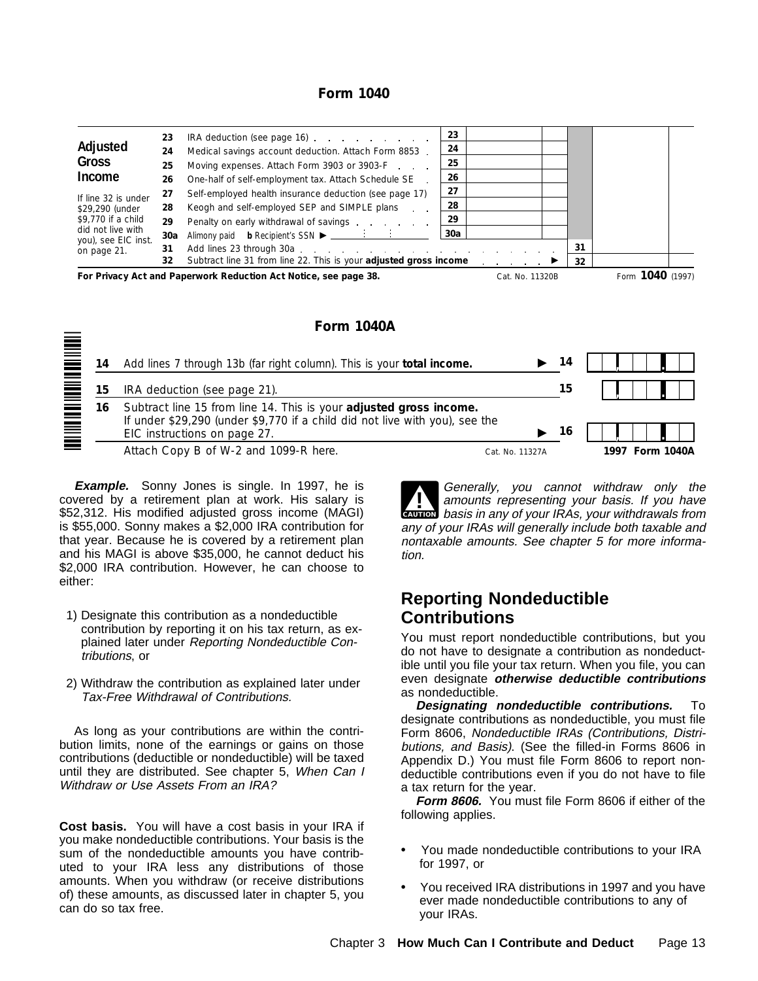#### **Form 1040**

| Adjusted<br>Gross<br>Income<br>If line 32 is under<br>\$29,290 (under<br>\$9,770 if a child<br>did not live with | 23<br>24<br>25<br>26<br>27<br>28<br>29 | IRA deduction (see page 16)<br>Medical savings account deduction. Attach Form 8853.<br>Moving expenses. Attach Form 3903 or 3903-F<br>One-half of self-employment tax. Attach Schedule SE<br>Self-employed health insurance deduction (see page 17)<br>Keogh and self-employed SEP and SIMPLE plans<br>Penalty on early withdrawal of savings | 23<br>24<br>25<br>26<br>27<br>28<br>29<br>. 30a |                 |          |                  |  |
|------------------------------------------------------------------------------------------------------------------|----------------------------------------|-----------------------------------------------------------------------------------------------------------------------------------------------------------------------------------------------------------------------------------------------------------------------------------------------------------------------------------------------|-------------------------------------------------|-----------------|----------|------------------|--|
| you), see EIC inst.<br>on page 21.                                                                               | 31<br>32                               | Subtract line 31 from line 22. This is your <b>adjusted gross income</b>                                                                                                                                                                                                                                                                      |                                                 |                 | 31<br>32 |                  |  |
|                                                                                                                  |                                        | For Privacy Act and Paperwork Reduction Act Notice, see page 38.                                                                                                                                                                                                                                                                              |                                                 | Cat. No. 11320B |          | Form 1040 (1997) |  |

**Form 1040A**



**Example.** Sonny Jones is single. In 1997, he is covered by a retirement plan at work. His salary is \$52,312. His modified adjusted gross income (MAGI) is \$55,000. Sonny makes a \$2,000 IRA contribution for that year. Because he is covered by a retirement plan and his MAGI is above \$35,000, he cannot deduct his \$2,000 IRA contribution. However, he can choose to either:

- 1) Designate this contribution as a nondeductible contribution by reporting it on his tax return, as explained later under Reporting Nondeductible Contributions, or
- 2) Withdraw the contribution as explained later under Tax-Free Withdrawal of Contributions.

As long as your contributions are within the contribution limits, none of the earnings or gains on those contributions (deductible or nondeductible) will be taxed until they are distributed. See chapter 5, When Can I Withdraw or Use Assets From an IRA?

**Cost basis.** You will have a cost basis in your IRA if you make nondeductible contributions. Your basis is the sum of the nondeductible amounts you have contributed to your IRA less any distributions of those amounts. When you withdraw (or receive distributions of) these amounts, as discussed later in chapter 5, you can do so tax free.

**CAUTION** basis in any of your IRAs, your withdrawals from **1** Generally, you cannot withdraw only the<br>amounts representing your basis. If you have any of your IRAs will generally include both taxable and nontaxable amounts. See chapter 5 for more information.

## **Reporting Nondeductible Contributions**

You must report nondeductible contributions, but you do not have to designate a contribution as nondeductible until you file your tax return. When you file, you can even designate **otherwise deductible contributions** as nondeductible.

**Designating nondeductible contributions.** To designate contributions as nondeductible, you must file Form 8606, Nondeductible IRAs (Contributions, Distributions, and Basis). (See the filled-in Forms 8606 in Appendix D.) You must file Form 8606 to report nondeductible contributions even if you do not have to file a tax return for the year.

**Form 8606.** You must file Form 8606 if either of the following applies.

- $\ddot{\mathbf{y}}$  You made nondeductible contributions to your IRA for 1997, or
- $\ddot{\mathbf{y}}$  You received IRA distributions in 1997 and you have ever made nondeductible contributions to any of your IRAs.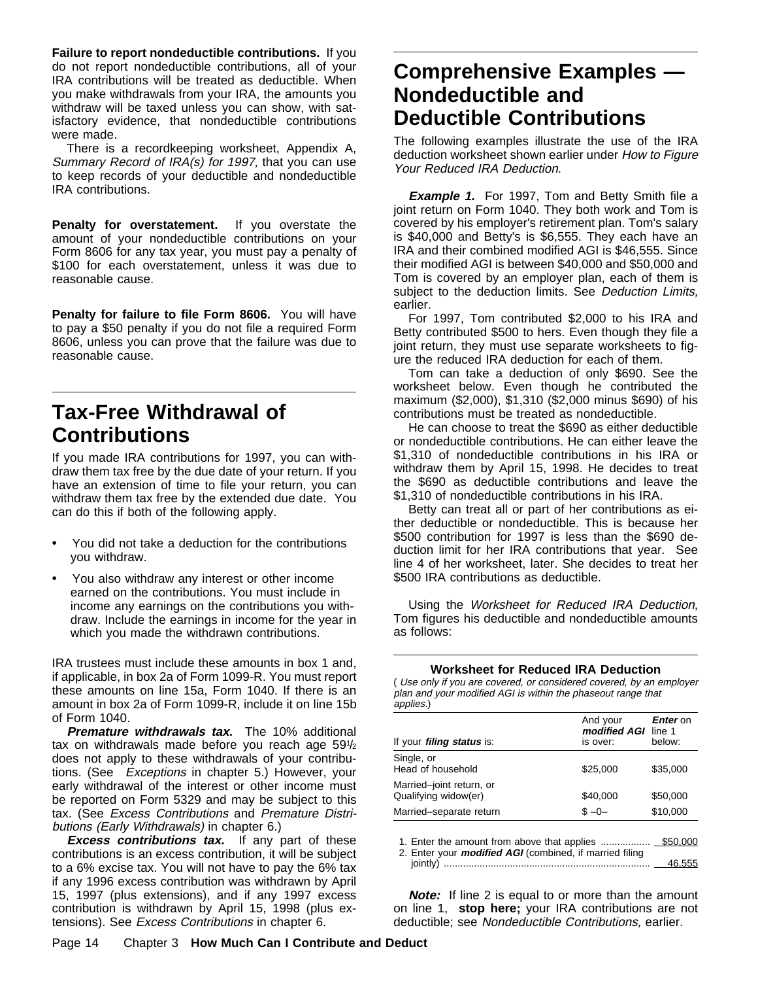**Failure to report nondeductible contributions.** If you do not report nondeductible contributions, all of your IRA contributions will be treated as deductible. When you make withdrawals from your IRA, the amounts you withdraw will be taxed unless you can show, with satisfactory evidence, that nondeductible contributions were made.

There is a recordkeeping worksheet, Appendix A, Summary Record of IRA(s) for 1997, that you can use to keep records of your deductible and nondeductible IRA contributions.

**Penalty for overstatement.** If you overstate the amount of your nondeductible contributions on your Form 8606 for any tax year, you must pay a penalty of \$100 for each overstatement, unless it was due to reasonable cause.

**Penalty for failure to file Form 8606.** You will have to pay a \$50 penalty if you do not file a required Form 8606, unless you can prove that the failure was due to reasonable cause.

# **Tax-Free Withdrawal of Contributions**

If you made IRA contributions for 1997, you can withdraw them tax free by the due date of your return. If you have an extension of time to file your return, you can withdraw them tax free by the extended due date. You can do this if both of the following apply.

- $\ddot{\mathbf{y}}$  You did not take a deduction for the contributions you withdraw.
- $\ddot{\mathbf{y}}$  You also withdraw any interest or other income earned on the contributions. You must include in income any earnings on the contributions you withdraw. Include the earnings in income for the year in which you made the withdrawn contributions.

IRA trustees must include these amounts in box 1 and, if applicable, in box 2a of Form 1099-R. You must report these amounts on line 15a, Form 1040. If there is an amount in box 2a of Form 1099-R, include it on line 15b of Form 1040.

**Premature withdrawals tax.** The 10% additional tax on withdrawals made before you reach age 591/2 does not apply to these withdrawals of your contributions. (See Exceptions in chapter 5.) However, your early withdrawal of the interest or other income must be reported on Form 5329 and may be subject to this tax. (See Excess Contributions and Premature Distributions (Early Withdrawals) in chapter 6.)

**Excess contributions tax.** If any part of these contributions is an excess contribution, it will be subject to a 6% excise tax. You will not have to pay the 6% tax if any 1996 excess contribution was withdrawn by April 15, 1997 (plus extensions), and if any 1997 excess contribution is withdrawn by April 15, 1998 (plus extensions). See Excess Contributions in chapter 6.

# **Comprehensive Examples — Nondeductible and Deductible Contributions**

The following examples illustrate the use of the IRA deduction worksheet shown earlier under How to Figure Your Reduced IRA Deduction.

**Example 1.** For 1997, Tom and Betty Smith file a joint return on Form 1040. They both work and Tom is covered by his employer's retirement plan. Tom's salary is \$40,000 and Betty's is \$6,555. They each have an IRA and their combined modified AGI is \$46,555. Since their modified AGI is between \$40,000 and \$50,000 and Tom is covered by an employer plan, each of them is subject to the deduction limits. See Deduction Limits, earlier.

For 1997, Tom contributed \$2,000 to his IRA and Betty contributed \$500 to hers. Even though they file a joint return, they must use separate worksheets to figure the reduced IRA deduction for each of them.

Tom can take a deduction of only \$690. See the worksheet below. Even though he contributed the maximum (\$2,000), \$1,310 (\$2,000 minus \$690) of his contributions must be treated as nondeductible.

He can choose to treat the \$690 as either deductible or nondeductible contributions. He can either leave the \$1,310 of nondeductible contributions in his IRA or withdraw them by April 15, 1998. He decides to treat the \$690 as deductible contributions and leave the \$1,310 of nondeductible contributions in his IRA.

Betty can treat all or part of her contributions as either deductible or nondeductible. This is because her \$500 contribution for 1997 is less than the \$690 deduction limit for her IRA contributions that year. See line 4 of her worksheet, later. She decides to treat her \$500 IRA contributions as deductible.

Using the Worksheet for Reduced IRA Deduction, Tom figures his deductible and nondeductible amounts as follows:

**Worksheet for Reduced IRA Deduction**

( Use only if you are covered, or considered covered, by an employer plan and your modified AGI is within the phaseout range that applies.)

| If your <i>filing status</i> is:                 | And your<br>modified AGI line 1<br>is over: | Enter on<br>below: |
|--------------------------------------------------|---------------------------------------------|--------------------|
| Single, or<br>Head of household                  | \$25,000                                    | \$35,000           |
| Married-joint return, or<br>Qualifying widow(er) | \$40,000                                    | \$50,000           |
| Married-separate return                          | $S - 0 -$                                   | \$10,000           |

| 2. Enter your <i>modified AGI</i> (combined, if married filing |  |
|----------------------------------------------------------------|--|
|                                                                |  |

**Note:** If line 2 is equal to or more than the amount on line 1, **stop here;** your IRA contributions are not deductible; see Nondeductible Contributions, earlier.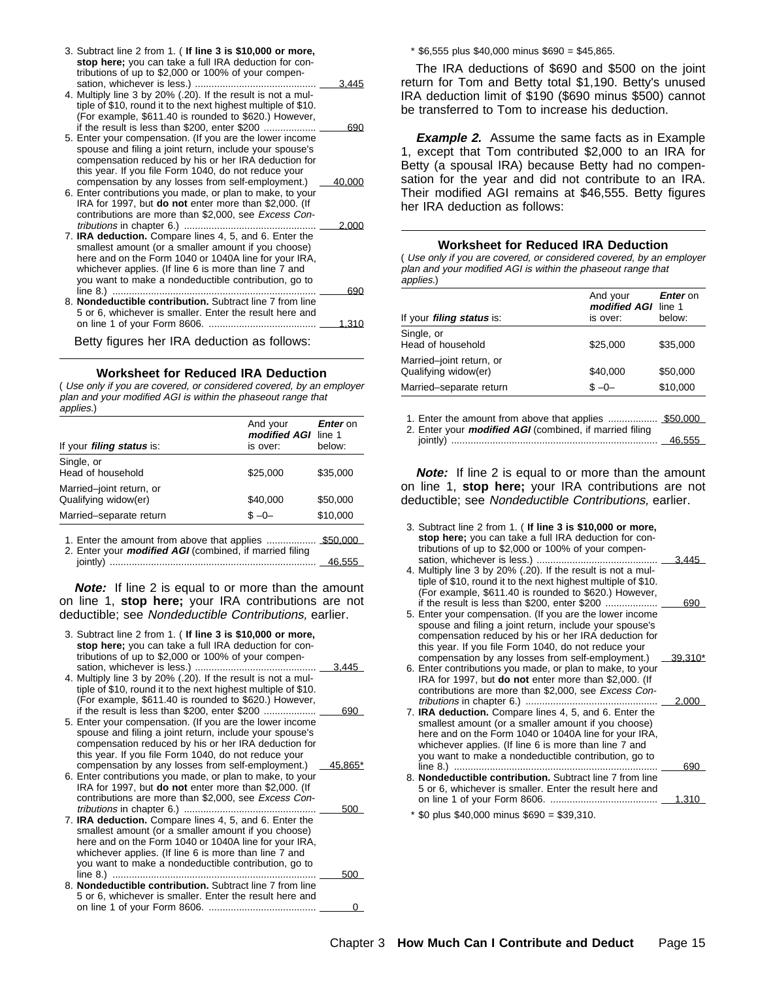| 3. Subtract line 2 from 1. (If line 3 is \$10,000 or more,<br>stop here; you can take a full IRA deduction for con- |        |
|---------------------------------------------------------------------------------------------------------------------|--------|
| tributions of up to \$2,000 or 100% of your compen-                                                                 |        |
|                                                                                                                     | 3.445  |
| 4. Multiply line 3 by 20% (.20). If the result is not a mul-                                                        |        |
| tiple of \$10, round it to the next highest multiple of \$10.                                                       |        |
| (For example, \$611.40 is rounded to \$620.) However,                                                               |        |
| if the result is less than \$200, enter \$200                                                                       | 690    |
| 5. Enter your compensation. (If you are the lower income                                                            |        |
| spouse and filing a joint return, include your spouse's                                                             |        |
| compensation reduced by his or her IRA deduction for                                                                |        |
| this year. If you file Form 1040, do not reduce your                                                                |        |
| compensation by any losses from self-employment.)                                                                   | 40.000 |
| 6. Enter contributions you made, or plan to make, to your                                                           |        |
| IRA for 1997, but <b>do not</b> enter more than \$2,000. (If                                                        |        |
| contributions are more than \$2,000, see Excess Con-                                                                |        |
| tributions in chapter 6.)                                                                                           | 2.000  |
| 7. <b>IRA deduction.</b> Compare lines 4, 5, and 6. Enter the                                                       |        |
| smallest amount (or a smaller amount if you choose)                                                                 |        |
| here and on the Form 1040 or 1040A line for your IRA,                                                               |        |
| whichever applies. (If line 6 is more than line 7 and                                                               |        |
| you want to make a nondeductible contribution, go to                                                                |        |
|                                                                                                                     | 690    |
| 8. Nondeductible contribution. Subtract line 7 from line                                                            |        |
| 5 or 6, whichever is smaller. Enter the result here and                                                             |        |
|                                                                                                                     | 1.310  |
|                                                                                                                     |        |

Betty figures her IRA deduction as follows:

#### **Worksheet for Reduced IRA Deduction**

( Use only if you are covered, or considered covered, by an employer plan and your modified AGI is within the phaseout range that applies.)

| If your <i>filing status</i> is:                           | And your<br>modified AGI line 1<br>is over: | Enter on<br>below:                                          |
|------------------------------------------------------------|---------------------------------------------|-------------------------------------------------------------|
| Single, or<br>Head of household                            | \$25,000                                    | \$35,000                                                    |
| Married-joint return, or<br>Qualifying widow(er)           | \$40,000                                    | \$50,000                                                    |
| Married-separate return                                    | $S - 0 -$                                   | \$10,000                                                    |
| Fatar the emeunt from obeys that enalize<br>$\overline{ }$ |                                             | $C_{\mathcal{F}} \cap C_{\mathcal{F}} \cap C_{\mathcal{F}}$ |

1. Enter the amount from above that applies .................. \$50,000ÿ 2. Enter your **modified AGI** (combined, if married filing jointly) ........................................................................... 46,555ÿ 4. Multiply line 3 by 20% (.20). If the result is not a mul-

**Note:** If line 2 is equal to or more than the amount on line 1, **stop here;** your IRA contributions are not deductible; see Nondeductible Contributions, earlier.

| 3. Subtract line 2 from 1. (If line 3 is \$10,000 or more,<br>stop here; you can take a full IRA deduction for con-<br>tributions of up to \$2,000 or 100% of your compen-<br>4. Multiply line 3 by 20% (.20). If the result is not a mul-                                                                                                | 3.445ÿ                 | compensation reduced by his or her IRA deduction for<br>this year. If you file Form 1040, do not reduce your<br>compensation by any losses from self-employment.)<br>6. Enter contributions you made, or plan to make, to your<br>IRA for 1997, but <b>do not</b> enter more than \$2,000. (If |
|-------------------------------------------------------------------------------------------------------------------------------------------------------------------------------------------------------------------------------------------------------------------------------------------------------------------------------------------|------------------------|------------------------------------------------------------------------------------------------------------------------------------------------------------------------------------------------------------------------------------------------------------------------------------------------|
| tiple of \$10, round it to the next highest multiple of \$10.<br>(For example, \$611.40 is rounded to \$620.) However,                                                                                                                                                                                                                    |                        | contributions are more than \$2,000, see Excess Con-                                                                                                                                                                                                                                           |
| if the result is less than \$200, enter \$200<br>5. Enter your compensation. (If you are the lower income<br>spouse and filing a joint return, include your spouse's<br>compensation reduced by his or her IRA deduction for<br>this year. If you file Form 1040, do not reduce your<br>compensation by any losses from self-employment.) | <u>690ÿ</u><br>45,865* | 7. <b>IRA deduction.</b> Compare lines 4, 5, and 6. Enter the<br>smallest amount (or a smaller amount if you choose)<br>here and on the Form 1040 or 1040A line for your IRA,<br>whichever applies. (If line 6 is more than line 7 and<br>you want to make a nondeductible contribution, go to |
| 6. Enter contributions you made, or plan to make, to your<br>IRA for 1997, but <b>do not</b> enter more than \$2,000. (If<br>contributions are more than \$2,000, see Excess Con-                                                                                                                                                         | <u>500ÿ</u>            | 8. Nondeductible contribution. Subtract line 7 from line<br>5 or 6, whichever is smaller. Enter the result here and                                                                                                                                                                            |
| 7. <b>IRA deduction.</b> Compare lines 4, 5, and 6. Enter the<br>smallest amount (or a smaller amount if you choose)<br>here and on the Form 1040 or 1040A line for your IRA,<br>whichever applies. (If line 6 is more than line 7 and<br>you want to make a nondeductible contribution, go to                                            | $500\ddot{v}$          | $*$ \$0 plus \$40,000 minus \$690 = \$39,310.                                                                                                                                                                                                                                                  |
| 8. Nondeductible contribution. Subtract line 7 from line<br>5 or 6, whichever is smaller. Enter the result here and                                                                                                                                                                                                                       |                        |                                                                                                                                                                                                                                                                                                |
|                                                                                                                                                                                                                                                                                                                                           | <u>0ÿ</u>              |                                                                                                                                                                                                                                                                                                |

\* \$6,555 plus \$40,000 minus \$690 = \$45,865.

The IRA deductions of \$690 and \$500 on the joint return for Tom and Betty total \$1,190. Betty's unused IRA deduction limit of \$190 (\$690 minus \$500) cannot be transferred to Tom to increase his deduction.

**Example 2.** Assume the same facts as in Example 1, except that Tom contributed \$2,000 to an IRA for Betty (a spousal IRA) because Betty had no compensation for the year and did not contribute to an IRA. Their modified AGI remains at \$46,555. Betty figures her IRA deduction as follows:

#### **Worksheet for Reduced IRA Deduction**

( Use only if you are covered, or considered covered, by an employer plan and your modified AGI is within the phaseout range that applies.)

2. Enter your **modified AGI** (combined, if married filing jointly) ........................................................................... 46,555ÿ

**Note:** If line 2 is equal to or more than the amount on line 1, **stop here;** your IRA contributions are not deductible; see Nondeductible Contributions, earlier.

| 3. Subtract line 2 from 1. (If line 3 is \$10,000 or more,<br>stop here; you can take a full IRA deduction for con-<br>tributions of up to \$2,000 or 100% of your compen- |         |
|----------------------------------------------------------------------------------------------------------------------------------------------------------------------------|---------|
|                                                                                                                                                                            | 3.445v  |
| 4. Multiply line 3 by 20% (.20). If the result is not a mul-                                                                                                               |         |
| tiple of \$10, round it to the next highest multiple of \$10.<br>(For example, \$611.40 is rounded to \$620.) However,                                                     |         |
| if the result is less than \$200, enter \$200                                                                                                                              | 690ÿ    |
| 5. Enter your compensation. (If you are the lower income                                                                                                                   |         |
| spouse and filing a joint return, include your spouse's                                                                                                                    |         |
| compensation reduced by his or her IRA deduction for                                                                                                                       |         |
| this year. If you file Form 1040, do not reduce your                                                                                                                       |         |
| compensation by any losses from self-employment.)                                                                                                                          | 39.310* |
| 6. Enter contributions you made, or plan to make, to your                                                                                                                  |         |
| IRA for 1997, but do not enter more than \$2,000. (If                                                                                                                      |         |
| contributions are more than \$2,000, see Excess Con-<br><i>tributions</i> in chapter 6.)                                                                                   |         |
| 7. IRA deduction. Compare lines 4, 5, and 6. Enter the                                                                                                                     | 2.000V  |
| smallest amount (or a smaller amount if you choose)                                                                                                                        |         |
| here and on the Form 1040 or 1040A line for your IRA,                                                                                                                      |         |
| whichever applies. (If line 6 is more than line 7 and                                                                                                                      |         |
| you want to make a nondeductible contribution, go to                                                                                                                       |         |
|                                                                                                                                                                            | 690ÿ    |
| 8. Nondeductible contribution. Subtract line 7 from line                                                                                                                   |         |
| 5 or 6, whichever is smaller. Enter the result here and                                                                                                                    |         |
|                                                                                                                                                                            |         |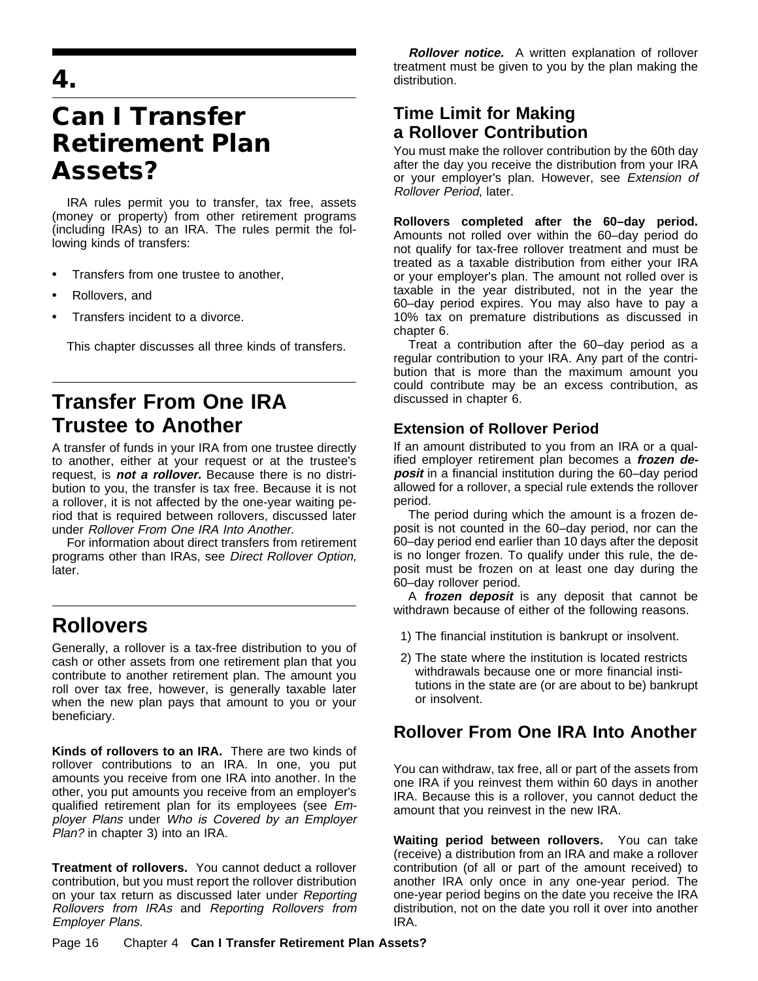**4.**

# **Can I Transfer Retirement Plan Assets?**

IRA rules permit you to transfer, tax free, assets (money or property) from other retirement programs (including IRAs) to an IRA. The rules permit the following kinds of transfers:

- $\ddot{\mathbf{v}}$  Transfers from one trustee to another,
- ÿ• Rollovers, and
- $\ddot{\mathbf{v}}$  Transfers incident to a divorce.

This chapter discusses all three kinds of transfers.

# **Transfer From One IRA Trustee to Another**

A transfer of funds in your IRA from one trustee directly to another, either at your request or at the trustee's request, is **not a rollover.** Because there is no distribution to you, the transfer is tax free. Because it is not a rollover, it is not affected by the one-year waiting period that is required between rollovers, discussed later under Rollover From One IRA Into Another.

For information about direct transfers from retirement programs other than IRAs, see Direct Rollover Option, later.

# **Rollovers**

Generally, a rollover is a tax-free distribution to you of cash or other assets from one retirement plan that you contribute to another retirement plan. The amount you roll over tax free, however, is generally taxable later when the new plan pays that amount to you or your beneficiary.

**Kinds of rollovers to an IRA.** There are two kinds of rollover contributions to an IRA. In one, you put amounts you receive from one IRA into another. In the other, you put amounts you receive from an employer's qualified retirement plan for its employees (see Employer Plans under Who is Covered by an Employer Plan? in chapter 3) into an IRA.

**Treatment of rollovers.** You cannot deduct a rollover contribution, but you must report the rollover distribution on your tax return as discussed later under Reporting Rollovers from IRAs and Reporting Rollovers from Employer Plans.

**Rollover notice.** A written explanation of rollover treatment must be given to you by the plan making the distribution.

## **Time Limit for Making a Rollover Contribution**

You must make the rollover contribution by the 60th day after the day you receive the distribution from your IRA or your employer's plan. However, see Extension of Rollover Period, later.

**Rollovers completed after the 60–day period.** Amounts not rolled over within the 60–day period do not qualify for tax-free rollover treatment and must be treated as a taxable distribution from either your IRA or your employer's plan. The amount not rolled over is taxable in the year distributed, not in the year the 60–day period expires. You may also have to pay a 10% tax on premature distributions as discussed in chapter 6.

Treat a contribution after the 60–day period as a regular contribution to your IRA. Any part of the contribution that is more than the maximum amount you could contribute may be an excess contribution, as discussed in chapter 6.

## **Extension of Rollover Period**

If an amount distributed to you from an IRA or a qualified employer retirement plan becomes a **frozen deposit** in a financial institution during the 60–day period allowed for a rollover, a special rule extends the rollover period.

The period during which the amount is a frozen deposit is not counted in the 60–day period, nor can the 60–day period end earlier than 10 days after the deposit is no longer frozen. To qualify under this rule, the deposit must be frozen on at least one day during the 60–day rollover period.

A **frozen deposit** is any deposit that cannot be withdrawn because of either of the following reasons.

- 1) The financial institution is bankrupt or insolvent.
- 2) The state where the institution is located restricts withdrawals because one or more financial institutions in the state are (or are about to be) bankrupt or insolvent.

## **Rollover From One IRA Into Another**

You can withdraw, tax free, all or part of the assets from one IRA if you reinvest them within 60 days in another IRA. Because this is a rollover, you cannot deduct the amount that you reinvest in the new IRA.

**Waiting period between rollovers.** You can take (receive) a distribution from an IRA and make a rollover contribution (of all or part of the amount received) to another IRA only once in any one-year period. The one-year period begins on the date you receive the IRA distribution, not on the date you roll it over into another IRA.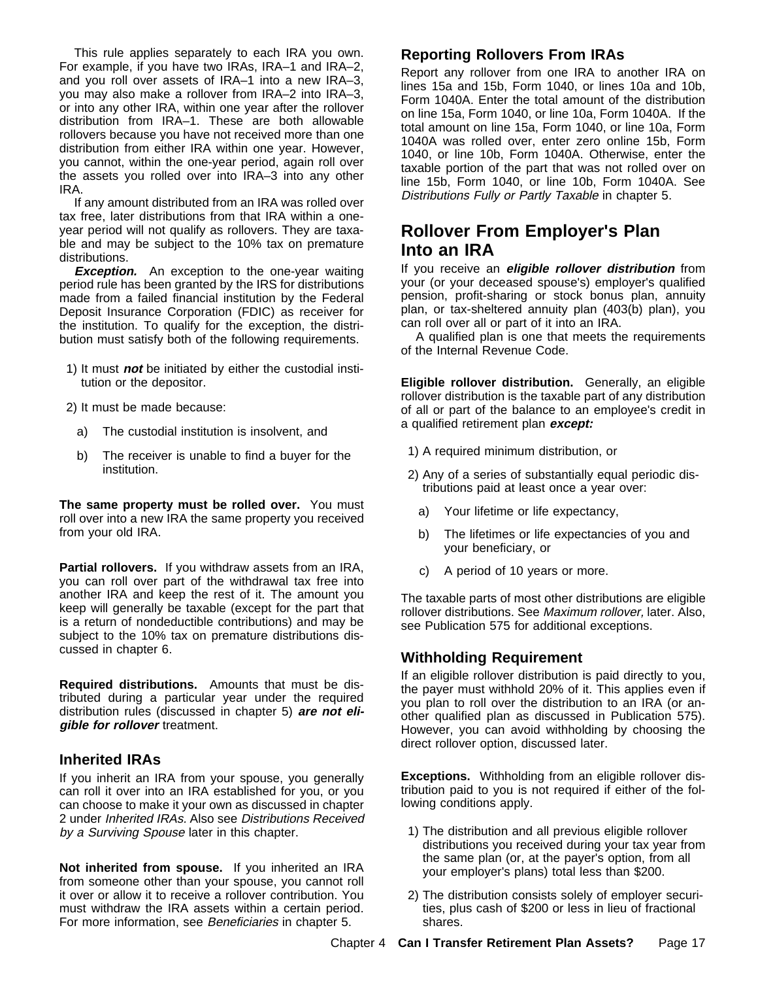This rule applies separately to each IRA you own. For example, if you have two IRAs, IRA–1 and IRA–2, and you roll over assets of IRA–1 into a new IRA–3, you may also make a rollover from IRA–2 into IRA–3, or into any other IRA, within one year after the rollover distribution from IRA–1. These are both allowable rollovers because you have not received more than one distribution from either IRA within one year. However, you cannot, within the one-year period, again roll over the assets you rolled over into IRA–3 into any other IRA.

If any amount distributed from an IRA was rolled over tax free, later distributions from that IRA within a oneyear period will not qualify as rollovers. They are taxable and may be subject to the 10% tax on premature distributions.

**Exception.** An exception to the one-year waiting period rule has been granted by the IRS for distributions made from a failed financial institution by the Federal Deposit Insurance Corporation (FDIC) as receiver for the institution. To qualify for the exception, the distribution must satisfy both of the following requirements.

- 1) It must **not** be initiated by either the custodial institution or the depositor.
- 2) It must be made because:
	- a) The custodial institution is insolvent, and
	- b) The receiver is unable to find a buyer for the institution.

**The same property must be rolled over.** You must roll over into a new IRA the same property you received from your old IRA.

**Partial rollovers.** If you withdraw assets from an IRA, you can roll over part of the withdrawal tax free into another IRA and keep the rest of it. The amount you keep will generally be taxable (except for the part that is a return of nondeductible contributions) and may be subject to the 10% tax on premature distributions discussed in chapter 6.

**Required distributions.** Amounts that must be distributed during a particular year under the required distribution rules (discussed in chapter 5) **are not eligible for rollover** treatment.

#### **Inherited IRAs**

If you inherit an IRA from your spouse, you generally can roll it over into an IRA established for you, or you can choose to make it your own as discussed in chapter 2 under Inherited IRAs. Also see Distributions Received by a Surviving Spouse later in this chapter.

**Not inherited from spouse.** If you inherited an IRA from someone other than your spouse, you cannot roll it over or allow it to receive a rollover contribution. You must withdraw the IRA assets within a certain period. For more information, see Beneficiaries in chapter 5.

#### **Reporting Rollovers From IRAs**

Report any rollover from one IRA to another IRA on lines 15a and 15b, Form 1040, or lines 10a and 10b, Form 1040A. Enter the total amount of the distribution on line 15a, Form 1040, or line 10a, Form 1040A. If the total amount on line 15a, Form 1040, or line 10a, Form 1040A was rolled over, enter zero online 15b, Form 1040, or line 10b, Form 1040A. Otherwise, enter the taxable portion of the part that was not rolled over on line 15b, Form 1040, or line 10b, Form 1040A. See Distributions Fully or Partly Taxable in chapter 5.

## **Rollover From Employer's Plan Into an IRA**

If you receive an **eligible rollover distribution** from your (or your deceased spouse's) employer's qualified pension, profit-sharing or stock bonus plan, annuity plan, or tax-sheltered annuity plan (403(b) plan), you can roll over all or part of it into an IRA.

A qualified plan is one that meets the requirements of the Internal Revenue Code.

**Eligible rollover distribution.** Generally, an eligible rollover distribution is the taxable part of any distribution of all or part of the balance to an employee's credit in a qualified retirement plan **except:**

- 1) A required minimum distribution, or
- 2) Any of a series of substantially equal periodic distributions paid at least once a year over:
	- a) Your lifetime or life expectancy,
	- b) The lifetimes or life expectancies of you and your beneficiary, or
	- c) A period of 10 years or more.

The taxable parts of most other distributions are eligible rollover distributions. See Maximum rollover, later. Also, see Publication 575 for additional exceptions.

#### **Withholding Requirement**

If an eligible rollover distribution is paid directly to you, the payer must withhold 20% of it. This applies even if you plan to roll over the distribution to an IRA (or another qualified plan as discussed in Publication 575). However, you can avoid withholding by choosing the direct rollover option, discussed later.

**Exceptions.** Withholding from an eligible rollover distribution paid to you is not required if either of the following conditions apply.

- 1) The distribution and all previous eligible rollover distributions you received during your tax year from the same plan (or, at the payer's option, from all your employer's plans) total less than \$200.
- 2) The distribution consists solely of employer securities, plus cash of \$200 or less in lieu of fractional shares.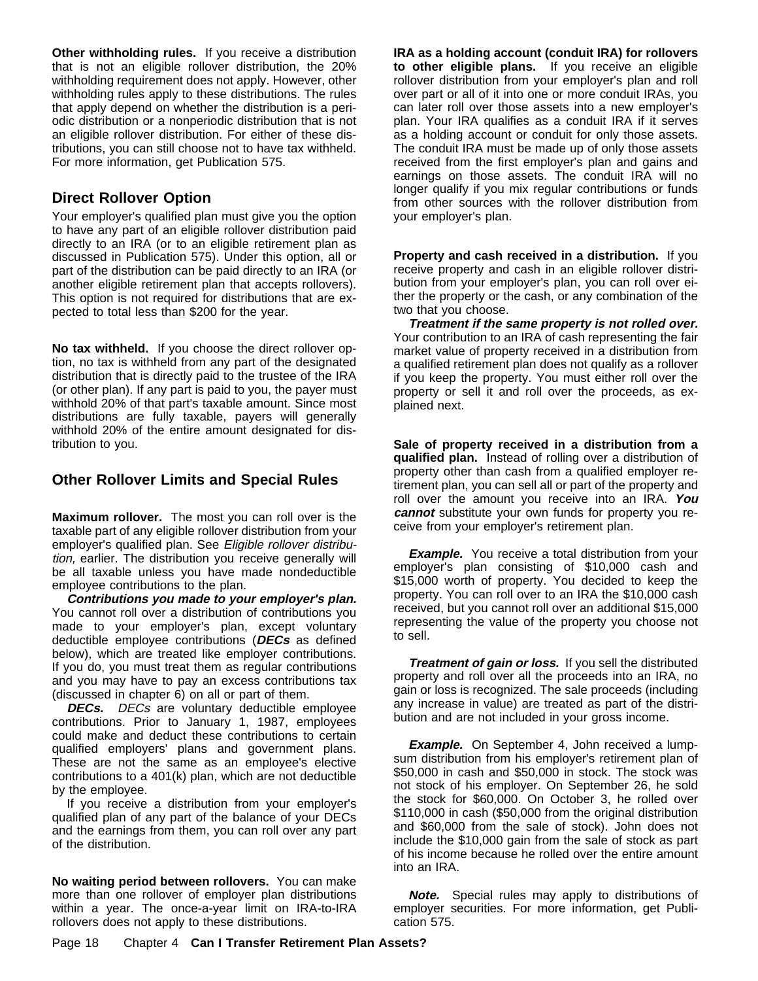**Other withholding rules.** If you receive a distribution that is not an eligible rollover distribution, the 20% withholding requirement does not apply. However, other withholding rules apply to these distributions. The rules that apply depend on whether the distribution is a periodic distribution or a nonperiodic distribution that is not an eligible rollover distribution. For either of these distributions, you can still choose not to have tax withheld. For more information, get Publication 575.

### **Direct Rollover Option**

Your employer's qualified plan must give you the option to have any part of an eligible rollover distribution paid directly to an IRA (or to an eligible retirement plan as discussed in Publication 575). Under this option, all or part of the distribution can be paid directly to an IRA (or another eligible retirement plan that accepts rollovers). This option is not required for distributions that are expected to total less than \$200 for the year.

**No tax withheld.** If you choose the direct rollover option, no tax is withheld from any part of the designated distribution that is directly paid to the trustee of the IRA (or other plan). If any part is paid to you, the payer must withhold 20% of that part's taxable amount. Since most distributions are fully taxable, payers will generally withhold 20% of the entire amount designated for distribution to you.

#### **Other Rollover Limits and Special Rules**

**Maximum rollover.** The most you can roll over is the taxable part of any eligible rollover distribution from your employer's qualified plan. See Eligible rollover distribution, earlier. The distribution you receive generally will be all taxable unless you have made nondeductible employee contributions to the plan.

**Contributions you made to your employer's plan.** You cannot roll over a distribution of contributions you made to your employer's plan, except voluntary deductible employee contributions (**DECs** as defined below), which are treated like employer contributions. If you do, you must treat them as regular contributions and you may have to pay an excess contributions tax (discussed in chapter 6) on all or part of them.

**DECs.** DECs are voluntary deductible employee contributions. Prior to January 1, 1987, employees could make and deduct these contributions to certain qualified employers' plans and government plans. These are not the same as an employee's elective contributions to a 401(k) plan, which are not deductible by the employee.

If you receive a distribution from your employer's qualified plan of any part of the balance of your DECs and the earnings from them, you can roll over any part of the distribution.

**No waiting period between rollovers.** You can make more than one rollover of employer plan distributions within a year. The once-a-year limit on IRA-to-IRA rollovers does not apply to these distributions.

**IRA as a holding account (conduit IRA) for rollovers to other eligible plans.** If you receive an eligible rollover distribution from your employer's plan and roll over part or all of it into one or more conduit IRAs, you can later roll over those assets into a new employer's plan. Your IRA qualifies as a conduit IRA if it serves as a holding account or conduit for only those assets. The conduit IRA must be made up of only those assets received from the first employer's plan and gains and earnings on those assets. The conduit IRA will no longer qualify if you mix regular contributions or funds from other sources with the rollover distribution from your employer's plan.

**Property and cash received in a distribution.** If you receive property and cash in an eligible rollover distribution from your employer's plan, you can roll over either the property or the cash, or any combination of the two that you choose.

**Treatment if the same property is not rolled over.** Your contribution to an IRA of cash representing the fair market value of property received in a distribution from a qualified retirement plan does not qualify as a rollover if you keep the property. You must either roll over the property or sell it and roll over the proceeds, as explained next.

**Sale of property received in a distribution from a qualified plan.** Instead of rolling over a distribution of property other than cash from a qualified employer retirement plan, you can sell all or part of the property and roll over the amount you receive into an IRA. **You cannot** substitute your own funds for property you receive from your employer's retirement plan.

**Example.** You receive a total distribution from your employer's plan consisting of \$10,000 cash and \$15,000 worth of property. You decided to keep the property. You can roll over to an IRA the \$10,000 cash received, but you cannot roll over an additional \$15,000 representing the value of the property you choose not to sell.

**Treatment of gain or loss.** If you sell the distributed property and roll over all the proceeds into an IRA, no gain or loss is recognized. The sale proceeds (including any increase in value) are treated as part of the distribution and are not included in your gross income.

**Example.** On September 4, John received a lumpsum distribution from his employer's retirement plan of \$50,000 in cash and \$50,000 in stock. The stock was not stock of his employer. On September 26, he sold the stock for \$60,000. On October 3, he rolled over \$110,000 in cash (\$50,000 from the original distribution and \$60,000 from the sale of stock). John does not include the \$10,000 gain from the sale of stock as part of his income because he rolled over the entire amount into an IRA.

**Note.** Special rules may apply to distributions of employer securities. For more information, get Publication 575.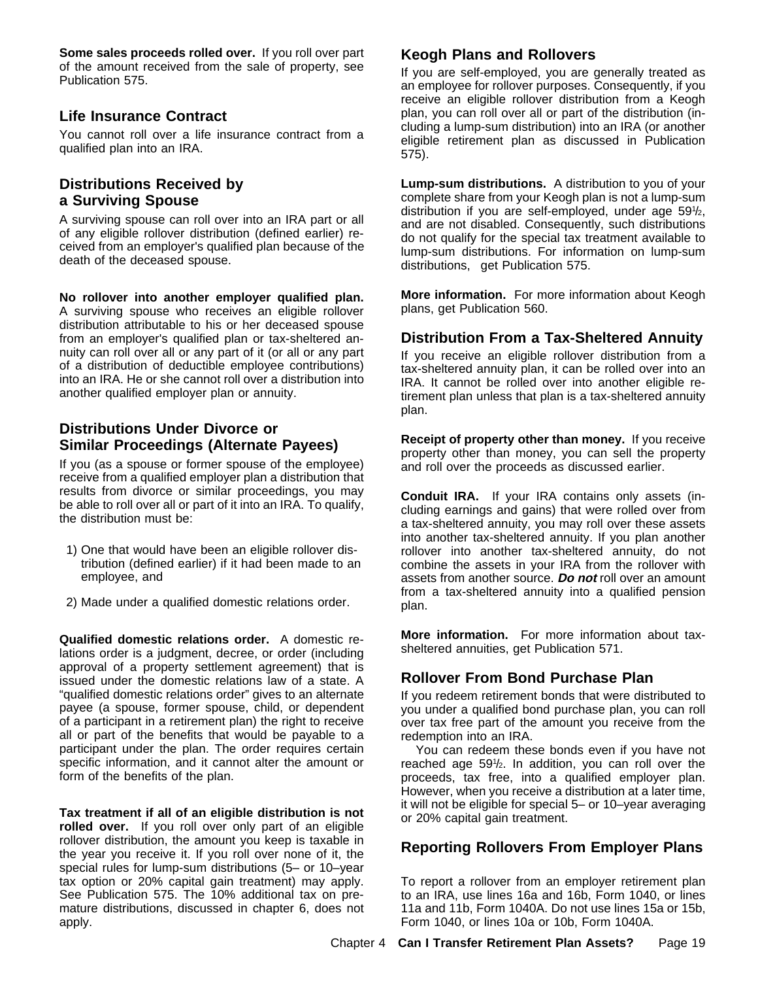**Some sales proceeds rolled over.** If you roll over part of the amount received from the sale of property, see Publication 575.

#### **Life Insurance Contract**

You cannot roll over a life insurance contract from a qualified plan into an IRA.

#### **Distributions Received by a Surviving Spouse**

A surviving spouse can roll over into an IRA part or all of any eligible rollover distribution (defined earlier) received from an employer's qualified plan because of the death of the deceased spouse.

**No rollover into another employer qualified plan.** A surviving spouse who receives an eligible rollover distribution attributable to his or her deceased spouse from an employer's qualified plan or tax-sheltered annuity can roll over all or any part of it (or all or any part of a distribution of deductible employee contributions) into an IRA. He or she cannot roll over a distribution into another qualified employer plan or annuity.

#### **Distributions Under Divorce or Similar Proceedings (Alternate Payees)**

If you (as a spouse or former spouse of the employee) receive from a qualified employer plan a distribution that results from divorce or similar proceedings, you may be able to roll over all or part of it into an IRA. To qualify, the distribution must be:

- 1) One that would have been an eligible rollover distribution (defined earlier) if it had been made to an employee, and
- 2) Made under a qualified domestic relations order.

**Qualified domestic relations order.** A domestic relations order is a judgment, decree, or order (including approval of a property settlement agreement) that is issued under the domestic relations law of a state. A "qualified domestic relations order" gives to an alternate payee (a spouse, former spouse, child, or dependent of a participant in a retirement plan) the right to receive all or part of the benefits that would be payable to a participant under the plan. The order requires certain specific information, and it cannot alter the amount or form of the benefits of the plan.

**Tax treatment if all of an eligible distribution is not rolled over.** If you roll over only part of an eligible rollover distribution, the amount you keep is taxable in the year you receive it. If you roll over none of it, the special rules for lump-sum distributions (5– or 10–year tax option or 20% capital gain treatment) may apply. See Publication 575. The 10% additional tax on premature distributions, discussed in chapter 6, does not apply.

#### **Keogh Plans and Rollovers**

If you are self-employed, you are generally treated as an employee for rollover purposes. Consequently, if you receive an eligible rollover distribution from a Keogh plan, you can roll over all or part of the distribution (including a lump-sum distribution) into an IRA (or another eligible retirement plan as discussed in Publication 575).

**Lump-sum distributions.** A distribution to you of your complete share from your Keogh plan is not a lump-sum distribution if you are self-employed, under age 591 /2, and are not disabled. Consequently, such distributions do not qualify for the special tax treatment available to lump-sum distributions. For information on lump-sum distributions, get Publication 575.

**More information.** For more information about Keogh plans, get Publication 560.

#### **Distribution From a Tax-Sheltered Annuity**

If you receive an eligible rollover distribution from a tax-sheltered annuity plan, it can be rolled over into an IRA. It cannot be rolled over into another eligible retirement plan unless that plan is a tax-sheltered annuity plan.

**Receipt of property other than money.** If you receive property other than money, you can sell the property and roll over the proceeds as discussed earlier.

**Conduit IRA.** If your IRA contains only assets (including earnings and gains) that were rolled over from a tax-sheltered annuity, you may roll over these assets into another tax-sheltered annuity. If you plan another rollover into another tax-sheltered annuity, do not combine the assets in your IRA from the rollover with assets from another source. **Do not** roll over an amount from a tax-sheltered annuity into a qualified pension plan.

**More information.** For more information about taxsheltered annuities, get Publication 571.

### **Rollover From Bond Purchase Plan**

If you redeem retirement bonds that were distributed to you under a qualified bond purchase plan, you can roll over tax free part of the amount you receive from the redemption into an IRA.

You can redeem these bonds even if you have not reached age 591 /2. In addition, you can roll over the proceeds, tax free, into a qualified employer plan. However, when you receive a distribution at a later time, it will not be eligible for special 5– or 10–year averaging or 20% capital gain treatment.

### **Reporting Rollovers From Employer Plans**

To report a rollover from an employer retirement plan to an IRA, use lines 16a and 16b, Form 1040, or lines 11a and 11b, Form 1040A. Do not use lines 15a or 15b, Form 1040, or lines 10a or 10b, Form 1040A.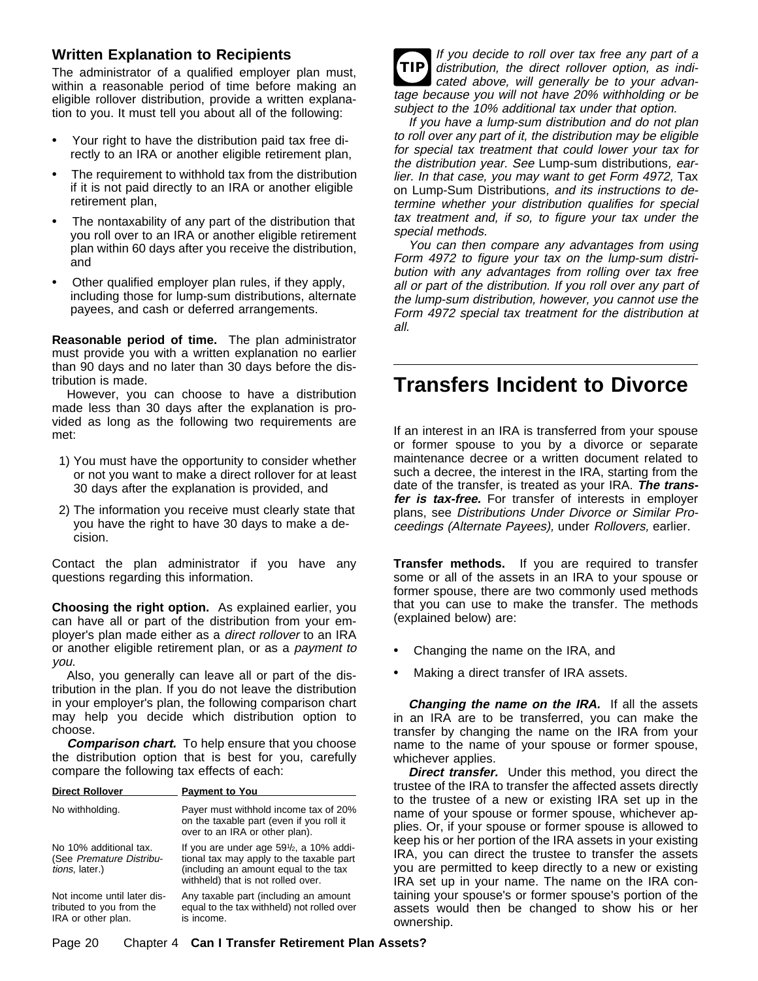### **Written Explanation to Recipients**

The administrator of a qualified employer plan must, within a reasonable period of time before making an eligible rollover distribution, provide a written explanation to you. It must tell you about all of the following:

- $\ddot{\mathbf{y}}$  Your right to have the distribution paid tax free directly to an IRA or another eligible retirement plan,
- The requirement to withhold tax from the distribution if it is not paid directly to an IRA or another eligible retirement plan,
- $\ddot{\mathbf{y}}$  The nontaxability of any part of the distribution that you roll over to an IRA or another eligible retirement plan within 60 days after you receive the distribution, and
- $\ddot{\mathbf{y}}$  Other qualified employer plan rules, if they apply, including those for lump-sum distributions, alternate payees, and cash or deferred arrangements.

**Reasonable period of time.** The plan administrator must provide you with a written explanation no earlier than 90 days and no later than 30 days before the distribution is made.

However, you can choose to have a distribution made less than 30 days after the explanation is provided as long as the following two requirements are met:

- 1) You must have the opportunity to consider whether or not you want to make a direct rollover for at least 30 days after the explanation is provided, and
- 2) The information you receive must clearly state that you have the right to have 30 days to make a decision.

Contact the plan administrator if you have any questions regarding this information.

**Choosing the right option.** As explained earlier, you can have all or part of the distribution from your employer's plan made either as a direct rollover to an IRA or another eligible retirement plan, or as a payment to you.

Also, you generally can leave all or part of the distribution in the plan. If you do not leave the distribution in your employer's plan, the following comparison chart may help you decide which distribution option to choose.

**Comparison chart.** To help ensure that you choose the distribution option that is best for you, carefully compare the following tax effects of each:

| <b>Direct Rollover</b>                                                        | <b>Payment to You</b>                                                                                                                                                         |
|-------------------------------------------------------------------------------|-------------------------------------------------------------------------------------------------------------------------------------------------------------------------------|
| No withholding.                                                               | Payer must withhold income tax of 20%<br>on the taxable part (even if you roll it<br>over to an IRA or other plan).                                                           |
| No 10% additional tax.<br>(See Premature Distribu-<br>tions, later.)          | If you are under age $59\frac{1}{2}$ , a 10% addi-<br>tional tax may apply to the taxable part<br>(including an amount equal to the tax<br>withheld) that is not rolled over. |
| Not income until later dis-<br>tributed to you from the<br>IRA or other plan. | Any taxable part (including an amount<br>equal to the tax withheld) not rolled over<br>is income.                                                                             |



If you have a lump-sum distribution and do not plan to roll over any part of it, the distribution may be eligible for special tax treatment that could lower your tax for the distribution year. See Lump-sum distributions, earlier. In that case, you may want to get Form 4972, Tax on Lump-Sum Distributions, and its instructions to determine whether your distribution qualifies for special tax treatment and, if so, to figure your tax under the special methods.

You can then compare any advantages from using Form 4972 to figure your tax on the lump-sum distribution with any advantages from rolling over tax free all or part of the distribution. If you roll over any part of the lump-sum distribution, however, you cannot use the Form 4972 special tax treatment for the distribution at all.

# **Transfers Incident to Divorce**

If an interest in an IRA is transferred from your spouse or former spouse to you by a divorce or separate maintenance decree or a written document related to such a decree, the interest in the IRA, starting from the date of the transfer, is treated as your IRA. **The transfer is tax-free.** For transfer of interests in employer plans, see Distributions Under Divorce or Similar Proceedings (Alternate Payees), under Rollovers, earlier.

**Transfer methods.** If you are required to transfer some or all of the assets in an IRA to your spouse or former spouse, there are two commonly used methods that you can use to make the transfer. The methods (explained below) are:

- $\ddot{\mathbf{y}}$  Changing the name on the IRA, and
- $\ddot{\mathbf{y}}$  Making a direct transfer of IRA assets.

**Changing the name on the IRA.** If all the assets in an IRA are to be transferred, you can make the transfer by changing the name on the IRA from your name to the name of your spouse or former spouse, whichever applies.

**Direct transfer.** Under this method, you direct the trustee of the IRA to transfer the affected assets directly to the trustee of a new or existing IRA set up in the name of your spouse or former spouse, whichever applies. Or, if your spouse or former spouse is allowed to keep his or her portion of the IRA assets in your existing IRA, you can direct the trustee to transfer the assets you are permitted to keep directly to a new or existing IRA set up in your name. The name on the IRA containing your spouse's or former spouse's portion of the assets would then be changed to show his or her ownership.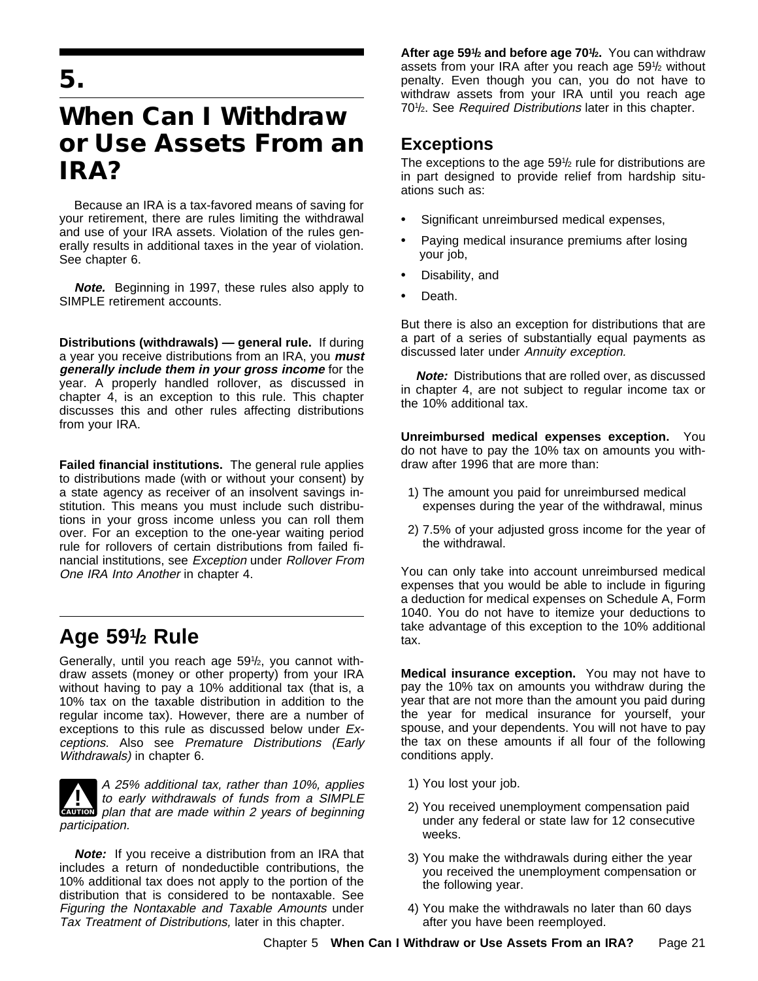# **When Can I Withdraw or Use Assets From an IRA?**

Because an IRA is a tax-favored means of saving for your retirement, there are rules limiting the withdrawal and use of your IRA assets. Violation of the rules generally results in additional taxes in the year of violation. See chapter 6.

**Note.** Beginning in 1997, these rules also apply to SIMPLE retirement accounts.

**Distributions (withdrawals) — general rule.** If during a year you receive distributions from an IRA, you **must generally include them in your gross income** for the year. A properly handled rollover, as discussed in chapter 4, is an exception to this rule. This chapter discusses this and other rules affecting distributions from your IRA.

**Failed financial institutions.** The general rule applies to distributions made (with or without your consent) by a state agency as receiver of an insolvent savings institution. This means you must include such distributions in your gross income unless you can roll them over. For an exception to the one-year waiting period rule for rollovers of certain distributions from failed financial institutions, see Exception under Rollover From One IRA Into Another in chapter 4.

# **Age 591 / 2 Rule**

Generally, until you reach age 591 /2, you cannot withdraw assets (money or other property) from your IRA without having to pay a 10% additional tax (that is, a 10% tax on the taxable distribution in addition to the regular income tax). However, there are a number of exceptions to this rule as discussed below under Exceptions. Also see Premature Distributions (Early Withdrawals) in chapter 6.

**CAUTION** plan that are made within 2 years of beginning **1** A 25% additional tax, rather than 10%, applies<br>to early withdrawals of funds from a SIMPLE participation.

**Note:** If you receive a distribution from an IRA that includes a return of nondeductible contributions, the 10% additional tax does not apply to the portion of the distribution that is considered to be nontaxable. See Figuring the Nontaxable and Taxable Amounts under Tax Treatment of Distributions, later in this chapter.

After age 59<sup>1</sup>/<sub>2</sub> and before age 70<sup>1</sup>/<sub>2</sub>. You can withdraw assets from your IRA after you reach age 591 /2 without penalty. Even though you can, you do not have to withdraw assets from your IRA until you reach age 70<sup>1</sup>/<sub>2</sub>. See Required Distributions later in this chapter.

## **Exceptions**

The exceptions to the age 591/2 rule for distributions are in part designed to provide relief from hardship situations such as:

- Significant unreimbursed medical expenses,
- Paying medical insurance premiums after losing your job,
- Disability, and
- Death.

But there is also an exception for distributions that are a part of a series of substantially equal payments as discussed later under Annuity exception.

**Note:** Distributions that are rolled over, as discussed in chapter 4, are not subject to regular income tax or the 10% additional tax.

**Unreimbursed medical expenses exception.** You do not have to pay the 10% tax on amounts you withdraw after 1996 that are more than:

- 1) The amount you paid for unreimbursed medical expenses during the year of the withdrawal, minus
- 2) 7.5% of your adjusted gross income for the year of the withdrawal.

You can only take into account unreimbursed medical expenses that you would be able to include in figuring a deduction for medical expenses on Schedule A, Form 1040. You do not have to itemize your deductions to take advantage of this exception to the 10% additional tax.

**Medical insurance exception.** You may not have to pay the 10% tax on amounts you withdraw during the year that are not more than the amount you paid during the year for medical insurance for yourself, your spouse, and your dependents. You will not have to pay the tax on these amounts if all four of the following conditions apply.

- 1) You lost your job.
- 2) You received unemployment compensation paid under any federal or state law for 12 consecutive weeks.
- 3) You make the withdrawals during either the year you received the unemployment compensation or the following year.
- 4) You make the withdrawals no later than 60 days after you have been reemployed.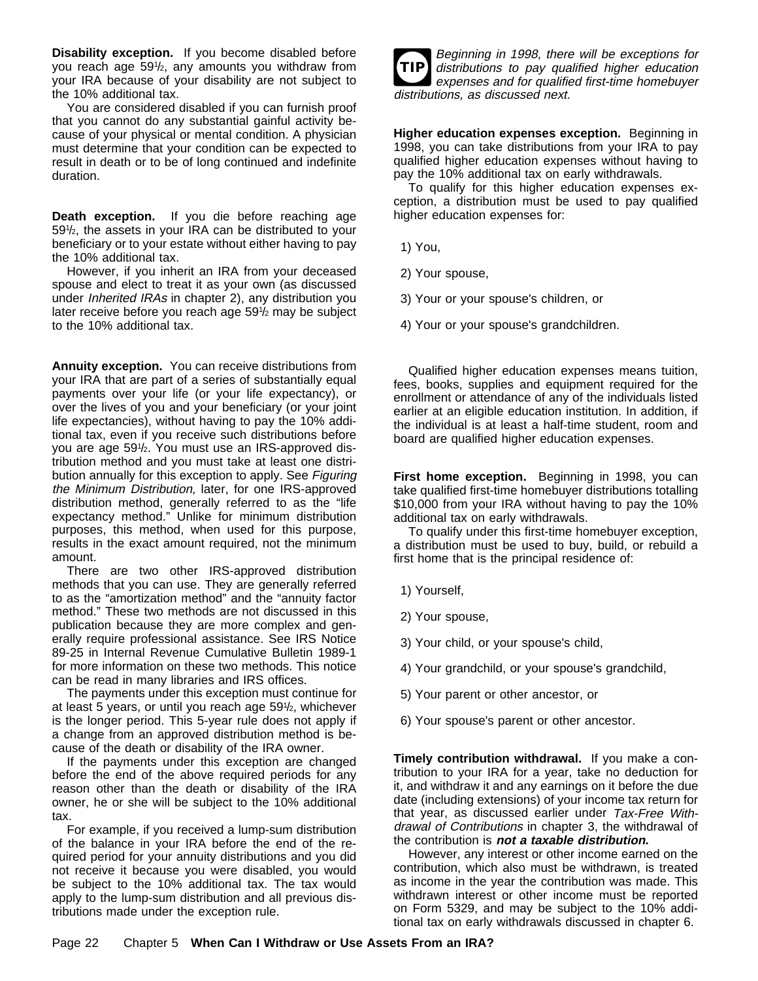**Disability exception.** If you become disabled before you reach age 591 /2, any amounts you withdraw from your IRA because of your disability are not subject to the 10% additional tax.

You are considered disabled if you can furnish proof that you cannot do any substantial gainful activity because of your physical or mental condition. A physician must determine that your condition can be expected to result in death or to be of long continued and indefinite duration.

**Death exception.** If you die before reaching age 59<sup>1</sup>/<sub>2</sub>, the assets in your IRA can be distributed to your beneficiary or to your estate without either having to pay the 10% additional tax.

However, if you inherit an IRA from your deceased spouse and elect to treat it as your own (as discussed under Inherited IRAs in chapter 2), any distribution you later receive before you reach age 591 /2 may be subject to the 10% additional tax.

**Annuity exception.** You can receive distributions from your IRA that are part of a series of substantially equal payments over your life (or your life expectancy), or over the lives of you and your beneficiary (or your joint life expectancies), without having to pay the 10% additional tax, even if you receive such distributions before you are age 591 /2. You must use an IRS-approved distribution method and you must take at least one distribution annually for this exception to apply. See Figuring the Minimum Distribution, later, for one IRS-approved distribution method, generally referred to as the "life expectancy method." Unlike for minimum distribution purposes, this method, when used for this purpose, results in the exact amount required, not the minimum amount.

There are two other IRS-approved distribution methods that you can use. They are generally referred to as the "amortization method" and the "annuity factor method." These two methods are not discussed in this publication because they are more complex and generally require professional assistance. See IRS Notice 89-25 in Internal Revenue Cumulative Bulletin 1989-1 for more information on these two methods. This notice can be read in many libraries and IRS offices.

The payments under this exception must continue for at least 5 years, or until you reach age 591 /2, whichever is the longer period. This 5-year rule does not apply if a change from an approved distribution method is because of the death or disability of the IRA owner.

If the payments under this exception are changed before the end of the above required periods for any reason other than the death or disability of the IRA owner, he or she will be subject to the 10% additional tax.

For example, if you received a lump-sum distribution of the balance in your IRA before the end of the required period for your annuity distributions and you did not receive it because you were disabled, you would be subject to the 10% additional tax. The tax would apply to the lump-sum distribution and all previous distributions made under the exception rule.

| Ш |
|---|
|   |

Beginning in 1998, there will be exceptions for distributions to pay qualified higher education expenses and for qualified first-time homebuyer distributions, as discussed next.

**Higher education expenses exception.** Beginning in 1998, you can take distributions from your IRA to pay qualified higher education expenses without having to pay the 10% additional tax on early withdrawals.

To qualify for this higher education expenses exception, a distribution must be used to pay qualified higher education expenses for:

- 1) You,
- 2) Your spouse,
- 3) Your or your spouse's children, or
- 4) Your or your spouse's grandchildren.

Qualified higher education expenses means tuition, fees, books, supplies and equipment required for the enrollment or attendance of any of the individuals listed earlier at an eligible education institution. In addition, if the individual is at least a half-time student, room and board are qualified higher education expenses.

**First home exception.** Beginning in 1998, you can take qualified first-time homebuyer distributions totalling \$10,000 from your IRA without having to pay the 10% additional tax on early withdrawals.

To qualify under this first-time homebuyer exception, a distribution must be used to buy, build, or rebuild a first home that is the principal residence of:

- 1) Yourself,
- 2) Your spouse,
- 3) Your child, or your spouse's child,
- 4) Your grandchild, or your spouse's grandchild,
- 5) Your parent or other ancestor, or
- 6) Your spouse's parent or other ancestor.

**Timely contribution withdrawal.** If you make a contribution to your IRA for a year, take no deduction for it, and withdraw it and any earnings on it before the due date (including extensions) of your income tax return for that year, as discussed earlier under Tax-Free Withdrawal of Contributions in chapter 3, the withdrawal of the contribution is **not a taxable distribution.**

However, any interest or other income earned on the contribution, which also must be withdrawn, is treated as income in the year the contribution was made. This withdrawn interest or other income must be reported on Form 5329, and may be subject to the 10% additional tax on early withdrawals discussed in chapter 6.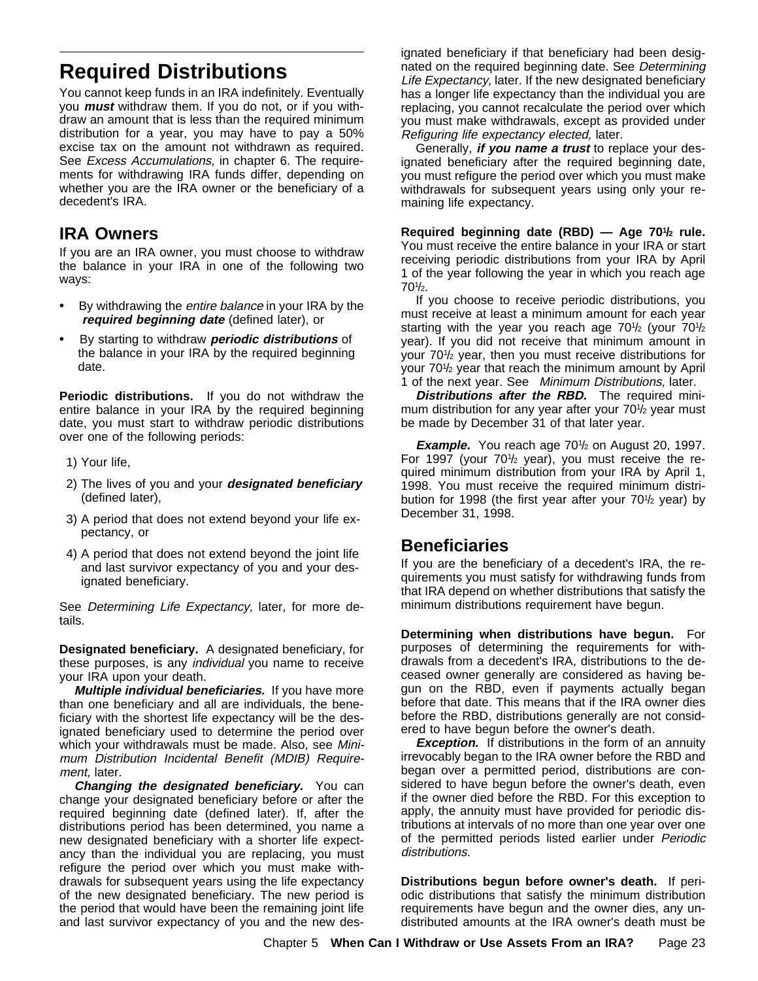# **Required Distributions**

You cannot keep funds in an IRA indefinitely. Eventually you **must** withdraw them. If you do not, or if you withdraw an amount that is less than the required minimum distribution for a year, you may have to pay a 50% excise tax on the amount not withdrawn as required. See *Excess Accumulations*, in chapter 6. The requirements for withdrawing IRA funds differ, depending on whether you are the IRA owner or the beneficiary of a decedent's IRA.

## **IRA Owners**

If you are an IRA owner, you must choose to withdraw the balance in your IRA in one of the following two ways:

- $\ddot{\mathbf{y}}$  By withdrawing the *entire balance* in your IRA by the  **required beginning date** (defined later), or
- ÿ• By starting to withdraw **periodic distributions** of the balance in your IRA by the required beginning date.

**Periodic distributions.** If you do not withdraw the entire balance in your IRA by the required beginning date, you must start to withdraw periodic distributions over one of the following periods:

- 1) Your life,
- 2) The lives of you and your **designated beneficiary** (defined later),
- 3) A period that does not extend beyond your life expectancy, or
- 4) A period that does not extend beyond the joint life and last survivor expectancy of you and your designated beneficiary.

See Determining Life Expectancy, later, for more details.

**Designated beneficiary.** A designated beneficiary, for these purposes, is any individual you name to receive your IRA upon your death.

**Multiple individual beneficiaries.** If you have more than one beneficiary and all are individuals, the beneficiary with the shortest life expectancy will be the designated beneficiary used to determine the period over which your withdrawals must be made. Also, see *Mini*mum Distribution Incidental Benefit (MDIB) Requirement, later.

**Changing the designated beneficiary.** You can change your designated beneficiary before or after the required beginning date (defined later). If, after the distributions period has been determined, you name a new designated beneficiary with a shorter life expectancy than the individual you are replacing, you must refigure the period over which you must make withdrawals for subsequent years using the life expectancy of the new designated beneficiary. The new period is the period that would have been the remaining joint life and last survivor expectancy of you and the new designated beneficiary if that beneficiary had been designated on the required beginning date. See Determining Life Expectancy, later. If the new designated beneficiary has a longer life expectancy than the individual you are replacing, you cannot recalculate the period over which you must make withdrawals, except as provided under Refiguring life expectancy elected, later.

Generally, **if you name a trust** to replace your designated beneficiary after the required beginning date, you must refigure the period over which you must make withdrawals for subsequent years using only your remaining life expectancy.

Required beginning date (RBD) - Age 70<sup>1</sup>/<sub>2</sub> rule. You must receive the entire balance in your IRA or start receiving periodic distributions from your IRA by April 1 of the year following the year in which you reach age 70<sup>1</sup>/<sub>2</sub>.

If you choose to receive periodic distributions, you must receive at least a minimum amount for each year starting with the year you reach age  $70\frac{1}{2}$  (your  $70\frac{1}{2}$ year). If you did not receive that minimum amount in your 701 / 2 year, then you must receive distributions for your 701 / 2 year that reach the minimum amount by April 1 of the next year. See Minimum Distributions, later.

**Distributions after the RBD.** The required minimum distribution for any year after your 701 /2 year must be made by December 31 of that later year.

**Example.** You reach age 701/2 on August 20, 1997. For 1997 (your 70<sup>1</sup>/<sub>2</sub> year), you must receive the required minimum distribution from your IRA by April 1, 1998. You must receive the required minimum distribution for 1998 (the first year after your 701 /2 year) by December 31, 1998.

## **Beneficiaries**

If you are the beneficiary of a decedent's IRA, the requirements you must satisfy for withdrawing funds from that IRA depend on whether distributions that satisfy the minimum distributions requirement have begun.

**Determining when distributions have begun.** For purposes of determining the requirements for withdrawals from a decedent's IRA, distributions to the deceased owner generally are considered as having begun on the RBD, even if payments actually began before that date. This means that if the IRA owner dies before the RBD, distributions generally are not considered to have begun before the owner's death.

**Exception.** If distributions in the form of an annuity irrevocably began to the IRA owner before the RBD and began over a permitted period, distributions are considered to have begun before the owner's death, even if the owner died before the RBD. For this exception to apply, the annuity must have provided for periodic distributions at intervals of no more than one year over one of the permitted periods listed earlier under Periodic distributions.

**Distributions begun before owner's death.** If periodic distributions that satisfy the minimum distribution requirements have begun and the owner dies, any undistributed amounts at the IRA owner's death must be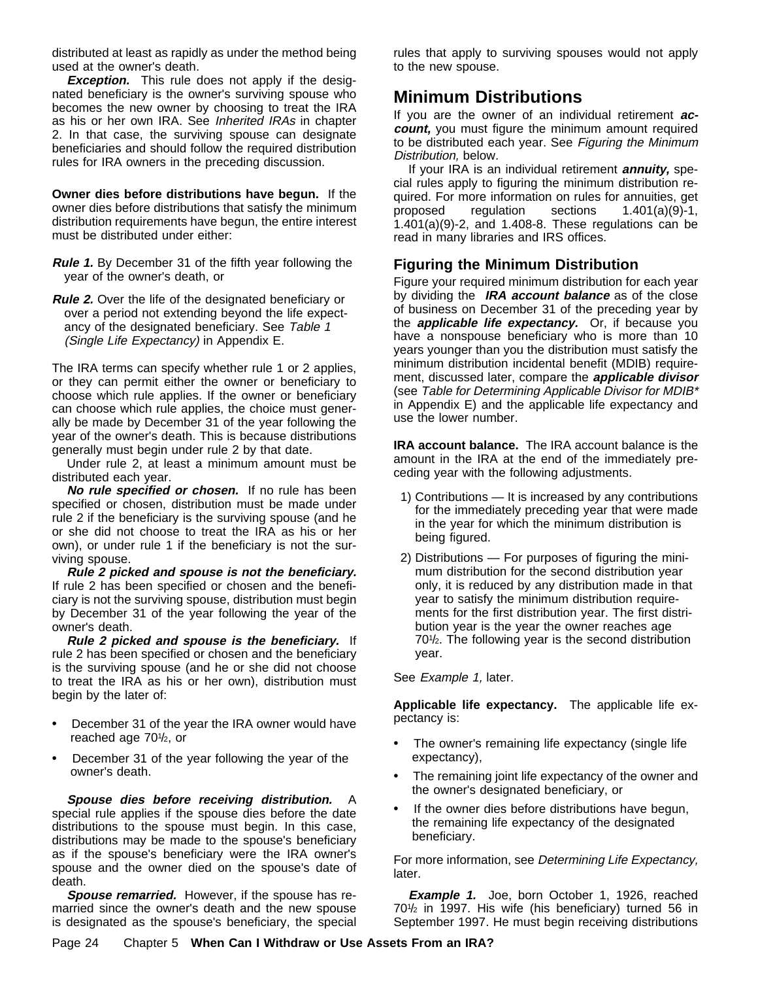distributed at least as rapidly as under the method being used at the owner's death.

**Exception.** This rule does not apply if the designated beneficiary is the owner's surviving spouse who becomes the new owner by choosing to treat the IRA as his or her own IRA. See Inherited IRAs in chapter 2. In that case, the surviving spouse can designate beneficiaries and should follow the required distribution rules for IRA owners in the preceding discussion.

**Owner dies before distributions have begun.** If the owner dies before distributions that satisfy the minimum distribution requirements have begun, the entire interest must be distributed under either:

- **Rule 1.** By December 31 of the fifth year following the year of the owner's death, or
- **Rule 2.** Over the life of the designated beneficiary or over a period not extending beyond the life expectancy of the designated beneficiary. See Table 1 (Single Life Expectancy) in Appendix E.

The IRA terms can specify whether rule 1 or 2 applies, or they can permit either the owner or beneficiary to choose which rule applies. If the owner or beneficiary can choose which rule applies, the choice must generally be made by December 31 of the year following the year of the owner's death. This is because distributions generally must begin under rule 2 by that date.

Under rule 2, at least a minimum amount must be distributed each year.

**No rule specified or chosen.** If no rule has been specified or chosen, distribution must be made under rule 2 if the beneficiary is the surviving spouse (and he or she did not choose to treat the IRA as his or her own), or under rule 1 if the beneficiary is not the surviving spouse.

**Rule 2 picked and spouse is not the beneficiary.** If rule 2 has been specified or chosen and the beneficiary is not the surviving spouse, distribution must begin by December 31 of the year following the year of the owner's death.

**Rule 2 picked and spouse is the beneficiary.** If rule 2 has been specified or chosen and the beneficiary is the surviving spouse (and he or she did not choose to treat the IRA as his or her own), distribution must begin by the later of:

- $\ddot{\mathbf{y}}$  December 31 of the year the IRA owner would have reached age 701 /2, or
- $\ddot{\mathbf{y}}$  December 31 of the year following the year of the owner's death.

**Spouse dies before receiving distribution.** A special rule applies if the spouse dies before the date distributions to the spouse must begin. In this case, distributions may be made to the spouse's beneficiary as if the spouse's beneficiary were the IRA owner's spouse and the owner died on the spouse's date of death.

**Spouse remarried.** However, if the spouse has remarried since the owner's death and the new spouse is designated as the spouse's beneficiary, the special rules that apply to surviving spouses would not apply to the new spouse.

## **Minimum Distributions**

If you are the owner of an individual retirement **account,** you must figure the minimum amount required to be distributed each year. See Figuring the Minimum Distribution, below.

If your IRA is an individual retirement **annuity,** special rules apply to figuring the minimum distribution required. For more information on rules for annuities, get proposed regulation sections 1.401(a)(9)-1, 1.401(a)(9)-2, and 1.408-8. These regulations can be read in many libraries and IRS offices.

## **Figuring the Minimum Distribution**

Figure your required minimum distribution for each year by dividing the **IRA account balance** as of the close of business on December 31 of the preceding year by the **applicable life expectancy.** Or, if because you have a nonspouse beneficiary who is more than 10 years younger than you the distribution must satisfy the minimum distribution incidental benefit (MDIB) requirement, discussed later, compare the **applicable divisor** (see Table for Determining Applicable Divisor for MDIB\* in Appendix E) and the applicable life expectancy and use the lower number.

**IRA account balance.** The IRA account balance is the amount in the IRA at the end of the immediately preceding year with the following adjustments.

- 1) Contributions It is increased by any contributions for the immediately preceding year that were made in the year for which the minimum distribution is being figured.
- 2) Distributions For purposes of figuring the minimum distribution for the second distribution year only, it is reduced by any distribution made in that year to satisfy the minimum distribution requirements for the first distribution year. The first distribution year is the year the owner reaches age 70<sup>1</sup>/<sub>2</sub>. The following year is the second distribution year.

See Example 1, later.

**Applicable life expectancy.** The applicable life expectancy is:

- $\ddot{\mathbf{y}}$  The owner's remaining life expectancy (single life expectancy),
- $\ddot{\mathbf{y}}$  The remaining joint life expectancy of the owner and the owner's designated beneficiary, or
- If the owner dies before distributions have begun, the remaining life expectancy of the designated beneficiary.

For more information, see Determining Life Expectancy, later.

**Example 1.** Joe, born October 1, 1926, reached 701 / 2 in 1997. His wife (his beneficiary) turned 56 in September 1997. He must begin receiving distributions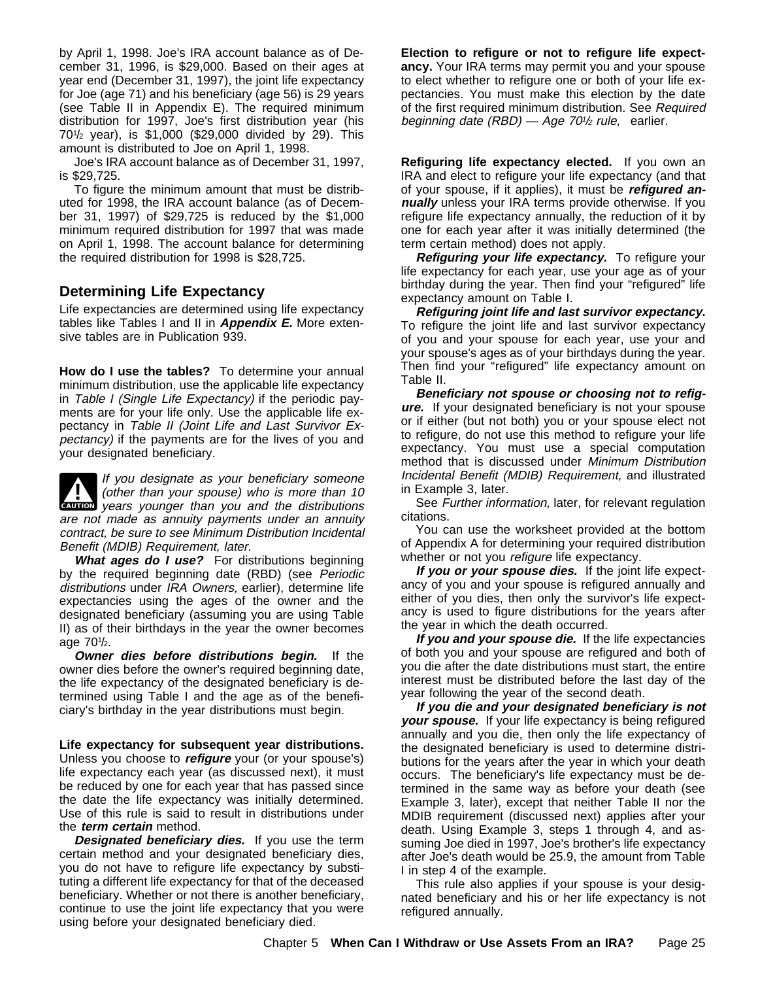by April 1, 1998. Joe's IRA account balance as of December 31, 1996, is \$29,000. Based on their ages at year end (December 31, 1997), the joint life expectancy for Joe (age 71) and his beneficiary (age 56) is 29 years (see Table II in Appendix E). The required minimum distribution for 1997, Joe's first distribution year (his 701 / 2 year), is \$1,000 (\$29,000 divided by 29). This amount is distributed to Joe on April 1, 1998.

Joe's IRA account balance as of December 31, 1997, is \$29,725.

To figure the minimum amount that must be distributed for 1998, the IRA account balance (as of December 31, 1997) of \$29,725 is reduced by the \$1,000 minimum required distribution for 1997 that was made on April 1, 1998. The account balance for determining the required distribution for 1998 is \$28,725.

#### **Determining Life Expectancy**

Life expectancies are determined using life expectancy tables like Tables I and II in **Appendix E.** More extensive tables are in Publication 939.

**How do I use the tables?** To determine your annual minimum distribution, use the applicable life expectancy in Table I (Single Life Expectancy) if the periodic payments are for your life only. Use the applicable life expectancy in Table II (Joint Life and Last Survivor Expectancy) if the payments are for the lives of you and your designated beneficiary.

**CAUTION** years younger than you and the distributions If you designate as your beneficiary someone<br>(other than your spouse) who is more than 10 are not made as annuity payments under an annuity contract, be sure to see Minimum Distribution Incidental Benefit (MDIB) Requirement, later.

What ages do I use? For distributions beginning by the required beginning date (RBD) (see Periodic distributions under IRA Owners, earlier), determine life expectancies using the ages of the owner and the designated beneficiary (assuming you are using Table II) as of their birthdays in the year the owner becomes age 70<sup>1</sup>/<sub>2</sub>.

**Owner dies before distributions begin.** If the owner dies before the owner's required beginning date, the life expectancy of the designated beneficiary is determined using Table I and the age as of the beneficiary's birthday in the year distributions must begin.

**Life expectancy for subsequent year distributions.** Unless you choose to **refigure** your (or your spouse's) life expectancy each year (as discussed next), it must be reduced by one for each year that has passed since the date the life expectancy was initially determined. Use of this rule is said to result in distributions under the **term certain** method.

**Designated beneficiary dies.** If you use the term certain method and your designated beneficiary dies, you do not have to refigure life expectancy by substituting a different life expectancy for that of the deceased beneficiary. Whether or not there is another beneficiary, continue to use the joint life expectancy that you were using before your designated beneficiary died.

**Election to refigure or not to refigure life expectancy.** Your IRA terms may permit you and your spouse to elect whether to refigure one or both of your life expectancies. You must make this election by the date of the first required minimum distribution. See Required beginning date  $(RBD)$  - Age 70<sup>1</sup>/2 rule, earlier.

**Refiguring life expectancy elected.** If you own an IRA and elect to refigure your life expectancy (and that of your spouse, if it applies), it must be **refigured annually** unless your IRA terms provide otherwise. If you refigure life expectancy annually, the reduction of it by one for each year after it was initially determined (the term certain method) does not apply.

**Refiguring your life expectancy.** To refigure your life expectancy for each year, use your age as of your birthday during the year. Then find your "refigured" life expectancy amount on Table I.

**Refiguring joint life and last survivor expectancy.** To refigure the joint life and last survivor expectancy of you and your spouse for each year, use your and your spouse's ages as of your birthdays during the year. Then find your "refigured" life expectancy amount on Table II.

**Beneficiary not spouse or choosing not to refigure.** If your designated beneficiary is not your spouse or if either (but not both) you or your spouse elect not to refigure, do not use this method to refigure your life expectancy. You must use a special computation method that is discussed under Minimum Distribution Incidental Benefit (MDIB) Requirement, and illustrated in Example 3, later.

See Further information, later, for relevant regulation citations.

You can use the worksheet provided at the bottom of Appendix A for determining your required distribution whether or not you refigure life expectancy.

**If you or your spouse dies.** If the joint life expectancy of you and your spouse is refigured annually and either of you dies, then only the survivor's life expectancy is used to figure distributions for the years after the year in which the death occurred.

**If you and your spouse die.** If the life expectancies of both you and your spouse are refigured and both of you die after the date distributions must start, the entire interest must be distributed before the last day of the year following the year of the second death.

**If you die and your designated beneficiary is not your spouse.** If your life expectancy is being refigured annually and you die, then only the life expectancy of the designated beneficiary is used to determine distributions for the years after the year in which your death occurs. The beneficiary's life expectancy must be determined in the same way as before your death (see Example 3, later), except that neither Table II nor the MDIB requirement (discussed next) applies after your death. Using Example 3, steps 1 through 4, and assuming Joe died in 1997, Joe's brother's life expectancy after Joe's death would be 25.9, the amount from Table I in step 4 of the example.

This rule also applies if your spouse is your designated beneficiary and his or her life expectancy is not refigured annually.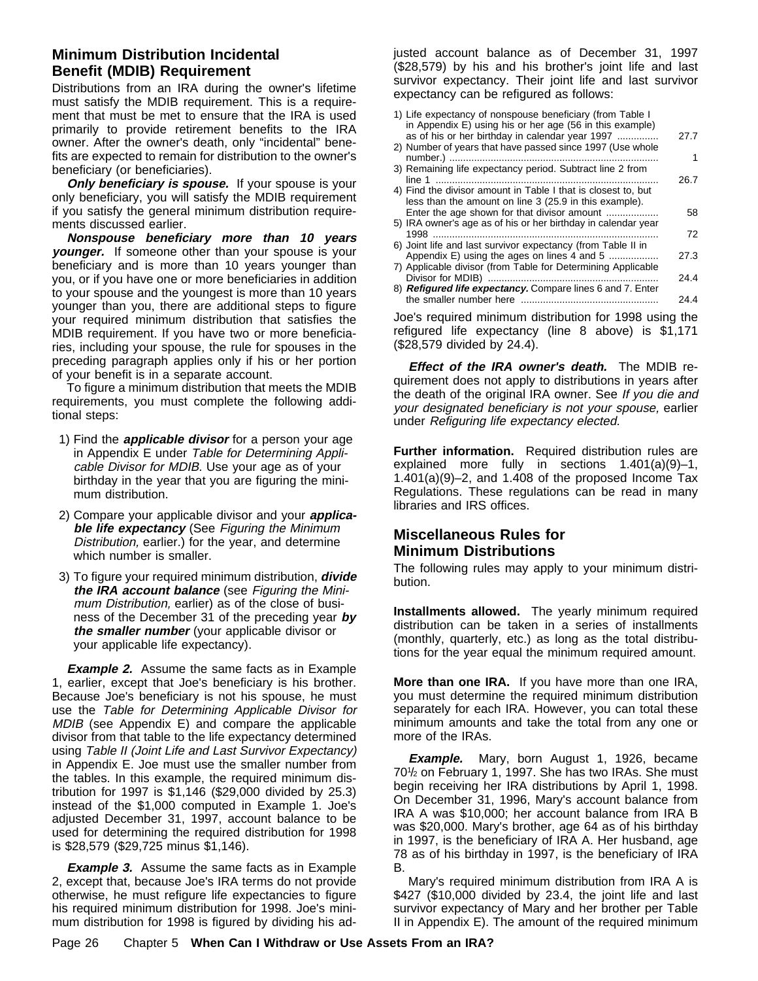#### **Minimum Distribution Incidental Benefit (MDIB) Requirement**

Distributions from an IRA during the owner's lifetime must satisfy the MDIB requirement. This is a requirement that must be met to ensure that the IRA is used primarily to provide retirement benefits to the IRA owner. After the owner's death, only "incidental" benefits are expected to remain for distribution to the owner's beneficiary (or beneficiaries).

**Only beneficiary is spouse.** If your spouse is your only beneficiary, you will satisfy the MDIB requirement if you satisfy the general minimum distribution requirements discussed earlier.

**Nonspouse beneficiary more than 10 years younger.** If someone other than your spouse is your beneficiary and is more than 10 years younger than you, or if you have one or more beneficiaries in addition to your spouse and the youngest is more than 10 years younger than you, there are additional steps to figure your required minimum distribution that satisfies the MDIB requirement. If you have two or more beneficiaries, including your spouse, the rule for spouses in the preceding paragraph applies only if his or her portion of your benefit is in a separate account.

To figure a minimum distribution that meets the MDIB requirements, you must complete the following additional steps:

- 1) Find the **applicable divisor** for a person your age in Appendix E under Table for Determining Applicable Divisor for MDIB. Use your age as of your birthday in the year that you are figuring the minimum distribution.
- 2) Compare your applicable divisor and your **applicable life expectancy** (See Figuring the Minimum Distribution, earlier.) for the year, and determine which number is smaller.
- 3) To figure your required minimum distribution, **divide the IRA account balance** (see Figuring the Minimum Distribution, earlier) as of the close of business of the December 31 of the preceding year **by the smaller number** (your applicable divisor or your applicable life expectancy).

**Example 2.** Assume the same facts as in Example 1, earlier, except that Joe's beneficiary is his brother. Because Joe's beneficiary is not his spouse, he must use the Table for Determining Applicable Divisor for MDIB (see Appendix E) and compare the applicable divisor from that table to the life expectancy determined using Table II (Joint Life and Last Survivor Expectancy) in Appendix E. Joe must use the smaller number from the tables. In this example, the required minimum distribution for 1997 is \$1,146 (\$29,000 divided by 25.3) instead of the \$1,000 computed in Example 1. Joe's adjusted December 31, 1997, account balance to be used for determining the required distribution for 1998 is \$28,579 (\$29,725 minus \$1,146).

**Example 3.** Assume the same facts as in Example 2, except that, because Joe's IRA terms do not provide otherwise, he must refigure life expectancies to figure his required minimum distribution for 1998. Joe's minimum distribution for 1998 is figured by dividing his adjusted account balance as of December 31, 1997 (\$28,579) by his and his brother's joint life and last survivor expectancy. Their joint life and last survivor expectancy can be refigured as follows:

| 1) Life expectancy of nonspouse beneficiary (from Table I<br>in Appendix E) using his or her age (56 in this example)   |      |
|-------------------------------------------------------------------------------------------------------------------------|------|
| as of his or her birthday in calendar year 1997<br>2) Number of years that have passed since 1997 (Use whole            | 27.7 |
|                                                                                                                         |      |
| 3) Remaining life expectancy period. Subtract line 2 from<br>line 1 ………………………………………………………………………                         | 26.7 |
| 4) Find the divisor amount in Table I that is closest to, but<br>less than the amount on line 3 (25.9 in this example). |      |
| Enter the age shown for that divisor amount                                                                             | 58   |
| 5) IRA owner's age as of his or her birthday in calendar year                                                           | 72   |
| 6) Joint life and last survivor expectancy (from Table II in                                                            |      |
| Appendix E) using the ages on lines 4 and 5<br>7) Applicable divisor (from Table for Determining Applicable             | 27.3 |
|                                                                                                                         | 24.4 |
| 8) Refigured life expectancy. Compare lines 6 and 7. Enter                                                              |      |
|                                                                                                                         | 24.4 |
| Joe's required minimum distribution for 1998 using the                                                                  |      |

refigured life expectancy (line 8 above) is \$1,171 (\$28,579 divided by 24.4).

**Effect of the IRA owner's death.** The MDIB requirement does not apply to distributions in years after the death of the original IRA owner. See If you die and your designated beneficiary is not your spouse, earlier under Refiguring life expectancy elected.

**Further information.** Required distribution rules are explained more fully in sections 1.401(a)(9)–1, 1.401(a)(9)–2, and 1.408 of the proposed Income Tax Regulations. These regulations can be read in many libraries and IRS offices.

### **Miscellaneous Rules for Minimum Distributions**

The following rules may apply to your minimum distribution.

**Installments allowed.** The yearly minimum required distribution can be taken in a series of installments (monthly, quarterly, etc.) as long as the total distributions for the year equal the minimum required amount.

**More than one IRA.** If you have more than one IRA, you must determine the required minimum distribution separately for each IRA. However, you can total these minimum amounts and take the total from any one or more of the IRAs.

**Example.** Mary, born August 1, 1926, became 701/<sub>2</sub> on February 1, 1997. She has two IRAs. She must begin receiving her IRA distributions by April 1, 1998. On December 31, 1996, Mary's account balance from IRA A was \$10,000; her account balance from IRA B was \$20,000. Mary's brother, age 64 as of his birthday in 1997, is the beneficiary of IRA A. Her husband, age 78 as of his birthday in 1997, is the beneficiary of IRA B.

Mary's required minimum distribution from IRA A is \$427 (\$10,000 divided by 23.4, the joint life and last survivor expectancy of Mary and her brother per Table II in Appendix E). The amount of the required minimum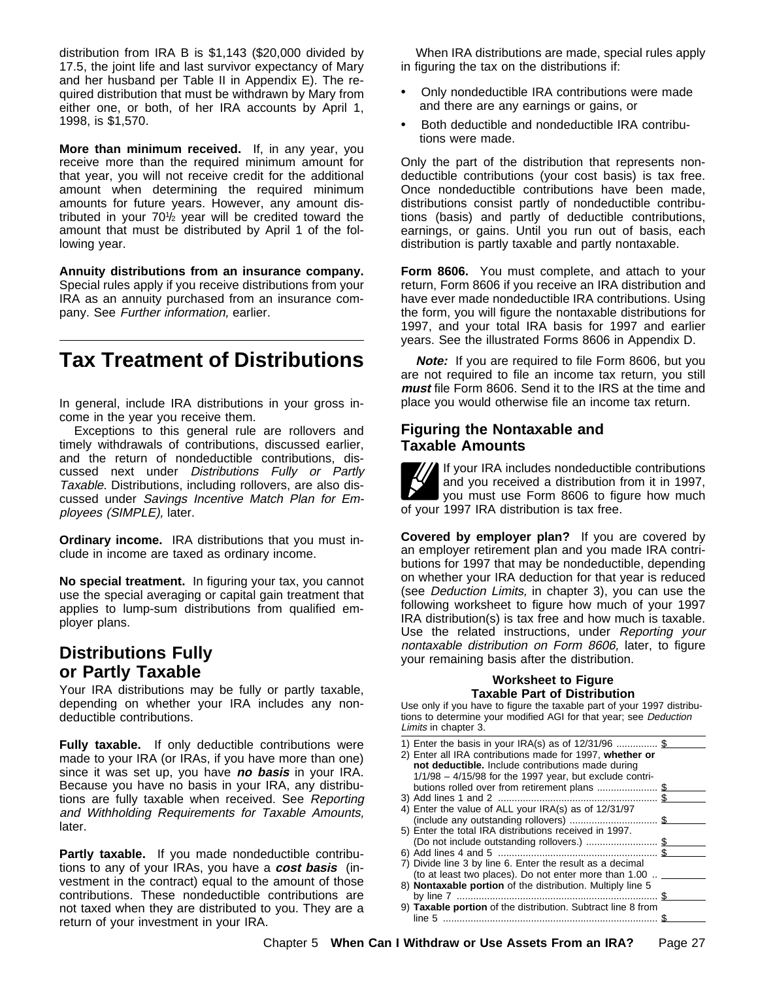distribution from IRA B is \$1,143 (\$20,000 divided by 17.5, the joint life and last survivor expectancy of Mary and her husband per Table II in Appendix E). The required distribution that must be withdrawn by Mary from either one, or both, of her IRA accounts by April 1, 1998, is \$1,570.

**More than minimum received.** If, in any year, you receive more than the required minimum amount for that year, you will not receive credit for the additional amount when determining the required minimum amounts for future years. However, any amount distributed in your 701 /2 year will be credited toward the amount that must be distributed by April 1 of the following year.

**Annuity distributions from an insurance company.** Special rules apply if you receive distributions from your IRA as an annuity purchased from an insurance company. See Further information, earlier.

# **Tax Treatment of Distributions**

In general, include IRA distributions in your gross income in the year you receive them.

Exceptions to this general rule are rollovers and timely withdrawals of contributions, discussed earlier, and the return of nondeductible contributions, discussed next under Distributions Fully or Partly Taxable. Distributions, including rollovers, are also discussed under Savings Incentive Match Plan for Employees (SIMPLE), later.

**Ordinary income.** IRA distributions that you must include in income are taxed as ordinary income.

**No special treatment.** In figuring your tax, you cannot use the special averaging or capital gain treatment that applies to lump-sum distributions from qualified employer plans.

## **Distributions Fully or Partly Taxable**

Your IRA distributions may be fully or partly taxable, depending on whether your IRA includes any nondeductible contributions.

**Fully taxable.** If only deductible contributions were made to your IRA (or IRAs, if you have more than one) since it was set up, you have **no basis** in your IRA. Because you have no basis in your IRA, any distributions are fully taxable when received. See Reporting and Withholding Requirements for Taxable Amounts, later.

**Partly taxable.** If you made nondeductible contributions to any of your IRAs, you have a **cost basis** (investment in the contract) equal to the amount of those contributions. These nondeductible contributions are not taxed when they are distributed to you. They are a return of your investment in your IRA.

When IRA distributions are made, special rules apply in figuring the tax on the distributions if:

- ÿ• Only nondeductible IRA contributions were made and there are any earnings or gains, or
- ÿ• Both deductible and nondeductible IRA contributions were made.

Only the part of the distribution that represents nondeductible contributions (your cost basis) is tax free. Once nondeductible contributions have been made, distributions consist partly of nondeductible contributions (basis) and partly of deductible contributions, earnings, or gains. Until you run out of basis, each distribution is partly taxable and partly nontaxable.

**Form 8606.** You must complete, and attach to your return, Form 8606 if you receive an IRA distribution and have ever made nondeductible IRA contributions. Using the form, you will figure the nontaxable distributions for 1997, and your total IRA basis for 1997 and earlier years. See the illustrated Forms 8606 in Appendix D.

**Note:** If you are required to file Form 8606, but you are not required to file an income tax return, you still **must** file Form 8606. Send it to the IRS at the time and place you would otherwise file an income tax return.

#### **Figuring the Nontaxable and Taxable Amounts**

If your IRA includes nondeductible contributions and you received a distribution from it in 1997, you must use Form 8606 to figure how much of your 1997 IRA distribution is tax free.

**Covered by employer plan?** If you are covered by an employer retirement plan and you made IRA contributions for 1997 that may be nondeductible, depending on whether your IRA deduction for that year is reduced (see Deduction Limits, in chapter 3), you can use the following worksheet to figure how much of your 1997 IRA distribution(s) is tax free and how much is taxable. Use the related instructions, under Reporting your nontaxable distribution on Form 8606, later, to figure your remaining basis after the distribution.

#### **Worksheet to Figure Taxable Part of Distribution**

Use only if you have to figure the taxable part of your 1997 distributions to determine your modified AGI for that year; see Deduction Limits in chapter 3.

| 1) Enter the basis in your IRA(s) as of $12/31/96$ \$                            |    |
|----------------------------------------------------------------------------------|----|
| 2) Enter all IRA contributions made for 1997, whether or                         |    |
| not deductible. Include contributions made during                                |    |
| $1/1/98 - 4/15/98$ for the 1997 year, but exclude contri-                        |    |
|                                                                                  | £. |
|                                                                                  |    |
| 4) Enter the value of ALL your IRA(s) as of 12/31/97                             |    |
|                                                                                  |    |
| 5) Enter the total IRA distributions received in 1997.                           |    |
|                                                                                  |    |
|                                                                                  |    |
| 7) Divide line 3 by line 6. Enter the result as a decimal                        |    |
| (to at least two places). Do not enter more than $1.00$ $\overline{\phantom{a}}$ |    |
| 8) Nontaxable portion of the distribution. Multiply line 5                       |    |
|                                                                                  |    |
| 9) Taxable portion of the distribution. Subtract line 8 from                     |    |
|                                                                                  |    |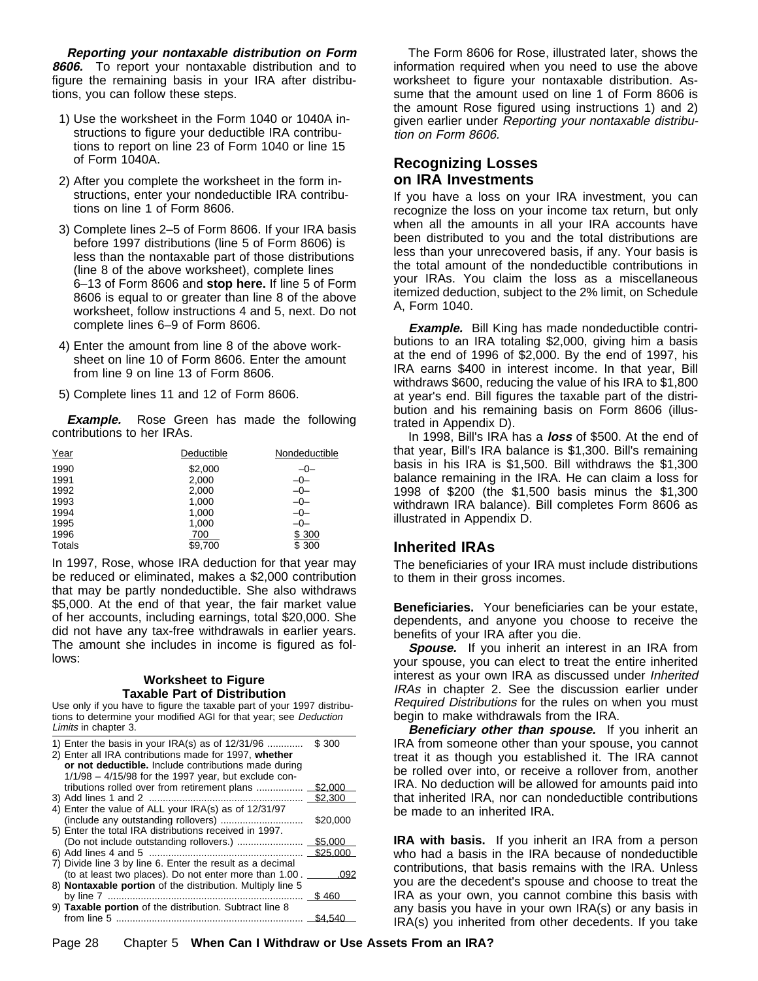**Reporting your nontaxable distribution on Form 8606.** To report your nontaxable distribution and to figure the remaining basis in your IRA after distributions, you can follow these steps.

- 1) Use the worksheet in the Form 1040 or 1040A instructions to figure your deductible IRA contributions to report on line 23 of Form 1040 or line 15 of Form 1040A.
- 2) After you complete the worksheet in the form instructions, enter your nondeductible IRA contributions on line 1 of Form 8606.
- 3) Complete lines 2–5 of Form 8606. If your IRA basis before 1997 distributions (line 5 of Form 8606) is less than the nontaxable part of those distributions (line 8 of the above worksheet), complete lines 6–13 of Form 8606 and **stop here.** If line 5 of Form 8606 is equal to or greater than line 8 of the above worksheet, follow instructions 4 and 5, next. Do not complete lines 6–9 of Form 8606.
- 4) Enter the amount from line 8 of the above worksheet on line 10 of Form 8606. Enter the amount from line 9 on line 13 of Form 8606.
- 5) Complete lines 11 and 12 of Form 8606.

**Example.** Rose Green has made the following contributions to her IRAs.

| Year   | Deductible     | Nondeductible |
|--------|----------------|---------------|
| 1990   | \$2,000        | $-0-$         |
| 1991   | $000 \ \Omega$ | $-0-$         |
| 1992   | $000 \ \Omega$ | $-0-$         |
| 1993   | 000y           | $-0-$         |
| 1994   | 000y           | $-0-$         |
| 1995   | 000y           | -0-           |
| 1996   | V700           | \$300         |
| Totals | \$9,700        | \$300         |

In 1997, Rose, whose IRA deduction for that year may be reduced or eliminated, makes a \$2,000 contribution that may be partly nondeductible. She also withdraws \$5,000. At the end of that year, the fair market value of her accounts, including earnings, total \$20,000. She did not have any tax-free withdrawals in earlier years. The amount she includes in income is figured as follows:

#### **Worksheet to Figure Taxable Part of Distribution**

Use only if you have to figure the taxable part of your 1997 distributions to determine your modified AGI for that year; see Deduction Limits in chapter 3.

| 1) Enter the basis in your IRA(s) as of 12/31/96<br>2) Enter all IRA contributions made for 1997, whether<br>or not deductible. Include contributions made during<br>$1/1/98 - 4/15/98$ for the 1997 year, but exclude con- | \$7300   |
|-----------------------------------------------------------------------------------------------------------------------------------------------------------------------------------------------------------------------------|----------|
|                                                                                                                                                                                                                             | \$2,000  |
|                                                                                                                                                                                                                             | \$2.300  |
| 4) Enter the value of ALL your IRA(s) as of 12/31/97                                                                                                                                                                        |          |
|                                                                                                                                                                                                                             | \$20,000 |
| 5) Enter the total IRA distributions received in 1997.                                                                                                                                                                      |          |
|                                                                                                                                                                                                                             | \$5,000  |
|                                                                                                                                                                                                                             | \$25.000 |
| 7) Divide line 3 by line 6. Enter the result as a decimal                                                                                                                                                                   |          |
| (to at least two places). Do not enter more than 1.00.                                                                                                                                                                      | .092     |
| 8) Nontaxable portion of the distribution. Multiply line 5                                                                                                                                                                  |          |
|                                                                                                                                                                                                                             | S¤460    |
| 9) Taxable portion of the distribution. Subtract line 8                                                                                                                                                                     |          |
|                                                                                                                                                                                                                             | \$4.540  |

The Form 8606 for Rose, illustrated later, shows the information required when you need to use the above worksheet to figure your nontaxable distribution. Assume that the amount used on line 1 of Form 8606 is the amount Rose figured using instructions 1) and 2) given earlier under Reporting your nontaxable distribution on Form 8606.

#### **Recognizing Losses on IRA Investments**

If you have a loss on your IRA investment, you can recognize the loss on your income tax return, but only when all the amounts in all your IRA accounts have been distributed to you and the total distributions are less than your unrecovered basis, if any. Your basis is the total amount of the nondeductible contributions in your IRAs. You claim the loss as a miscellaneous itemized deduction, subject to the 2% limit, on Schedule A, Form 1040.

**Example.** Bill King has made nondeductible contributions to an IRA totaling \$2,000, giving him a basis at the end of 1996 of \$2,000. By the end of 1997, his IRA earns \$400 in interest income. In that year, Bill withdraws \$600, reducing the value of his IRA to \$1,800 at year's end. Bill figures the taxable part of the distribution and his remaining basis on Form 8606 (illustrated in Appendix D).

In 1998, Bill's IRA has a **loss** of \$500. At the end of that year, Bill's IRA balance is \$1,300. Bill's remaining basis in his IRA is \$1,500. Bill withdraws the \$1,300 balance remaining in the IRA. He can claim a loss for 1998 of \$200 (the \$1,500 basis minus the \$1,300 withdrawn IRA balance). Bill completes Form 8606 as illustrated in Appendix D.

#### **Inherited IRAs**

The beneficiaries of your IRA must include distributions to them in their gross incomes.

**Beneficiaries.** Your beneficiaries can be your estate, dependents, and anyone you choose to receive the benefits of your IRA after you die.

**Spouse.** If you inherit an interest in an IRA from your spouse, you can elect to treat the entire inherited interest as your own IRA as discussed under Inherited IRAs in chapter 2. See the discussion earlier under Required Distributions for the rules on when you must begin to make withdrawals from the IRA.

**Beneficiary other than spouse.** If you inherit an IRA from someone other than your spouse, you cannot treat it as though you established it. The IRA cannot be rolled over into, or receive a rollover from, another IRA. No deduction will be allowed for amounts paid into that inherited IRA, nor can nondeductible contributions be made to an inherited IRA.

**IRA with basis.** If you inherit an IRA from a person who had a basis in the IRA because of nondeductible contributions, that basis remains with the IRA. Unless you are the decedent's spouse and choose to treat the IRA as your own, you cannot combine this basis with any basis you have in your own IRA(s) or any basis in IRA(s) you inherited from other decedents. If you take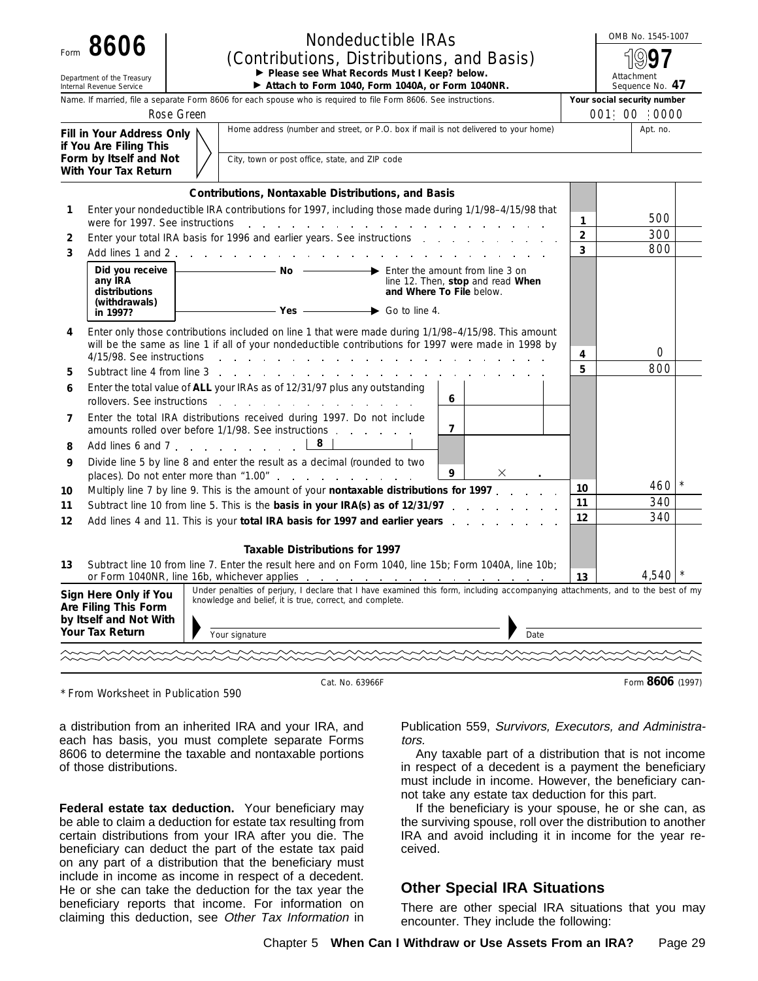|    | Form 8606                                                                                  | <b>Nondeductible IRAs</b><br>(Contributions, Distributions, and Basis)                                                                                                                                                  |                | OMB No. 1545-1007             |
|----|--------------------------------------------------------------------------------------------|-------------------------------------------------------------------------------------------------------------------------------------------------------------------------------------------------------------------------|----------------|-------------------------------|
|    | Department of the Treasury<br>Internal Revenue Service                                     | Please see What Records Must I Keep? below.<br>Attach to Form 1040, Form 1040A, or Form 1040NR.                                                                                                                         |                | Attachment<br>Sequence No. 47 |
|    |                                                                                            | Name. If married, file a separate Form 8606 for each spouse who is required to file Form 8606. See instructions.                                                                                                        |                | Your social security number   |
|    |                                                                                            | Rose Green                                                                                                                                                                                                              |                | 001 00 0000                   |
|    | Fill in Your Address Only<br>if You Are Filing This                                        | Home address (number and street, or P.O. box if mail is not delivered to your home)                                                                                                                                     |                | Apt. no.                      |
|    | Form by Itself and Not<br>With Your Tax Return                                             | City, town or post office, state, and ZIP code                                                                                                                                                                          |                |                               |
|    |                                                                                            | Contributions, Nontaxable Distributions, and Basis                                                                                                                                                                      |                |                               |
| 1  | were for 1997. See instructions                                                            | Enter your nondeductible IRA contributions for 1997, including those made during 1/1/98-4/15/98 that<br>the contract of the contract of the contract of the contract of the contract of the contract of the contract of | 1              | 500                           |
| 2  |                                                                                            | Enter your total IRA basis for 1996 and earlier years. See instructions                                                                                                                                                 | $\overline{2}$ | 300                           |
| 3  | Add lines 1 and 2                                                                          |                                                                                                                                                                                                                         | 3              | 800                           |
|    | Did you receive<br>any IRA<br>distributions                                                | Enter the amount from line 3 on<br>line 12. Then, stop and read When<br>and Where To File below.                                                                                                                        |                |                               |
|    | (withdrawals)<br>in 1997?                                                                  | $-$ Yes $-$ Go to line 4.                                                                                                                                                                                               |                |                               |
| 4  | 4/15/98. See instructions                                                                  | Enter only those contributions included on line 1 that were made during 1/1/98-4/15/98. This amount<br>will be the same as line 1 if all of your nondeductible contributions for 1997 were made in 1998 by              | 4              | $\bigcirc$                    |
| 5  | Subtract line 4 from line 3                                                                | the company of the company of                                                                                                                                                                                           | 5              | 800                           |
| 6  | rollovers. See instructions                                                                | Enter the total value of ALL your IRAs as of 12/31/97 plus any outstanding<br>6<br>the contract of the contract of the contract of the contract of the contract of the contract of the contract of                      |                |                               |
| 7  |                                                                                            | Enter the total IRA distributions received during 1997. Do not include<br>$\overline{7}$<br>amounts rolled over before 1/1/98. See instructions entitled a control of the contract of the control amounts               |                |                               |
| 8  |                                                                                            | 8<br>Add lines 6 and 7                                                                                                                                                                                                  |                |                               |
| 9  |                                                                                            | Divide line 5 by line 8 and enter the result as a decimal (rounded to two<br>9                                                                                                                                          |                |                               |
| 10 |                                                                                            | Multiply line 7 by line 9. This is the amount of your nontaxable distributions for 1997.                                                                                                                                | 10             | 460                           |
| 11 |                                                                                            | Subtract line 10 from line 5. This is the basis in your IRA(s) as of 12/31/97                                                                                                                                           | 11             | 340<br>340                    |
| 12 |                                                                                            | Add lines 4 and 11. This is your total IRA basis for 1997 and earlier years enter-                                                                                                                                      | 12             |                               |
|    |                                                                                            | Taxable Distributions for 1997                                                                                                                                                                                          |                |                               |
| 13 |                                                                                            | Subtract line 10 from line 7. Enter the result here and on Form 1040, line 15b; Form 1040A, line 10b;<br>or Form 1040NR, line 16b, whichever applies<br>the contract of the contract of the contract of the con-        | 13             | 4,540                         |
|    | Sign Here Only if You<br>Are Filing This Form<br>by Itself and Not With<br>Your Tax Return | Under penalties of perjury, I declare that I have examined this form, including accompanying attachments, and to the best of my<br>knowledge and belief, it is true, correct, and complete.                             |                |                               |
|    |                                                                                            | Your signature<br>Date                                                                                                                                                                                                  |                |                               |
|    |                                                                                            |                                                                                                                                                                                                                         |                |                               |
|    |                                                                                            | Cat. No. 63966F                                                                                                                                                                                                         |                | Form 8606 (1997)              |

\* From Worksheet in Publication 590

a distribution from an inherited IRA and your IRA, and each has basis, you must complete separate Forms 8606 to determine the taxable and nontaxable portions of those distributions.

**Federal estate tax deduction.** Your beneficiary may be able to claim a deduction for estate tax resulting from certain distributions from your IRA after you die. The beneficiary can deduct the part of the estate tax paid on any part of a distribution that the beneficiary must include in income as income in respect of a decedent. He or she can take the deduction for the tax year the beneficiary reports that income. For information on claiming this deduction, see Other Tax Information in

Publication 559, Survivors, Executors, and Administrators.

Any taxable part of a distribution that is not income in respect of a decedent is a payment the beneficiary must include in income. However, the beneficiary cannot take any estate tax deduction for this part.

If the beneficiary is your spouse, he or she can, as the surviving spouse, roll over the distribution to another IRA and avoid including it in income for the year received.

#### **Other Special IRA Situations**

There are other special IRA situations that you may encounter. They include the following: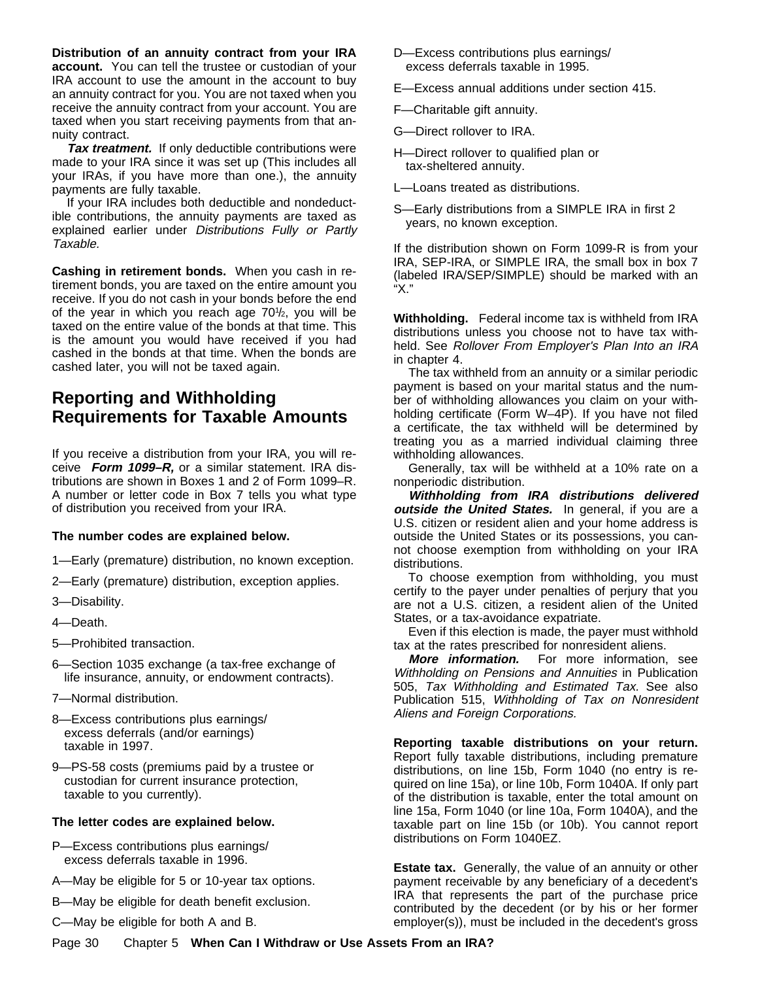**Distribution of an annuity contract from your IRA account.** You can tell the trustee or custodian of your IRA account to use the amount in the account to buy an annuity contract for you. You are not taxed when you receive the annuity contract from your account. You are taxed when you start receiving payments from that annuity contract.

**Tax treatment.** If only deductible contributions were made to your IRA since it was set up (This includes all your IRAs, if you have more than one.), the annuity payments are fully taxable.

If your IRA includes both deductible and nondeductible contributions, the annuity payments are taxed as explained earlier under Distributions Fully or Partly Taxable.

**Cashing in retirement bonds.** When you cash in retirement bonds, you are taxed on the entire amount you receive. If you do not cash in your bonds before the end of the year in which you reach age 70<sup>1</sup>/<sub>2</sub>, you will be taxed on the entire value of the bonds at that time. This is the amount you would have received if you had cashed in the bonds at that time. When the bonds are cashed later, you will not be taxed again.

## **Reporting and Withholding Requirements for Taxable Amounts**

If you receive a distribution from your IRA, you will receive **Form 1099–R,** or a similar statement. IRA distributions are shown in Boxes 1 and 2 of Form 1099–R. A number or letter code in Box 7 tells you what type of distribution you received from your IRA.

#### **The number codes are explained below.**

- 1—Early (premature) distribution, no known exception.
- 2—Early (premature) distribution, exception applies.
- 3—Disability.
- 4—Death.
- 5—Prohibited transaction.
- 6—Section 1035 exchange (a tax-free exchange of life insurance, annuity, or endowment contracts).
- 7—Normal distribution.
- 8—Excess contributions plus earnings/ excess deferrals (and/or earnings) taxable in 1997.
- 9—PS-58 costs (premiums paid by a trustee or custodian for current insurance protection, taxable to you currently).

#### **The letter codes are explained below.**

- P—Excess contributions plus earnings/ excess deferrals taxable in 1996.
- A—May be eligible for 5 or 10-year tax options.
- B—May be eligible for death benefit exclusion.
- C—May be eligible for both A and B.
- D—Excess contributions plus earnings/ excess deferrals taxable in 1995.
- E—Excess annual additions under section 415.
- F—Charitable gift annuity.
- G—Direct rollover to IRA.
- H—Direct rollover to qualified plan or tax-sheltered annuity.
- L—Loans treated as distributions.
- S—Early distributions from a SIMPLE IRA in first 2 years, no known exception.

If the distribution shown on Form 1099-R is from your IRA, SEP-IRA, or SIMPLE IRA, the small box in box 7 (labeled IRA/SEP/SIMPLE) should be marked with an "X."

**Withholding.** Federal income tax is withheld from IRA distributions unless you choose not to have tax withheld. See Rollover From Employer's Plan Into an IRA in chapter 4.

The tax withheld from an annuity or a similar periodic payment is based on your marital status and the number of withholding allowances you claim on your withholding certificate (Form W–4P). If you have not filed a certificate, the tax withheld will be determined by treating you as a married individual claiming three withholding allowances.

Generally, tax will be withheld at a 10% rate on a nonperiodic distribution.

**Withholding from IRA distributions delivered** *outside the United States.* In general, if you are a U.S. citizen or resident alien and your home address is outside the United States or its possessions, you cannot choose exemption from withholding on your IRA distributions.

To choose exemption from withholding, you must certify to the payer under penalties of perjury that you are not a U.S. citizen, a resident alien of the United States, or a tax-avoidance expatriate.

Even if this election is made, the payer must withhold tax at the rates prescribed for nonresident aliens.

**More information.** For more information, see Withholding on Pensions and Annuities in Publication 505, Tax Withholding and Estimated Tax. See also Publication 515, Withholding of Tax on Nonresident Aliens and Foreign Corporations.

**Reporting taxable distributions on your return.** Report fully taxable distributions, including premature distributions, on line 15b, Form 1040 (no entry is required on line 15a), or line 10b, Form 1040A. If only part of the distribution is taxable, enter the total amount on line 15a, Form 1040 (or line 10a, Form 1040A), and the taxable part on line 15b (or 10b). You cannot report distributions on Form 1040EZ.

**Estate tax.** Generally, the value of an annuity or other payment receivable by any beneficiary of a decedent's IRA that represents the part of the purchase price contributed by the decedent (or by his or her former employer(s)), must be included in the decedent's gross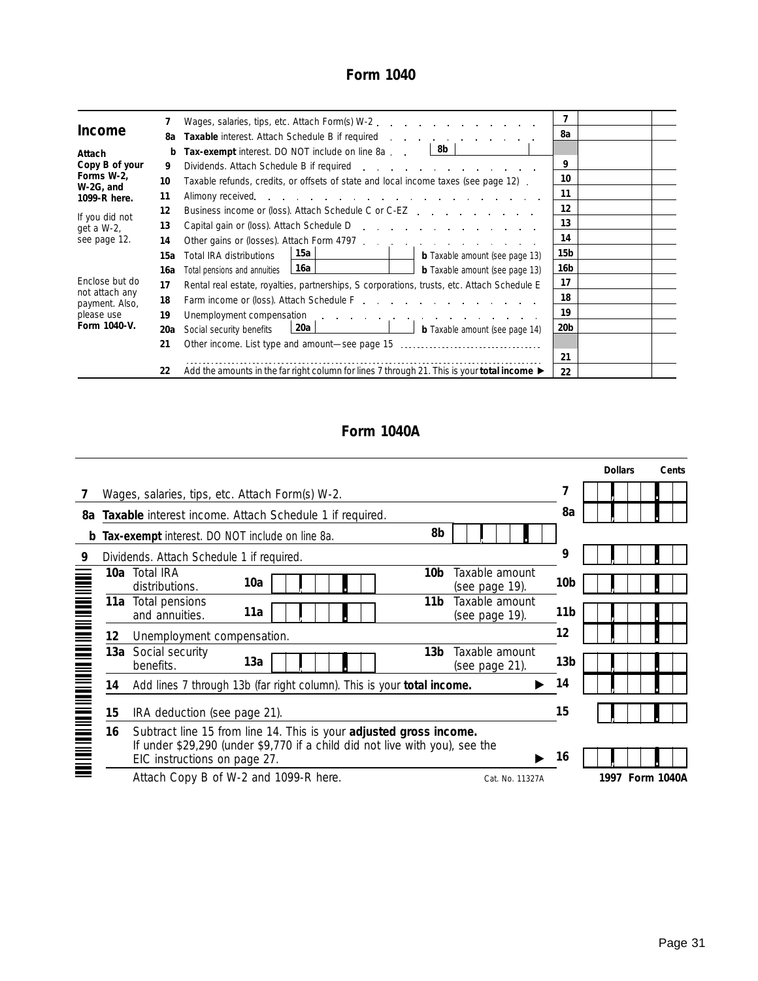## **Form 1040**

|                                  |     | Wages, salaries, tips, etc. Attach Form(s) W-2.                                                                                                                                                                                |                 |  |
|----------------------------------|-----|--------------------------------------------------------------------------------------------------------------------------------------------------------------------------------------------------------------------------------|-----------------|--|
| Income                           | 8а  | <b>Taxable</b> interest. Attach Schedule B if required <b>Example 2.1 Attach Schedule B</b> if required                                                                                                                        | 8а              |  |
| Attach                           | b   | <b>Tax-exempt</b> interest. DO NOT include on line $8a$ . $\qquad \qquad \boxed{8b}$                                                                                                                                           |                 |  |
| Copy B of your                   | 9   |                                                                                                                                                                                                                                | 9               |  |
| Forms W-2,                       | 10  | Taxable refunds, credits, or offsets of state and local income taxes (see page 12).                                                                                                                                            | 10              |  |
| W-2G, and<br>1099-R here.        | 11  |                                                                                                                                                                                                                                | 11              |  |
|                                  | 12  | Business income or (loss). Attach Schedule C or C-EZ                                                                                                                                                                           | 12              |  |
| If you did not<br>get a W-2,     | 13  | Capital gain or (loss). Attach Schedule D                                                                                                                                                                                      | 13              |  |
| see page 12.                     | 14  |                                                                                                                                                                                                                                | 14              |  |
|                                  | 15а | 15a<br>Total IRA distributions<br><b>b</b> Taxable amount (see page 13)                                                                                                                                                        | 15b             |  |
|                                  | 16a | 16a  <br>$\sim$ $\sim$ $\sim$ $\sim$ $\sim$ $\sim$<br><b>b</b> Taxable amount (see page 13)<br>Total pensions and annuities                                                                                                    | 16b             |  |
| Enclose but do                   | 17  | Rental real estate, royalties, partnerships, S corporations, trusts, etc. Attach Schedule E                                                                                                                                    | 17              |  |
| not attach any<br>payment. Also, | 18  | Farm income or (loss). Attach Schedule F. C. C. C. C. C. C. C. C. C. C. C.                                                                                                                                                     | 18              |  |
| please use                       | 19  | Unemployment compensation of the contract of the contract of the contract of the contract of the contract of the contract of the contract of the contract of the contract of the contract of the contract of the contract of t | 19              |  |
| Form 1040-V.                     | 20a | b Taxable amount (see page 14)<br>20a<br>Social security benefits                                                                                                                                                              | 20 <sub>b</sub> |  |
|                                  | 21  | Other income. List type and amount-see page 15                                                                                                                                                                                 |                 |  |
|                                  |     |                                                                                                                                                                                                                                | 21              |  |
|                                  | 22  | Add the amounts in the far right column for lines 7 through 21. This is your total income $\blacktriangleright$                                                                                                                | 22              |  |

## **Form 1040A**

|    | Wages, salaries, tips, etc. Attach Form(s) W-2.         |                                                                                                         |                                                                                          | 7                                                                                                                                                                                                                                              |                 |
|----|---------------------------------------------------------|---------------------------------------------------------------------------------------------------------|------------------------------------------------------------------------------------------|------------------------------------------------------------------------------------------------------------------------------------------------------------------------------------------------------------------------------------------------|-----------------|
|    | Taxable interest income. Attach Schedule 1 if required. |                                                                                                         |                                                                                          | 8a                                                                                                                                                                                                                                             |                 |
|    |                                                         | 8b                                                                                                      |                                                                                          |                                                                                                                                                                                                                                                |                 |
|    |                                                         |                                                                                                         |                                                                                          | 9                                                                                                                                                                                                                                              |                 |
|    | 10a<br>distributions.                                   | 10b                                                                                                     | Taxable amount<br>(see page 19).                                                         | 10b                                                                                                                                                                                                                                            |                 |
|    | 11a<br>and annuities.                                   | 11 <sub>b</sub>                                                                                         | Taxable amount<br>(see page 19).                                                         | 11b                                                                                                                                                                                                                                            |                 |
| 12 | Unemployment compensation.                              |                                                                                                         |                                                                                          | 12                                                                                                                                                                                                                                             |                 |
|    | 13a<br>benefits.                                        | 13b                                                                                                     | Taxable amount<br>(see page 21).                                                         | 13b                                                                                                                                                                                                                                            |                 |
| 14 |                                                         |                                                                                                         |                                                                                          | 14                                                                                                                                                                                                                                             |                 |
| 15 | IRA deduction (see page 21).                            |                                                                                                         |                                                                                          | 15                                                                                                                                                                                                                                             |                 |
| 16 | EIC instructions on page 27.                            |                                                                                                         |                                                                                          | 16                                                                                                                                                                                                                                             | 1997 Form 1040A |
|    |                                                         | Dividends. Attach Schedule 1 if required.<br>10a Total IRA<br>11a Total pensions<br>13a Social security | Tax-exempt interest. DO NOT include on line 8a.<br>Attach Copy B of W-2 and 1099-R here. | Add lines 7 through 13b (far right column). This is your total income.<br>Subtract line 15 from line 14. This is your adjusted gross income.<br>If under \$29,290 (under \$9,770 if a child did not live with you), see the<br>Cat. No. 11327A |                 |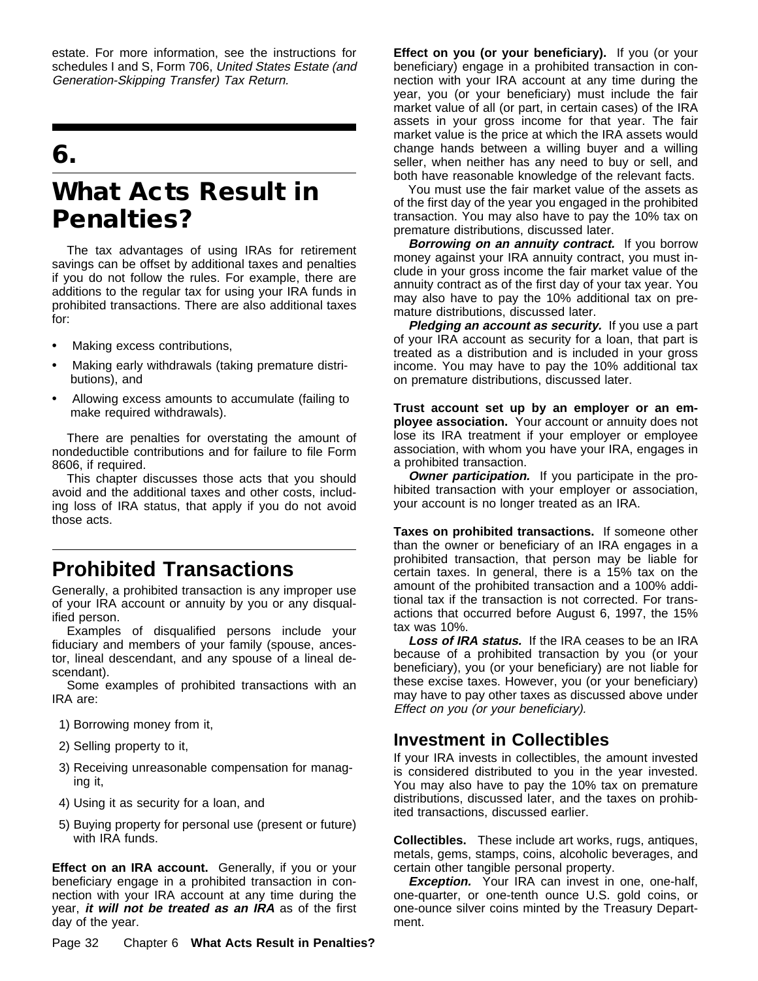estate. For more information, see the instructions for schedules I and S, Form 706, United States Estate (and Generation-Skipping Transfer) Tax Return.

# **6.**

# **What Acts Result in Penalties?**

The tax advantages of using IRAs for retirement savings can be offset by additional taxes and penalties if you do not follow the rules. For example, there are additions to the regular tax for using your IRA funds in prohibited transactions. There are also additional taxes for:

- $\ddot{\mathbf{y}}$  Making excess contributions,
- $\ddot{\mathbf{y}}$  Making early withdrawals (taking premature distributions), and
- $\ddot{\mathbf{y}}$  Allowing excess amounts to accumulate (failing to make required withdrawals).

There are penalties for overstating the amount of nondeductible contributions and for failure to file Form 8606, if required.

This chapter discusses those acts that you should avoid and the additional taxes and other costs, including loss of IRA status, that apply if you do not avoid those acts.

## **Prohibited Transactions**

Generally, a prohibited transaction is any improper use of your IRA account or annuity by you or any disqualified person.

Examples of disqualified persons include your fiduciary and members of your family (spouse, ancestor, lineal descendant, and any spouse of a lineal descendant).

Some examples of prohibited transactions with an IRA are:

1) Borrowing money from it,

- 2) Selling property to it,
- 3) Receiving unreasonable compensation for managing it,
- 4) Using it as security for a loan, and
- 5) Buying property for personal use (present or future) with IRA funds.

**Effect on an IRA account.** Generally, if you or your beneficiary engage in a prohibited transaction in connection with your IRA account at any time during the year, **it will not be treated as an IRA** as of the first day of the year.

**Effect on you (or your beneficiary).** If you (or your beneficiary) engage in a prohibited transaction in connection with your IRA account at any time during the year, you (or your beneficiary) must include the fair market value of all (or part, in certain cases) of the IRA assets in your gross income for that year. The fair market value is the price at which the IRA assets would change hands between a willing buyer and a willing seller, when neither has any need to buy or sell, and both have reasonable knowledge of the relevant facts.

You must use the fair market value of the assets as of the first day of the year you engaged in the prohibited transaction. You may also have to pay the 10% tax on premature distributions, discussed later.

**Borrowing on an annuity contract.** If you borrow money against your IRA annuity contract, you must include in your gross income the fair market value of the annuity contract as of the first day of your tax year. You may also have to pay the 10% additional tax on premature distributions, discussed later.

**Pledging an account as security.** If you use a part of your IRA account as security for a loan, that part is treated as a distribution and is included in your gross income. You may have to pay the 10% additional tax on premature distributions, discussed later.

**Trust account set up by an employer or an employee association.** Your account or annuity does not lose its IRA treatment if your employer or employee association, with whom you have your IRA, engages in a prohibited transaction.

**Owner participation.** If you participate in the prohibited transaction with your employer or association, your account is no longer treated as an IRA.

**Taxes on prohibited transactions.** If someone other than the owner or beneficiary of an IRA engages in a prohibited transaction, that person may be liable for certain taxes. In general, there is a 15% tax on the amount of the prohibited transaction and a 100% additional tax if the transaction is not corrected. For transactions that occurred before August 6, 1997, the 15% tax was 10%.

**Loss of IRA status.** If the IRA ceases to be an IRA because of a prohibited transaction by you (or your beneficiary), you (or your beneficiary) are not liable for these excise taxes. However, you (or your beneficiary) may have to pay other taxes as discussed above under Effect on you (or your beneficiary).

## **Investment in Collectibles**

If your IRA invests in collectibles, the amount invested is considered distributed to you in the year invested. You may also have to pay the 10% tax on premature distributions, discussed later, and the taxes on prohibited transactions, discussed earlier.

**Collectibles.** These include art works, rugs, antiques, metals, gems, stamps, coins, alcoholic beverages, and certain other tangible personal property.

**Exception.** Your IRA can invest in one, one-half, one-quarter, or one-tenth ounce U.S. gold coins, or one-ounce silver coins minted by the Treasury Department.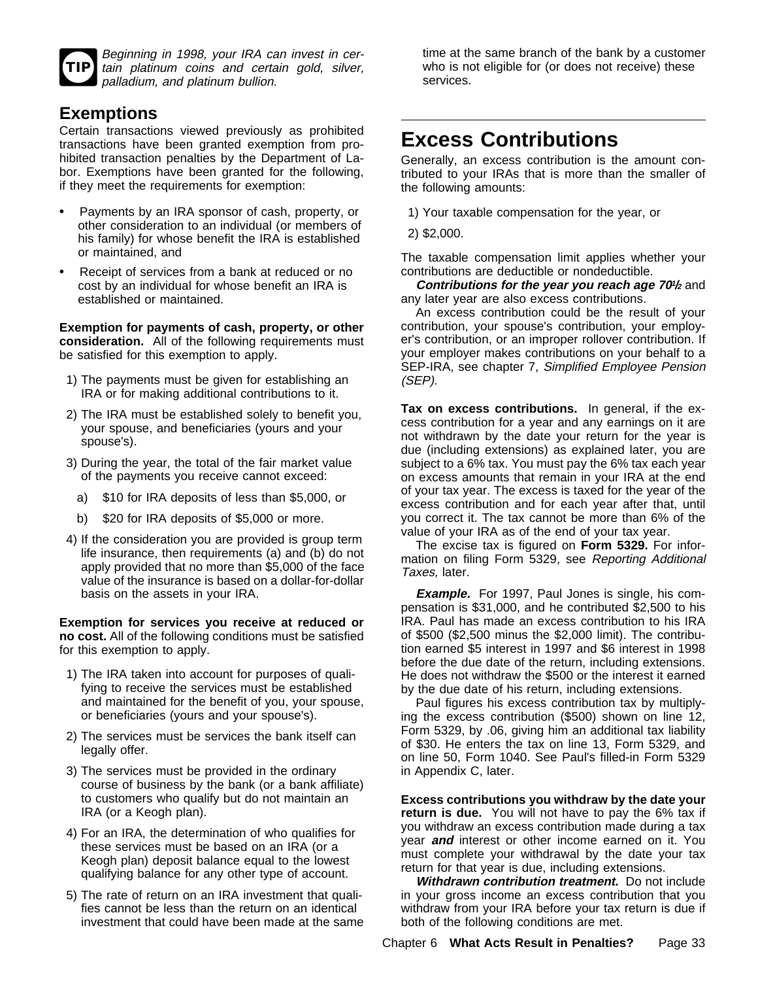| ı |
|---|
|   |

Beginning in 1998, your IRA can invest in certain platinum coins and certain gold, silver, palladium, and platinum bullion.

## **Exemptions**

Certain transactions viewed previously as prohibited transactions have been granted exemption from prohibited transaction penalties by the Department of Labor. Exemptions have been granted for the following, if they meet the requirements for exemption:

- ÿ• Payments by an IRA sponsor of cash, property, or other consideration to an individual (or members of his family) for whose benefit the IRA is established or maintained, and
- $\ddot{\mathbf{y}}$  Receipt of services from a bank at reduced or no cost by an individual for whose benefit an IRA is established or maintained.

**Exemption for payments of cash, property, or other consideration.** All of the following requirements must be satisfied for this exemption to apply.

- 1) The payments must be given for establishing an IRA or for making additional contributions to it.
- 2) The IRA must be established solely to benefit you, your spouse, and beneficiaries (yours and your spouse's).
- 3) During the year, the total of the fair market value of the payments you receive cannot exceed:
	- a) \$10 for IRA deposits of less than \$5,000, or
	- b) \$20 for IRA deposits of \$5,000 or more.
- 4) If the consideration you are provided is group term life insurance, then requirements (a) and (b) do not apply provided that no more than \$5,000 of the face value of the insurance is based on a dollar-for-dollar basis on the assets in your IRA.

**Exemption for services you receive at reduced or no cost.** All of the following conditions must be satisfied for this exemption to apply.

- 1) The IRA taken into account for purposes of qualifying to receive the services must be established and maintained for the benefit of you, your spouse, or beneficiaries (yours and your spouse's).
- 2) The services must be services the bank itself can legally offer.
- 3) The services must be provided in the ordinary course of business by the bank (or a bank affiliate) to customers who qualify but do not maintain an IRA (or a Keogh plan).
- 4) For an IRA, the determination of who qualifies for these services must be based on an IRA (or a Keogh plan) deposit balance equal to the lowest qualifying balance for any other type of account.
- 5) The rate of return on an IRA investment that qualifies cannot be less than the return on an identical investment that could have been made at the same

time at the same branch of the bank by a customer who is not eligible for (or does not receive) these services.

# **Excess Contributions**

Generally, an excess contribution is the amount contributed to your IRAs that is more than the smaller of the following amounts:

1) Your taxable compensation for the year, or

2) \$2,000.

The taxable compensation limit applies whether your contributions are deductible or nondeductible.

**Contributions for the year you reach age 701/2** and any later year are also excess contributions.

An excess contribution could be the result of your contribution, your spouse's contribution, your employer's contribution, or an improper rollover contribution. If your employer makes contributions on your behalf to a SEP-IRA, see chapter 7, Simplified Employee Pension (SEP).

**Tax on excess contributions.** In general, if the excess contribution for a year and any earnings on it are not withdrawn by the date your return for the year is due (including extensions) as explained later, you are subject to a 6% tax. You must pay the 6% tax each year on excess amounts that remain in your IRA at the end of your tax year. The excess is taxed for the year of the excess contribution and for each year after that, until you correct it. The tax cannot be more than 6% of the value of your IRA as of the end of your tax year.

The excise tax is figured on **Form 5329.** For information on filing Form 5329, see Reporting Additional Taxes, later.

**Example.** For 1997, Paul Jones is single, his compensation is \$31,000, and he contributed \$2,500 to his IRA. Paul has made an excess contribution to his IRA of \$500 (\$2,500 minus the \$2,000 limit). The contribution earned \$5 interest in 1997 and \$6 interest in 1998 before the due date of the return, including extensions. He does not withdraw the \$500 or the interest it earned by the due date of his return, including extensions.

Paul figures his excess contribution tax by multiplying the excess contribution (\$500) shown on line 12, Form 5329, by .06, giving him an additional tax liability of \$30. He enters the tax on line 13, Form 5329, and on line 50, Form 1040. See Paul's filled-in Form 5329 in Appendix C, later.

**Excess contributions you withdraw by the date your return is due.** You will not have to pay the 6% tax if you withdraw an excess contribution made during a tax year **and** interest or other income earned on it. You must complete your withdrawal by the date your tax return for that year is due, including extensions.

**Withdrawn contribution treatment.** Do not include in your gross income an excess contribution that you withdraw from your IRA before your tax return is due if both of the following conditions are met.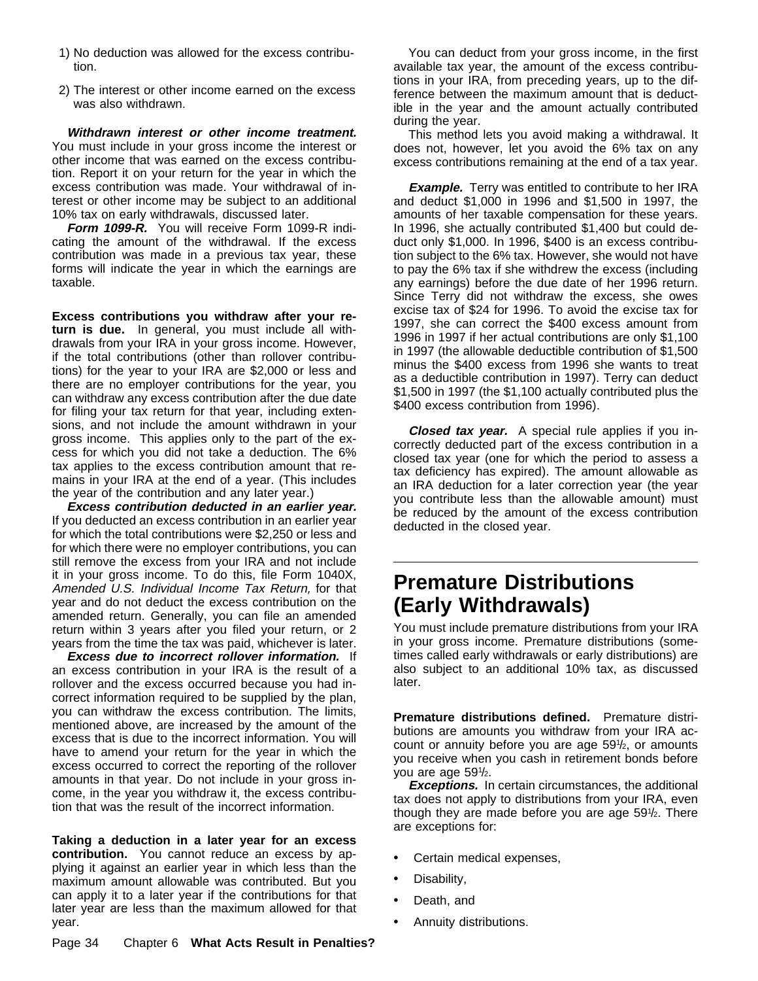- 1) No deduction was allowed for the excess contribution.
- 2) The interest or other income earned on the excess was also withdrawn.

**Withdrawn interest or other income treatment.** You must include in your gross income the interest or other income that was earned on the excess contribution. Report it on your return for the year in which the excess contribution was made. Your withdrawal of interest or other income may be subject to an additional 10% tax on early withdrawals, discussed later.

**Form 1099-R.** You will receive Form 1099-R indicating the amount of the withdrawal. If the excess contribution was made in a previous tax year, these forms will indicate the year in which the earnings are taxable.

**Excess contributions you withdraw after your return is due.** In general, you must include all withdrawals from your IRA in your gross income. However, if the total contributions (other than rollover contributions) for the year to your IRA are \$2,000 or less and there are no employer contributions for the year, you can withdraw any excess contribution after the due date for filing your tax return for that year, including extensions, and not include the amount withdrawn in your gross income. This applies only to the part of the excess for which you did not take a deduction. The 6% tax applies to the excess contribution amount that remains in your IRA at the end of a year. (This includes the year of the contribution and any later year.)

**Excess contribution deducted in an earlier year.** If you deducted an excess contribution in an earlier year for which the total contributions were \$2,250 or less and for which there were no employer contributions, you can still remove the excess from your IRA and not include it in your gross income. To do this, file Form 1040X, Amended U.S. Individual Income Tax Return, for that year and do not deduct the excess contribution on the amended return. Generally, you can file an amended return within 3 years after you filed your return, or 2 years from the time the tax was paid, whichever is later.

**Excess due to incorrect rollover information.** If an excess contribution in your IRA is the result of a rollover and the excess occurred because you had incorrect information required to be supplied by the plan, you can withdraw the excess contribution. The limits, mentioned above, are increased by the amount of the excess that is due to the incorrect information. You will have to amend your return for the year in which the excess occurred to correct the reporting of the rollover amounts in that year. Do not include in your gross income, in the year you withdraw it, the excess contribution that was the result of the incorrect information.

**Taking a deduction in a later year for an excess contribution.** You cannot reduce an excess by applying it against an earlier year in which less than the maximum amount allowable was contributed. But you can apply it to a later year if the contributions for that later year are less than the maximum allowed for that year.

You can deduct from your gross income, in the first available tax year, the amount of the excess contributions in your IRA, from preceding years, up to the difference between the maximum amount that is deductible in the year and the amount actually contributed during the year.

This method lets you avoid making a withdrawal. It does not, however, let you avoid the 6% tax on any excess contributions remaining at the end of a tax year.

**Example.** Terry was entitled to contribute to her IRA and deduct \$1,000 in 1996 and \$1,500 in 1997, the amounts of her taxable compensation for these years. In 1996, she actually contributed \$1,400 but could deduct only \$1,000. In 1996, \$400 is an excess contribution subject to the 6% tax. However, she would not have to pay the 6% tax if she withdrew the excess (including any earnings) before the due date of her 1996 return. Since Terry did not withdraw the excess, she owes excise tax of \$24 for 1996. To avoid the excise tax for 1997, she can correct the \$400 excess amount from 1996 in 1997 if her actual contributions are only \$1,100 in 1997 (the allowable deductible contribution of \$1,500 minus the \$400 excess from 1996 she wants to treat as a deductible contribution in 1997). Terry can deduct \$1,500 in 1997 (the \$1,100 actually contributed plus the \$400 excess contribution from 1996).

**Closed tax year.** A special rule applies if you incorrectly deducted part of the excess contribution in a closed tax year (one for which the period to assess a tax deficiency has expired). The amount allowable as an IRA deduction for a later correction year (the year you contribute less than the allowable amount) must be reduced by the amount of the excess contribution deducted in the closed year.

# **Premature Distributions (Early Withdrawals)**

You must include premature distributions from your IRA in your gross income. Premature distributions (sometimes called early withdrawals or early distributions) are also subject to an additional 10% tax, as discussed later.

**Premature distributions defined.** Premature distributions are amounts you withdraw from your IRA account or annuity before you are age 591 /2, or amounts you receive when you cash in retirement bonds before you are age 591 /2.

**Exceptions.** In certain circumstances, the additional tax does not apply to distributions from your IRA, even though they are made before you are age 591/2. There are exceptions for:

- $\ddot{\mathbf{y}}$  Certain medical expenses,
- $\ddot{\mathbf{y}}$  Disability,
- ÿ• Death, and
- $\ddot{\mathbf{v}}$  Annuity distributions.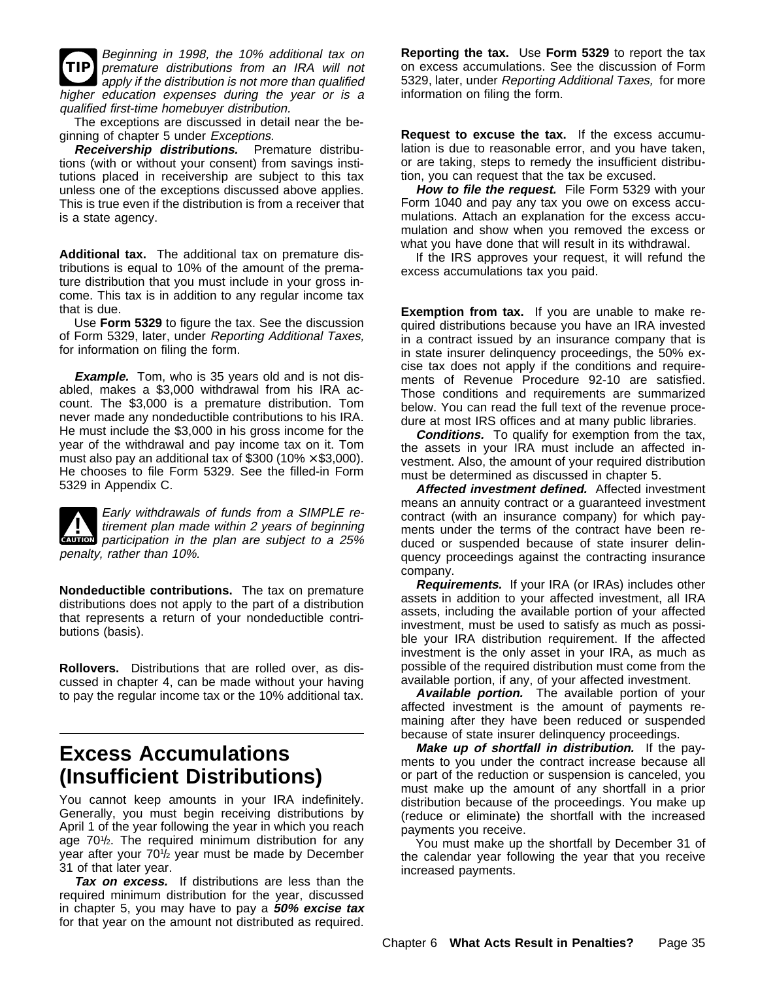**TIP** Beginning in 1998, the 10% additional tax on premature distributions from an IRA will not apply if the distribution is not more than qualified higher education expenses during the year or is a qualified first-time homebuyer distribution.

The exceptions are discussed in detail near the beginning of chapter 5 under Exceptions.

**Receivership distributions.** Premature distributions (with or without your consent) from savings institutions placed in receivership are subject to this tax unless one of the exceptions discussed above applies. This is true even if the distribution is from a receiver that is a state agency.

**Additional tax.** The additional tax on premature distributions is equal to 10% of the amount of the premature distribution that you must include in your gross income. This tax is in addition to any regular income tax that is due.

Use **Form 5329** to figure the tax. See the discussion of Form 5329, later, under Reporting Additional Taxes, for information on filing the form.

**Example.** Tom, who is 35 years old and is not disabled, makes a \$3,000 withdrawal from his IRA account. The \$3,000 is a premature distribution. Tom never made any nondeductible contributions to his IRA. He must include the \$3,000 in his gross income for the year of the withdrawal and pay income tax on it. Tom must also pay an additional tax of \$300 (10%  $\times$  \$3,000). He chooses to file Form 5329. See the filled-in Form 5329 in Appendix C.



**CAUTION** participation in the plan are subject to a 25% **Early withdrawals of funds from a SIMPLE re-**<br>tirement plan made within 2 years of beginning penalty, rather than 10%.

**Nondeductible contributions.** The tax on premature distributions does not apply to the part of a distribution that represents a return of your nondeductible contributions (basis).

**Rollovers.** Distributions that are rolled over, as discussed in chapter 4, can be made without your having to pay the regular income tax or the 10% additional tax.

# **Excess Accumulations (Insufficient Distributions)**

You cannot keep amounts in your IRA indefinitely. Generally, you must begin receiving distributions by April 1 of the year following the year in which you reach age 701/<sub>2</sub>. The required minimum distribution for any year after your 701 /2 year must be made by December 31 of that later year.

**Tax on excess.** If distributions are less than the required minimum distribution for the year, discussed in chapter 5, you may have to pay a **50% excise tax** for that year on the amount not distributed as required.

**Reporting the tax.** Use **Form 5329** to report the tax on excess accumulations. See the discussion of Form 5329, later, under Reporting Additional Taxes, for more information on filing the form.

**Request to excuse the tax.** If the excess accumulation is due to reasonable error, and you have taken, or are taking, steps to remedy the insufficient distribution, you can request that the tax be excused.

**How to file the request.** File Form 5329 with your Form 1040 and pay any tax you owe on excess accumulations. Attach an explanation for the excess accumulation and show when you removed the excess or what you have done that will result in its withdrawal.

If the IRS approves your request, it will refund the excess accumulations tax you paid.

**Exemption from tax.** If you are unable to make required distributions because you have an IRA invested in a contract issued by an insurance company that is in state insurer delinquency proceedings, the 50% excise tax does not apply if the conditions and requirements of Revenue Procedure 92-10 are satisfied. Those conditions and requirements are summarized below. You can read the full text of the revenue procedure at most IRS offices and at many public libraries.

**Conditions.** To qualify for exemption from the tax, the assets in your IRA must include an affected investment. Also, the amount of your required distribution must be determined as discussed in chapter 5.

**Affected investment defined.** Affected investment means an annuity contract or a guaranteed investment contract (with an insurance company) for which payments under the terms of the contract have been reduced or suspended because of state insurer delinquency proceedings against the contracting insurance company.

**Requirements.** If your IRA (or IRAs) includes other assets in addition to your affected investment, all IRA assets, including the available portion of your affected investment, must be used to satisfy as much as possible your IRA distribution requirement. If the affected investment is the only asset in your IRA, as much as possible of the required distribution must come from the available portion, if any, of your affected investment.

**Available portion.** The available portion of your affected investment is the amount of payments remaining after they have been reduced or suspended because of state insurer delinquency proceedings.

**Make up of shortfall in distribution.** If the payments to you under the contract increase because all or part of the reduction or suspension is canceled, you must make up the amount of any shortfall in a prior distribution because of the proceedings. You make up (reduce or eliminate) the shortfall with the increased payments you receive.

You must make up the shortfall by December 31 of the calendar year following the year that you receive increased payments.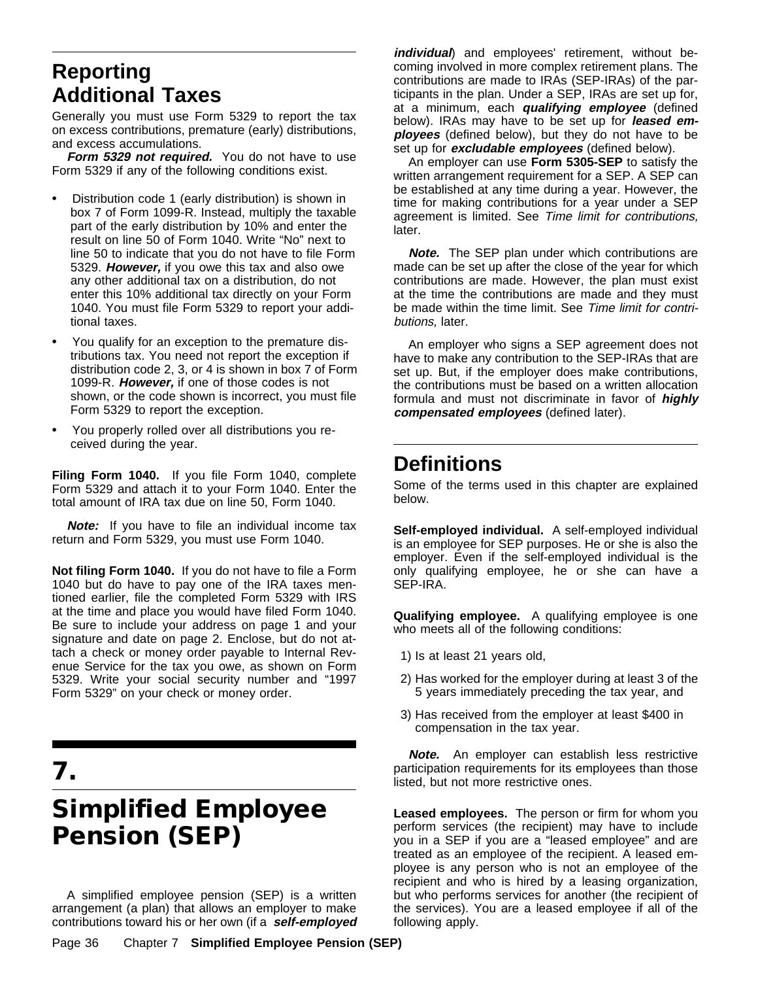# **Reporting Additional Taxes**

Generally you must use Form 5329 to report the tax on excess contributions, premature (early) distributions, and excess accumulations.

Form 5329 not required. You do not have to use Form 5329 if any of the following conditions exist.

- $\ddot{\mathbf{y}}$  Distribution code 1 (early distribution) is shown in box 7 of Form 1099-R. Instead, multiply the taxable part of the early distribution by 10% and enter the result on line 50 of Form 1040. Write "No" next to line 50 to indicate that you do not have to file Form 5329. **However,** if you owe this tax and also owe any other additional tax on a distribution, do not enter this 10% additional tax directly on your Form 1040. You must file Form 5329 to report your additional taxes.
- ÿ• You qualify for an exception to the premature distributions tax. You need not report the exception if distribution code 2, 3, or 4 is shown in box 7 of Form 1099-R. **However,** if one of those codes is not shown, or the code shown is incorrect, you must file Form 5329 to report the exception.
- ÿ• You properly rolled over all distributions you received during the year.

**Filing Form 1040.** If you file Form 1040, complete Form 5329 and attach it to your Form 1040. Enter the total amount of IRA tax due on line 50, Form 1040.

**Note:** If you have to file an individual income tax return and Form 5329, you must use Form 1040.

**Not filing Form 1040.** If you do not have to file a Form 1040 but do have to pay one of the IRA taxes mentioned earlier, file the completed Form 5329 with IRS at the time and place you would have filed Form 1040. Be sure to include your address on page 1 and your signature and date on page 2. Enclose, but do not attach a check or money order payable to Internal Revenue Service for the tax you owe, as shown on Form 5329. Write your social security number and "1997 Form 5329" on your check or money order.

# **7.**

# **Simplified Employee Pension (SEP)**

A simplified employee pension (SEP) is a written arrangement (a plan) that allows an employer to make contributions toward his or her own (if a **self-employed**

Page 36 Chapter 7 **Simplified Employee Pension (SEP)**

**individual**) and employees' retirement, without becoming involved in more complex retirement plans. The contributions are made to IRAs (SEP-IRAs) of the participants in the plan. Under a SEP, IRAs are set up for, at a minimum, each **qualifying employee** (defined below). IRAs may have to be set up for **leased employees** (defined below), but they do not have to be set up for **excludable employees** (defined below).

An employer can use **Form 5305-SEP** to satisfy the written arrangement requirement for a SEP. A SEP can be established at any time during a year. However, the time for making contributions for a year under a SEP agreement is limited. See Time limit for contributions, later.

**Note.** The SEP plan under which contributions are made can be set up after the close of the year for which contributions are made. However, the plan must exist at the time the contributions are made and they must be made within the time limit. See Time limit for contributions, later.

An employer who signs a SEP agreement does not have to make any contribution to the SEP-IRAs that are set up. But, if the employer does make contributions, the contributions must be based on a written allocation formula and must not discriminate in favor of **highly compensated employees** (defined later).

# **Definitions**

Some of the terms used in this chapter are explained below.

**Self-employed individual.** A self-employed individual is an employee for SEP purposes. He or she is also the employer. Even if the self-employed individual is the only qualifying employee, he or she can have a SEP-IRA.

**Qualifying employee.** A qualifying employee is one who meets all of the following conditions:

- 1) Is at least 21 years old,
- 2) Has worked for the employer during at least 3 of the 5 years immediately preceding the tax year, and
- 3) Has received from the employer at least \$400 in compensation in the tax year.

**Note.** An employer can establish less restrictive participation requirements for its employees than those listed, but not more restrictive ones.

**Leased employees.** The person or firm for whom you perform services (the recipient) may have to include you in a SEP if you are a "leased employee" and are treated as an employee of the recipient. A leased employee is any person who is not an employee of the recipient and who is hired by a leasing organization, but who performs services for another (the recipient of the services). You are a leased employee if all of the following apply.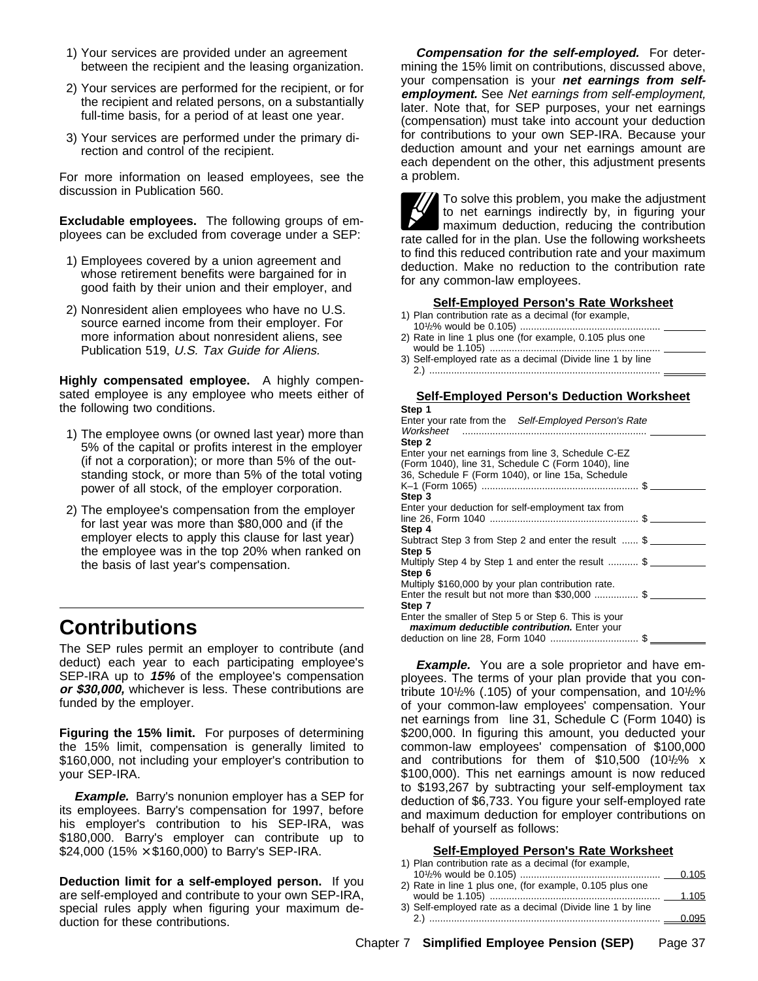- 1) Your services are provided under an agreement between the recipient and the leasing organization.
- 2) Your services are performed for the recipient, or for the recipient and related persons, on a substantially full-time basis, for a period of at least one year.
- 3) Your services are performed under the primary direction and control of the recipient.

For more information on leased employees, see the discussion in Publication 560.

**Excludable employees.** The following groups of employees can be excluded from coverage under a SEP:

- 1) Employees covered by a union agreement and whose retirement benefits were bargained for in good faith by their union and their employer, and
- 2) Nonresident alien employees who have no U.S. source earned income from their employer. For more information about nonresident aliens, see Publication 519, U.S. Tax Guide for Aliens.

**Highly compensated employee.** A highly compensated employee is any employee who meets either of the following two conditions.

- 1) The employee owns (or owned last year) more than 5% of the capital or profits interest in the employer (if not a corporation); or more than 5% of the outstanding stock, or more than 5% of the total voting power of all stock, of the employer corporation.
- 2) The employee's compensation from the employer for last year was more than \$80,000 and (if the employer elects to apply this clause for last year) the employee was in the top 20% when ranked on the basis of last year's compensation.

# **Contributions**

The SEP rules permit an employer to contribute (and deduct) each year to each participating employee's SEP-IRA up to **15%** of the employee's compensation **or \$30,000,** whichever is less. These contributions are funded by the employer.

**Figuring the 15% limit.** For purposes of determining the 15% limit, compensation is generally limited to \$160,000, not including your employer's contribution to your SEP-IRA.

**Example.** Barry's nonunion employer has a SEP for its employees. Barry's compensation for 1997, before his employer's contribution to his SEP-IRA, was \$180,000. Barry's employer can contribute up to \$24,000 (15%  $\times$  \$160,000) to Barry's SEP-IRA.

**Deduction limit for a self-employed person.** If you are self-employed and contribute to your own SEP-IRA, special rules apply when figuring your maximum deduction for these contributions.

**Compensation for the self-employed.** For determining the 15% limit on contributions, discussed above, your compensation is your **net earnings from selfemployment.** See Net earnings from self-employment, later. Note that, for SEP purposes, your net earnings (compensation) must take into account your deduction for contributions to your own SEP-IRA. Because your deduction amount and your net earnings amount are each dependent on the other, this adjustment presents a problem.

To solve this problem, you make the adjustment to net earnings indirectly by, in figuring your maximum deduction, reducing the contribution rate called for in the plan. Use the following worksheets to find this reduced contribution rate and your maximum deduction. Make no reduction to the contribution rate for any common-law employees.

#### **Self-Employed Person's Rate Worksheet**

| 1) Plan contribution rate as a decimal (for example,    |
|---------------------------------------------------------|
|                                                         |
| 2) Rate in line 1 plus one (for example, 0.105 plus one |
|                                                         |

3) Self-employed rate as a decimal (Divide line 1 by line 2.) ....................................................................................

#### **Self-Employed Person's Deduction Worksheet**

| Step 1                                                               |  |
|----------------------------------------------------------------------|--|
| Enter your rate from the Self-Employed Person's Rate                 |  |
|                                                                      |  |
| Step 2                                                               |  |
| Enter your net earnings from line 3, Schedule C-EZ                   |  |
| Form 1040), line 31, Schedule C (Form 1040), line                    |  |
| \$6, Schedule F (Form 1040), or line 15a, Schedule                   |  |
|                                                                      |  |
| Step 3                                                               |  |
| Enter your deduction for self-employment tax from                    |  |
|                                                                      |  |
| Step 4                                                               |  |
| <b>Subtract Step 3 from Step 2 and enter the result  \$</b>          |  |
| Step 5                                                               |  |
| <b>W</b> ultiply Step 4 by Step 1 and enter the result $\frac{1}{2}$ |  |
| Step 6                                                               |  |
| <b>Wultiply \$160,000 by your plan contribution rate.</b>            |  |
| <b>Enter the result but not more than \$30,000 </b> $\frac{2}{3}$    |  |
| Step 7                                                               |  |
| <b>Enter the smaller of Step 5 or Step 6. This is your</b>           |  |
| y maximum deductible contribution. Enter your                        |  |
| <b>j</b> deduction on line 28, Form 1040 \$                          |  |

**Example.** You are a sole proprietor and have employees. The terms of your plan provide that you contribute 101/2% (.105) of your compensation, and 101/2% of your common-law employees' compensation. Your net earnings from line 31, Schedule C (Form 1040) is \$200,000. In figuring this amount, you deducted your common-law employees' compensation of \$100,000 and contributions for them of \$10,500 (101 /2% x \$100,000). This net earnings amount is now reduced to \$193,267 by subtracting your self-employment tax deduction of \$6,733. You figure your self-employed rate and maximum deduction for employer contributions on behalf of yourself as follows:

#### **Self-Employed Person's Rate Worksheet**

| 1) Plan contribution rate as a decimal (for example,      |  |
|-----------------------------------------------------------|--|
|                                                           |  |
| 2) Rate in line 1 plus one, (for example, 0.105 plus one  |  |
|                                                           |  |
| 3) Self-employed rate as a decimal (Divide line 1 by line |  |
|                                                           |  |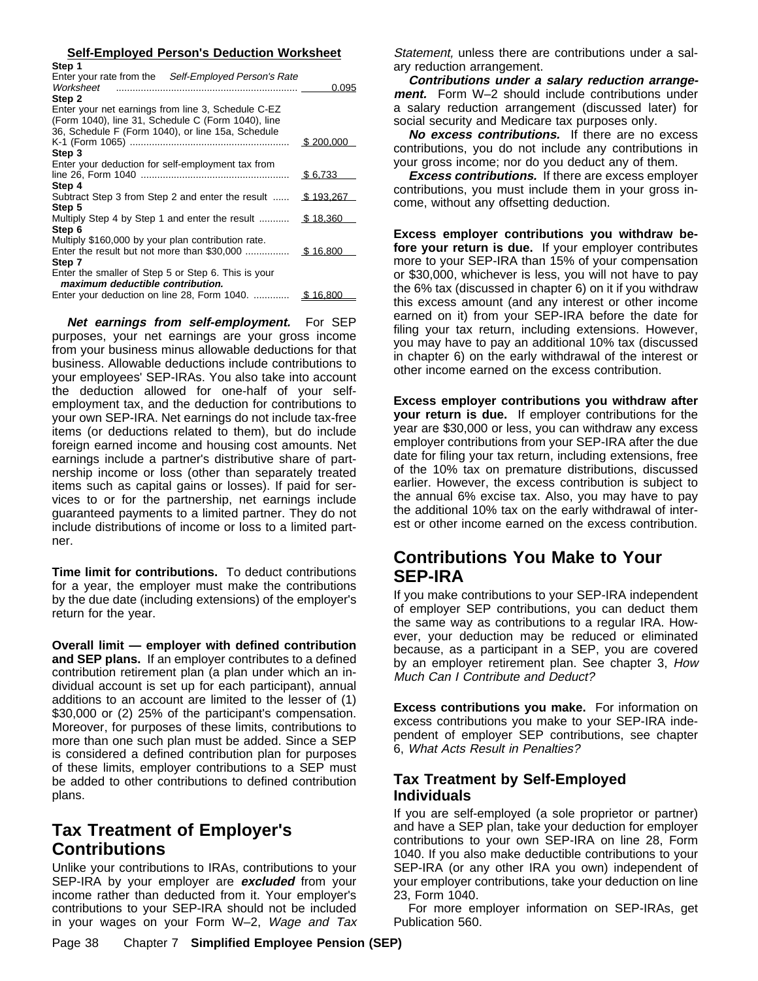| Step 1                                                      |           |
|-------------------------------------------------------------|-----------|
| <b>Enter your rate from the</b> Self-Employed Person's Rate |           |
|                                                             | 0.095     |
| Step 2                                                      |           |
| <b>Enter your net earnings from line 3. Schedule C-EZ</b>   |           |
| Form 1040), line 31, Schedule C (Form 1040), line           |           |
| \$6, Schedule F (Form 1040), or line 15a, Schedule          |           |
|                                                             | \$200,000 |
| Step 3                                                      |           |
| Enter your deduction for self-employment tax from           |           |
|                                                             | \$6.733   |
| Step 4                                                      |           |
| <b>Subtract Step 3 from Step 2 and enter the result </b>    | \$193.267 |
| Step 5                                                      |           |
| Wultiply Step 4 by Step 1 and enter the result              | \$18.360  |
| Step 6                                                      |           |
| Multiply \$160,000 by your plan contribution rate.          |           |
| <b>Enter the result but not more than \$30,000 </b>         | \$16.800  |
| Step 7                                                      |           |
| Enter the smaller of Step 5 or Step 6. This is your         |           |
| ÿ maximum deductible contribution.                          |           |
| Enter your deduction on line 28, Form 1040.                 | \$ 16,800 |

**Net earnings from self-employment.** For SEP purposes, your net earnings are your gross income from your business minus allowable deductions for that business. Allowable deductions include contributions to your employees' SEP-IRAs. You also take into account the deduction allowed for one-half of your selfemployment tax, and the deduction for contributions to your own SEP-IRA. Net earnings do not include tax-free items (or deductions related to them), but do include foreign earned income and housing cost amounts. Net earnings include a partner's distributive share of partnership income or loss (other than separately treated items such as capital gains or losses). If paid for services to or for the partnership, net earnings include guaranteed payments to a limited partner. They do not include distributions of income or loss to a limited partner.

**Time limit for contributions.** To deduct contributions for a year, the employer must make the contributions by the due date (including extensions) of the employer's return for the year.

**Overall limit — employer with defined contribution and SEP plans.** If an employer contributes to a defined contribution retirement plan (a plan under which an individual account is set up for each participant), annual additions to an account are limited to the lesser of (1) \$30,000 or (2) 25% of the participant's compensation. Moreover, for purposes of these limits, contributions to more than one such plan must be added. Since a SEP is considered a defined contribution plan for purposes of these limits, employer contributions to a SEP must be added to other contributions to defined contribution plans.

## **Tax Treatment of Employer's Contributions**

Unlike your contributions to IRAs, contributions to your SEP-IRA by your employer are **excluded** from your income rather than deducted from it. Your employer's contributions to your SEP-IRA should not be included in your wages on your Form W–2, Wage and Tax

**Self-Employed Person's Deduction Worksheet** Statement, unless there are contributions under a salary reduction arrangement.

> **Contributions under a salary reduction arrangement.** Form W–2 should include contributions under a salary reduction arrangement (discussed later) for social security and Medicare tax purposes only.

> **No excess contributions.** If there are no excess contributions, you do not include any contributions in your gross income; nor do you deduct any of them.

> **Excess contributions.** If there are excess employer contributions, you must include them in your gross income, without any offsetting deduction.

> **Excess employer contributions you withdraw before your return is due.** If your employer contributes more to your SEP-IRA than 15% of your compensation or \$30,000, whichever is less, you will not have to pay the 6% tax (discussed in chapter 6) on it if you withdraw this excess amount (and any interest or other income earned on it) from your SEP-IRA before the date for filing your tax return, including extensions. However, you may have to pay an additional 10% tax (discussed in chapter 6) on the early withdrawal of the interest or other income earned on the excess contribution.

> **Excess employer contributions you withdraw after your return is due.** If employer contributions for the year are \$30,000 or less, you can withdraw any excess employer contributions from your SEP-IRA after the due date for filing your tax return, including extensions, free of the 10% tax on premature distributions, discussed earlier. However, the excess contribution is subject to the annual 6% excise tax. Also, you may have to pay the additional 10% tax on the early withdrawal of interest or other income earned on the excess contribution.

## **Contributions You Make to Your SEP-IRA**

If you make contributions to your SEP-IRA independent of employer SEP contributions, you can deduct them the same way as contributions to a regular IRA. However, your deduction may be reduced or eliminated because, as a participant in a SEP, you are covered by an employer retirement plan. See chapter 3, How Much Can I Contribute and Deduct?

**Excess contributions you make.** For information on excess contributions you make to your SEP-IRA independent of employer SEP contributions, see chapter 6, What Acts Result in Penalties?

#### **Tax Treatment by Self-Employed Individuals**

If you are self-employed (a sole proprietor or partner) and have a SEP plan, take your deduction for employer contributions to your own SEP-IRA on line 28, Form 1040. If you also make deductible contributions to your SEP-IRA (or any other IRA you own) independent of your employer contributions, take your deduction on line 23, Form 1040.

For more employer information on SEP-IRAs, get Publication 560.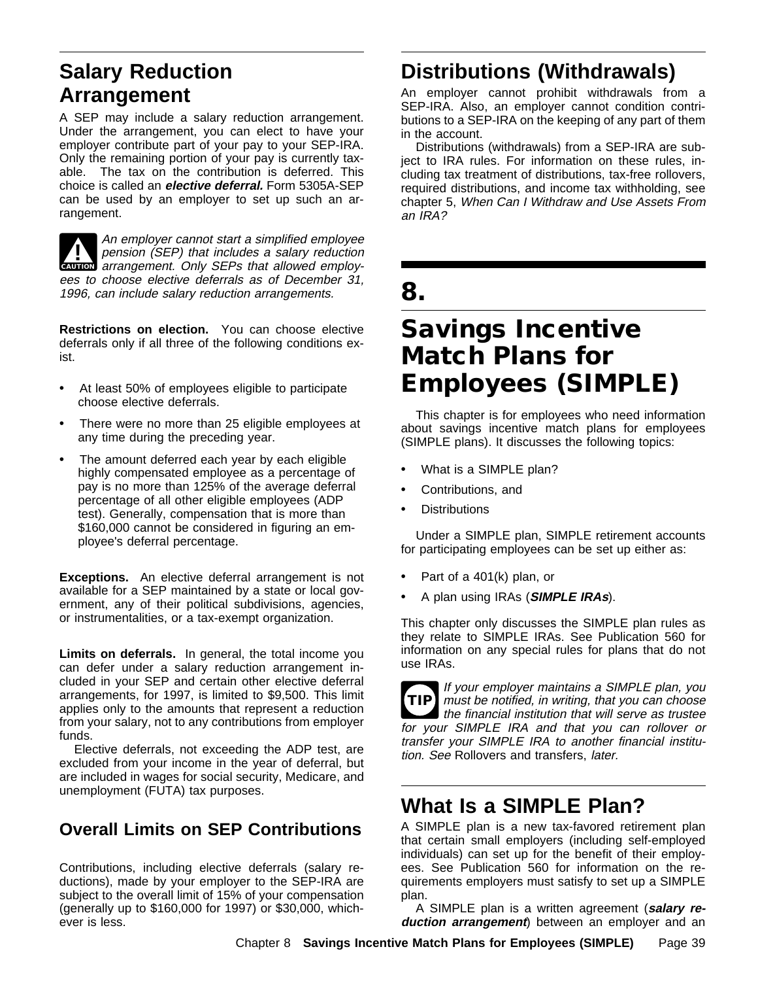# **Salary Reduction Arrangement**

A SEP may include a salary reduction arrangement. Under the arrangement, you can elect to have your employer contribute part of your pay to your SEP-IRA. Only the remaining portion of your pay is currently taxable. The tax on the contribution is deferred. This choice is called an **elective deferral.** Form 5305A-SEP can be used by an employer to set up such an arrangement.

**CAUTION** arrangement. Only SEPs that allowed employ-**An employer cannot start a simplified employee**<br>
pension (SEP) that includes a salary reduction<br>
person and Other CEDs that allowed employee ees to choose elective deferrals as of December 31, 1996, can include salary reduction arrangements.

**Restrictions on election.** You can choose elective deferrals only if all three of the following conditions exist.

- $\ddot{\mathbf{y}}$  At least 50% of employees eligible to participate choose elective deferrals.
- $\ddot{\mathbf{y}}$  There were no more than 25 eligible employees at any time during the preceding year.
- $\ddot{\mathbf{y}}$  The amount deferred each year by each eligible highly compensated employee as a percentage of pay is no more than 125% of the average deferral percentage of all other eligible employees (ADP test). Generally, compensation that is more than \$160,000 cannot be considered in figuring an employee's deferral percentage.

**Exceptions.** An elective deferral arrangement is not available for a SEP maintained by a state or local government, any of their political subdivisions, agencies, or instrumentalities, or a tax-exempt organization.

**Limits on deferrals.** In general, the total income you can defer under a salary reduction arrangement included in your SEP and certain other elective deferral arrangements, for 1997, is limited to \$9,500. This limit applies only to the amounts that represent a reduction from your salary, not to any contributions from employer funds.

Elective deferrals, not exceeding the ADP test, are excluded from your income in the year of deferral, but are included in wages for social security, Medicare, and unemployment (FUTA) tax purposes.

## **Overall Limits on SEP Contributions**

Contributions, including elective deferrals (salary reductions), made by your employer to the SEP-IRA are subject to the overall limit of 15% of your compensation (generally up to \$160,000 for 1997) or \$30,000, whichever is less.

# **Distributions (Withdrawals)**

An employer cannot prohibit withdrawals from a SEP-IRA. Also, an employer cannot condition contributions to a SEP-IRA on the keeping of any part of them in the account.

Distributions (withdrawals) from a SEP-IRA are subject to IRA rules. For information on these rules, including tax treatment of distributions, tax-free rollovers, required distributions, and income tax withholding, see chapter 5, When Can I Withdraw and Use Assets From an IRA?

# **8.**

# **Savings Incentive Match Plans for Employees (SIMPLE)**

This chapter is for employees who need information about savings incentive match plans for employees (SIMPLE plans). It discusses the following topics:

- What is a SIMPLE plan?
- Contributions, and
- **Distributions**

Under a SIMPLE plan, SIMPLE retirement accounts for participating employees can be set up either as:

- $\ddot{\mathbf{y}}$  Part of a 401(k) plan, or
- ÿ• A plan using IRAs (**SIMPLE IRAs**).

This chapter only discusses the SIMPLE plan rules as they relate to SIMPLE IRAs. See Publication 560 for information on any special rules for plans that do not use IRAs.

**TIP** must be notified, in writing, that you can choose If your employer maintains a SIMPLE plan, you the financial institution that will serve as trustee for your SIMPLE IRA and that you can rollover or transfer your SIMPLE IRA to another financial institution. See Rollovers and transfers, later.

# **What Is a SIMPLE Plan?**

A SIMPLE plan is a new tax-favored retirement plan that certain small employers (including self-employed individuals) can set up for the benefit of their employees. See Publication 560 for information on the requirements employers must satisfy to set up a SIMPLE plan.

A SIMPLE plan is a written agreement (**salary reduction arrangement**) between an employer and an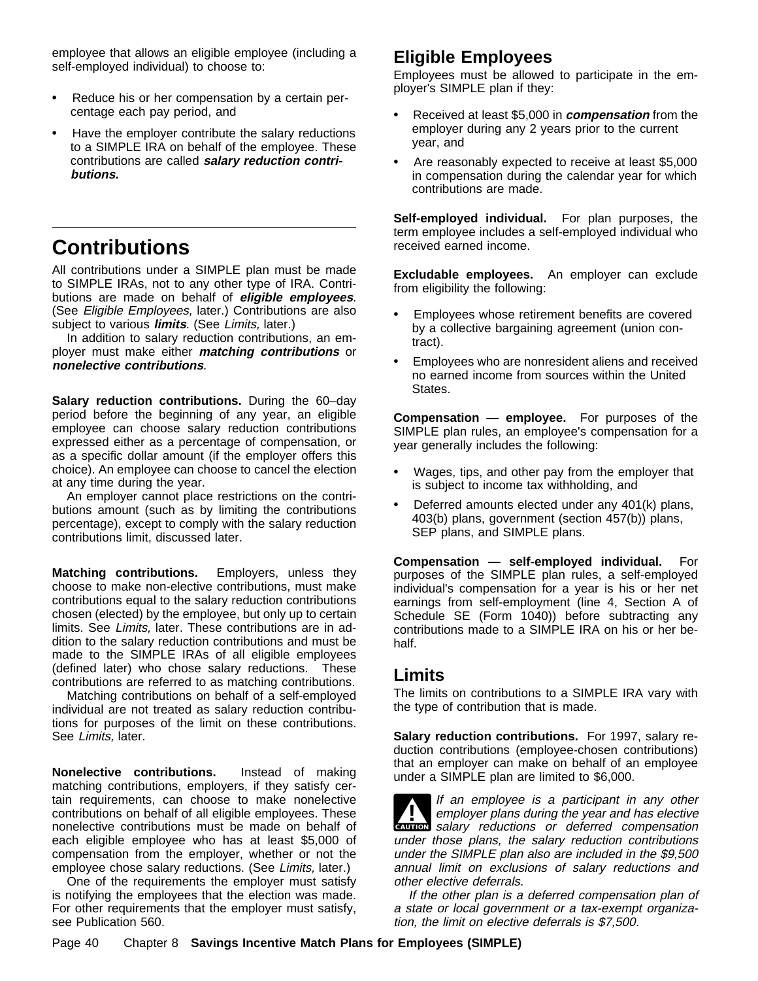employee that allows an eligible employee (including a self-employed individual) to choose to:

- $\ddot{\mathbf{v}}$  Reduce his or her compensation by a certain percentage each pay period, and
- $\ddot{\mathbf{v}}$  Have the employer contribute the salary reductions to a SIMPLE IRA on behalf of the employee. These contributions are called **salary reduction contributions.**

# **Contributions**

All contributions under a SIMPLE plan must be made to SIMPLE IRAs, not to any other type of IRA. Contributions are made on behalf of **eligible employees**. (See Eligible Employees, later.) Contributions are also subject to various **limits**. (See Limits, later.)

In addition to salary reduction contributions, an employer must make either **matching contributions** or **nonelective contributions**.

**Salary reduction contributions.** During the 60–day period before the beginning of any year, an eligible employee can choose salary reduction contributions expressed either as a percentage of compensation, or as a specific dollar amount (if the employer offers this choice). An employee can choose to cancel the election at any time during the year.

An employer cannot place restrictions on the contributions amount (such as by limiting the contributions percentage), except to comply with the salary reduction contributions limit, discussed later.

**Matching contributions.** Employers, unless they choose to make non-elective contributions, must make contributions equal to the salary reduction contributions chosen (elected) by the employee, but only up to certain limits. See Limits, later. These contributions are in addition to the salary reduction contributions and must be made to the SIMPLE IRAs of all eligible employees (defined later) who chose salary reductions. These contributions are referred to as matching contributions.

Matching contributions on behalf of a self-employed individual are not treated as salary reduction contributions for purposes of the limit on these contributions. See Limits, later.

**Nonelective contributions.** Instead of making matching contributions, employers, if they satisfy certain requirements, can choose to make nonelective contributions on behalf of all eligible employees. These nonelective contributions must be made on behalf of each eligible employee who has at least \$5,000 of compensation from the employer, whether or not the employee chose salary reductions. (See Limits, later.)

One of the requirements the employer must satisfy is notifying the employees that the election was made. For other requirements that the employer must satisfy, see Publication 560.

## **Eligible Employees**

Employees must be allowed to participate in the employer's SIMPLE plan if they:

- ÿ• Received at least \$5,000 in **compensation** from the employer during any 2 years prior to the current year, and
- $\ddot{\mathbf{y}}$  Are reasonably expected to receive at least \$5,000 in compensation during the calendar year for which contributions are made.

**Self-employed individual.** For plan purposes, the term employee includes a self-employed individual who received earned income.

**Excludable employees.** An employer can exclude from eligibility the following:

- $\ddot{\mathbf{y}}$  Employees whose retirement benefits are covered by a collective bargaining agreement (union contract).
- $\ddot{\mathbf{y}}$  Employees who are nonresident aliens and received no earned income from sources within the United States.

**Compensation — employee.** For purposes of the SIMPLE plan rules, an employee's compensation for a year generally includes the following:

- $\ddot{\mathbf{y}}$  Wages, tips, and other pay from the employer that is subject to income tax withholding, and
- $\ddot{\mathbf{v}}$  Deferred amounts elected under any 401(k) plans, 403(b) plans, government (section 457(b)) plans, SEP plans, and SIMPLE plans.

**Compensation — self-employed individual.** For purposes of the SIMPLE plan rules, a self-employed individual's compensation for a year is his or her net earnings from self-employment (line 4, Section A of Schedule SE (Form 1040)) before subtracting any contributions made to a SIMPLE IRA on his or her behalf.

## **Limits**

The limits on contributions to a SIMPLE IRA vary with the type of contribution that is made.

**Salary reduction contributions.** For 1997, salary reduction contributions (employee-chosen contributions) that an employer can make on behalf of an employee under a SIMPLE plan are limited to \$6,000.

**CAUTION** salary reductions or deferred compensation If an employee is a participant in any other<br>
employer plans during the year and has elective<br>
expression and the set of the set of the set of the set of the set of the set of the set of the set of the set of the set of th under those plans, the salary reduction contributions under the SIMPLE plan also are included in the \$9,500 annual limit on exclusions of salary reductions and other elective deferrals.

If the other plan is a deferred compensation plan of a state or local government or a tax-exempt organization, the limit on elective deferrals is \$7,500.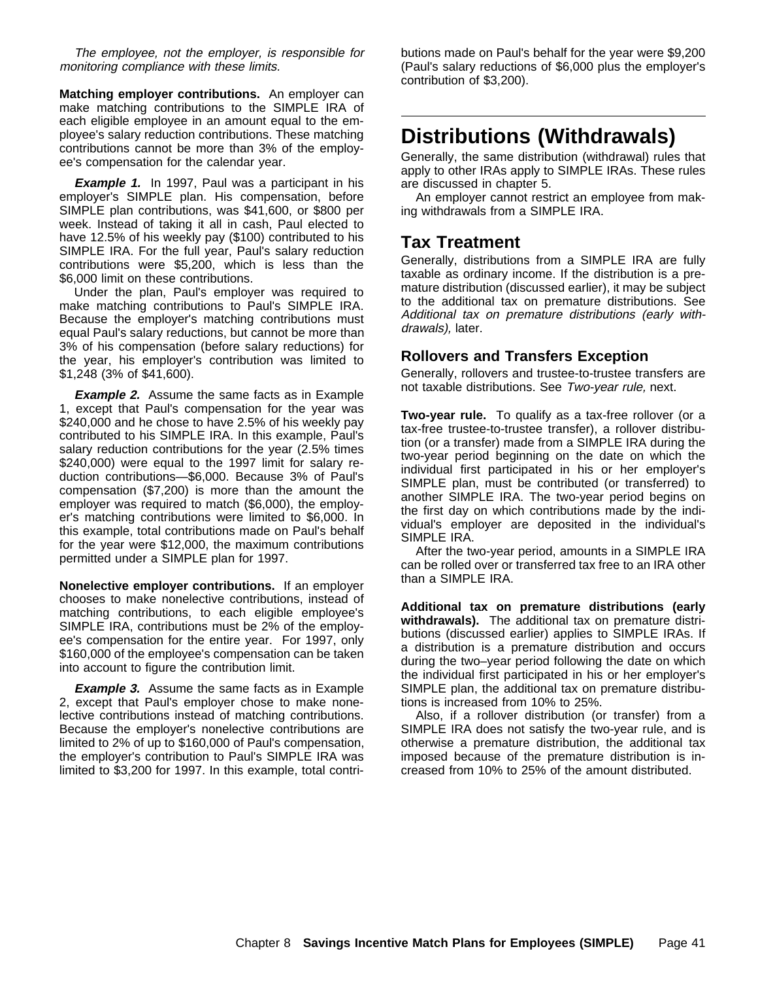The employee, not the employer, is responsible for monitoring compliance with these limits.

**Matching employer contributions.** An employer can make matching contributions to the SIMPLE IRA of each eligible employee in an amount equal to the employee's salary reduction contributions. These matching contributions cannot be more than 3% of the employee's compensation for the calendar year.

**Example 1.** In 1997, Paul was a participant in his employer's SIMPLE plan. His compensation, before SIMPLE plan contributions, was \$41,600, or \$800 per week. Instead of taking it all in cash, Paul elected to have 12.5% of his weekly pay (\$100) contributed to his SIMPLE IRA. For the full year, Paul's salary reduction contributions were \$5,200, which is less than the \$6,000 limit on these contributions.

Under the plan, Paul's employer was required to make matching contributions to Paul's SIMPLE IRA. Because the employer's matching contributions must equal Paul's salary reductions, but cannot be more than 3% of his compensation (before salary reductions) for the year, his employer's contribution was limited to \$1,248 (3% of \$41,600).

**Example 2.** Assume the same facts as in Example 1, except that Paul's compensation for the year was \$240,000 and he chose to have 2.5% of his weekly pay contributed to his SIMPLE IRA. In this example, Paul's salary reduction contributions for the year (2.5% times \$240,000) were equal to the 1997 limit for salary reduction contributions—\$6,000. Because 3% of Paul's compensation (\$7,200) is more than the amount the employer was required to match (\$6,000), the employer's matching contributions were limited to \$6,000. In this example, total contributions made on Paul's behalf for the year were \$12,000, the maximum contributions permitted under a SIMPLE plan for 1997.

**Nonelective employer contributions.** If an employer chooses to make nonelective contributions, instead of matching contributions, to each eligible employee's SIMPLE IRA, contributions must be 2% of the employee's compensation for the entire year. For 1997, only \$160,000 of the employee's compensation can be taken into account to figure the contribution limit.

**Example 3.** Assume the same facts as in Example 2, except that Paul's employer chose to make nonelective contributions instead of matching contributions. Because the employer's nonelective contributions are limited to 2% of up to \$160,000 of Paul's compensation, the employer's contribution to Paul's SIMPLE IRA was limited to \$3,200 for 1997. In this example, total contributions made on Paul's behalf for the year were \$9,200 (Paul's salary reductions of \$6,000 plus the employer's contribution of \$3,200).

# **Distributions (Withdrawals)**

Generally, the same distribution (withdrawal) rules that apply to other IRAs apply to SIMPLE IRAs. These rules are discussed in chapter 5.

An employer cannot restrict an employee from making withdrawals from a SIMPLE IRA.

## **Tax Treatment**

Generally, distributions from a SIMPLE IRA are fully taxable as ordinary income. If the distribution is a premature distribution (discussed earlier), it may be subject to the additional tax on premature distributions. See Additional tax on premature distributions (early withdrawals), later.

#### **Rollovers and Transfers Exception**

Generally, rollovers and trustee-to-trustee transfers are not taxable distributions. See Two-year rule, next.

**Two-year rule.** To qualify as a tax-free rollover (or a tax-free trustee-to-trustee transfer), a rollover distribution (or a transfer) made from a SIMPLE IRA during the two-year period beginning on the date on which the individual first participated in his or her employer's SIMPLE plan, must be contributed (or transferred) to another SIMPLE IRA. The two-year period begins on the first day on which contributions made by the individual's employer are deposited in the individual's SIMPLE IRA.

After the two-year period, amounts in a SIMPLE IRA can be rolled over or transferred tax free to an IRA other than a SIMPLE IRA.

**Additional tax on premature distributions (early withdrawals).** The additional tax on premature distributions (discussed earlier) applies to SIMPLE IRAs. If a distribution is a premature distribution and occurs during the two–year period following the date on which the individual first participated in his or her employer's SIMPLE plan, the additional tax on premature distributions is increased from 10% to 25%.

Also, if a rollover distribution (or transfer) from a SIMPLE IRA does not satisfy the two-year rule, and is otherwise a premature distribution, the additional tax imposed because of the premature distribution is increased from 10% to 25% of the amount distributed.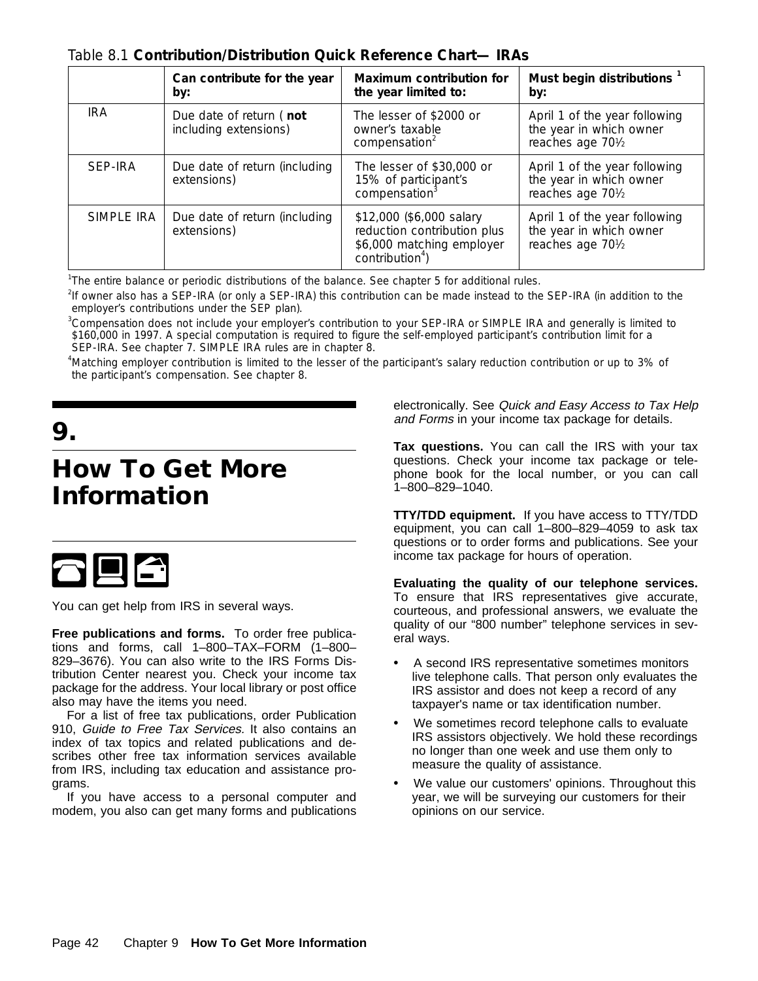| Table 8.1 Contribution/Distribution Quick Reference Chart- IRAs |  |  |
|-----------------------------------------------------------------|--|--|
|-----------------------------------------------------------------|--|--|

|            | Can contribute for the year<br>by:               | <b>Maximum contribution for</b><br>the year limited to:                                                             | Must begin distributions <sup>1</sup><br>by:                                  |
|------------|--------------------------------------------------|---------------------------------------------------------------------------------------------------------------------|-------------------------------------------------------------------------------|
| <b>IRA</b> | Due date of return (not<br>including extensions) | The lesser of \$2000 or<br>owner's taxable<br>compensation <sup>2</sup>                                             | April 1 of the year following<br>the year in which owner<br>reaches age 701/2 |
| SEP-IRA    | Due date of return (including<br>extensions)     | The lesser of \$30,000 or<br>15% of participant's<br>compensation <sup>3</sup>                                      | April 1 of the year following<br>the year in which owner<br>reaches age 701/2 |
| SIMPLE IRA | Due date of return (including<br>extensions)     | \$12,000 (\$6,000 salary<br>reduction contribution plus<br>\$6,000 matching employer<br>contribution <sup>4</sup> ) | April 1 of the year following<br>the year in which owner<br>reaches age 701/2 |

<sup>1</sup>The entire balance or periodic distributions of the balance. See chapter 5 for additional rules.

<sup>2</sup>If owner also has a SEP-IRA (or only a SEP-IRA) this contribution can be made instead to the SEP-IRA (in addition to the employer's contributions under the SEP plan).

<sup>3</sup>Compensation does not include your employer's contribution to your SEP-IRA or SIMPLE IRA and generally is limited to \$160,000 in 1997. A special computation is required to figure the self-employed participant's contribution limit for a SEP-IRA. See chapter 7. SIMPLE IRA rules are in chapter 8.

4 Matching employer contribution is limited to the lesser of the participant's salary reduction contribution or up to 3% of the participant's compensation. See chapter 8.

**9.**

# **How To Get More Information**



You can get help from IRS in several ways.

**Free publications and forms.** To order free publications and forms, call 1–800–TAX–FORM (1–800– 829–3676). You can also write to the IRS Forms Distribution Center nearest you. Check your income tax package for the address. Your local library or post office also may have the items you need.

For a list of free tax publications, order Publication 910, Guide to Free Tax Services. It also contains an index of tax topics and related publications and describes other free tax information services available from IRS, including tax education and assistance programs.

If you have access to a personal computer and modem, you also can get many forms and publications electronically. See Quick and Easy Access to Tax Help and Forms in your income tax package for details.

**Tax questions.** You can call the IRS with your tax questions. Check your income tax package or telephone book for the local number, or you can call 1–800–829–1040.

**TTY/TDD equipment.** If you have access to TTY/TDD equipment, you can call 1–800–829–4059 to ask tax questions or to order forms and publications. See your income tax package for hours of operation.

**Evaluating the quality of our telephone services.** To ensure that IRS representatives give accurate, courteous, and professional answers, we evaluate the quality of our "800 number" telephone services in several ways.

- $\ddot{\mathbf{y}}$  A second IRS representative sometimes monitors live telephone calls. That person only evaluates the IRS assistor and does not keep a record of any taxpayer's name or tax identification number.
- $\ddot{\mathbf{v}}$  We sometimes record telephone calls to evaluate IRS assistors objectively. We hold these recordings no longer than one week and use them only to measure the quality of assistance.
- $\ddot{\mathbf{y}}$  We value our customers' opinions. Throughout this year, we will be surveying our customers for their opinions on our service.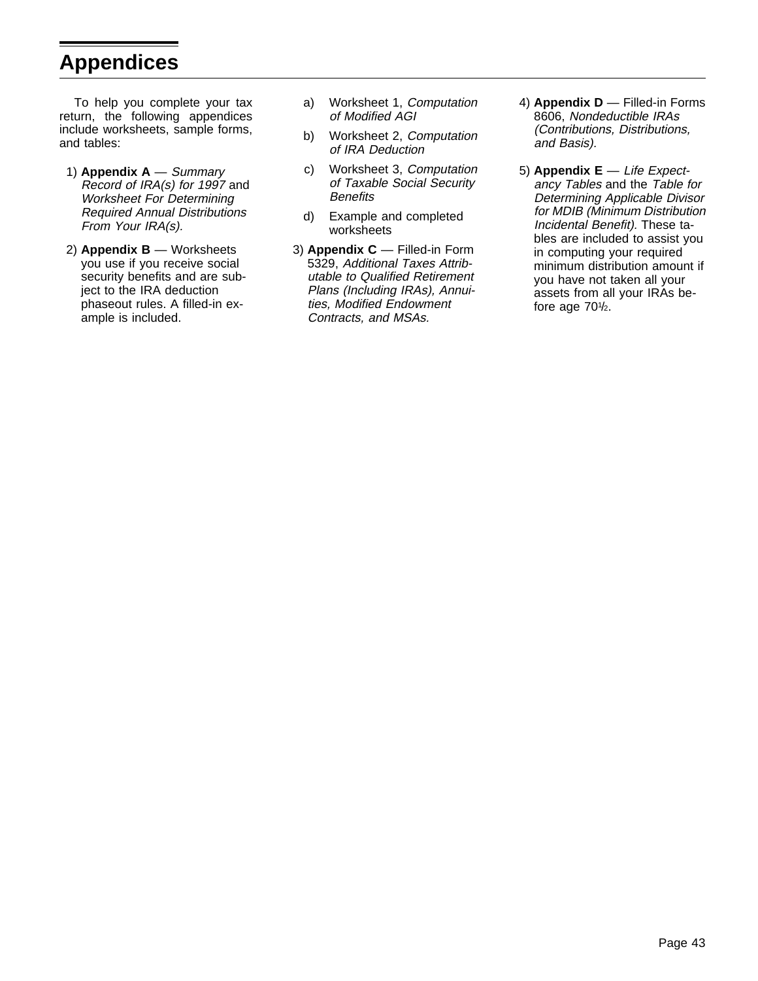# **Appendices**

To help you complete your tax return, the following appendices include worksheets, sample forms, and tables:

- 1) **Appendix A**  Summary Record of IRA(s) for 1997 and Worksheet For Determining Required Annual Distributions From Your IRA(s).
- 2) **Appendix B**  Worksheets you use if you receive social security benefits and are subject to the IRA deduction phaseout rules. A filled-in example is included.
- a) Worksheet 1, Computation of Modified AGI
- b) Worksheet 2, Computation of IRA Deduction
- c) Worksheet 3, Computation of Taxable Social Security **Benefits**
- d) Example and completed worksheets
- 3) **Appendix C**  Filled-in Form 5329, Additional Taxes Attributable to Qualified Retirement Plans (Including IRAs), Annuities, Modified Endowment Contracts, and MSAs.
- 4) **Appendix D**  Filled-in Forms 8606, Nondeductible IRAs (Contributions, Distributions, and Basis).
- 5) **Appendix E**  Life Expectancy Tables and the Table for Determining Applicable Divisor for MDIB (Minimum Distribution Incidental Benefit). These tables are included to assist you in computing your required minimum distribution amount if you have not taken all your assets from all your IRAs before age  $70\frac{1}{2}$ .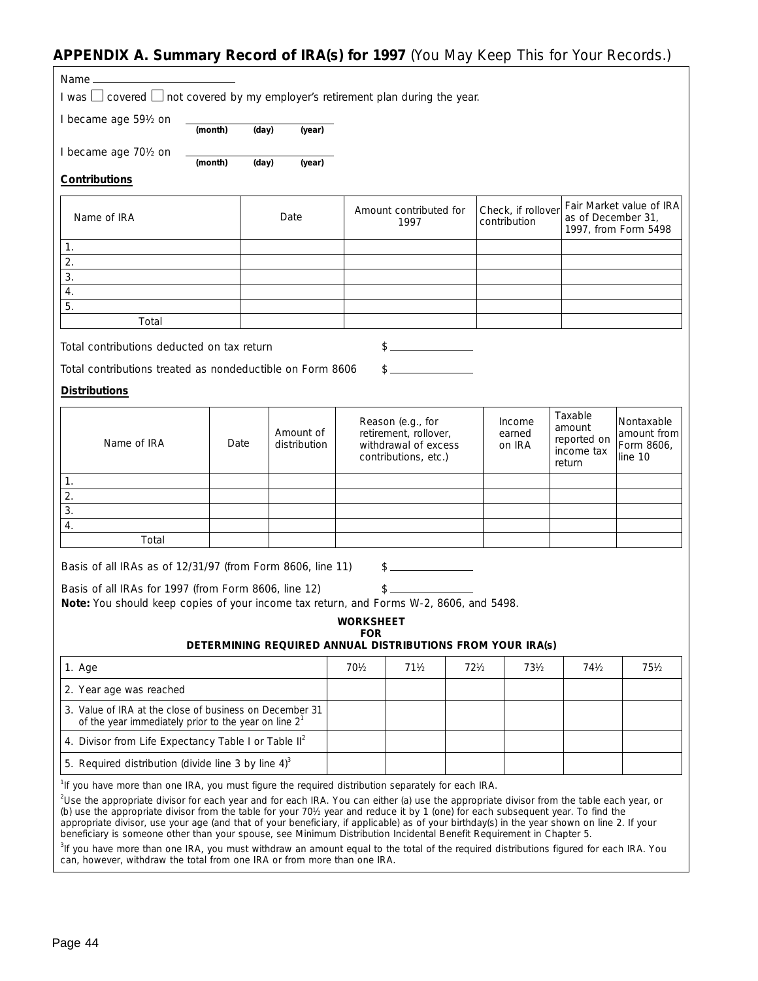## **APPENDIX A. Summary Record of IRA(s) for 1997** (You May Keep This for Your Records.)

| I was $\Box$ covered $\Box$ not covered by my employer's retirement plan during the year.                                                                                                                                                                                        |                                                                                                                                                                                                                                                                                                                                                                                                                                                                                                                                                                                                                                                                                    |       |                           |                 |                                                                                            |                 |                                                            |                                                          |                                                    |
|----------------------------------------------------------------------------------------------------------------------------------------------------------------------------------------------------------------------------------------------------------------------------------|------------------------------------------------------------------------------------------------------------------------------------------------------------------------------------------------------------------------------------------------------------------------------------------------------------------------------------------------------------------------------------------------------------------------------------------------------------------------------------------------------------------------------------------------------------------------------------------------------------------------------------------------------------------------------------|-------|---------------------------|-----------------|--------------------------------------------------------------------------------------------|-----------------|------------------------------------------------------------|----------------------------------------------------------|----------------------------------------------------|
| I became age 591/2 on                                                                                                                                                                                                                                                            | (month)                                                                                                                                                                                                                                                                                                                                                                                                                                                                                                                                                                                                                                                                            | (day) | (year)                    |                 |                                                                                            |                 |                                                            |                                                          |                                                    |
| I became age 701/2 on                                                                                                                                                                                                                                                            | (month)                                                                                                                                                                                                                                                                                                                                                                                                                                                                                                                                                                                                                                                                            | (day) | (year)                    |                 |                                                                                            |                 |                                                            |                                                          |                                                    |
| <b>Contributions</b>                                                                                                                                                                                                                                                             |                                                                                                                                                                                                                                                                                                                                                                                                                                                                                                                                                                                                                                                                                    |       |                           |                 |                                                                                            |                 |                                                            |                                                          |                                                    |
| Name of IRA                                                                                                                                                                                                                                                                      |                                                                                                                                                                                                                                                                                                                                                                                                                                                                                                                                                                                                                                                                                    |       | Date                      |                 | Amount contributed for<br>1997                                                             |                 | Check, if rollover<br>contribution                         | as of December 31,                                       | Fair Market value of IRA<br>1997, from Form 5498   |
| 1.                                                                                                                                                                                                                                                                               |                                                                                                                                                                                                                                                                                                                                                                                                                                                                                                                                                                                                                                                                                    |       |                           |                 |                                                                                            |                 |                                                            |                                                          |                                                    |
| 2.                                                                                                                                                                                                                                                                               |                                                                                                                                                                                                                                                                                                                                                                                                                                                                                                                                                                                                                                                                                    |       |                           |                 |                                                                                            |                 |                                                            |                                                          |                                                    |
| 3.                                                                                                                                                                                                                                                                               |                                                                                                                                                                                                                                                                                                                                                                                                                                                                                                                                                                                                                                                                                    |       |                           |                 |                                                                                            |                 |                                                            |                                                          |                                                    |
| 4.                                                                                                                                                                                                                                                                               |                                                                                                                                                                                                                                                                                                                                                                                                                                                                                                                                                                                                                                                                                    |       |                           |                 |                                                                                            |                 |                                                            |                                                          |                                                    |
| 5.                                                                                                                                                                                                                                                                               |                                                                                                                                                                                                                                                                                                                                                                                                                                                                                                                                                                                                                                                                                    |       |                           |                 |                                                                                            |                 |                                                            |                                                          |                                                    |
| Total                                                                                                                                                                                                                                                                            |                                                                                                                                                                                                                                                                                                                                                                                                                                                                                                                                                                                                                                                                                    |       |                           |                 |                                                                                            |                 |                                                            |                                                          |                                                    |
| Total contributions deducted on tax return                                                                                                                                                                                                                                       |                                                                                                                                                                                                                                                                                                                                                                                                                                                                                                                                                                                                                                                                                    |       |                           |                 | $\sim$                                                                                     |                 |                                                            |                                                          |                                                    |
| Total contributions treated as nondeductible on Form 8606                                                                                                                                                                                                                        |                                                                                                                                                                                                                                                                                                                                                                                                                                                                                                                                                                                                                                                                                    |       |                           |                 |                                                                                            |                 |                                                            |                                                          |                                                    |
| <b>Distributions</b>                                                                                                                                                                                                                                                             |                                                                                                                                                                                                                                                                                                                                                                                                                                                                                                                                                                                                                                                                                    |       |                           |                 |                                                                                            |                 |                                                            |                                                          |                                                    |
| Name of IRA                                                                                                                                                                                                                                                                      | Date                                                                                                                                                                                                                                                                                                                                                                                                                                                                                                                                                                                                                                                                               |       | Amount of<br>distribution |                 | Reason (e.g., for<br>retirement, rollover,<br>withdrawal of excess<br>contributions, etc.) |                 | Income<br>earned<br>on IRA                                 | Taxable<br>amount<br>reported on<br>income tax<br>return | Nontaxable<br>amount from<br>Form 8606,<br>line 10 |
| 1.                                                                                                                                                                                                                                                                               |                                                                                                                                                                                                                                                                                                                                                                                                                                                                                                                                                                                                                                                                                    |       |                           |                 |                                                                                            |                 |                                                            |                                                          |                                                    |
| 2.                                                                                                                                                                                                                                                                               |                                                                                                                                                                                                                                                                                                                                                                                                                                                                                                                                                                                                                                                                                    |       |                           |                 |                                                                                            |                 |                                                            |                                                          |                                                    |
| 3.                                                                                                                                                                                                                                                                               |                                                                                                                                                                                                                                                                                                                                                                                                                                                                                                                                                                                                                                                                                    |       |                           |                 |                                                                                            |                 |                                                            |                                                          |                                                    |
| 4.                                                                                                                                                                                                                                                                               |                                                                                                                                                                                                                                                                                                                                                                                                                                                                                                                                                                                                                                                                                    |       |                           |                 |                                                                                            |                 |                                                            |                                                          |                                                    |
| Total                                                                                                                                                                                                                                                                            |                                                                                                                                                                                                                                                                                                                                                                                                                                                                                                                                                                                                                                                                                    |       |                           |                 |                                                                                            |                 |                                                            |                                                          |                                                    |
| Basis of all IRAs as of 12/31/97 (from Form 8606, line 11)<br>$\frac{1}{2}$<br>Basis of all IRAs for 1997 (from Form 8606, line 12)<br>$\frac{1}{2}$<br>Note: You should keep copies of your income tax return, and Forms W-2, 8606, and 5498.<br><b>WORKSHEET</b><br><b>FOR</b> |                                                                                                                                                                                                                                                                                                                                                                                                                                                                                                                                                                                                                                                                                    |       |                           |                 |                                                                                            |                 |                                                            |                                                          |                                                    |
|                                                                                                                                                                                                                                                                                  |                                                                                                                                                                                                                                                                                                                                                                                                                                                                                                                                                                                                                                                                                    |       |                           |                 |                                                                                            |                 | DETERMINING REQUIRED ANNUAL DISTRIBUTIONS FROM YOUR IRA(s) |                                                          |                                                    |
| 1. Age                                                                                                                                                                                                                                                                           |                                                                                                                                                                                                                                                                                                                                                                                                                                                                                                                                                                                                                                                                                    |       |                           | $70\frac{1}{2}$ | $71\frac{1}{2}$                                                                            | $72\frac{1}{2}$ | $73\frac{1}{2}$                                            | $74\frac{1}{2}$                                          | $75\frac{1}{2}$                                    |
| 2. Year age was reached                                                                                                                                                                                                                                                          |                                                                                                                                                                                                                                                                                                                                                                                                                                                                                                                                                                                                                                                                                    |       |                           |                 |                                                                                            |                 |                                                            |                                                          |                                                    |
| 3. Value of IRA at the close of business on December 31<br>of the year immediately prior to the year on line $21$                                                                                                                                                                |                                                                                                                                                                                                                                                                                                                                                                                                                                                                                                                                                                                                                                                                                    |       |                           |                 |                                                                                            |                 |                                                            |                                                          |                                                    |
| 4. Divisor from Life Expectancy Table I or Table II <sup>2</sup>                                                                                                                                                                                                                 |                                                                                                                                                                                                                                                                                                                                                                                                                                                                                                                                                                                                                                                                                    |       |                           |                 |                                                                                            |                 |                                                            |                                                          |                                                    |
| 5. Required distribution (divide line 3 by line $4^3$ )                                                                                                                                                                                                                          |                                                                                                                                                                                                                                                                                                                                                                                                                                                                                                                                                                                                                                                                                    |       |                           |                 |                                                                                            |                 |                                                            |                                                          |                                                    |
|                                                                                                                                                                                                                                                                                  | <sup>1</sup> If you have more than one IRA, you must figure the required distribution separately for each IRA.<br><sup>2</sup> Use the appropriate divisor for each year and for each IRA. You can either (a) use the appropriate divisor from the table each year, or<br>(b) use the appropriate divisor from the table for your 701/2 year and reduce it by 1 (one) for each subsequent year. To find the<br>appropriate divisor, use your age (and that of your beneficiary, if applicable) as of your birthday(s) in the year shown on line 2. If your<br>beneficiary is someone other than your spouse, see Minimum Distribution Incidental Benefit Requirement in Chapter 5. |       |                           |                 |                                                                                            |                 |                                                            |                                                          |                                                    |

<sup>3</sup>If you have more than one IRA, you must withdraw an amount equal to the total of the required distributions figured for each IRA. You can, however, withdraw the total from one IRA or from more than one IRA.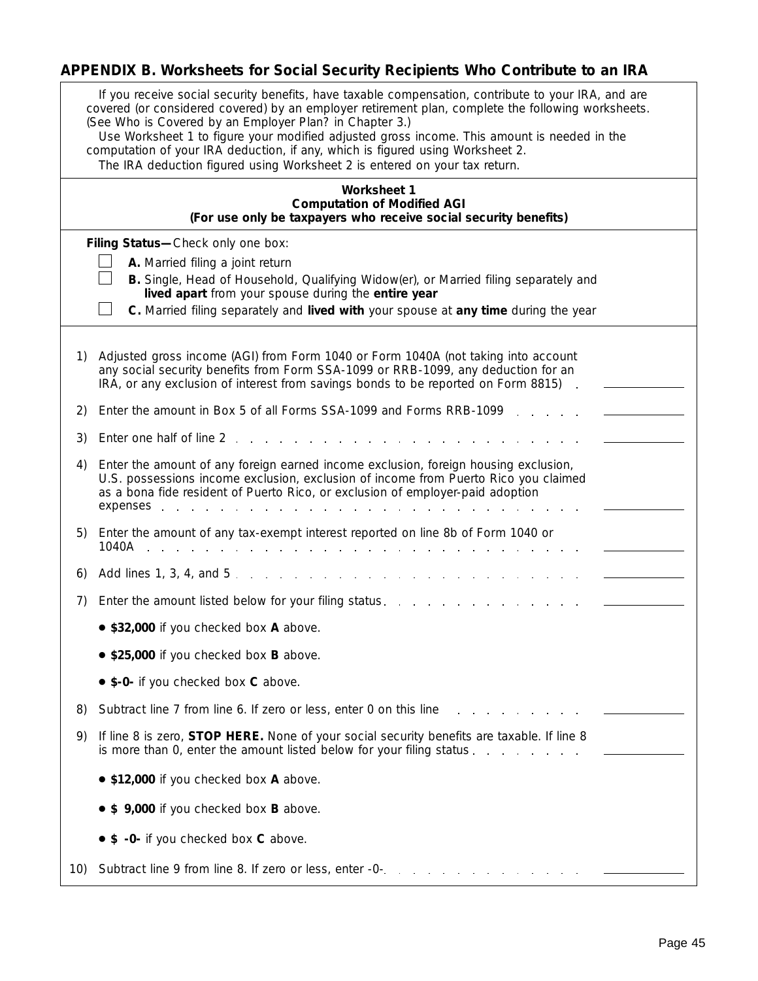# **APPENDIX B. Worksheets for Social Security Recipients Who Contribute to an IRA**

|     | If you receive social security benefits, have taxable compensation, contribute to your IRA, and are<br>covered (or considered covered) by an employer retirement plan, complete the following worksheets.<br>(See Who is Covered by an Employer Plan? in Chapter 3.)<br>Use Worksheet 1 to figure your modified adjusted gross income. This amount is needed in the<br>computation of your IRA deduction, if any, which is figured using Worksheet 2.<br>The IRA deduction figured using Worksheet 2 is entered on your tax return. |  |  |  |  |
|-----|-------------------------------------------------------------------------------------------------------------------------------------------------------------------------------------------------------------------------------------------------------------------------------------------------------------------------------------------------------------------------------------------------------------------------------------------------------------------------------------------------------------------------------------|--|--|--|--|
|     | <b>Worksheet 1</b><br><b>Computation of Modified AGI</b><br>(For use only be taxpayers who receive social security benefits)                                                                                                                                                                                                                                                                                                                                                                                                        |  |  |  |  |
|     | Filing Status-Check only one box:                                                                                                                                                                                                                                                                                                                                                                                                                                                                                                   |  |  |  |  |
|     | A. Married filing a joint return<br>B. Single, Head of Household, Qualifying Widow(er), or Married filing separately and                                                                                                                                                                                                                                                                                                                                                                                                            |  |  |  |  |
|     | lived apart from your spouse during the entire year                                                                                                                                                                                                                                                                                                                                                                                                                                                                                 |  |  |  |  |
|     | C. Married filing separately and lived with your spouse at any time during the year                                                                                                                                                                                                                                                                                                                                                                                                                                                 |  |  |  |  |
| 1)  | Adjusted gross income (AGI) from Form 1040 or Form 1040A (not taking into account<br>any social security benefits from Form SSA-1099 or RRB-1099, any deduction for an<br>IRA, or any exclusion of interest from savings bonds to be reported on Form 8815).                                                                                                                                                                                                                                                                        |  |  |  |  |
| 2)  | Enter the amount in Box 5 of all Forms SSA-1099 and Forms RRB-1099                                                                                                                                                                                                                                                                                                                                                                                                                                                                  |  |  |  |  |
| 3)  | Enter one half of line 2.                                                                                                                                                                                                                                                                                                                                                                                                                                                                                                           |  |  |  |  |
| 4)  | Enter the amount of any foreign earned income exclusion, foreign housing exclusion,<br>U.S. possessions income exclusion, exclusion of income from Puerto Rico you claimed<br>as a bona fide resident of Puerto Rico, or exclusion of employer-paid adoption                                                                                                                                                                                                                                                                        |  |  |  |  |
| 5)  | Enter the amount of any tax-exempt interest reported on line 8b of Form 1040 or                                                                                                                                                                                                                                                                                                                                                                                                                                                     |  |  |  |  |
| 6)  |                                                                                                                                                                                                                                                                                                                                                                                                                                                                                                                                     |  |  |  |  |
| 7)  | Enter the amount listed below for your filing status.                                                                                                                                                                                                                                                                                                                                                                                                                                                                               |  |  |  |  |
|     | • \$32,000 if you checked box A above.                                                                                                                                                                                                                                                                                                                                                                                                                                                                                              |  |  |  |  |
|     | • \$25,000 if you checked box B above.                                                                                                                                                                                                                                                                                                                                                                                                                                                                                              |  |  |  |  |
|     | • \$-0- if you checked box C above.                                                                                                                                                                                                                                                                                                                                                                                                                                                                                                 |  |  |  |  |
| 8)  | Subtract line 7 from line 6. If zero or less, enter 0 on this line                                                                                                                                                                                                                                                                                                                                                                                                                                                                  |  |  |  |  |
| 9)  | If line 8 is zero, <b>STOP HERE.</b> None of your social security benefits are taxable. If line 8<br>is more than 0, enter the amount listed below for your filing status                                                                                                                                                                                                                                                                                                                                                           |  |  |  |  |
|     | • \$12,000 if you checked box A above.                                                                                                                                                                                                                                                                                                                                                                                                                                                                                              |  |  |  |  |
|     | \$9,000 if you checked box B above.                                                                                                                                                                                                                                                                                                                                                                                                                                                                                                 |  |  |  |  |
|     | \$ -0- if you checked box C above.                                                                                                                                                                                                                                                                                                                                                                                                                                                                                                  |  |  |  |  |
| 10) | Subtract line 9 from line 8. If zero or less, enter -0- contact time 9 from line 8. If zero or less, enter -0-                                                                                                                                                                                                                                                                                                                                                                                                                      |  |  |  |  |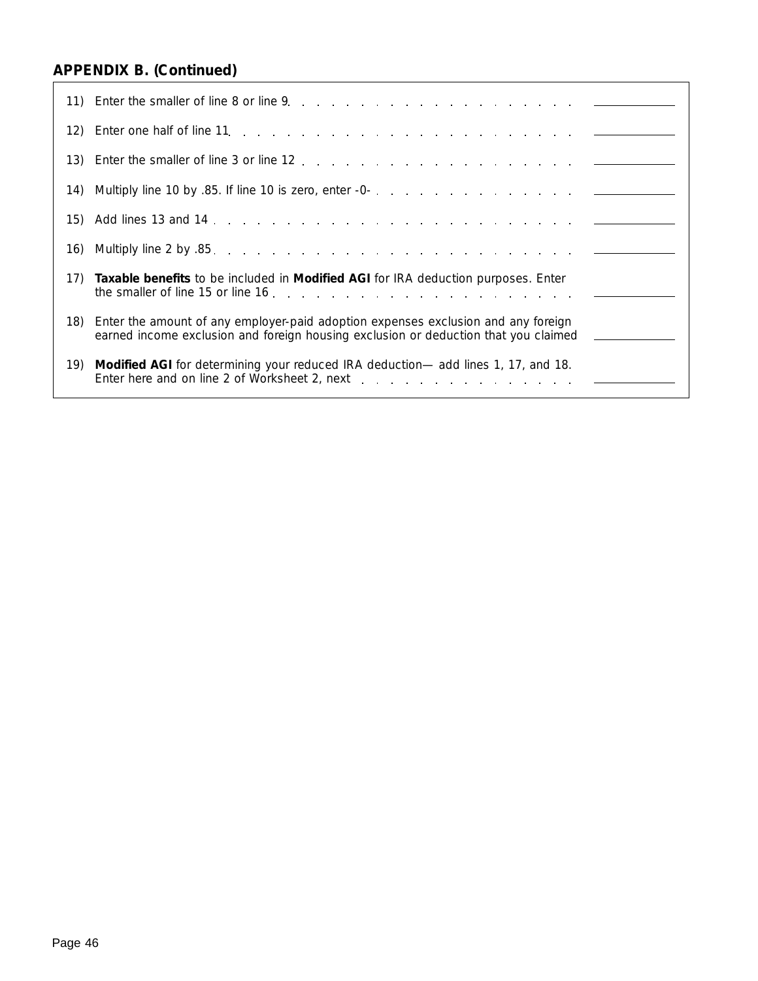| 17) | Taxable benefits to be included in <i>Modified AGI</i> for IRA deduction purposes. Enter                                                                                 |
|-----|--------------------------------------------------------------------------------------------------------------------------------------------------------------------------|
| 18) | Enter the amount of any employer-paid adoption expenses exclusion and any foreign<br>earned income exclusion and foreign housing exclusion or deduction that you claimed |
| 19) | Modified AGI for determining your reduced IRA deduction— add lines 1, 17, and 18.                                                                                        |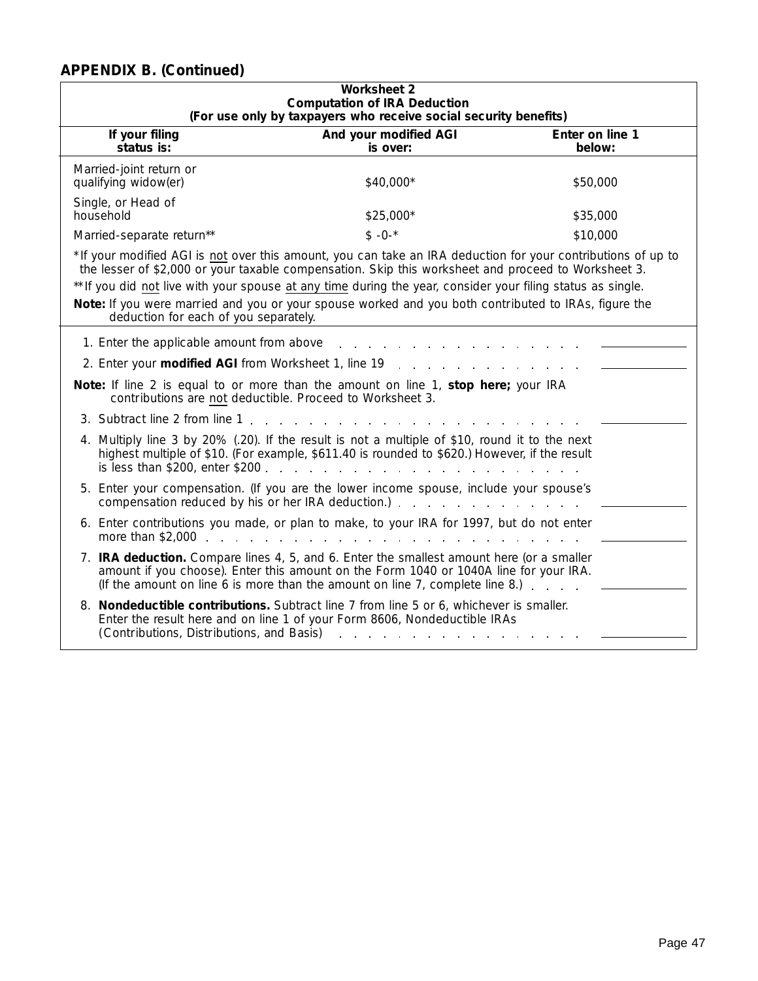| <b>Worksheet 2</b><br><b>Computation of IRA Deduction</b><br>(For use only by taxpayers who receive social security benefits) |                                                                                                                                                                                                                                                                                                                                                                                                                                            |                           |  |  |  |
|-------------------------------------------------------------------------------------------------------------------------------|--------------------------------------------------------------------------------------------------------------------------------------------------------------------------------------------------------------------------------------------------------------------------------------------------------------------------------------------------------------------------------------------------------------------------------------------|---------------------------|--|--|--|
| If your filing<br>status is:                                                                                                  | And your modified AGI<br>is over:                                                                                                                                                                                                                                                                                                                                                                                                          | Enter on line 1<br>below: |  |  |  |
| Married-joint return or<br>qualifying widow(er)                                                                               | \$40,000*                                                                                                                                                                                                                                                                                                                                                                                                                                  | \$50,000                  |  |  |  |
| Single, or Head of<br>household                                                                                               | \$25,000*                                                                                                                                                                                                                                                                                                                                                                                                                                  | \$35,000                  |  |  |  |
| Married-separate return**                                                                                                     | $$ -0^-$                                                                                                                                                                                                                                                                                                                                                                                                                                   | \$10,000                  |  |  |  |
| deduction for each of you separately.                                                                                         | *If your modified AGI is not over this amount, you can take an IRA deduction for your contributions of up to<br>the lesser of \$2,000 or your taxable compensation. Skip this worksheet and proceed to Worksheet 3.<br>** If you did not live with your spouse at any time during the year, consider your filing status as single.<br>Note: If you were married and you or your spouse worked and you both contributed to IRAs, figure the |                           |  |  |  |
| 1. Enter the applicable amount from above<br>2. Enter your <b>modified AGI</b> from Worksheet 1, line 19                      |                                                                                                                                                                                                                                                                                                                                                                                                                                            |                           |  |  |  |
|                                                                                                                               | Note: If line 2 is equal to or more than the amount on line 1, stop here; your IRA<br>contributions are not deductible. Proceed to Worksheet 3.                                                                                                                                                                                                                                                                                            |                           |  |  |  |
| 3. Subtract line 2 from line 1                                                                                                |                                                                                                                                                                                                                                                                                                                                                                                                                                            |                           |  |  |  |
| is less than \$200, enter \$200                                                                                               | 4. Multiply line 3 by 20% (.20). If the result is not a multiple of \$10, round it to the next<br>highest multiple of \$10. (For example, \$611.40 is rounded to \$620.) However, if the result                                                                                                                                                                                                                                            |                           |  |  |  |
|                                                                                                                               | 5. Enter your compensation. (If you are the lower income spouse, include your spouse's<br>compensation reduced by his or her IRA deduction.) example and a series of the compensation reduced by his or her IRA deduction.)                                                                                                                                                                                                                |                           |  |  |  |
| more than \$2,000                                                                                                             | 6. Enter contributions you made, or plan to make, to your IRA for 1997, but do not enter<br>and the state of the state                                                                                                                                                                                                                                                                                                                     |                           |  |  |  |
|                                                                                                                               | 7. IRA deduction. Compare lines 4, 5, and 6. Enter the smallest amount here (or a smaller<br>amount if you choose). Enter this amount on the Form 1040 or 1040A line for your IRA.<br>(If the amount on line 6 is more than the amount on line 7, complete line 8.) $\ldots$                                                                                                                                                               |                           |  |  |  |
| (Contributions, Distributions, and Basis)                                                                                     | 8. Nondeductible contributions. Subtract line 7 from line 5 or 6, whichever is smaller.<br>Enter the result here and on line 1 of your Form 8606, Nondeductible IRAs                                                                                                                                                                                                                                                                       |                           |  |  |  |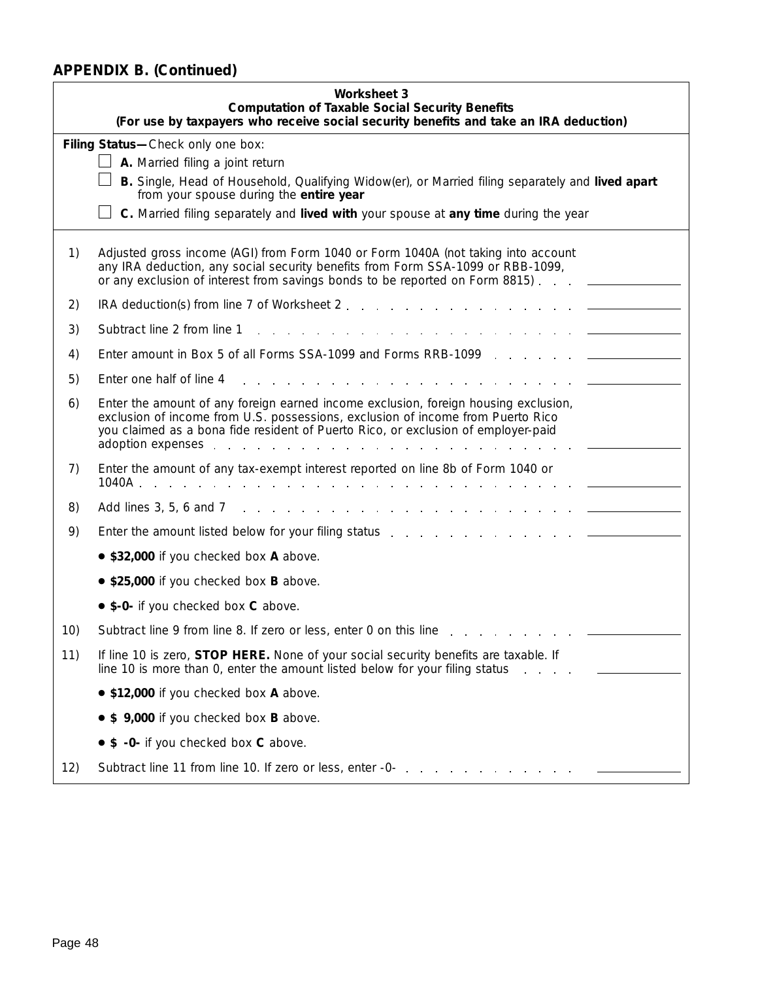|     | <b>Worksheet 3</b><br><b>Computation of Taxable Social Security Benefits</b>                                                                                                                                                                                                                                                                                                                                                                                                                  |  |  |  |  |  |  |
|-----|-----------------------------------------------------------------------------------------------------------------------------------------------------------------------------------------------------------------------------------------------------------------------------------------------------------------------------------------------------------------------------------------------------------------------------------------------------------------------------------------------|--|--|--|--|--|--|
|     | (For use by taxpayers who receive social security benefits and take an IRA deduction)                                                                                                                                                                                                                                                                                                                                                                                                         |  |  |  |  |  |  |
|     | Filing Status-Check only one box:                                                                                                                                                                                                                                                                                                                                                                                                                                                             |  |  |  |  |  |  |
|     | A. Married filing a joint return<br>B. Single, Head of Household, Qualifying Widow(er), or Married filing separately and lived apart                                                                                                                                                                                                                                                                                                                                                          |  |  |  |  |  |  |
|     | from your spouse during the entire year                                                                                                                                                                                                                                                                                                                                                                                                                                                       |  |  |  |  |  |  |
|     | C. Married filing separately and lived with your spouse at any time during the year                                                                                                                                                                                                                                                                                                                                                                                                           |  |  |  |  |  |  |
| 1)  | Adjusted gross income (AGI) from Form 1040 or Form 1040A (not taking into account<br>any IRA deduction, any social security benefits from Form SSA-1099 or RBB-1099,<br>or any exclusion of interest from savings bonds to be reported on Form 8815) ________                                                                                                                                                                                                                                 |  |  |  |  |  |  |
| 2)  |                                                                                                                                                                                                                                                                                                                                                                                                                                                                                               |  |  |  |  |  |  |
| 3)  | Subtract line 2 from line 1                                                                                                                                                                                                                                                                                                                                                                                                                                                                   |  |  |  |  |  |  |
| 4)  |                                                                                                                                                                                                                                                                                                                                                                                                                                                                                               |  |  |  |  |  |  |
| 5)  | Enter one half of line 4                                                                                                                                                                                                                                                                                                                                                                                                                                                                      |  |  |  |  |  |  |
| 6)  | Enter the amount of any foreign earned income exclusion, foreign housing exclusion,<br>exclusion of income from U.S. possessions, exclusion of income from Puerto Rico<br>you claimed as a bona fide resident of Puerto Rico, or exclusion of employer-paid<br>adoption expenses example and the set of the set of the set of the set of the set of the set of the set of the set of the set of the set of the set of the set of the set of the set of the set of the set of the set of the s |  |  |  |  |  |  |
| 7)  | Enter the amount of any tax-exempt interest reported on line 8b of Form 1040 or                                                                                                                                                                                                                                                                                                                                                                                                               |  |  |  |  |  |  |
| 8)  |                                                                                                                                                                                                                                                                                                                                                                                                                                                                                               |  |  |  |  |  |  |
| 9)  |                                                                                                                                                                                                                                                                                                                                                                                                                                                                                               |  |  |  |  |  |  |
|     | • \$32,000 if you checked box A above.                                                                                                                                                                                                                                                                                                                                                                                                                                                        |  |  |  |  |  |  |
|     | • \$25,000 if you checked box B above.                                                                                                                                                                                                                                                                                                                                                                                                                                                        |  |  |  |  |  |  |
|     | • \$-0- if you checked box C above.                                                                                                                                                                                                                                                                                                                                                                                                                                                           |  |  |  |  |  |  |
| 10) | Subtract line 9 from line 8. If zero or less, enter 0 on this line                                                                                                                                                                                                                                                                                                                                                                                                                            |  |  |  |  |  |  |
| 11) | If line 10 is zero, STOP HERE. None of your social security benefits are taxable. If<br>line 10 is more than 0, enter the amount listed below for your filing status                                                                                                                                                                                                                                                                                                                          |  |  |  |  |  |  |
|     | • \$12,000 if you checked box A above.                                                                                                                                                                                                                                                                                                                                                                                                                                                        |  |  |  |  |  |  |
|     | • \$ 9,000 if you checked box B above.                                                                                                                                                                                                                                                                                                                                                                                                                                                        |  |  |  |  |  |  |
|     | • \$ -0- if you checked box C above.                                                                                                                                                                                                                                                                                                                                                                                                                                                          |  |  |  |  |  |  |
| 12) | Subtract line 11 from line 10. If zero or less, enter -0-                                                                                                                                                                                                                                                                                                                                                                                                                                     |  |  |  |  |  |  |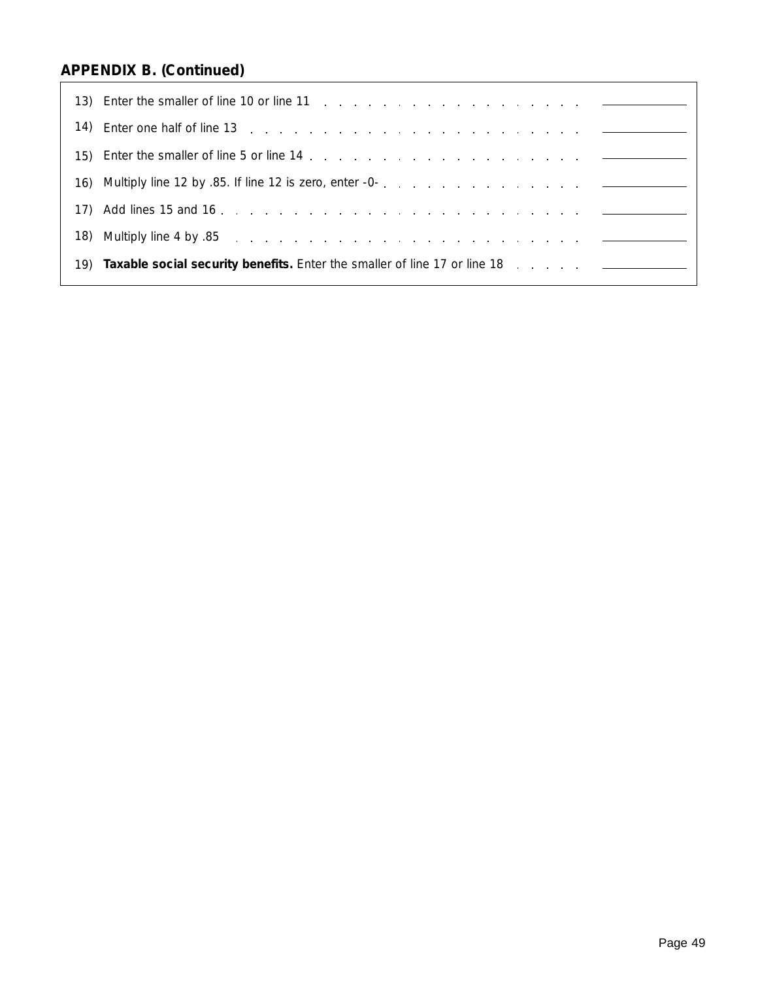| 14) | Enter one half of line 13 research and service and service and service in the service of the service of the service of the service of the service of the service of the service of the service of the service of the service o |
|-----|--------------------------------------------------------------------------------------------------------------------------------------------------------------------------------------------------------------------------------|
|     |                                                                                                                                                                                                                                |
|     |                                                                                                                                                                                                                                |
|     |                                                                                                                                                                                                                                |
| 18) |                                                                                                                                                                                                                                |
| 19) | <b>Taxable social security benefits.</b> Enter the smaller of line 17 or line 18 manuscom and manuscom                                                                                                                         |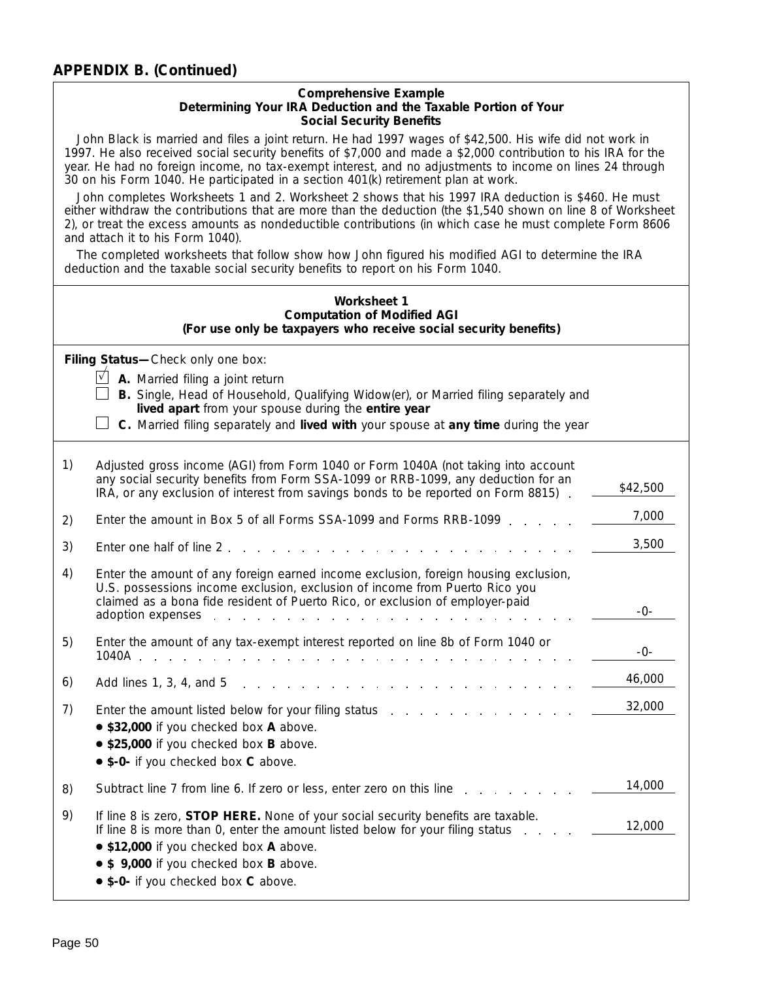#### **Comprehensive Example Determining Your IRA Deduction and the Taxable Portion of Your Social Security Benefits**

John Black is married and files a joint return. He had 1997 wages of \$42,500. His wife did not work in 1997. He also received social security benefits of \$7,000 and made a \$2,000 contribution to his IRA for the year. He had no foreign income, no tax-exempt interest, and no adjustments to income on lines 24 through 30 on his Form 1040. He participated in a section 401(k) retirement plan at work.

John completes Worksheets 1 and 2. Worksheet 2 shows that his 1997 IRA deduction is \$460. He must either withdraw the contributions that are more than the deduction (the \$1,540 shown on line 8 of Worksheet 2), or treat the excess amounts as nondeductible contributions (in which case he must complete Form 8606 and attach it to his Form 1040).

The completed worksheets that follow show how John figured his modified AGI to determine the IRA deduction and the taxable social security benefits to report on his Form 1040.

|    | <b>Worksheet 1</b><br><b>Computation of Modified AGI</b><br>(For use only be taxpayers who receive social security benefits)                                                                                                                                                                                                                                           |          |  |  |  |
|----|------------------------------------------------------------------------------------------------------------------------------------------------------------------------------------------------------------------------------------------------------------------------------------------------------------------------------------------------------------------------|----------|--|--|--|
|    | Filing Status-Check only one box:<br>$\sqrt{}$<br>A. Married filing a joint return<br>B. Single, Head of Household, Qualifying Widow(er), or Married filing separately and<br>lived apart from your spouse during the entire year<br>C. Married filing separately and lived with your spouse at any time during the year                                               |          |  |  |  |
| 1) | Adjusted gross income (AGI) from Form 1040 or Form 1040A (not taking into account<br>any social security benefits from Form SSA-1099 or RRB-1099, any deduction for an<br>IRA, or any exclusion of interest from savings bonds to be reported on Form 8815)                                                                                                            | \$42,500 |  |  |  |
| 2) | Enter the amount in Box 5 of all Forms SSA-1099 and Forms RRB-1099.                                                                                                                                                                                                                                                                                                    | 7,000    |  |  |  |
| 3) | Enter one half of line 2.                                                                                                                                                                                                                                                                                                                                              | 3,500    |  |  |  |
| 4) | Enter the amount of any foreign earned income exclusion, foreign housing exclusion,<br>U.S. possessions income exclusion, exclusion of income from Puerto Rico you<br>claimed as a bona fide resident of Puerto Rico, or exclusion of employer-paid<br>adoption expenses enter the state of the state of the state of the state of the state of the state of the state | -0-      |  |  |  |
| 5) | Enter the amount of any tax-exempt interest reported on line 8b of Form 1040 or<br>1040A<br>المنافذ والمتحدث والمتحدث والمتحدث والمتحدث والمتحدث والمتحدث والأرمان والمتحدث                                                                                                                                                                                            | -0-      |  |  |  |
| 6) | Add lines 1, 3, 4, and 5<br>the contract of the contract of the contract of the contract of the contract of the contract of the contract of<br>and the state of the state                                                                                                                                                                                              | 46,000   |  |  |  |
| 7) | • \$32,000 if you checked box A above.<br>• \$25,000 if you checked box B above.<br>• \$-0- if you checked box C above.                                                                                                                                                                                                                                                | 32,000   |  |  |  |
| 8) | Subtract line 7 from line 6. If zero or less, enter zero on this line                                                                                                                                                                                                                                                                                                  | 14,000   |  |  |  |
| 9) | If line 8 is zero, STOP HERE. None of your social security benefits are taxable.<br>If line 8 is more than 0, enter the amount listed below for your filing status<br>• \$12,000 if you checked box A above.<br>• \$ 9,000 if you checked box B above.<br>• \$-0- if you checked box C above.                                                                          | 12,000   |  |  |  |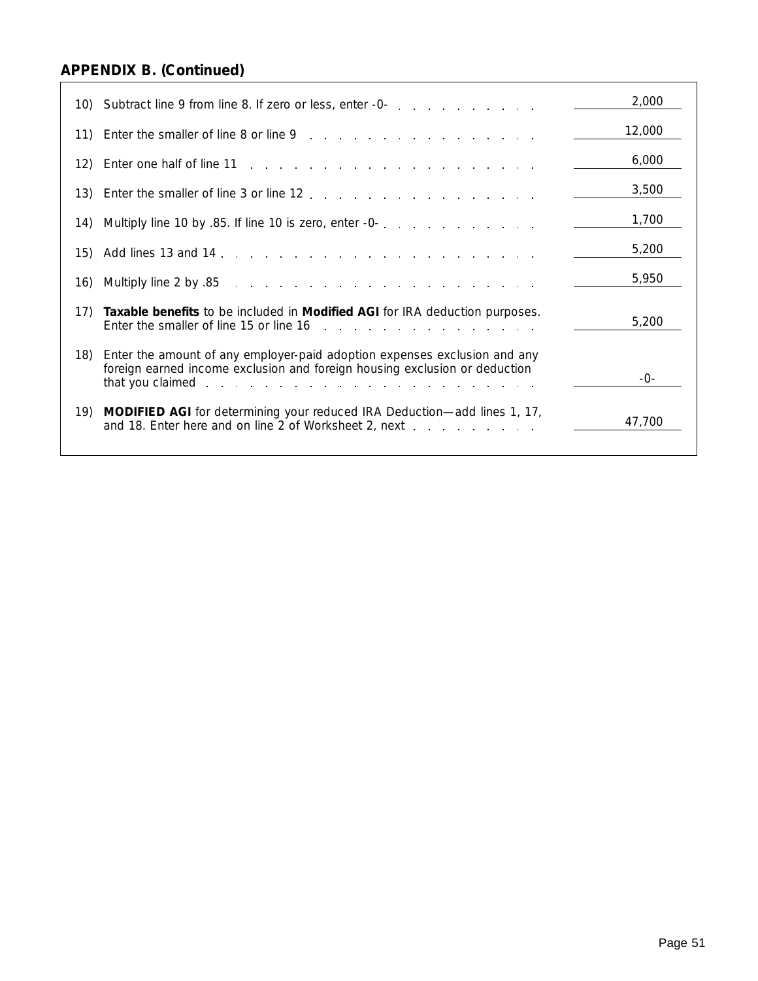|     | 10) Subtract line 9 from line 8. If zero or less, enter -0-                                                                                                                                                                                                                                                          | 2,000  |
|-----|----------------------------------------------------------------------------------------------------------------------------------------------------------------------------------------------------------------------------------------------------------------------------------------------------------------------|--------|
| 11) |                                                                                                                                                                                                                                                                                                                      | 12,000 |
| 12) |                                                                                                                                                                                                                                                                                                                      | 6,000  |
| 13) |                                                                                                                                                                                                                                                                                                                      | 3,500  |
| 14) |                                                                                                                                                                                                                                                                                                                      | 1,700  |
| 15) |                                                                                                                                                                                                                                                                                                                      | 5,200  |
| 16) | 85. Multiply line 2 by<br>a construction of the construction of the construction of the construction of the construction of the construction of the construction of the construction of the construction of the construction of the construction of the                                                              | 5,950  |
| 17) | Taxable benefits to be included in <i>Modified AGI</i> for IRA deduction purposes.<br>Enter the smaller of line 15 or line 16 matures with a state of the smaller of line 16 matures and the state of the state of the state of the state of the state of the state of the state of the state of the state of the st | 5,200  |
| 18) | Enter the amount of any employer-paid adoption expenses exclusion and any<br>foreign earned income exclusion and foreign housing exclusion or deduction                                                                                                                                                              | -0-    |
| 19) | <b>MODIFIED AGI</b> for determining your reduced IRA Deduction—add lines 1, 17,<br>and 18. Enter here and on line 2 of Worksheet 2, next                                                                                                                                                                             | 47,700 |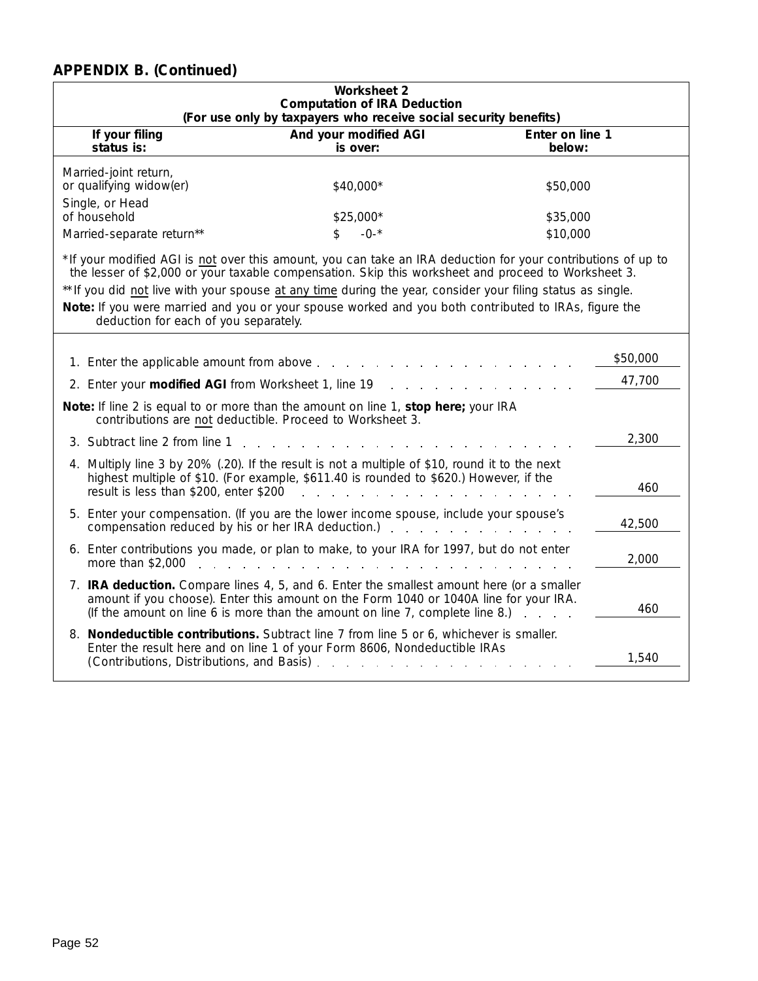| <b>Worksheet 2</b><br><b>Computation of IRA Deduction</b><br>(For use only by taxpayers who receive social security benefits)                                                                                                                                                                                                                                                                                                                                                        |                                                                                                                                                                           |                           |  |  |  |
|--------------------------------------------------------------------------------------------------------------------------------------------------------------------------------------------------------------------------------------------------------------------------------------------------------------------------------------------------------------------------------------------------------------------------------------------------------------------------------------|---------------------------------------------------------------------------------------------------------------------------------------------------------------------------|---------------------------|--|--|--|
| If your filing<br>status is:                                                                                                                                                                                                                                                                                                                                                                                                                                                         | And your modified AGI<br>is over:                                                                                                                                         | Enter on line 1<br>below: |  |  |  |
| Married-joint return,<br>or qualifying widow(er)<br>\$40,000*<br>\$50,000                                                                                                                                                                                                                                                                                                                                                                                                            |                                                                                                                                                                           |                           |  |  |  |
| Single, or Head<br>of household<br>Married-separate return**                                                                                                                                                                                                                                                                                                                                                                                                                         | \$25,000*<br>$-0-$ *<br>\$                                                                                                                                                | \$35,000<br>\$10,000      |  |  |  |
| * If your modified AGI is not over this amount, you can take an IRA deduction for your contributions of up to<br>the lesser of \$2,000 or your taxable compensation. Skip this worksheet and proceed to Worksheet 3.<br>** If you did not live with your spouse at any time during the year, consider your filing status as single.<br>Note: If you were married and you or your spouse worked and you both contributed to IRAs, figure the<br>deduction for each of you separately. |                                                                                                                                                                           |                           |  |  |  |
| 1. Enter the applicable amount from above                                                                                                                                                                                                                                                                                                                                                                                                                                            | and the state of the                                                                                                                                                      | \$50,000                  |  |  |  |
| 2. Enter your modified AGI from Worksheet 1, line 19                                                                                                                                                                                                                                                                                                                                                                                                                                 |                                                                                                                                                                           | 47,700                    |  |  |  |
| Note: If line 2 is equal to or more than the amount on line 1, stop here; your IRA<br>contributions are not deductible. Proceed to Worksheet 3.                                                                                                                                                                                                                                                                                                                                      |                                                                                                                                                                           |                           |  |  |  |
| 3. Subtract line 2 from line 1                                                                                                                                                                                                                                                                                                                                                                                                                                                       |                                                                                                                                                                           | 2,300                     |  |  |  |
| 4. Multiply line 3 by 20% (.20). If the result is not a multiple of \$10, round it to the next<br>result is less than \$200, enter \$200                                                                                                                                                                                                                                                                                                                                             | highest multiple of \$10. (For example, \$611.40 is rounded to \$620.) However, if the                                                                                    | 460                       |  |  |  |
| 5. Enter your compensation. (If you are the lower income spouse, include your spouse's<br>compensation reduced by his or her IRA deduction.)                                                                                                                                                                                                                                                                                                                                         |                                                                                                                                                                           | 42,500                    |  |  |  |
| 6. Enter contributions you made, or plan to make, to your IRA for 1997, but do not enter<br>more than \$2,000                                                                                                                                                                                                                                                                                                                                                                        | <b>Contract Contract</b>                                                                                                                                                  | 2,000                     |  |  |  |
| 7. IRA deduction. Compare lines 4, 5, and 6. Enter the smallest amount here (or a smaller                                                                                                                                                                                                                                                                                                                                                                                            | amount if you choose). Enter this amount on the Form 1040 or 1040A line for your IRA.<br>(If the amount on line 6 is more than the amount on line $7$ , complete line 8.) | 460                       |  |  |  |
| 8. Nondeductible contributions. Subtract line 7 from line 5 or 6, whichever is smaller.<br>(Contributions, Distributions, and Basis) [16]                                                                                                                                                                                                                                                                                                                                            | Enter the result here and on line 1 of your Form 8606, Nondeductible IRAs                                                                                                 | 1,540                     |  |  |  |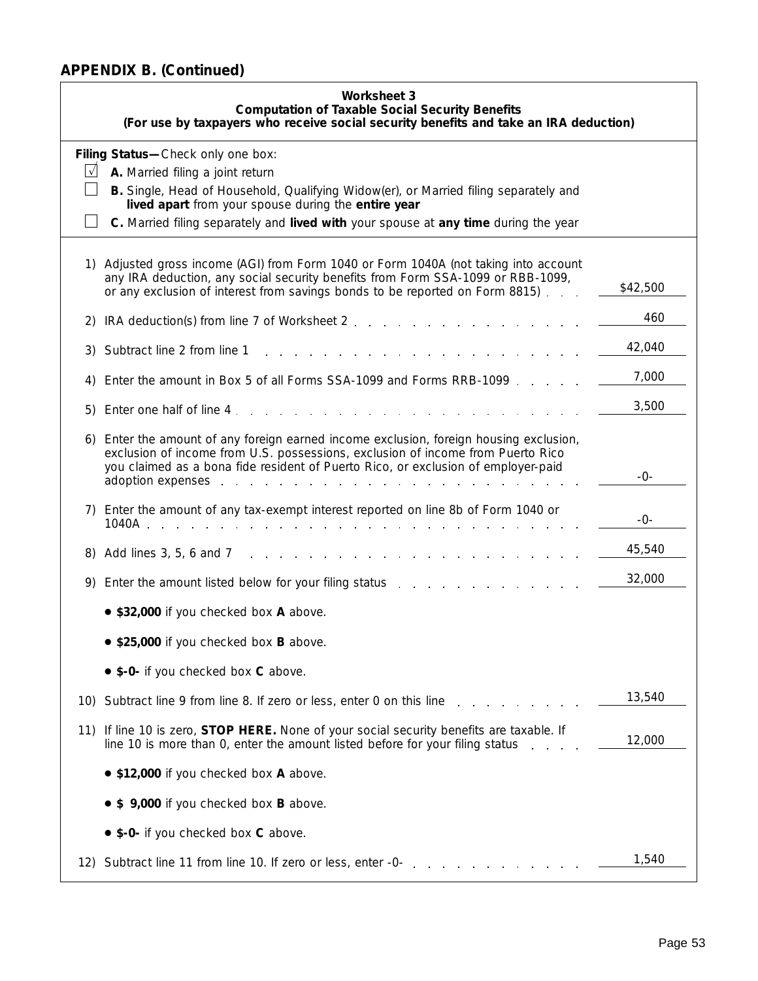|           | <b>Worksheet 3</b><br><b>Computation of Taxable Social Security Benefits</b><br>(For use by taxpayers who receive social security benefits and take an IRA deduction)                                                                                                                                                                                                                                                                                                                           |          |  |  |  |  |  |  |  |
|-----------|-------------------------------------------------------------------------------------------------------------------------------------------------------------------------------------------------------------------------------------------------------------------------------------------------------------------------------------------------------------------------------------------------------------------------------------------------------------------------------------------------|----------|--|--|--|--|--|--|--|
|           | Filing Status-Check only one box:                                                                                                                                                                                                                                                                                                                                                                                                                                                               |          |  |  |  |  |  |  |  |
| $\sqrt{}$ | A. Married filing a joint return                                                                                                                                                                                                                                                                                                                                                                                                                                                                |          |  |  |  |  |  |  |  |
|           | B. Single, Head of Household, Qualifying Widow(er), or Married filing separately and<br>lived apart from your spouse during the entire year                                                                                                                                                                                                                                                                                                                                                     |          |  |  |  |  |  |  |  |
|           | C. Married filing separately and <i>lived with</i> your spouse at <i>any time</i> during the year                                                                                                                                                                                                                                                                                                                                                                                               |          |  |  |  |  |  |  |  |
|           | 1) Adjusted gross income (AGI) from Form 1040 or Form 1040A (not taking into account<br>any IRA deduction, any social security benefits from Form SSA-1099 or RBB-1099,<br>or any exclusion of interest from savings bonds to be reported on Form 8815).                                                                                                                                                                                                                                        | \$42,500 |  |  |  |  |  |  |  |
| 2)        | IRA deduction(s) from line 7 of Worksheet 2                                                                                                                                                                                                                                                                                                                                                                                                                                                     | 460      |  |  |  |  |  |  |  |
| 3)        | Subtract line 2 from line 1                                                                                                                                                                                                                                                                                                                                                                                                                                                                     | 42,040   |  |  |  |  |  |  |  |
| 4)        | Enter the amount in Box 5 of all Forms SSA-1099 and Forms RRB-1099.                                                                                                                                                                                                                                                                                                                                                                                                                             | 7,000    |  |  |  |  |  |  |  |
| 5)        | Enter one half of line 4.<br>the contract of the contract of the contract of the contract of the contract of the contract of the contract of                                                                                                                                                                                                                                                                                                                                                    | 3,500    |  |  |  |  |  |  |  |
|           | 6) Enter the amount of any foreign earned income exclusion, foreign housing exclusion,<br>exclusion of income from U.S. possessions, exclusion of income from Puerto Rico<br>you claimed as a bona fide resident of Puerto Rico, or exclusion of employer-paid<br>adoption expenses entering the set of the set of the set of the set of the set of the set of the set of the set of the set of the set of the set of the set of the set of the set of the set of the set of the set of the set | -0-      |  |  |  |  |  |  |  |
|           | 7) Enter the amount of any tax-exempt interest reported on line 8b of Form 1040 or                                                                                                                                                                                                                                                                                                                                                                                                              | -0-      |  |  |  |  |  |  |  |
| 8)        | Add lines 3, 5, 6 and 7<br>and the control of                                                                                                                                                                                                                                                                                                                                                                                                                                                   | 45,540   |  |  |  |  |  |  |  |
| 9)        | Enter the amount listed below for your filing status                                                                                                                                                                                                                                                                                                                                                                                                                                            | 32,000   |  |  |  |  |  |  |  |
|           | • \$32,000 if you checked box A above.                                                                                                                                                                                                                                                                                                                                                                                                                                                          |          |  |  |  |  |  |  |  |
|           | • \$25,000 if you checked box B above.                                                                                                                                                                                                                                                                                                                                                                                                                                                          |          |  |  |  |  |  |  |  |
|           | • \$-0- if you checked box C above.                                                                                                                                                                                                                                                                                                                                                                                                                                                             |          |  |  |  |  |  |  |  |
| 10)       | Subtract line 9 from line 8. If zero or less, enter 0 on this line                                                                                                                                                                                                                                                                                                                                                                                                                              | 13,540   |  |  |  |  |  |  |  |
| 11)       | If line 10 is zero, <b>STOP HERE.</b> None of your social security benefits are taxable. If<br>line 10 is more than 0, enter the amount listed before for your filing status                                                                                                                                                                                                                                                                                                                    | 12,000   |  |  |  |  |  |  |  |
|           | • \$12,000 if you checked box A above.                                                                                                                                                                                                                                                                                                                                                                                                                                                          |          |  |  |  |  |  |  |  |
|           | • \$ 9,000 if you checked box B above.                                                                                                                                                                                                                                                                                                                                                                                                                                                          |          |  |  |  |  |  |  |  |
|           | • \$-0- if you checked box C above.                                                                                                                                                                                                                                                                                                                                                                                                                                                             |          |  |  |  |  |  |  |  |
|           | 12) Subtract line 11 from line 10. If zero or less, enter -0-                                                                                                                                                                                                                                                                                                                                                                                                                                   | 1,540    |  |  |  |  |  |  |  |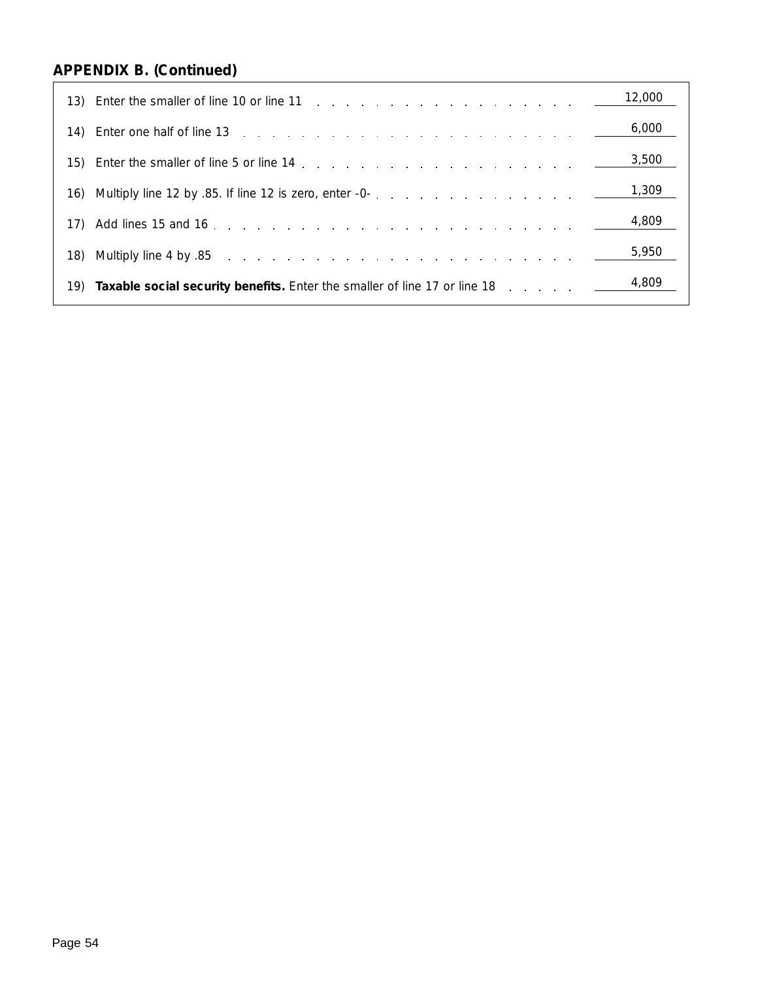| 13) Enter the smaller of line 10 or line 11 $\ldots$ $\ldots$ $\ldots$ $\ldots$ $\ldots$ $\ldots$ $\ldots$ $\ldots$ $\ldots$ $\ldots$ $\ldots$ $\ldots$ $\ldots$ $\ldots$ $\ldots$ $\ldots$ $\ldots$ $\ldots$ $\ldots$ $\ldots$ $\ldots$ $\ldots$ $\ldots$ $\ldots$ $\ldots$ $\ldots$ $\ldots$ $\ldots$ $\ldots$ $\ld$ |       |
|------------------------------------------------------------------------------------------------------------------------------------------------------------------------------------------------------------------------------------------------------------------------------------------------------------------------|-------|
| 14) Enter one half of line 13 research and the contract of the contract of the contract of the contract of the contract of the contract of the contract of the contract of the contract of the contract of the contract of the                                                                                         | 6,000 |
|                                                                                                                                                                                                                                                                                                                        | 3,500 |
|                                                                                                                                                                                                                                                                                                                        | 1,309 |
|                                                                                                                                                                                                                                                                                                                        | 4,809 |
|                                                                                                                                                                                                                                                                                                                        | 5,950 |
| 19) <b>Taxable social security benefits.</b> Enter the smaller of line 17 or line 18 $\ldots$ $\ldots$ $\ldots$ $\frac{4,809}{\ldots}$                                                                                                                                                                                 |       |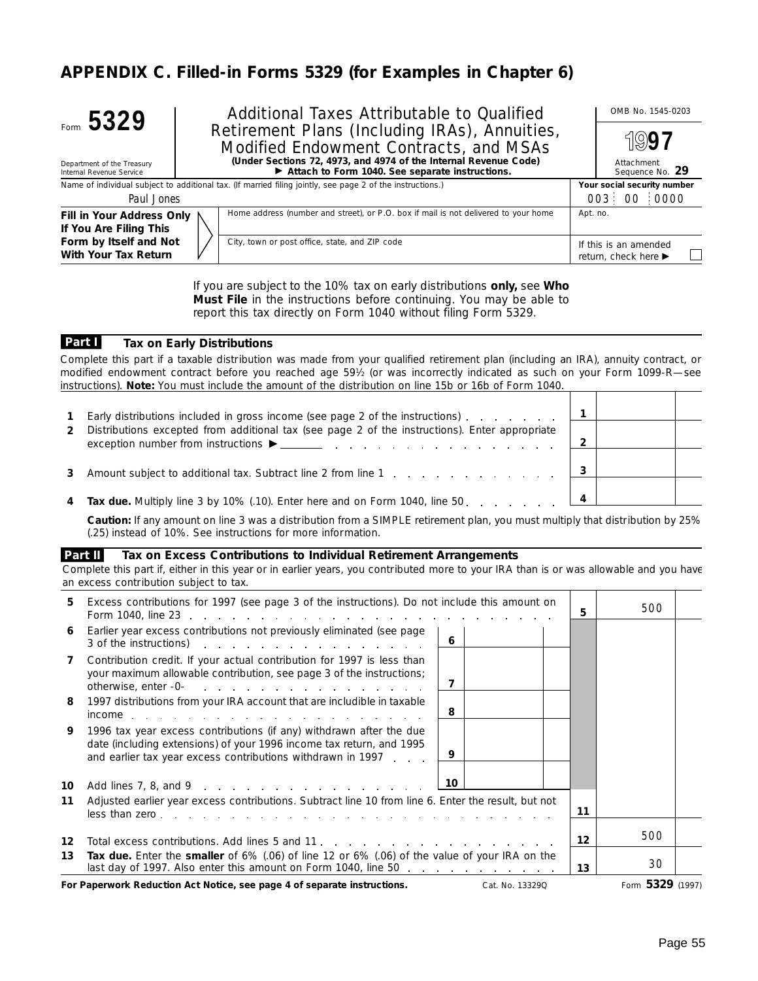## **APPENDIX C. Filled-in Forms 5329 (for Examples in Chapter 6)**



Additional Taxes Attributable to Qualified Manual OMB No. 1545-0203 Retirement Plans (Including IRAs), Annuities, Modified Endowment Contracts, and MSAs **(Under Sections 72, 4973, and 4974 of the Internal Revenue Code)**

Department of the Treasury Internal Revenue Service

## © **Attach to Form 1040. See separate instructions.**

| Name of individual subject to additional tax. (If married filing jointly, see page 2 of the instructions.) | Your social security number                                                         |                                               |
|------------------------------------------------------------------------------------------------------------|-------------------------------------------------------------------------------------|-----------------------------------------------|
| Paul Jones                                                                                                 |                                                                                     | 003 00 0000                                   |
| Fill in Your Address Only \<br>If You Are Filing This                                                      | Home address (number and street), or P.O. box if mail is not delivered to your home | Apt. no.                                      |
| Form by Itself and Not<br>With Your Tax Return                                                             | City, town or post office, state, and ZIP code                                      | If this is an amended<br>return, check here ▶ |

If you are subject to the 10% tax on early distributions **only,** see **Who Must File** in the instructions before continuing. You may be able to report this tax directly on Form 1040 without filing Form 5329.

#### **Tax on Early Distributions Part I**

*Complete this part if a taxable distribution was made from your qualified retirement plan (including an IRA), annuity contract, or modified endowment contract before you reached age 591⁄2 (or was incorrectly indicated as such on your Form 1099-R—see instructions). Note: You must include the amount of the distribution on line 15b or 16b of Form 1040.*

| $\mathbf{1}$ | Early distributions included in gross income (see page 2 of the instructions).                 |  |  |
|--------------|------------------------------------------------------------------------------------------------|--|--|
| 2            | Distributions excepted from additional tax (see page 2 of the instructions). Enter appropriate |  |  |
|              | Amount subject to additional tax. Subtract line 2 from line 1                                  |  |  |
|              | 4 Tax due Multiply line 3 by 10% (10) Enter here and on Form 1040 line 50                      |  |  |

**4 Tax due.** Multiply line 3 by 10% (.10). Enter here and on Form 1040, line 50 **4**

**Caution:** *If any amount on line 3 was a distribution from a SIMPLE retirement plan, you must multiply that distribution by 25% (.25) instead of 10%. See instructions for more information.*

#### **Tax on Excess Contributions to Individual Retirement Arrangements Part II**

*Complete this part if, either in this year or in earlier years, you contributed more to your IRA than is or was allowable and you have an excess contribution subject to tax.*

| 5. | Excess contributions for 1997 (see page 3 of the instructions). Do not include this amount on                                                                                                                   | 5.      | 500    |  |
|----|-----------------------------------------------------------------------------------------------------------------------------------------------------------------------------------------------------------------|---------|--------|--|
| 6  | Earlier year excess contributions not previously eliminated (see page<br>6<br>3 of the instructions)                                                                                                            |         |        |  |
| 7  | Contribution credit. If your actual contribution for 1997 is less than<br>your maximum allowable contribution, see page 3 of the instructions;<br>7<br>otherwise, enter -0-                                     |         |        |  |
| 8  | 1997 distributions from your IRA account that are includible in taxable<br>8                                                                                                                                    |         |        |  |
| 9  | 1996 tax year excess contributions (if any) withdrawn after the due<br>date (including extensions) of your 1996 income tax return, and 1995<br>9<br>and earlier tax year excess contributions withdrawn in 1997 |         |        |  |
| 10 | 10<br>Add lines 7, 8, and 9                                                                                                                                                                                     |         |        |  |
| 11 | Adjusted earlier year excess contributions. Subtract line 10 from line 6. Enter the result, but not                                                                                                             | 11      |        |  |
| 12 |                                                                                                                                                                                                                 | $12 \,$ | 500    |  |
| 13 | Tax due. Enter the smaller of 6% (.06) of line 12 or 6% (.06) of the value of your IRA on the<br>last day of 1997. Also enter this amount on Form 1040, line 50                                                 | 13      | 30     |  |
|    |                                                                                                                                                                                                                 |         | r 220. |  |

**For Paperwork Reduction Act Notice, see page 4 of separate instructions.** Cat. No. 13329Q Form **5329** (1997)

Attachment Sequence No. **29**

**97**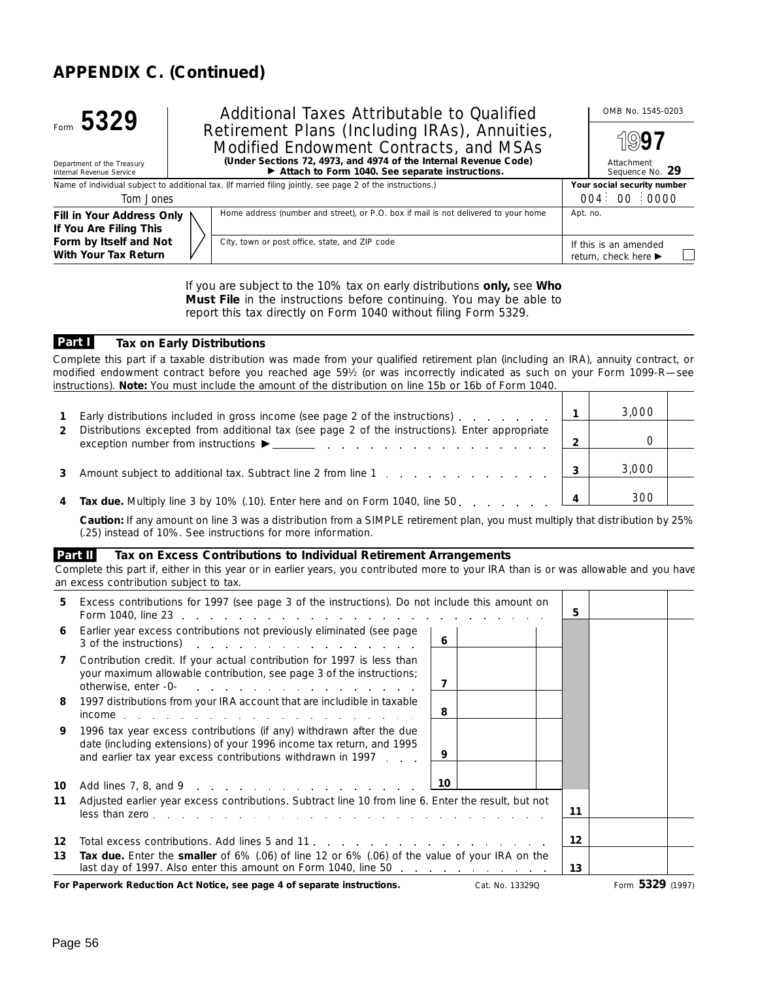

Additional Taxes Attributable to Qualified | OMB No. 1545-0203 Retirement Plans (Including IRAs), Annuities, Modified Endowment Contracts, and MSAs **(Under Sections 72, 4973, and 4974 of the Internal Revenue Code)**

Department of the Treasury Internal Revenue Service

© **Attach to Form 1040. See separate instructions.**

Name of individual subject to additional tax. (If married filing jointly, see page 2 of the instructions.) **Your social security number** 

| Tom .Jones                |                                                                                     | 004 00 0000           |
|---------------------------|-------------------------------------------------------------------------------------|-----------------------|
| Fill in Your Address Only | Home address (number and street), or P.O. box if mail is not delivered to your home | Apt. no.              |
| If You Are Filing This    |                                                                                     |                       |
| Form by Itself and Not    | City, town or post office, state, and ZIP code                                      | If this is an amended |
| With Your Tax Return      |                                                                                     | return, check here ▶  |

If you are subject to the 10% tax on early distributions **only,** see **Who Must File** in the instructions before continuing. You may be able to report this tax directly on Form 1040 without filing Form 5329.

#### **Tax on Early Distributions Part I**

*Complete this part if a taxable distribution was made from your qualified retirement plan (including an IRA), annuity contract, or modified endowment contract before you reached age 591⁄2 (or was incorrectly indicated as such on your Form 1099-R—see instructions). Note: You must include the amount of the distribution on line 15b or 16b of Form 1040.*

|   | Early distributions included in gross income (see page 2 of the instructions) entertainment    |   | 3.000 |  |
|---|------------------------------------------------------------------------------------------------|---|-------|--|
| 2 | Distributions excepted from additional tax (see page 2 of the instructions). Enter appropriate |   |       |  |
|   | Amount subject to additional tax. Subtract line 2 from line 1                                  |   | 3.000 |  |
| 4 | Tax due. Multiply line 3 by 10% (.10). Enter here and on Form 1040, line 50.                   | Δ | 300   |  |

**Caution:** *If any amount on line 3 was a distribution from a SIMPLE retirement plan, you must multiply that distribution by 25% (.25) instead of 10%. See instructions for more information.*

#### **Tax on Excess Contributions to Individual Retirement Arrangements Part II**

| Complete this part if, either in this year or in earlier years, you contributed more to your IRA than is or was allowable and you have |  |  |  |  |  |  |
|----------------------------------------------------------------------------------------------------------------------------------------|--|--|--|--|--|--|
| an excess contribution subiect to tax.                                                                                                 |  |  |  |  |  |  |

| Excess contributions for 1997 (see page 3 of the instructions). Do not include this amount on<br>5.<br>5                                                                                                                                                                                                                                                                                              |  |
|-------------------------------------------------------------------------------------------------------------------------------------------------------------------------------------------------------------------------------------------------------------------------------------------------------------------------------------------------------------------------------------------------------|--|
|                                                                                                                                                                                                                                                                                                                                                                                                       |  |
| Earlier year excess contributions not previously eliminated (see page<br>6<br>6<br>3 of the instructions)                                                                                                                                                                                                                                                                                             |  |
| Contribution credit. If your actual contribution for 1997 is less than<br>$\mathbf{7}$<br>your maximum allowable contribution, see page 3 of the instructions;<br>7<br>otherwise, enter -0- with a state of the state of the state of the state of the state of the state of the state of the state of the state of the state of the state of the state of the state of the state of the state of the |  |
| 8<br>1997 distributions from your IRA account that are includible in taxable<br>8                                                                                                                                                                                                                                                                                                                     |  |
| 9<br>1996 tax year excess contributions (if any) withdrawn after the due<br>date (including extensions) of your 1996 income tax return, and 1995<br>9<br>and earlier tax year excess contributions withdrawn in 1997                                                                                                                                                                                  |  |
| 10<br>Add lines 7, 8, and 9 $\ldots$ $\ldots$ $\ldots$ $\ldots$ $\ldots$ $\ldots$<br>10                                                                                                                                                                                                                                                                                                               |  |
| 11<br>Adjusted earlier year excess contributions. Subtract line 10 from line 6. Enter the result, but not<br>11<br>less than zero, et al., et al., et al., et al., et al., et al., et al., et al., et al., et al., et al., et al., et al., et al., et al., et al., et al., et al., et al., et al., et al., et al., et al., et al., et al., et al.                                                     |  |
| 12<br>12 <sup>12</sup>                                                                                                                                                                                                                                                                                                                                                                                |  |
| Tax due. Enter the smaller of 6% (.06) of line 12 or 6% (.06) of the value of your IRA on the<br>13<br>last day of 1997. Also enter this amount on Form 1040, line 50<br>13                                                                                                                                                                                                                           |  |

**For Paperwork Reduction Act Notice, see page 4 of separate instructions.** Cat. No. 13329Q Form 5329 (1997)

Attachment Sequence No. **29**

**97**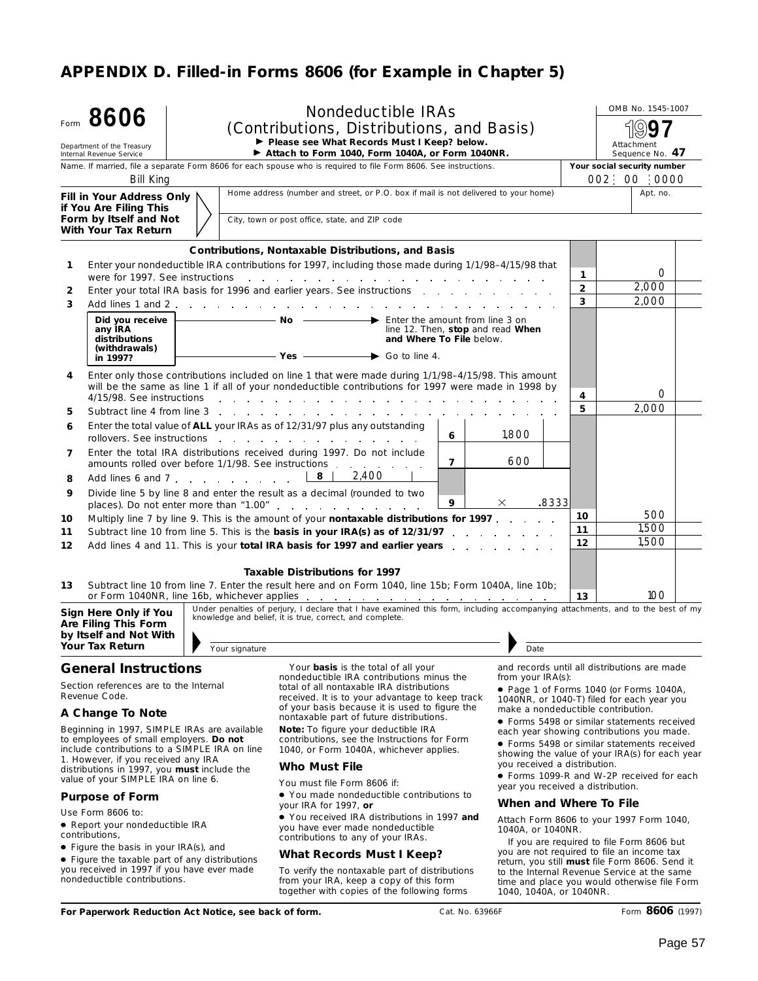# **APPENDIX D. Filled-in Forms 8606 (for Example in Chapter 5)**

|                                                                                                                                                                                                                                                                                                                             | Form 8606                                                                                                                    |                | <b>Nondeductible IRAs</b>                                                                                                                                                                                                                                                                                                     |                                                                                                                                                      |                                                                                                                                                                                                                           | OMB No. 1545-1007                                                                                                                     |  |  |
|-----------------------------------------------------------------------------------------------------------------------------------------------------------------------------------------------------------------------------------------------------------------------------------------------------------------------------|------------------------------------------------------------------------------------------------------------------------------|----------------|-------------------------------------------------------------------------------------------------------------------------------------------------------------------------------------------------------------------------------------------------------------------------------------------------------------------------------|------------------------------------------------------------------------------------------------------------------------------------------------------|---------------------------------------------------------------------------------------------------------------------------------------------------------------------------------------------------------------------------|---------------------------------------------------------------------------------------------------------------------------------------|--|--|
|                                                                                                                                                                                                                                                                                                                             |                                                                                                                              |                | (Contributions, Distributions, and Basis)<br>Please see What Records Must I Keep? below.                                                                                                                                                                                                                                      |                                                                                                                                                      |                                                                                                                                                                                                                           |                                                                                                                                       |  |  |
|                                                                                                                                                                                                                                                                                                                             | Department of the Treasury<br>Internal Revenue Service                                                                       |                | Attach to Form 1040, Form 1040A, or Form 1040NR.                                                                                                                                                                                                                                                                              |                                                                                                                                                      |                                                                                                                                                                                                                           | Attachment<br>Sequence No. 47                                                                                                         |  |  |
|                                                                                                                                                                                                                                                                                                                             |                                                                                                                              |                | Name. If married, file a separate Form 8606 for each spouse who is required to file Form 8606. See instructions.                                                                                                                                                                                                              |                                                                                                                                                      | Your social security number                                                                                                                                                                                               |                                                                                                                                       |  |  |
|                                                                                                                                                                                                                                                                                                                             | <b>Bill King</b>                                                                                                             |                |                                                                                                                                                                                                                                                                                                                               |                                                                                                                                                      |                                                                                                                                                                                                                           | 002 00 0000                                                                                                                           |  |  |
|                                                                                                                                                                                                                                                                                                                             | Fill in Your Address Only<br>if You Are Filing This                                                                          |                | Home address (number and street, or P.O. box if mail is not delivered to your home)                                                                                                                                                                                                                                           |                                                                                                                                                      |                                                                                                                                                                                                                           | Apt. no.                                                                                                                              |  |  |
|                                                                                                                                                                                                                                                                                                                             | Form by Itself and Not<br>With Your Tax Return                                                                               |                | City, town or post office, state, and ZIP code                                                                                                                                                                                                                                                                                |                                                                                                                                                      |                                                                                                                                                                                                                           |                                                                                                                                       |  |  |
|                                                                                                                                                                                                                                                                                                                             |                                                                                                                              |                | <b>Contributions, Nontaxable Distributions, and Basis</b>                                                                                                                                                                                                                                                                     |                                                                                                                                                      |                                                                                                                                                                                                                           |                                                                                                                                       |  |  |
| 1                                                                                                                                                                                                                                                                                                                           | were for 1997. See instructions                                                                                              |                | Enter your nondeductible IRA contributions for 1997, including those made during 1/1/98-4/15/98 that<br>the contract of the contract of the contract of the contract of the contract of                                                                                                                                       |                                                                                                                                                      | 1                                                                                                                                                                                                                         | $\Omega$                                                                                                                              |  |  |
| 2                                                                                                                                                                                                                                                                                                                           |                                                                                                                              |                |                                                                                                                                                                                                                                                                                                                               |                                                                                                                                                      | $\overline{2}$                                                                                                                                                                                                            | 2,000                                                                                                                                 |  |  |
| 3                                                                                                                                                                                                                                                                                                                           |                                                                                                                              |                |                                                                                                                                                                                                                                                                                                                               |                                                                                                                                                      | 3                                                                                                                                                                                                                         | 2,000                                                                                                                                 |  |  |
|                                                                                                                                                                                                                                                                                                                             | Did you receive<br>any IRA<br>distributions<br>(withdrawals)<br>in 1997?                                                     |                | $\overline{\phantom{a}}$ No $\overline{\phantom{a}}$<br>$\rightarrow$ Enter the amount from line 3 on<br>line 12. Then, stop and read When<br>and Where To File below.<br>$Yes$ Go to line 4.                                                                                                                                 |                                                                                                                                                      |                                                                                                                                                                                                                           |                                                                                                                                       |  |  |
| 4                                                                                                                                                                                                                                                                                                                           | 4/15/98. See instructions                                                                                                    |                | Enter only those contributions included on line 1 that were made during 1/1/98-4/15/98. This amount<br>will be the same as line 1 if all of your nondeductible contributions for 1997 were made in 1998 by<br>the contract of the contract of the contract of the contract of the contract of the contract of the contract of |                                                                                                                                                      | 4                                                                                                                                                                                                                         | $\Omega$                                                                                                                              |  |  |
| 5                                                                                                                                                                                                                                                                                                                           |                                                                                                                              |                |                                                                                                                                                                                                                                                                                                                               |                                                                                                                                                      | 5                                                                                                                                                                                                                         | 2,000                                                                                                                                 |  |  |
| 6                                                                                                                                                                                                                                                                                                                           |                                                                                                                              |                | Enter the total value of ALL your IRAs as of 12/31/97 plus any outstanding<br>6<br>rollovers. See instructions                                                                                                                                                                                                                | 1,800                                                                                                                                                |                                                                                                                                                                                                                           |                                                                                                                                       |  |  |
| 7                                                                                                                                                                                                                                                                                                                           |                                                                                                                              |                | Enter the total IRA distributions received during 1997. Do not include<br>$\overline{7}$<br>amounts rolled over before 1/1/98. See instructions                                                                                                                                                                               | 600                                                                                                                                                  |                                                                                                                                                                                                                           |                                                                                                                                       |  |  |
| 8                                                                                                                                                                                                                                                                                                                           |                                                                                                                              |                | 2,400                                                                                                                                                                                                                                                                                                                         |                                                                                                                                                      |                                                                                                                                                                                                                           |                                                                                                                                       |  |  |
| 9                                                                                                                                                                                                                                                                                                                           |                                                                                                                              |                | Divide line 5 by line 8 and enter the result as a decimal (rounded to two<br>9<br>places). Do not enter more than "1.00".                                                                                                                                                                                                     | $-8333$<br>×                                                                                                                                         |                                                                                                                                                                                                                           |                                                                                                                                       |  |  |
| 10                                                                                                                                                                                                                                                                                                                          |                                                                                                                              |                | Multiply line 7 by line 9. This is the amount of your nontaxable distributions for 1997.                                                                                                                                                                                                                                      |                                                                                                                                                      | 10                                                                                                                                                                                                                        | 500                                                                                                                                   |  |  |
| 11                                                                                                                                                                                                                                                                                                                          |                                                                                                                              |                | Subtract line 10 from line 5. This is the basis in your IRA(s) as of 12/31/97                                                                                                                                                                                                                                                 |                                                                                                                                                      | 11                                                                                                                                                                                                                        | 1,500<br>1.500                                                                                                                        |  |  |
| 12                                                                                                                                                                                                                                                                                                                          |                                                                                                                              |                | Add lines 4 and 11. This is your total IRA basis for 1997 and earlier years                                                                                                                                                                                                                                                   |                                                                                                                                                      | 12                                                                                                                                                                                                                        |                                                                                                                                       |  |  |
|                                                                                                                                                                                                                                                                                                                             |                                                                                                                              |                | Taxable Distributions for 1997                                                                                                                                                                                                                                                                                                |                                                                                                                                                      |                                                                                                                                                                                                                           |                                                                                                                                       |  |  |
| 13                                                                                                                                                                                                                                                                                                                          |                                                                                                                              |                | Subtract line 10 from line 7. Enter the result here and on Form 1040, line 15b; Form 1040A, line 10b;                                                                                                                                                                                                                         |                                                                                                                                                      | 13                                                                                                                                                                                                                        | 100                                                                                                                                   |  |  |
|                                                                                                                                                                                                                                                                                                                             | Sign Here Only if You<br>Are Filing This Form                                                                                |                | Under penalties of perjury, I declare that I have examined this form, including accompanying attachments, and to the best of $\overline{my}$<br>knowledge and belief, it is true, correct, and complete.                                                                                                                      |                                                                                                                                                      |                                                                                                                                                                                                                           |                                                                                                                                       |  |  |
|                                                                                                                                                                                                                                                                                                                             | by Itself and Not With<br>Your Tax Return                                                                                    |                |                                                                                                                                                                                                                                                                                                                               |                                                                                                                                                      |                                                                                                                                                                                                                           |                                                                                                                                       |  |  |
|                                                                                                                                                                                                                                                                                                                             |                                                                                                                              | Your signature |                                                                                                                                                                                                                                                                                                                               | Date                                                                                                                                                 |                                                                                                                                                                                                                           |                                                                                                                                       |  |  |
| <b>General Instructions</b><br>Section references are to the Internal<br>Revenue Code.                                                                                                                                                                                                                                      |                                                                                                                              |                | Your <b>basis</b> is the total of all your<br>nondeductible IRA contributions minus the<br>total of all nontaxable IRA distributions<br>received. It is to your advantage to keep track                                                                                                                                       | from your IRA(s):                                                                                                                                    |                                                                                                                                                                                                                           | and records until all distributions are made<br>• Page 1 of Forms 1040 (or Forms 1040A,<br>1040NR, or 1040-T) filed for each year you |  |  |
|                                                                                                                                                                                                                                                                                                                             | A Change To Note                                                                                                             |                | of your basis because it is used to figure the<br>nontaxable part of future distributions.                                                                                                                                                                                                                                    | make a nondeductible contribution.                                                                                                                   |                                                                                                                                                                                                                           |                                                                                                                                       |  |  |
| Beginning in 1997, SIMPLE IRAs are available<br>to employees of small employers. Do not<br>include contributions to a SIMPLE IRA on line<br>1. However, if you received any IRA<br>distributions in 1997, you <b>must</b> include the<br>value of your SIMPLE IRA on line 6.<br><b>Purpose of Form</b><br>Use Form 8606 to: |                                                                                                                              |                | <b>Note:</b> To figure your deductible IRA<br>contributions, see the Instructions for Form<br>1040, or Form 1040A, whichever applies.<br><b>Who Must File</b>                                                                                                                                                                 |                                                                                                                                                      | • Forms 5498 or similar statements received<br>each year showing contributions you made.<br>• Forms 5498 or similar statements received<br>showing the value of your IRA(s) for each year<br>you received a distribution. |                                                                                                                                       |  |  |
|                                                                                                                                                                                                                                                                                                                             |                                                                                                                              |                | You must file Form 8606 if:<br>• You made nondeductible contributions to                                                                                                                                                                                                                                                      | year you received a distribution.                                                                                                                    |                                                                                                                                                                                                                           | • Forms 1099-R and W-2P received for each                                                                                             |  |  |
|                                                                                                                                                                                                                                                                                                                             |                                                                                                                              |                | your IRA for 1997, or                                                                                                                                                                                                                                                                                                         | When and Where To File                                                                                                                               |                                                                                                                                                                                                                           |                                                                                                                                       |  |  |
|                                                                                                                                                                                                                                                                                                                             | · Report your nondeductible IRA<br>contributions,                                                                            |                | • You received IRA distributions in 1997 and<br>you have ever made nondeductible<br>contributions to any of your IRAs.                                                                                                                                                                                                        | 1040A, or 1040NR.                                                                                                                                    |                                                                                                                                                                                                                           | Attach Form 8606 to your 1997 Form 1040,<br>If you are required to file Form 8606 but                                                 |  |  |
|                                                                                                                                                                                                                                                                                                                             | • Figure the basis in your IRA(s), and                                                                                       |                | <b>What Records Must I Keep?</b>                                                                                                                                                                                                                                                                                              |                                                                                                                                                      |                                                                                                                                                                                                                           | you are not required to file an income tax                                                                                            |  |  |
|                                                                                                                                                                                                                                                                                                                             | • Figure the taxable part of any distributions<br>you received in 1997 if you have ever made<br>nondeductible contributions. |                | To verify the nontaxable part of distributions<br>from your IRA, keep a copy of this form                                                                                                                                                                                                                                     | return, you still <b>must</b> file Form 8606. Send it<br>to the Internal Revenue Service at the same<br>time and place you would otherwise file Form |                                                                                                                                                                                                                           |                                                                                                                                       |  |  |

together with copies of the following forms

1040, 1040A, or 1040NR.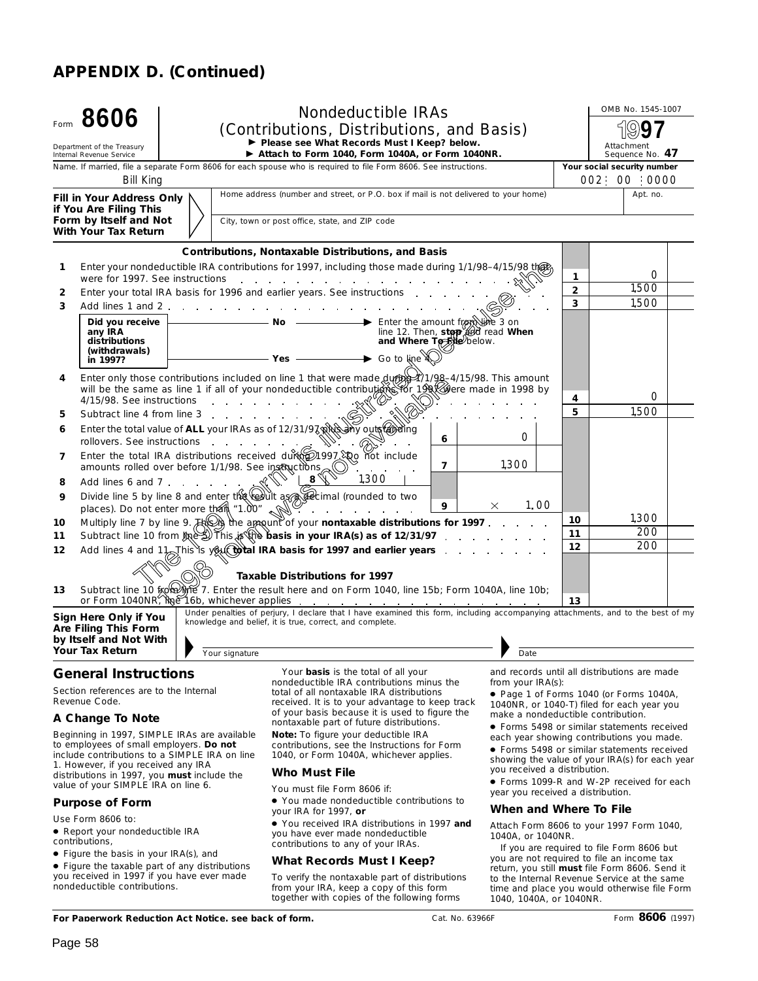| Form | 8606<br>Department of the Treasury<br>Internal Revenue Service                   | <b>Nondeductible IRAs</b><br>(Contributions, Distributions, and Basis)<br>Please see What Records Must I Keep? below.<br>Attach to Form 1040, Form 1040A, or Form 1040NR.                                                                      |                | OMB No. 1545-1007<br>Attachment<br>Sequence No. 47                                              |
|------|----------------------------------------------------------------------------------|------------------------------------------------------------------------------------------------------------------------------------------------------------------------------------------------------------------------------------------------|----------------|-------------------------------------------------------------------------------------------------|
|      |                                                                                  | Name. If married, file a separate Form 8606 for each spouse who is required to file Form 8606. See instructions.                                                                                                                               |                | Your social security number                                                                     |
|      | Bill King                                                                        | Home address (number and street, or P.O. box if mail is not delivered to your home)                                                                                                                                                            |                | 002 00 0000<br>Apt. no.                                                                         |
|      | Fill in Your Address Only<br>if You Are Filing This                              |                                                                                                                                                                                                                                                |                |                                                                                                 |
|      | Form by Itself and Not<br>With Your Tax Return                                   | City, town or post office, state, and ZIP code                                                                                                                                                                                                 |                |                                                                                                 |
|      |                                                                                  | <b>Contributions, Nontaxable Distributions, and Basis</b>                                                                                                                                                                                      |                |                                                                                                 |
| 1    |                                                                                  | Enter your nondeductible IRA contributions for 1997, including those made during 1/1/98-4/15/98 that                                                                                                                                           | 1              | Ω                                                                                               |
| 2    |                                                                                  | Enter your total IRA basis for 1996 and earlier years. See instructions                                                                                                                                                                        | $\overline{2}$ | 1.500                                                                                           |
| 3    |                                                                                  |                                                                                                                                                                                                                                                | $\mathbf{3}$   | 1.500                                                                                           |
|      | Did you receive $\vert$<br>any IRA<br>distributions<br>(withdrawals)<br>in 1997? | $\overline{\phantom{a}}$ <b>No</b> $\overline{\phantom{a}}$ Enter the amount from $\overline{\phantom{a}}$ 3 on<br>line 12. Then, stop @d read When<br>and Where To Sile below.<br>$\blacktriangleright$ Go to line<br>$-$ Yes $-$             |                |                                                                                                 |
| 4    |                                                                                  | Enter only those contributions included on line 1 that were made $\frac{d}{dr}$ (1/98-4/15/98. This amount<br>will be the same as line 1 if all of your nondeductible contributions for 19 allere made in 1998 by<br>4/15/98. See instructions | 4              | O                                                                                               |
| 5    |                                                                                  |                                                                                                                                                                                                                                                | 5.             | 1.500                                                                                           |
| 6    |                                                                                  | Enter the total value of ALL your IRAs as of 12/31/97 RRS any outs and inq<br>O<br>rollovers. See instructions<br>6                                                                                                                            |                |                                                                                                 |
| 7    |                                                                                  | Enter the total IRA distributions received durth 20197. Qo not include<br>1,300<br>amounts rolled over before 1/1/98. See instructions<br>$\overline{7}$                                                                                       |                |                                                                                                 |
| 8    | Add lines 6 and 7                                                                | 1,300                                                                                                                                                                                                                                          |                |                                                                                                 |
| 9    |                                                                                  | Divide line 5 by line 8 and enter the result as decimal (rounded to two<br>1.00<br>9<br>$\times$                                                                                                                                               |                |                                                                                                 |
| 10   |                                                                                  | places). Do not enter more than "1.00"<br>the contract of the contract of the<br>$\mathbb{R}^{\mathbb{N}}$<br>Multiply line 7 by line 9. $H^{\text{Q}}$ the appoint of your <b>nontaxable distributions for 1997</b> .                         | 10             | 1.300                                                                                           |
| 11   |                                                                                  | Subtract line 10 from $\log$ This $\log$ the basis in your IRA(s) as of 12/31/97                                                                                                                                                               | 11             | 200                                                                                             |
| 12   |                                                                                  | Add lines 4 and $1\frac{1}{2}$ This is you to late IRA basis for 1997 and earlier years                                                                                                                                                        | 12             | 200                                                                                             |
|      |                                                                                  | <b>Taxable Distributions for 1997</b>                                                                                                                                                                                                          |                |                                                                                                 |
| 13   |                                                                                  | Subtract line 10 from the 7. Enter the result here and on Form 1040, line 15b; Form 1040A, line 10b;                                                                                                                                           | 13             |                                                                                                 |
|      | Sign Here Only if You<br>Are Filing This Form<br>by Itself and Not With          | Under penalties of perjury, I declare that I have examined this form, including accompanying attachments, and to the best of my<br>knowledge and belief, it is true, correct, and complete.                                                    |                |                                                                                                 |
|      | <b>Your Tax Return</b>                                                           | Your signature<br>Date                                                                                                                                                                                                                         |                |                                                                                                 |
|      | <b>General Instructions</b><br>Section references are to the Internal            | Your <b>basis</b> is the total of all your<br>nondeductible IRA contributions minus the<br>from your IRA(s):<br>total of all nontaxable IRA distributions                                                                                      |                | and records until all distributions are made<br>$\bullet$ Page 1 of Forms 1040 (or Forms 1040A) |

### *Revenue Code.*

#### **A Change To Note**

Beginning in 1997, SIMPLE IRAs are available to employees of small employers. **Do not** include contributions to a SIMPLE IRA on line 1. However, if you received any IRA distributions in 1997, you **must** include the value of your SIMPLE IRA on line 6. <br>value of your SIMPLE IRA on line 6. expansion of the Form 8606 if

#### **Purpose of Form**

Use Form 8606 to:

- Report your nondeductible IRA contributions,
- Figure the basis in your IRA(s), and
- Figure the taxable part of any distributions you received in 1997 if you have ever made nondeductible contributions.

total of all nontaxable IRA distributions received. It is to your advantage to keep track of your basis because it is used to figure the nontaxable part of future distributions.

**Note:** *To figure your deductible IRA contributions, see the Instructions for Form 1040, or Form 1040A, whichever applies.*

#### **Who Must File**

You must file Form 8606 if:

● You made nondeductible contributions to your IRA for 1997, **or**

● You received IRA distributions in 1997 **and** you have ever made nondeductible contributions to any of your IRAs.

#### **What Records Must I Keep?**

To verify the nontaxable part of distributions from your IRA, keep a copy of this form together with copies of the following forms

● Page 1 of Forms 1040 (or Forms 1040A, 1040NR, or 1040-T) filed for each year you make a nondeductible contribution.

● Forms 5498 or similar statements received each year showing contributions you made.

● Forms 5498 or similar statements received showing the value of your IRA(s) for each year you received a distribution.

year you received a distribution.

#### **When and Where To File**

Attach Form 8606 to your 1997 Form 1040, 1040A, or 1040NR.

If you are required to file Form 8606 but you are not required to file an income tax return, you still **must** file Form 8606. Send it to the Internal Revenue Service at the same time and place you would otherwise file Form 1040, 1040A, or 1040NR.

**For Paperwork Reduction Act Notice, see back of form.**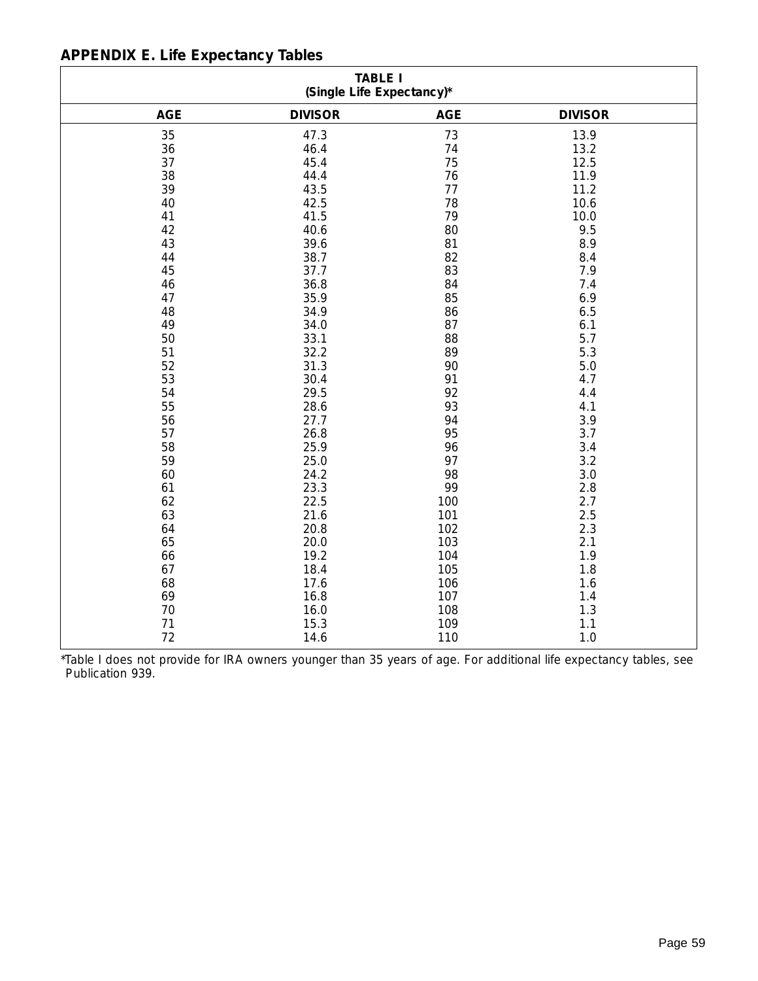|  | <b>APPENDIX E. Life Expectancy Tables</b> |
|--|-------------------------------------------|
|--|-------------------------------------------|

| <b>TABLE I</b><br>(Single Life Expectancy)* |                |            |                |  |  |  |  |  |  |  |
|---------------------------------------------|----------------|------------|----------------|--|--|--|--|--|--|--|
| <b>AGE</b>                                  | <b>DIVISOR</b> | <b>AGE</b> | <b>DIVISOR</b> |  |  |  |  |  |  |  |
| 35                                          | 47.3           | 73         | 13.9           |  |  |  |  |  |  |  |
| 36                                          | 46.4           | 74         | 13.2           |  |  |  |  |  |  |  |
| 37                                          | 45.4           | 75         | 12.5           |  |  |  |  |  |  |  |
| 38                                          | 44.4           | 76         | 11.9           |  |  |  |  |  |  |  |
| 39                                          | 43.5           | 77         | 11.2           |  |  |  |  |  |  |  |
| 40                                          | 42.5           | 78         | 10.6           |  |  |  |  |  |  |  |
| 41                                          | 41.5           | 79         | 10.0           |  |  |  |  |  |  |  |
| 42                                          | 40.6           | 80         | 9.5            |  |  |  |  |  |  |  |
| 43                                          | 39.6           | 81         | 8.9            |  |  |  |  |  |  |  |
| 44                                          | 38.7           | 82         | 8.4            |  |  |  |  |  |  |  |
| 45                                          | 37.7           | 83         | 7.9            |  |  |  |  |  |  |  |
| 46                                          | 36.8           | 84         | 7.4            |  |  |  |  |  |  |  |
| 47                                          | 35.9           | 85         | 6.9            |  |  |  |  |  |  |  |
| 48                                          | 34.9           | 86         | 6.5            |  |  |  |  |  |  |  |
| 49                                          | 34.0           | 87         | 6.1            |  |  |  |  |  |  |  |
| 50                                          | 33.1           | 88         | 5.7            |  |  |  |  |  |  |  |
| 51                                          | 32.2           | 89         | 5.3            |  |  |  |  |  |  |  |
| 52                                          | 31.3           | 90         | 5.0            |  |  |  |  |  |  |  |
| 53                                          | 30.4           | 91         | 4.7            |  |  |  |  |  |  |  |
| 54                                          | 29.5           | 92         | 4.4            |  |  |  |  |  |  |  |
| 55                                          | 28.6           | 93         | 4.1            |  |  |  |  |  |  |  |
| 56                                          | 27.7           | 94         | 3.9            |  |  |  |  |  |  |  |
| 57                                          | 26.8           | 95         | 3.7            |  |  |  |  |  |  |  |
| 58                                          | 25.9           | 96         | 3.4            |  |  |  |  |  |  |  |
| 59                                          | 25.0           | 97         | 3.2            |  |  |  |  |  |  |  |
| 60                                          | 24.2           | 98         | 3.0            |  |  |  |  |  |  |  |
| 61                                          | 23.3           | 99         | 2.8            |  |  |  |  |  |  |  |
| 62                                          | 22.5           | 100        | 2.7            |  |  |  |  |  |  |  |
| 63                                          | 21.6           | 101        | 2.5            |  |  |  |  |  |  |  |
| 64                                          | 20.8           | 102        | 2.3            |  |  |  |  |  |  |  |
| 65                                          | 20.0           | 103        | 2.1            |  |  |  |  |  |  |  |
| 66                                          | 19.2           | 104        | 1.9            |  |  |  |  |  |  |  |
| 67                                          | 18.4           | 105        | 1.8            |  |  |  |  |  |  |  |
| 68                                          | 17.6           | 106        | 1.6            |  |  |  |  |  |  |  |
| 69                                          | 16.8           | 107        | 1.4            |  |  |  |  |  |  |  |
| 70                                          | 16.0           | 108        | 1.3            |  |  |  |  |  |  |  |
| 71                                          | 15.3           | 109        | 1.1            |  |  |  |  |  |  |  |
| 72                                          | 14.6           | 110        | 1.0            |  |  |  |  |  |  |  |

\*Table I does not provide for IRA owners younger than 35 years of age. For additional life expectancy tables, see Publication 939.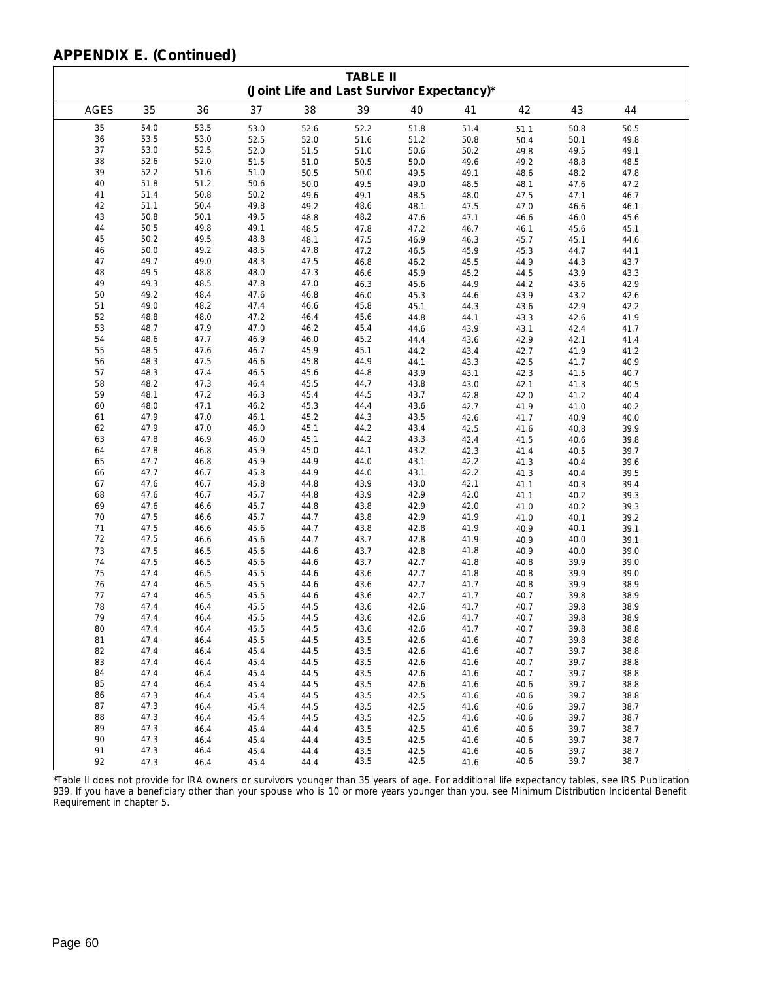|             | <b>TABLE II</b><br>(Joint Life and Last Survivor Expectancy)* |              |              |              |              |              |              |              |              |              |  |
|-------------|---------------------------------------------------------------|--------------|--------------|--------------|--------------|--------------|--------------|--------------|--------------|--------------|--|
| <b>AGES</b> | 35                                                            | 36           | 37           | 38           | 39           | 40           | 41           | 42           | 43           | 44           |  |
| 35          | 54.0                                                          | 53.5         | 53.0         | 52.6         | 52.2         | 51.8         | 51.4         | 51.1         | 50.8         | 50.5         |  |
| 36          | 53.5                                                          | 53.0         | 52.5         | 52.0         | 51.6         | 51.2         | 50.8         | 50.4         | 50.1         | 49.8         |  |
| 37          | 53.0                                                          | 52.5         | 52.0         | 51.5         | 51.0         | 50.6         | 50.2         | 49.8         | 49.5         | 49.1         |  |
| 38          | 52.6                                                          | 52.0         | 51.5         | 51.0         | 50.5         | 50.0         | 49.6         | 49.2         | 48.8         | 48.5         |  |
| 39          | 52.2                                                          | 51.6         | 51.0         | 50.5         | 50.0         | 49.5         | 49.1         | 48.6         | 48.2         | 47.8         |  |
| 40          | 51.8                                                          | 51.2         | 50.6         | 50.0         | 49.5         | 49.0         | 48.5         | 48.1         | 47.6         | 47.2         |  |
| 41          | 51.4                                                          | 50.8         | 50.2         | 49.6         | 49.1         | 48.5         | 48.0         | 47.5         | 47.1         | 46.7         |  |
| 42          | 51.1                                                          | 50.4         | 49.8         | 49.2         | 48.6         | 48.1         | 47.5         | 47.0         | 46.6         | 46.1         |  |
| 43          | 50.8                                                          | 50.1         | 49.5         | 48.8         | 48.2         | 47.6         | 47.1         | 46.6         | 46.0         | 45.6         |  |
| 44          | 50.5                                                          | 49.8         | 49.1         | 48.5         | 47.8         | 47.2         | 46.7         | 46.1         | 45.6         | 45.1         |  |
| 45          | 50.2                                                          | 49.5         | 48.8         | 48.1         | 47.5         | 46.9         | 46.3         | 45.7         | 45.1         | 44.6         |  |
| 46          | 50.0                                                          | 49.2         | 48.5         | 47.8         | 47.2         | 46.5         | 45.9         | 45.3         | 44.7         | 44.1         |  |
| 47          | 49.7                                                          | 49.0         | 48.3         | 47.5         | 46.8         | 46.2         | 45.5         | 44.9         | 44.3         | 43.7         |  |
| 48          | 49.5                                                          | 48.8         | 48.0         | 47.3         | 46.6         | 45.9         | 45.2         | 44.5         | 43.9         | 43.3         |  |
| 49<br>50    | 49.3                                                          | 48.5         | 47.8         | 47.0         | 46.3         | 45.6         | 44.9         | 44.2         | 43.6         | 42.9         |  |
| 51          | 49.2<br>49.0                                                  | 48.4<br>48.2 | 47.6         | 46.8         | 46.0         | 45.3         | 44.6         | 43.9         | 43.2         | 42.6         |  |
| 52          | 48.8                                                          | 48.0         | 47.4<br>47.2 | 46.6<br>46.4 | 45.8<br>45.6 | 45.1<br>44.8 | 44.3<br>44.1 | 43.6         | 42.9<br>42.6 | 42.2         |  |
| 53          | 48.7                                                          | 47.9         | 47.0         | 46.2         | 45.4         | 44.6         | 43.9         | 43.3<br>43.1 | 42.4         | 41.9         |  |
| 54          | 48.6                                                          | 47.7         | 46.9         | 46.0         | 45.2         | 44.4         | 43.6         | 42.9         | 42.1         | 41.7<br>41.4 |  |
| 55          | 48.5                                                          | 47.6         | 46.7         | 45.9         | 45.1         | 44.2         | 43.4         | 42.7         | 41.9         | 41.2         |  |
| 56          | 48.3                                                          | 47.5         | 46.6         | 45.8         | 44.9         | 44.1         | 43.3         | 42.5         | 41.7         | 40.9         |  |
| 57          | 48.3                                                          | 47.4         | 46.5         | 45.6         | 44.8         | 43.9         | 43.1         | 42.3         | 41.5         | 40.7         |  |
| 58          | 48.2                                                          | 47.3         | 46.4         | 45.5         | 44.7         | 43.8         | 43.0         | 42.1         | 41.3         | 40.5         |  |
| 59          | 48.1                                                          | 47.2         | 46.3         | 45.4         | 44.5         | 43.7         | 42.8         | 42.0         | 41.2         | 40.4         |  |
| 60          | 48.0                                                          | 47.1         | 46.2         | 45.3         | 44.4         | 43.6         | 42.7         | 41.9         | 41.0         | 40.2         |  |
| 61          | 47.9                                                          | 47.0         | 46.1         | 45.2         | 44.3         | 43.5         | 42.6         | 41.7         | 40.9         | 40.0         |  |
| 62          | 47.9                                                          | 47.0         | 46.0         | 45.1         | 44.2         | 43.4         | 42.5         | 41.6         | 40.8         | 39.9         |  |
| 63          | 47.8                                                          | 46.9         | 46.0         | 45.1         | 44.2         | 43.3         | 42.4         | 41.5         | 40.6         | 39.8         |  |
| 64          | 47.8                                                          | 46.8         | 45.9         | 45.0         | 44.1         | 43.2         | 42.3         | 41.4         | 40.5         | 39.7         |  |
| 65          | 47.7                                                          | 46.8         | 45.9         | 44.9         | 44.0         | 43.1         | 42.2         | 41.3         | 40.4         | 39.6         |  |
| 66          | 47.7                                                          | 46.7         | 45.8         | 44.9         | 44.0         | 43.1         | 42.2         | 41.3         | 40.4         | 39.5         |  |
| 67          | 47.6                                                          | 46.7         | 45.8         | 44.8         | 43.9         | 43.0         | 42.1         | 41.1         | 40.3         | 39.4         |  |
| 68          | 47.6                                                          | 46.7         | 45.7         | 44.8         | 43.9         | 42.9         | 42.0         | 41.1         | 40.2         | 39.3         |  |
| 69          | 47.6                                                          | 46.6         | 45.7         | 44.8         | 43.8         | 42.9         | 42.0         | 41.0         | 40.2         | 39.3         |  |
| 70          | 47.5                                                          | 46.6         | 45.7         | 44.7         | 43.8         | 42.9         | 41.9         | 41.0         | 40.1         | 39.2         |  |
| 71          | 47.5                                                          | 46.6         | 45.6         | 44.7         | 43.8         | 42.8         | 41.9         | 40.9         | 40.1         | 39.1         |  |
| $72\,$      | 47.5                                                          | 46.6         | 45.6         | 44.7         | 43.7         | 42.8         | 41.9         | 40.9         | 40.0         | 39.1         |  |
| 73<br>74    | 47.5<br>47.5                                                  | 46.5<br>46.5 | 45.6<br>45.6 | 44.6<br>44.6 | 43.7<br>43.7 | 42.8<br>42.7 | 41.8<br>41.8 | 40.9         | 40.0         | 39.0         |  |
| 75          | 47.4                                                          | 46.5         | 45.5         | 44.6         | 43.6         | 42.7         | 41.8         | 40.8<br>40.8 | 39.9<br>39.9 | 39.0<br>39.0 |  |
| 76          | 47.4                                                          | 46.5         | 45.5         | 44.6         | 43.6         | 42.7         | 41.7         | 40.8         | 39.9         | 38.9         |  |
| 77          | 47.4                                                          | 46.5         | 45.5         | 44.6         | 43.6         | 42.7         | 41.7         | 40.7         | 39.8         | 38.9         |  |
| 78          | 47.4                                                          | 46.4         | 45.5         | 44.5         | 43.6         | 42.6         | 41.7         | 40.7         | 39.8         | 38.9         |  |
| 79          | 47.4                                                          | 46.4         | 45.5         | 44.5         | 43.6         | 42.6         | 41.7         | 40.7         | 39.8         | 38.9         |  |
| 80          | 47.4                                                          | 46.4         | 45.5         | 44.5         | 43.6         | 42.6         | 41.7         | 40.7         | 39.8         | 38.8         |  |
| 81          | 47.4                                                          | 46.4         | 45.5         | 44.5         | 43.5         | 42.6         | 41.6         | 40.7         | 39.8         | 38.8         |  |
| 82          | 47.4                                                          | 46.4         | 45.4         | 44.5         | 43.5         | 42.6         | 41.6         | 40.7         | 39.7         | 38.8         |  |
| 83          | 47.4                                                          | 46.4         | 45.4         | 44.5         | 43.5         | 42.6         | 41.6         | 40.7         | 39.7         | 38.8         |  |
| 84          | 47.4                                                          | 46.4         | 45.4         | 44.5         | 43.5         | 42.6         | 41.6         | 40.7         | 39.7         | 38.8         |  |
| 85          | 47.4                                                          | 46.4         | 45.4         | 44.5         | 43.5         | 42.6         | 41.6         | 40.6         | 39.7         | 38.8         |  |
| 86          | 47.3                                                          | 46.4         | 45.4         | 44.5         | 43.5         | 42.5         | 41.6         | 40.6         | 39.7         | 38.8         |  |
| 87          | 47.3                                                          | 46.4         | 45.4         | 44.5         | 43.5         | 42.5         | 41.6         | 40.6         | 39.7         | 38.7         |  |
| 88          | 47.3                                                          | 46.4         | 45.4         | 44.5         | 43.5         | 42.5         | 41.6         | 40.6         | 39.7         | 38.7         |  |
| 89          | 47.3                                                          | 46.4         | 45.4         | 44.4         | 43.5         | 42.5         | 41.6         | 40.6         | 39.7         | 38.7         |  |
| 90          | 47.3                                                          | 46.4         | 45.4         | 44.4         | 43.5         | 42.5         | 41.6         | 40.6         | 39.7         | 38.7         |  |
| 91          | 47.3                                                          | 46.4         | 45.4         | 44.4         | 43.5         | 42.5         | 41.6         | 40.6         | 39.7         | 38.7         |  |
| 92          | 47.3                                                          | 46.4         | 45.4         | 44.4         | 43.5         | 42.5         | 41.6         | 40.6         | 39.7         | 38.7         |  |

\*Table II does not provide for IRA owners or survivors younger than 35 years of age. For additional life expectancy tables, see IRS Publication 939. If you have a beneficiary other than your spouse who is 10 or more years younger than you, see *Minimum Distribution Incidental Benefit Requirement* in chapter 5.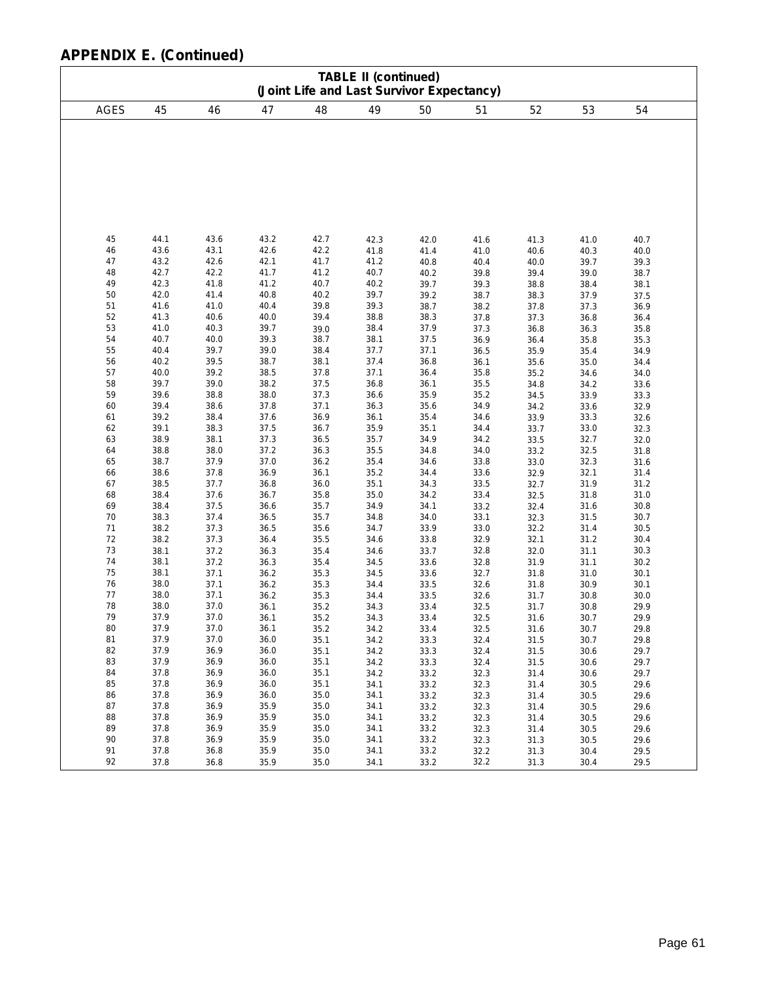| <b>TABLE II (continued)</b><br>(Joint Life and Last Survivor Expectancy)                                                                                                                           |                                                                                                                                                                                                                                                              |                                                                                                                                                                                                                                                              |                                                                                                                                                                                                                                                              |                                                                                                                                                                                                                                                              |                                                                                                                                                                                                                                                              |                                                                                                                                                                                                                                                              |                                                                                                                                                                                                                                                              |                                                                                                                                                                                                                                                              |                                                                                                                                                                                                                                                              |                                                                                                                                                                                                                                                              |
|----------------------------------------------------------------------------------------------------------------------------------------------------------------------------------------------------|--------------------------------------------------------------------------------------------------------------------------------------------------------------------------------------------------------------------------------------------------------------|--------------------------------------------------------------------------------------------------------------------------------------------------------------------------------------------------------------------------------------------------------------|--------------------------------------------------------------------------------------------------------------------------------------------------------------------------------------------------------------------------------------------------------------|--------------------------------------------------------------------------------------------------------------------------------------------------------------------------------------------------------------------------------------------------------------|--------------------------------------------------------------------------------------------------------------------------------------------------------------------------------------------------------------------------------------------------------------|--------------------------------------------------------------------------------------------------------------------------------------------------------------------------------------------------------------------------------------------------------------|--------------------------------------------------------------------------------------------------------------------------------------------------------------------------------------------------------------------------------------------------------------|--------------------------------------------------------------------------------------------------------------------------------------------------------------------------------------------------------------------------------------------------------------|--------------------------------------------------------------------------------------------------------------------------------------------------------------------------------------------------------------------------------------------------------------|--------------------------------------------------------------------------------------------------------------------------------------------------------------------------------------------------------------------------------------------------------------|
| <b>AGES</b>                                                                                                                                                                                        | 45                                                                                                                                                                                                                                                           | 46                                                                                                                                                                                                                                                           | 47                                                                                                                                                                                                                                                           | 48                                                                                                                                                                                                                                                           | 49                                                                                                                                                                                                                                                           | 50                                                                                                                                                                                                                                                           | 51                                                                                                                                                                                                                                                           | 52                                                                                                                                                                                                                                                           | 53                                                                                                                                                                                                                                                           | 54                                                                                                                                                                                                                                                           |
|                                                                                                                                                                                                    |                                                                                                                                                                                                                                                              |                                                                                                                                                                                                                                                              |                                                                                                                                                                                                                                                              |                                                                                                                                                                                                                                                              |                                                                                                                                                                                                                                                              |                                                                                                                                                                                                                                                              |                                                                                                                                                                                                                                                              |                                                                                                                                                                                                                                                              |                                                                                                                                                                                                                                                              |                                                                                                                                                                                                                                                              |
| 45<br>46<br>47<br>48<br>49<br>50<br>51<br>52<br>53<br>54<br>55<br>56<br>57<br>58<br>59<br>60<br>61<br>62<br>63<br>64<br>65<br>66<br>67<br>68<br>69<br>70<br>71<br>72<br>73<br>74<br>75<br>76<br>77 | 44.1<br>43.6<br>43.2<br>42.7<br>42.3<br>42.0<br>41.6<br>41.3<br>41.0<br>40.7<br>40.4<br>40.2<br>40.0<br>39.7<br>39.6<br>39.4<br>39.2<br>39.1<br>38.9<br>38.8<br>38.7<br>38.6<br>38.5<br>38.4<br>38.4<br>38.3<br>38.2<br>38.2<br>38.1<br>38.1<br>38.1<br>38.0 | 43.6<br>43.1<br>42.6<br>42.2<br>41.8<br>41.4<br>41.0<br>40.6<br>40.3<br>40.0<br>39.7<br>39.5<br>39.2<br>39.0<br>38.8<br>38.6<br>38.4<br>38.3<br>38.1<br>38.0<br>37.9<br>37.8<br>37.7<br>37.6<br>37.5<br>37.4<br>37.3<br>37.3<br>37.2<br>37.2<br>37.1<br>37.1 | 43.2<br>42.6<br>42.1<br>41.7<br>41.2<br>40.8<br>40.4<br>40.0<br>39.7<br>39.3<br>39.0<br>38.7<br>38.5<br>38.2<br>38.0<br>37.8<br>37.6<br>37.5<br>37.3<br>37.2<br>37.0<br>36.9<br>36.8<br>36.7<br>36.6<br>36.5<br>36.5<br>36.4<br>36.3<br>36.3<br>36.2<br>36.2 | 42.7<br>42.2<br>41.7<br>41.2<br>40.7<br>40.2<br>39.8<br>39.4<br>39.0<br>38.7<br>38.4<br>38.1<br>37.8<br>37.5<br>37.3<br>37.1<br>36.9<br>36.7<br>36.5<br>36.3<br>36.2<br>36.1<br>36.0<br>35.8<br>35.7<br>35.7<br>35.6<br>35.5<br>35.4<br>35.4<br>35.3<br>35.3 | 42.3<br>41.8<br>41.2<br>40.7<br>40.2<br>39.7<br>39.3<br>38.8<br>38.4<br>38.1<br>37.7<br>37.4<br>37.1<br>36.8<br>36.6<br>36.3<br>36.1<br>35.9<br>35.7<br>35.5<br>35.4<br>35.2<br>35.1<br>35.0<br>34.9<br>34.8<br>34.7<br>34.6<br>34.6<br>34.5<br>34.5<br>34.4 | 42.0<br>41.4<br>40.8<br>40.2<br>39.7<br>39.2<br>38.7<br>38.3<br>37.9<br>37.5<br>37.1<br>36.8<br>36.4<br>36.1<br>35.9<br>35.6<br>35.4<br>35.1<br>34.9<br>34.8<br>34.6<br>34.4<br>34.3<br>34.2<br>34.1<br>34.0<br>33.9<br>33.8<br>33.7<br>33.6<br>33.6<br>33.5 | 41.6<br>41.0<br>40.4<br>39.8<br>39.3<br>38.7<br>38.2<br>37.8<br>37.3<br>36.9<br>36.5<br>36.1<br>35.8<br>35.5<br>35.2<br>34.9<br>34.6<br>34.4<br>34.2<br>34.0<br>33.8<br>33.6<br>33.5<br>33.4<br>33.2<br>33.1<br>33.0<br>32.9<br>32.8<br>32.8<br>32.7<br>32.6 | 41.3<br>40.6<br>40.0<br>39.4<br>38.8<br>38.3<br>37.8<br>37.3<br>36.8<br>36.4<br>35.9<br>35.6<br>35.2<br>34.8<br>34.5<br>34.2<br>33.9<br>33.7<br>33.5<br>33.2<br>33.0<br>32.9<br>32.7<br>32.5<br>32.4<br>32.3<br>32.2<br>32.1<br>32.0<br>31.9<br>31.8<br>31.8 | 41.0<br>40.3<br>39.7<br>39.0<br>38.4<br>37.9<br>37.3<br>36.8<br>36.3<br>35.8<br>35.4<br>35.0<br>34.6<br>34.2<br>33.9<br>33.6<br>33.3<br>33.0<br>32.7<br>32.5<br>32.3<br>32.1<br>31.9<br>31.8<br>31.6<br>31.5<br>31.4<br>31.2<br>31.1<br>31.1<br>31.0<br>30.9 | 40.7<br>40.0<br>39.3<br>38.7<br>38.1<br>37.5<br>36.9<br>36.4<br>35.8<br>35.3<br>34.9<br>34.4<br>34.0<br>33.6<br>33.3<br>32.9<br>32.6<br>32.3<br>32.0<br>31.8<br>31.6<br>31.4<br>31.2<br>31.0<br>30.8<br>30.7<br>30.5<br>30.4<br>30.3<br>30.2<br>30.1<br>30.1 |
| 78<br>79<br>80<br>81<br>82                                                                                                                                                                         | 38.0<br>38.0<br>37.9<br>37.9<br>37.9<br>37.9                                                                                                                                                                                                                 | 37.1<br>37.0<br>37.0<br>37.0<br>37.0<br>36.9                                                                                                                                                                                                                 | 36.2<br>36.1<br>36.1<br>36.1<br>36.0<br>36.0                                                                                                                                                                                                                 | 35.3<br>35.2<br>35.2<br>35.2<br>35.1<br>35.1                                                                                                                                                                                                                 | 34.4<br>34.3<br>34.3<br>34.2<br>34.2<br>34.2                                                                                                                                                                                                                 | 33.5<br>33.4<br>33.4<br>33.4<br>33.3<br>33.3                                                                                                                                                                                                                 | 32.6<br>32.5<br>32.5<br>32.5<br>32.4<br>32.4                                                                                                                                                                                                                 | 31.7<br>31.7<br>31.6<br>31.6<br>31.5<br>31.5                                                                                                                                                                                                                 | 30.8<br>30.8<br>30.7<br>30.7<br>30.7<br>30.6                                                                                                                                                                                                                 | 30.0<br>29.9<br>29.9<br>29.8<br>29.8<br>29.7                                                                                                                                                                                                                 |
| 83<br>84<br>85<br>86<br>87<br>88<br>89<br>90                                                                                                                                                       | 37.9<br>37.8<br>37.8<br>37.8<br>37.8<br>37.8<br>37.8<br>37.8                                                                                                                                                                                                 | 36.9<br>36.9<br>36.9<br>36.9<br>36.9<br>36.9<br>36.9<br>36.9                                                                                                                                                                                                 | 36.0<br>36.0<br>36.0<br>36.0<br>35.9<br>35.9<br>35.9<br>35.9                                                                                                                                                                                                 | 35.1<br>35.1<br>35.1<br>35.0<br>35.0<br>35.0<br>35.0<br>35.0                                                                                                                                                                                                 | 34.2<br>34.2<br>34.1<br>34.1<br>34.1<br>34.1<br>34.1<br>34.1                                                                                                                                                                                                 | 33.3<br>33.2<br>33.2<br>33.2<br>33.2<br>33.2<br>33.2<br>33.2                                                                                                                                                                                                 | 32.4<br>32.3<br>32.3<br>32.3<br>32.3<br>32.3<br>32.3<br>32.3                                                                                                                                                                                                 | 31.5<br>31.4<br>31.4<br>31.4<br>31.4<br>31.4<br>31.4<br>31.3                                                                                                                                                                                                 | 30.6<br>30.6<br>30.5<br>30.5<br>30.5<br>30.5<br>30.5<br>30.5                                                                                                                                                                                                 | 29.7<br>29.7<br>29.6<br>29.6<br>29.6<br>29.6<br>29.6<br>29.6                                                                                                                                                                                                 |
| 91<br>92                                                                                                                                                                                           | 37.8<br>37.8                                                                                                                                                                                                                                                 | 36.8<br>36.8                                                                                                                                                                                                                                                 | 35.9<br>35.9                                                                                                                                                                                                                                                 | 35.0<br>35.0                                                                                                                                                                                                                                                 | 34.1<br>34.1                                                                                                                                                                                                                                                 | 33.2<br>33.2                                                                                                                                                                                                                                                 | 32.2<br>32.2                                                                                                                                                                                                                                                 | 31.3<br>31.3                                                                                                                                                                                                                                                 | 30.4<br>30.4                                                                                                                                                                                                                                                 | 29.5<br>29.5                                                                                                                                                                                                                                                 |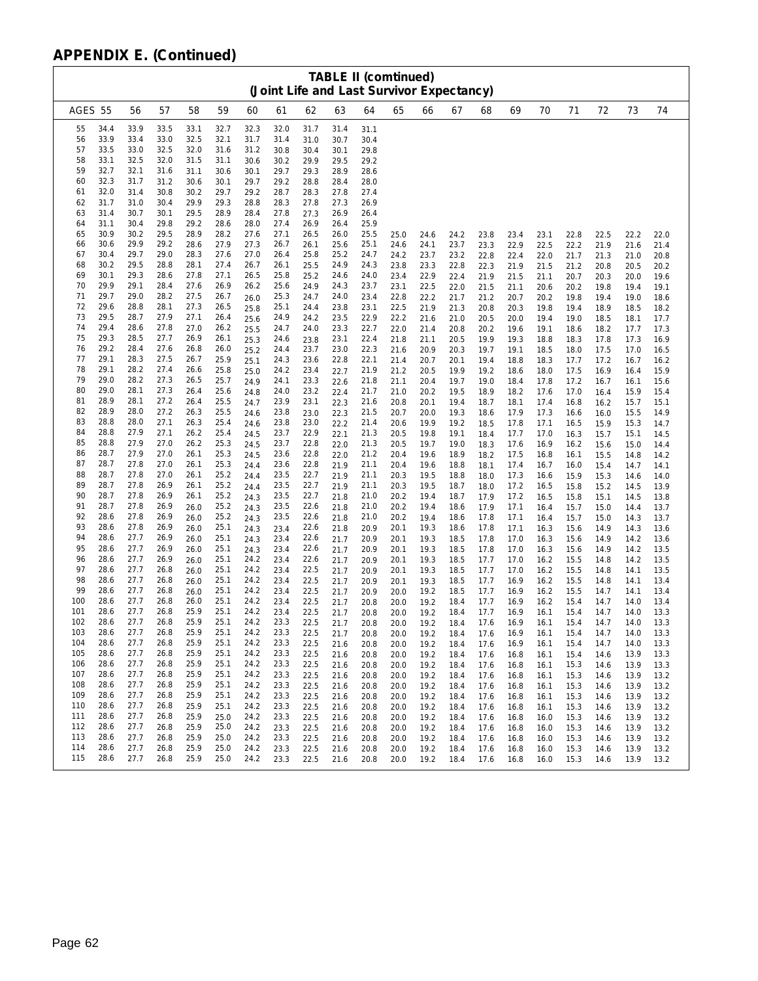|            | <b>TABLE II (comtinued)</b><br>(Joint Life and Last Survivor Expectancy) |              |              |              |              |              |              |              |              |              |              |              |              |              |              |              |              |              |              |              |
|------------|--------------------------------------------------------------------------|--------------|--------------|--------------|--------------|--------------|--------------|--------------|--------------|--------------|--------------|--------------|--------------|--------------|--------------|--------------|--------------|--------------|--------------|--------------|
| AGES 55    |                                                                          | 56           | 57           | 58           | 59           | 60           | 61           | 62           | 63           | 64           | 65           | 66           | 67           | 68           | 69           | 70           | 71           | 72           | 73           | 74           |
| 55         | 34.4                                                                     | 33.9         | 33.5         | 33.1         | 32.7         | 32.3         | 32.0         | 31.7         | 31.4         | 31.1         |              |              |              |              |              |              |              |              |              |              |
| 56<br>57   | 33.9<br>33.5                                                             | 33.4<br>33.0 | 33.0<br>32.5 | 32.5<br>32.0 | 32.1<br>31.6 | 31.7<br>31.2 | 31.4<br>30.8 | 31.0<br>30.4 | 30.7<br>30.1 | 30.4<br>29.8 |              |              |              |              |              |              |              |              |              |              |
| 58         | 33.1                                                                     | 32.5         | 32.0         | 31.5         | 31.1         | 30.6         | 30.2         | 29.9         | 29.5         | 29.2         |              |              |              |              |              |              |              |              |              |              |
| 59         | 32.7                                                                     | 32.1         | 31.6         | 31.1         | 30.6         | 30.1         | 29.7         | 29.3         | 28.9         | 28.6         |              |              |              |              |              |              |              |              |              |              |
| 60         | 32.3<br>32.0                                                             | 31.7<br>31.4 | 31.2<br>30.8 | 30.6<br>30.2 | 30.1<br>29.7 | 29.7<br>29.2 | 29.2<br>28.7 | 28.8<br>28.3 | 28.4<br>27.8 | 28.0<br>27.4 |              |              |              |              |              |              |              |              |              |              |
| 61<br>62   | 31.7                                                                     | 31.0         | 30.4         | 29.9         | 29.3         | 28.8         | 28.3         | 27.8         | 27.3         | 26.9         |              |              |              |              |              |              |              |              |              |              |
| 63         | 31.4                                                                     | 30.7         | 30.1         | 29.5         | 28.9         | 28.4         | 27.8         | 27.3         | 26.9         | 26.4         |              |              |              |              |              |              |              |              |              |              |
| 64         | 31.1                                                                     | 30.4         | 29.8         | 29.2         | 28.6         | 28.0         | 27.4         | 26.9         | 26.4         | 25.9         |              |              |              |              |              |              |              |              |              |              |
| 65<br>66   | 30.9<br>30.6                                                             | 30.2<br>29.9 | 29.5<br>29.2 | 28.9<br>28.6 | 28.2<br>27.9 | 27.6<br>27.3 | 27.1<br>26.7 | 26.5<br>26.1 | 26.0<br>25.6 | 25.5<br>25.1 | 25.0<br>24.6 | 24.6<br>24.1 | 24.2<br>23.7 | 23.8<br>23.3 | 23.4<br>22.9 | 23.1<br>22.5 | 22.8<br>22.2 | 22.5<br>21.9 | 22.2<br>21.6 | 22.0<br>21.4 |
| 67         | 30.4                                                                     | 29.7         | 29.0         | 28.3         | 27.6         | 27.0         | 26.4         | 25.8         | 25.2         | 24.7         | 24.2         | 23.7         | 23.2         | 22.8         | 22.4         | 22.0         | 21.7         | 21.3         | 21.0         | 20.8         |
| 68         | 30.2                                                                     | 29.5         | 28.8         | 28.1         | 27.4         | 26.7         | 26.1         | 25.5         | 24.9         | 24.3         | 23.8         | 23.3         | 22.8         | 22.3         | 21.9         | 21.5         | 21.2         | 20.8         | 20.5         | 20.2         |
| 69<br>70   | 30.1<br>29.9                                                             | 29.3<br>29.1 | 28.6<br>28.4 | 27.8<br>27.6 | 27.1<br>26.9 | 26.5<br>26.2 | 25.8<br>25.6 | 25.2<br>24.9 | 24.6<br>24.3 | 24.0<br>23.7 | 23.4<br>23.1 | 22.9<br>22.5 | 22.4<br>22.0 | 21.9<br>21.5 | 21.5<br>21.1 | 21.1<br>20.6 | 20.7<br>20.2 | 20.3<br>19.8 | 20.0<br>19.4 | 19.6<br>19.1 |
| 71         | 29.7                                                                     | 29.0         | 28.2         | 27.5         | 26.7         | 26.0         | 25.3         | 24.7         | 24.0         | 23.4         | 22.8         | 22.2         | 21.7         | 21.2         | 20.7         | 20.2         | 19.8         | 19.4         | 19.0         | 18.6         |
| 72         | 29.6                                                                     | 28.8         | 28.1         | 27.3         | 26.5         | 25.8         | 25.1         | 24.4         | 23.8         | 23.1         | 22.5         | 21.9         | 21.3         | 20.8         | 20.3         | 19.8         | 19.4         | 18.9         | 18.5         | 18.2         |
| 73<br>74   | 29.5<br>29.4                                                             | 28.7<br>28.6 | 27.9<br>27.8 | 27.1<br>27.0 | 26.4<br>26.2 | 25.6<br>25.5 | 24.9<br>24.7 | 24.2<br>24.0 | 23.5<br>23.3 | 22.9<br>22.7 | 22.2<br>22.0 | 21.6<br>21.4 | 21.0<br>20.8 | 20.5<br>20.2 | 20.0<br>19.6 | 19.4<br>19.1 | 19.0<br>18.6 | 18.5<br>18.2 | 18.1<br>17.7 | 17.7<br>17.3 |
| 75         | 29.3                                                                     | 28.5         | 27.7         | 26.9         | 26.1         | 25.3         | 24.6         | 23.8         | 23.1         | 22.4         | 21.8         | 21.1         | 20.5         | 19.9         | 19.3         | 18.8         | 18.3         | 17.8         | 17.3         | 16.9         |
| 76         | 29.2                                                                     | 28.4         | 27.6         | 26.8         | 26.0         | 25.2         | 24.4         | 23.7         | 23.0         | 22.3         | 21.6         | 20.9         | 20.3         | 19.7         | 19.1         | 18.5         | 18.0         | 17.5         | 17.0         | 16.5         |
| 77<br>78   | 29.1<br>29.1                                                             | 28.3<br>28.2 | 27.5<br>27.4 | 26.7<br>26.6 | 25.9<br>25.8 | 25.1<br>25.0 | 24.3<br>24.2 | 23.6<br>23.4 | 22.8<br>22.7 | 22.1<br>21.9 | 21.4<br>21.2 | 20.7<br>20.5 | 20.1<br>19.9 | 19.4<br>19.2 | 18.8<br>18.6 | 18.3<br>18.0 | 17.7<br>17.5 | 17.2<br>16.9 | 16.7<br>16.4 | 16.2<br>15.9 |
| 79         | 29.0                                                                     | 28.2         | 27.3         | 26.5         | 25.7         | 24.9         | 24.1         | 23.3         | 22.6         | 21.8         | 21.1         | 20.4         | 19.7         | 19.0         | 18.4         | 17.8         | 17.2         | 16.7         | 16.1         | 15.6         |
| 80         | 29.0                                                                     | 28.1         | 27.3         | 26.4         | 25.6         | 24.8         | 24.0         | 23.2         | 22.4         | 21.7         | 21.0         | 20.2         | 19.5         | 18.9         | 18.2         | 17.6         | 17.0         | 16.4         | 15.9         | 15.4         |
| 81<br>82   | 28.9<br>28.9                                                             | 28.1<br>28.0 | 27.2<br>27.2 | 26.4<br>26.3 | 25.5<br>25.5 | 24.7         | 23.9<br>23.8 | 23.1         | 22.3         | 21.6<br>21.5 | 20.8<br>20.7 | 20.1         | 19.4         | 18.7         | 18.1         | 17.4         | 16.8         | 16.2         | 15.7         | 15.1         |
| 83         | 28.8                                                                     | 28.0         | 27.1         | 26.3         | 25.4         | 24.6<br>24.6 | 23.8         | 23.0<br>23.0 | 22.3<br>22.2 | 21.4         | 20.6         | 20.0<br>19.9 | 19.3<br>19.2 | 18.6<br>18.5 | 17.9<br>17.8 | 17.3<br>17.1 | 16.6<br>16.5 | 16.0<br>15.9 | 15.5<br>15.3 | 14.9<br>14.7 |
| 84         | 28.8                                                                     | 27.9         | 27.1         | 26.2         | 25.4         | 24.5         | 23.7         | 22.9         | 22.1         | 21.3         | 20.5         | 19.8         | 19.1         | 18.4         | 17.7         | 17.0         | 16.3         | 15.7         | 15.1         | 14.5         |
| 85<br>86   | 28.8<br>28.7                                                             | 27.9<br>27.9 | 27.0<br>27.0 | 26.2<br>26.1 | 25.3<br>25.3 | 24.5         | 23.7<br>23.6 | 22.8         | 22.0         | 21.3         | 20.5         | 19.7         | 19.0         | 18.3         | 17.6         | 16.9         | 16.2         | 15.6         | 15.0         | 14.4         |
| 87         | 28.7                                                                     | 27.8         | 27.0         | 26.1         | 25.3         | 24.5<br>24.4 | 23.6         | 22.8<br>22.8 | 22.0<br>21.9 | 21.2<br>21.1 | 20.4<br>20.4 | 19.6<br>19.6 | 18.9<br>18.8 | 18.2<br>18.1 | 17.5<br>17.4 | 16.8<br>16.7 | 16.1<br>16.0 | 15.5<br>15.4 | 14.8<br>14.7 | 14.2<br>14.1 |
| 88         | 28.7                                                                     | 27.8         | 27.0         | 26.1         | 25.2         | 24.4         | 23.5         | 22.7         | 21.9         | 21.1         | 20.3         | 19.5         | 18.8         | 18.0         | 17.3         | 16.6         | 15.9         | 15.3         | 14.6         | 14.0         |
| 89<br>90   | 28.7                                                                     | 27.8         | 26.9         | 26.1         | 25.2         | 24.4         | 23.5         | 22.7         | 21.9         | 21.1         | 20.3         | 19.5         | 18.7         | 18.0         | 17.2         | 16.5         | 15.8         | 15.2         | 14.5         | 13.9         |
| 91         | 28.7<br>28.7                                                             | 27.8<br>27.8 | 26.9<br>26.9 | 26.1<br>26.0 | 25.2<br>25.2 | 24.3<br>24.3 | 23.5<br>23.5 | 22.7<br>22.6 | 21.8<br>21.8 | 21.0<br>21.0 | 20.2<br>20.2 | 19.4<br>19.4 | 18.7<br>18.6 | 17.9<br>17.9 | 17.2<br>17.1 | 16.5<br>16.4 | 15.8<br>15.7 | 15.1<br>15.0 | 14.5<br>14.4 | 13.8<br>13.7 |
| 92         | 28.6                                                                     | 27.8         | 26.9         | 26.0         | 25.2         | 24.3         | 23.5         | 22.6         | 21.8         | 21.0         | 20.2         | 19.4         | 18.6         | 17.8         | 17.1         | 16.4         | 15.7         | 15.0         | 14.3         | 13.7         |
| 93         | 28.6                                                                     | 27.8         | 26.9         | 26.0         | 25.1         | 24.3         | 23.4         | 22.6         | 21.8         | 20.9         | 20.1         | 19.3         | 18.6         | 17.8         | 17.1         | 16.3         | 15.6         | 14.9         | 14.3         | 13.6         |
| 94<br>95   | 28.6<br>28.6                                                             | 27.7<br>27.7 | 26.9<br>26.9 | 26.0<br>26.0 | 25.1<br>25.1 | 24.3<br>24.3 | 23.4<br>23.4 | 22.6<br>22.6 | 21.7<br>21.7 | 20.9<br>20.9 | 20.1<br>20.1 | 19.3<br>19.3 | 18.5<br>18.5 | 17.8<br>17.8 | 17.0<br>17.0 | 16.3<br>16.3 | 15.6<br>15.6 | 14.9<br>14.9 | 14.2<br>14.2 | 13.6<br>13.5 |
| 96         | 28.6                                                                     | 27.7         | 26.9         | 26.0         | 25.1         | 24.2         | 23.4         | 22.6         | 21.7         | 20.9         | 20.1         | 19.3         | 18.5         | 17.7         | 17.0         | 16.2         | 15.5         | 14.8         | 14.2         | 13.5         |
| 97         | 28.6                                                                     | 27.7         | 26.8         | 26.0         | 25.1         | 24.2         | 23.4         | 22.5         | 21.7         | 20.9         | 20.1         | 19.3         | 18.5         | 17.7         | 17.0         | 16.2         | 15.5         | 14.8         | 14.1         | 13.5         |
| 98<br>99   | 28.6<br>28.6                                                             | 27.7<br>27.7 | 26.8<br>26.8 | 26.0<br>26.0 | 25.1<br>25.1 | 24.2<br>24.2 | 23.4<br>23.4 | 22.5<br>22.5 | 21.7<br>21.7 | 20.9<br>20.9 | 20.1<br>20.0 | 19.3<br>19.2 | 18.5<br>18.5 | 17.7<br>17.7 | 16.9<br>16.9 | 16.2<br>16.2 | 15.5<br>15.5 | 14.8<br>14.7 | 14.1<br>14.1 | 13.4<br>13.4 |
| 100        | 28.6                                                                     | 27.7         | 26.8         | 26.0         | 25.1         | 24.2         | 23.4         | 22.5         | 21.7         | 20.8         | 20.0         | 19.2         | 18.4         | 17.7         | 16.9         | 16.2         | 15.4         | 14.7         | 14.0         | 13.4         |
| 101        | 28.6                                                                     | 27.7         | 26.8         | 25.9         | 25.1         | 24.2         | 23.4         | 22.5         | 21.7         | 20.8         | 20.0         | 19.2         | 18.4         | 17.7         | 16.9         | 16.1         | 15.4         | 14.7         | 14.0         | 13.3         |
| 102<br>103 | 28.6<br>28.6                                                             | 27.7<br>27.7 | 26.8<br>26.8 | 25.9<br>25.9 | 25.1<br>25.1 | 24.2<br>24.2 | 23.3<br>23.3 | 22.5         | 21.7         | 20.8         | 20.0         | 19.2         | 18.4         | 17.6         | 16.9         | 16.1         | 15.4         | 14.7         | 14.0         | 13.3         |
| 104        | 28.6                                                                     | 27.7         | 26.8         | 25.9         | 25.1         | 24.2         | 23.3         | 22.5<br>22.5 | 21.7<br>21.6 | 20.8<br>20.8 | 20.0<br>20.0 | 19.2<br>19.2 | 18.4<br>18.4 | 17.6<br>17.6 | 16.9<br>16.9 | 16.1<br>16.1 | 15.4<br>15.4 | 14.7<br>14.7 | 14.0<br>14.0 | 13.3<br>13.3 |
| 105        | 28.6                                                                     | 27.7         | 26.8         | 25.9         | 25.1         | 24.2         | 23.3         | 22.5         | 21.6         | 20.8         | 20.0         | 19.2         | 18.4         | 17.6         | 16.8         | 16.1         | 15.4         | 14.6         | 13.9         | 13.3         |
| 106        | 28.6                                                                     | 27.7         | 26.8         | 25.9         | 25.1         | 24.2         | 23.3         | 22.5         | 21.6         | 20.8         | 20.0         | 19.2         | 18.4         | 17.6         | 16.8         | 16.1         | 15.3         | 14.6         | 13.9         | 13.3         |
| 107<br>108 | 28.6<br>28.6                                                             | 27.7<br>27.7 | 26.8<br>26.8 | 25.9<br>25.9 | 25.1<br>25.1 | 24.2<br>24.2 | 23.3<br>23.3 | 22.5<br>22.5 | 21.6<br>21.6 | 20.8<br>20.8 | 20.0<br>20.0 | 19.2<br>19.2 | 18.4<br>18.4 | 17.6<br>17.6 | 16.8<br>16.8 | 16.1<br>16.1 | 15.3<br>15.3 | 14.6<br>14.6 | 13.9<br>13.9 | 13.2<br>13.2 |
| 109        | 28.6                                                                     | 27.7         | 26.8         | 25.9         | 25.1         | 24.2         | 23.3         | 22.5         | 21.6         | 20.8         | 20.0         | 19.2         | 18.4         | 17.6         | 16.8         | 16.1         | 15.3         | 14.6         | 13.9         | 13.2         |
| 110        | 28.6                                                                     | 27.7         | 26.8         | 25.9         | 25.1         | 24.2         | 23.3         | 22.5         | 21.6         | 20.8         | 20.0         | 19.2         | 18.4         | 17.6         | 16.8         | 16.1         | 15.3         | 14.6         | 13.9         | 13.2         |
| 111<br>112 | 28.6<br>28.6                                                             | 27.7<br>27.7 | 26.8<br>26.8 | 25.9<br>25.9 | 25.0<br>25.0 | 24.2<br>24.2 | 23.3<br>23.3 | 22.5<br>22.5 | 21.6<br>21.6 | 20.8<br>20.8 | 20.0<br>20.0 | 19.2<br>19.2 | 18.4<br>18.4 | 17.6<br>17.6 | 16.8<br>16.8 | 16.0<br>16.0 | 15.3<br>15.3 | 14.6<br>14.6 | 13.9<br>13.9 | 13.2<br>13.2 |
| 113        | 28.6                                                                     | 27.7         | 26.8         | 25.9         | 25.0         | 24.2         | 23.3         | 22.5         | 21.6         | 20.8         | 20.0         | 19.2         | 18.4         | 17.6         | 16.8         | 16.0         | 15.3         | 14.6         | 13.9         | 13.2         |
| 114        | 28.6                                                                     | 27.7         | 26.8         | 25.9         | 25.0         | 24.2         | 23.3         | 22.5         | 21.6         | 20.8         | 20.0         | 19.2         | 18.4         | 17.6         | 16.8         | 16.0         | 15.3         | 14.6         | 13.9         | 13.2         |
| 115        | 28.6                                                                     | 27.7         | 26.8         | 25.9         | 25.0         | 24.2         | 23.3         | 22.5         | 21.6         | 20.8         | 20.0         | 19.2         | 18.4         | 17.6         | 16.8         | 16.0         | 15.3         | 14.6         | 13.9         | 13.2         |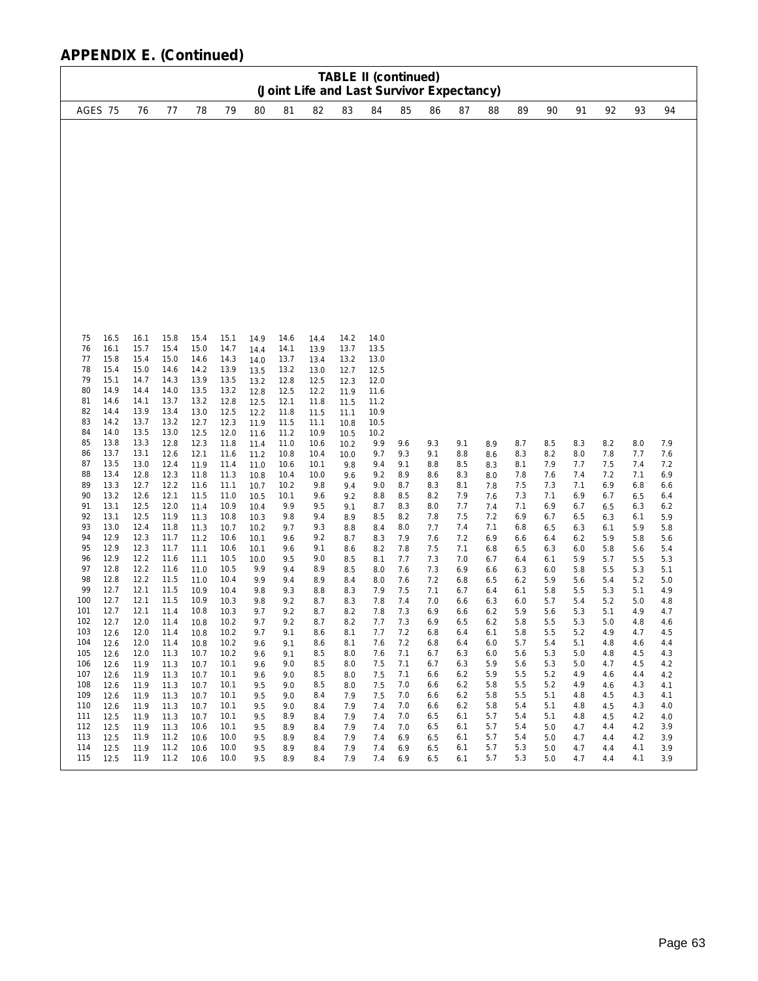|                                                                                                                                                                                                                                                                                                                                                                                                                                                                                                                                                                                             | <b>TABLE II (continued)</b><br>(Joint Life and Last Survivor Expectancy)                                                                                                                                                                                                                                                                                                                                                                                                                                                                                                                                                                                     |                                                                                                                                                                                                                                                                                                                              |                                                                                                                                                                                                                                                                                                                                                                                                                                                                                                                                                                                                                                            |                                                                                                                                                                                                                                                                                                      |                                                                                                                                                                                                                                                                                                    |                                                                                                                                                                                                                                                                                                  |                                                                                                                                                                                                                                                                                                |                                                                                                                                                                                                                |                                                                                                                                                                                                                |                                                                                                                                                                                                                  |                                                                                                                                                                                                                |                                                                                                                                                                                                                |                                                                                                                                                                                                                |                                                                                                                                                                                                                |                                                                                                                                                                                                                |                                                                                                                                                                                                                |                                                                                                                                                                                                                |
|---------------------------------------------------------------------------------------------------------------------------------------------------------------------------------------------------------------------------------------------------------------------------------------------------------------------------------------------------------------------------------------------------------------------------------------------------------------------------------------------------------------------------------------------------------------------------------------------|--------------------------------------------------------------------------------------------------------------------------------------------------------------------------------------------------------------------------------------------------------------------------------------------------------------------------------------------------------------------------------------------------------------------------------------------------------------------------------------------------------------------------------------------------------------------------------------------------------------------------------------------------------------|------------------------------------------------------------------------------------------------------------------------------------------------------------------------------------------------------------------------------------------------------------------------------------------------------------------------------|--------------------------------------------------------------------------------------------------------------------------------------------------------------------------------------------------------------------------------------------------------------------------------------------------------------------------------------------------------------------------------------------------------------------------------------------------------------------------------------------------------------------------------------------------------------------------------------------------------------------------------------------|------------------------------------------------------------------------------------------------------------------------------------------------------------------------------------------------------------------------------------------------------------------------------------------------------|----------------------------------------------------------------------------------------------------------------------------------------------------------------------------------------------------------------------------------------------------------------------------------------------------|--------------------------------------------------------------------------------------------------------------------------------------------------------------------------------------------------------------------------------------------------------------------------------------------------|------------------------------------------------------------------------------------------------------------------------------------------------------------------------------------------------------------------------------------------------------------------------------------------------|----------------------------------------------------------------------------------------------------------------------------------------------------------------------------------------------------------------|----------------------------------------------------------------------------------------------------------------------------------------------------------------------------------------------------------------|------------------------------------------------------------------------------------------------------------------------------------------------------------------------------------------------------------------|----------------------------------------------------------------------------------------------------------------------------------------------------------------------------------------------------------------|----------------------------------------------------------------------------------------------------------------------------------------------------------------------------------------------------------------|----------------------------------------------------------------------------------------------------------------------------------------------------------------------------------------------------------------|----------------------------------------------------------------------------------------------------------------------------------------------------------------------------------------------------------------|----------------------------------------------------------------------------------------------------------------------------------------------------------------------------------------------------------------|----------------------------------------------------------------------------------------------------------------------------------------------------------------------------------------------------------------|----------------------------------------------------------------------------------------------------------------------------------------------------------------------------------------------------------------|
| AGES 75                                                                                                                                                                                                                                                                                                                                                                                                                                                                                                                                                                                     | 77<br>76                                                                                                                                                                                                                                                                                                                                                                                                                                                                                                                                                                                                                                                     | 78                                                                                                                                                                                                                                                                                                                           | 79<br>80                                                                                                                                                                                                                                                                                                                                                                                                                                                                                                                                                                                                                                   | 81                                                                                                                                                                                                                                                                                                   | 82                                                                                                                                                                                                                                                                                                 | 83                                                                                                                                                                                                                                                                                               | 84                                                                                                                                                                                                                                                                                             | 85                                                                                                                                                                                                             | 86                                                                                                                                                                                                             | 87                                                                                                                                                                                                               | 88                                                                                                                                                                                                             | 89                                                                                                                                                                                                             | 90                                                                                                                                                                                                             | 91                                                                                                                                                                                                             | 92                                                                                                                                                                                                             | 93                                                                                                                                                                                                             | 94                                                                                                                                                                                                             |
|                                                                                                                                                                                                                                                                                                                                                                                                                                                                                                                                                                                             |                                                                                                                                                                                                                                                                                                                                                                                                                                                                                                                                                                                                                                                              |                                                                                                                                                                                                                                                                                                                              |                                                                                                                                                                                                                                                                                                                                                                                                                                                                                                                                                                                                                                            |                                                                                                                                                                                                                                                                                                      |                                                                                                                                                                                                                                                                                                    |                                                                                                                                                                                                                                                                                                  |                                                                                                                                                                                                                                                                                                |                                                                                                                                                                                                                |                                                                                                                                                                                                                |                                                                                                                                                                                                                  |                                                                                                                                                                                                                |                                                                                                                                                                                                                |                                                                                                                                                                                                                |                                                                                                                                                                                                                |                                                                                                                                                                                                                |                                                                                                                                                                                                                |                                                                                                                                                                                                                |
| 75<br>16.5<br>16.1<br>76<br>77<br>15.8<br>78<br>15.4<br>15.1<br>79<br>80<br>14.9<br>14.6<br>81<br>82<br>14.4<br>14.2<br>83<br>14.0<br>84<br>85<br>13.8<br>13.7<br>86<br>87<br>13.5<br>13.4<br>88<br>13.3<br>89<br>13.2<br>90<br>91<br>13.1<br>92<br>13.1<br>13.0<br>93<br>12.9<br>94<br>95<br>12.9<br>12.9<br>96<br>97<br>12.8<br>98<br>12.8<br>99<br>12.7<br>12.7<br>100<br>12.7<br>101<br>102<br>12.7<br>103<br>12.6<br>104<br>12.6<br>105<br>12.6<br>106<br>12.6<br>107<br>12.6<br>108<br>12.6<br>109<br>12.6<br>110<br>12.6<br>111<br>12.5<br>112<br>12.5<br>113<br>12.5<br>114<br>12.5 | 16.1<br>15.8<br>15.7<br>15.4<br>15.4<br>15.0<br>15.0<br>14.6<br>14.3<br>14.7<br>14.4<br>14.0<br>14.1<br>13.7<br>13.9<br>13.4<br>13.7<br>13.2<br>13.0<br>13.5<br>13.3<br>12.8<br>13.1<br>12.6<br>13.0<br>12.4<br>12.8<br>12.3<br>12.7<br>12.2<br>12.6<br>12.1<br>12.5<br>12.0<br>12.5<br>11.9<br>12.4<br>11.8<br>12.3<br>11.7<br>12.3<br>11.7<br>12.2<br>11.6<br>12.2<br>11.6<br>12.2<br>11.5<br>12.1<br>11.5<br>12.1<br>11.5<br>12.1<br>11.4<br>12.0<br>11.4<br>12.0<br>11.4<br>12.0<br>11.4<br>12.0<br>11.3<br>11.9<br>11.3<br>11.9<br>11.3<br>11.9<br>11.3<br>11.9<br>11.3<br>11.9<br>11.3<br>11.9<br>11.3<br>11.3<br>11.9<br>11.9<br>11.2<br>11.2<br>11.9 | 15.4<br>15.0<br>14.6<br>14.2<br>13.9<br>13.5<br>13.2<br>13.0<br>12.7<br>12.5<br>12.3<br>12.1<br>11.9<br>11.8<br>11.6<br>11.5<br>11.4<br>11.3<br>11.3<br>11.2<br>11.1<br>11.1<br>11.0<br>11.0<br>10.9<br>10.9<br>10.8<br>10.8<br>10.8<br>10.8<br>10.7<br>10.7<br>10.7<br>10.7<br>10.7<br>10.7<br>10.7<br>10.6<br>10.6<br>10.6 | 15.1<br>14.9<br>14.7<br>14.4<br>14.3<br>14.0<br>13.9<br>13.5<br>13.5<br>13.2<br>13.2<br>12.8<br>12.8<br>12.5<br>12.5<br>12.2<br>12.3<br>11.9<br>12.0<br>11.6<br>11.8<br>11.4<br>11.6<br>11.2<br>11.4<br>11.0<br>11.3<br>10.8<br>11.1<br>10.7<br>11.0<br>10.5<br>10.9<br>10.4<br>10.8<br>10.3<br>10.7<br>10.2<br>10.6<br>10.1<br>10.6<br>10.1<br>10.5<br>10.0<br>10.5<br>9.9<br>10.4<br>9.9<br>9.8<br>10.4<br>10.3<br>9.8<br>10.3<br>9.7<br>10.2<br>9.7<br>10.2<br>9.7<br>10.2<br>9.6<br>10.2<br>9.6<br>10.1<br>9.6<br>10.1<br>9.6<br>10.1<br>9.5<br>10.1<br>9.5<br>10.1<br>9.5<br>10.1<br>9.5<br>10.1<br>9.5<br>10.0<br>9.5<br>10.0<br>9.5 | 14.6<br>14.1<br>13.7<br>13.2<br>12.8<br>12.5<br>12.1<br>11.8<br>11.5<br>11.2<br>11.0<br>10.8<br>10.6<br>10.4<br>10.2<br>10.1<br>9.9<br>9.8<br>9.7<br>9.6<br>9.6<br>9.5<br>9.4<br>9.4<br>9.3<br>9.2<br>9.2<br>9.2<br>9.1<br>9.1<br>9.1<br>9.0<br>9.0<br>9.0<br>9.0<br>9.0<br>8.9<br>8.9<br>8.9<br>8.9 | 14.4<br>13.9<br>13.4<br>13.0<br>12.5<br>12.2<br>11.8<br>11.5<br>11.1<br>10.9<br>10.6<br>10.4<br>10.1<br>10.0<br>9.8<br>9.6<br>9.5<br>9.4<br>9.3<br>9.2<br>9.1<br>9.0<br>8.9<br>8.9<br>8.8<br>8.7<br>8.7<br>8.7<br>8.6<br>8.6<br>8.5<br>8.5<br>8.5<br>8.5<br>8.4<br>8.4<br>8.4<br>8.4<br>8.4<br>8.4 | 14.2<br>13.7<br>13.2<br>12.7<br>12.3<br>11.9<br>11.5<br>11.1<br>10.8<br>10.5<br>10.2<br>10.0<br>9.8<br>9.6<br>9.4<br>9.2<br>9.1<br>8.9<br>8.8<br>8.7<br>8.6<br>8.5<br>8.5<br>8.4<br>8.3<br>8.3<br>8.2<br>8.2<br>8.1<br>8.1<br>8.0<br>8.0<br>8.0<br>8.0<br>7.9<br>7.9<br>7.9<br>7.9<br>7.9<br>7.9 | 14.0<br>13.5<br>13.0<br>12.5<br>12.0<br>11.6<br>11.2<br>10.9<br>10.5<br>10.2<br>9.9<br>9.7<br>9.4<br>9.2<br>9.0<br>8.8<br>8.7<br>8.5<br>8.4<br>8.3<br>8.2<br>8.1<br>8.0<br>8.0<br>7.9<br>7.8<br>7.8<br>7.7<br>7.7<br>7.6<br>7.6<br>7.5<br>7.5<br>7.5<br>7.5<br>7.4<br>7.4<br>7.4<br>7.4<br>7.4 | 9.6<br>9.3<br>9.1<br>8.9<br>8.7<br>8.5<br>8.3<br>8.2<br>8.0<br>7.9<br>7.8<br>7.7<br>7.6<br>7.6<br>7.5<br>7.4<br>7.3<br>7.3<br>7.2<br>7.2<br>7.1<br>7.1<br>7.1<br>7.0<br>7.0<br>7.0<br>7.0<br>7.0<br>6.9<br>6.9 | 9.3<br>9.1<br>8.8<br>8.6<br>8.3<br>8.2<br>8.0<br>7.8<br>7.7<br>7.6<br>7.5<br>7.3<br>7.3<br>7.2<br>7.1<br>7.0<br>6.9<br>6.9<br>6.8<br>6.8<br>6.7<br>6.7<br>6.6<br>6.6<br>6.6<br>6.6<br>6.5<br>6.5<br>6.5<br>6.5 | 9.1<br>8.8<br>8.5<br>8.3<br>8.1<br>7.9<br>7.7<br>7.5<br>7.4<br>7.2<br>7.1<br>7.0<br>6.9<br>6.8<br>6.7<br>6.6<br>6.6<br>6.5<br>6.4<br>6.4<br>6.3<br>6.3<br>6.2<br>6.2<br>$6.2$<br>6.2<br>6.1<br>6.1<br>6.1<br>6.1 | 8.9<br>8.6<br>8.3<br>8.0<br>7.8<br>7.6<br>7.4<br>7.2<br>7.1<br>6.9<br>6.8<br>6.7<br>6.6<br>6.5<br>6.4<br>6.3<br>6.2<br>6.2<br>6.1<br>6.0<br>6.0<br>5.9<br>5.9<br>5.8<br>5.8<br>5.8<br>5.7<br>5.7<br>5.7<br>5.7 | 8.7<br>8.3<br>8.1<br>7.8<br>7.5<br>7.3<br>7.1<br>6.9<br>6.8<br>6.6<br>6.5<br>6.4<br>6.3<br>6.2<br>6.1<br>6.0<br>5.9<br>5.8<br>5.8<br>5.7<br>5.6<br>5.6<br>5.5<br>5.5<br>5.5<br>5.4<br>5.4<br>5.4<br>5.4<br>5.3 | 8.5<br>8.2<br>7.9<br>7.6<br>7.3<br>7.1<br>6.9<br>6.7<br>6.5<br>6.4<br>6.3<br>6.1<br>6.0<br>5.9<br>5.8<br>5.7<br>5.6<br>5.5<br>5.5<br>5.4<br>5.3<br>5.3<br>5.2<br>5.2<br>5.1<br>5.1<br>5.1<br>5.0<br>5.0<br>5.0 | 8.3<br>8.0<br>7.7<br>7.4<br>7.1<br>6.9<br>6.7<br>6.5<br>6.3<br>6.2<br>6.0<br>5.9<br>5.8<br>5.6<br>5.5<br>5.4<br>5.3<br>5.3<br>5.2<br>5.1<br>5.0<br>5.0<br>4.9<br>4.9<br>4.8<br>4.8<br>4.8<br>4.7<br>4.7<br>4.7 | 8.2<br>7.8<br>7.5<br>7.2<br>6.9<br>6.7<br>6.5<br>6.3<br>6.1<br>5.9<br>5.8<br>5.7<br>5.5<br>5.4<br>5.3<br>5.2<br>5.1<br>5.0<br>4.9<br>4.8<br>4.8<br>4.7<br>4.6<br>4.6<br>4.5<br>4.5<br>4.5<br>4.4<br>4.4<br>4.4 | 8.0<br>7.7<br>7.4<br>7.1<br>6.8<br>6.5<br>6.3<br>6.1<br>5.9<br>5.8<br>5.6<br>5.5<br>5.3<br>5.2<br>5.1<br>5.0<br>4.9<br>4.8<br>4.7<br>4.6<br>4.5<br>4.5<br>4.4<br>4.3<br>4.3<br>4.3<br>4.2<br>4.2<br>4.2<br>4.1 | 7.9<br>7.6<br>7.2<br>6.9<br>6.6<br>6.4<br>6.2<br>5.9<br>5.8<br>5.6<br>5.4<br>5.3<br>5.1<br>5.0<br>4.9<br>4.8<br>4.7<br>4.6<br>4.5<br>4.4<br>4.3<br>4.2<br>4.2<br>4.1<br>4.1<br>4.0<br>4.0<br>3.9<br>3.9<br>3.9 |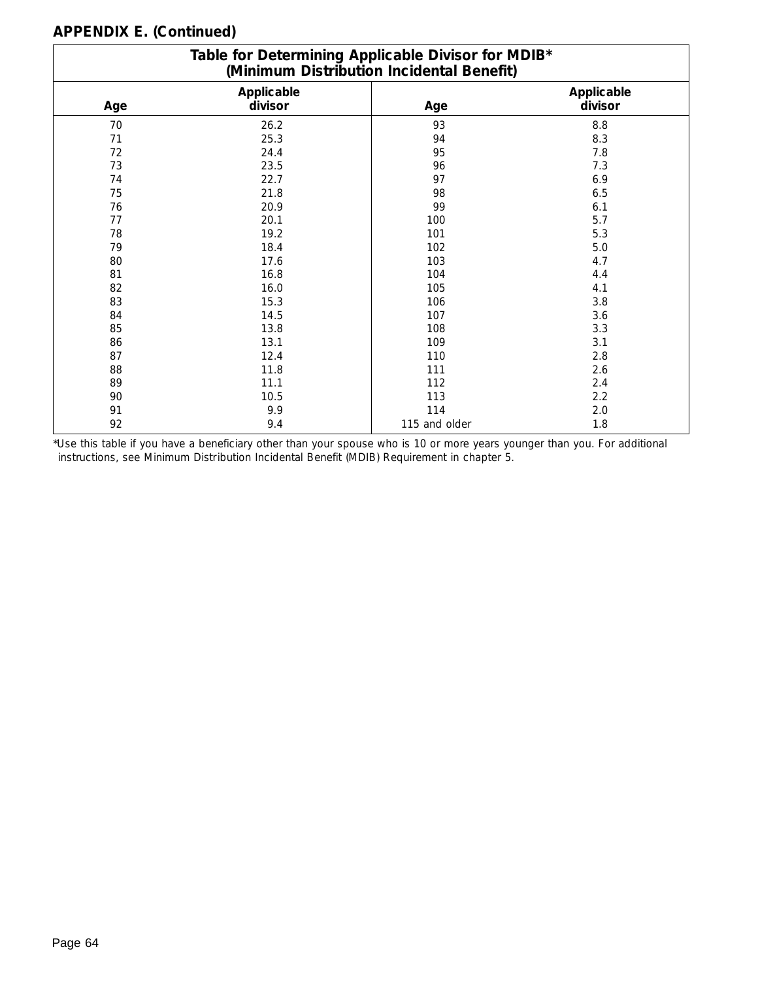|     | Table for Determining Applicable Divisor for MDIB*<br>(Minimum Distribution Incidental Benefit) |               |                       |  |  |  |  |  |  |  |
|-----|-------------------------------------------------------------------------------------------------|---------------|-----------------------|--|--|--|--|--|--|--|
| Age | Applicable<br>divisor                                                                           | Age           | Applicable<br>divisor |  |  |  |  |  |  |  |
| 70  | 26.2                                                                                            | 93            | 8.8                   |  |  |  |  |  |  |  |
| 71  | 25.3                                                                                            | 94            | 8.3                   |  |  |  |  |  |  |  |
| 72  | 24.4                                                                                            | 95            | 7.8                   |  |  |  |  |  |  |  |
| 73  | 23.5                                                                                            | 96            | 7.3                   |  |  |  |  |  |  |  |
| 74  | 22.7                                                                                            | 97            | 6.9                   |  |  |  |  |  |  |  |
| 75  | 21.8                                                                                            | 98            | $6.5$                 |  |  |  |  |  |  |  |
| 76  | 20.9                                                                                            | 99            | 6.1                   |  |  |  |  |  |  |  |
| 77  | 20.1                                                                                            | 100           | 5.7                   |  |  |  |  |  |  |  |
| 78  | 19.2                                                                                            | 101           | 5.3                   |  |  |  |  |  |  |  |
| 79  | 18.4                                                                                            | 102           | 5.0                   |  |  |  |  |  |  |  |
| 80  | 17.6                                                                                            | 103           | 4.7                   |  |  |  |  |  |  |  |
| 81  | 16.8                                                                                            | 104           | 4.4                   |  |  |  |  |  |  |  |
| 82  | 16.0                                                                                            | 105           | 4.1                   |  |  |  |  |  |  |  |
| 83  | 15.3                                                                                            | 106           | 3.8                   |  |  |  |  |  |  |  |
| 84  | 14.5                                                                                            | 107           | 3.6                   |  |  |  |  |  |  |  |
| 85  | 13.8                                                                                            | 108           | 3.3                   |  |  |  |  |  |  |  |
| 86  | 13.1                                                                                            | 109           | 3.1                   |  |  |  |  |  |  |  |
| 87  | 12.4                                                                                            | 110           | 2.8                   |  |  |  |  |  |  |  |
| 88  | 11.8                                                                                            | 111           | 2.6                   |  |  |  |  |  |  |  |
| 89  | 11.1                                                                                            | 112           | 2.4                   |  |  |  |  |  |  |  |
| 90  | 10.5                                                                                            | 113           | 2.2                   |  |  |  |  |  |  |  |
| 91  | 9.9                                                                                             | 114           | 2.0                   |  |  |  |  |  |  |  |
| 92  | 9.4                                                                                             | 115 and older | 1.8                   |  |  |  |  |  |  |  |

\*Use this table if you have a beneficiary other than your spouse who is 10 or more years younger than you. For additional instructions, see *Minimum Distribution Incidental Benefit (MDIB) Requirement* in chapter 5.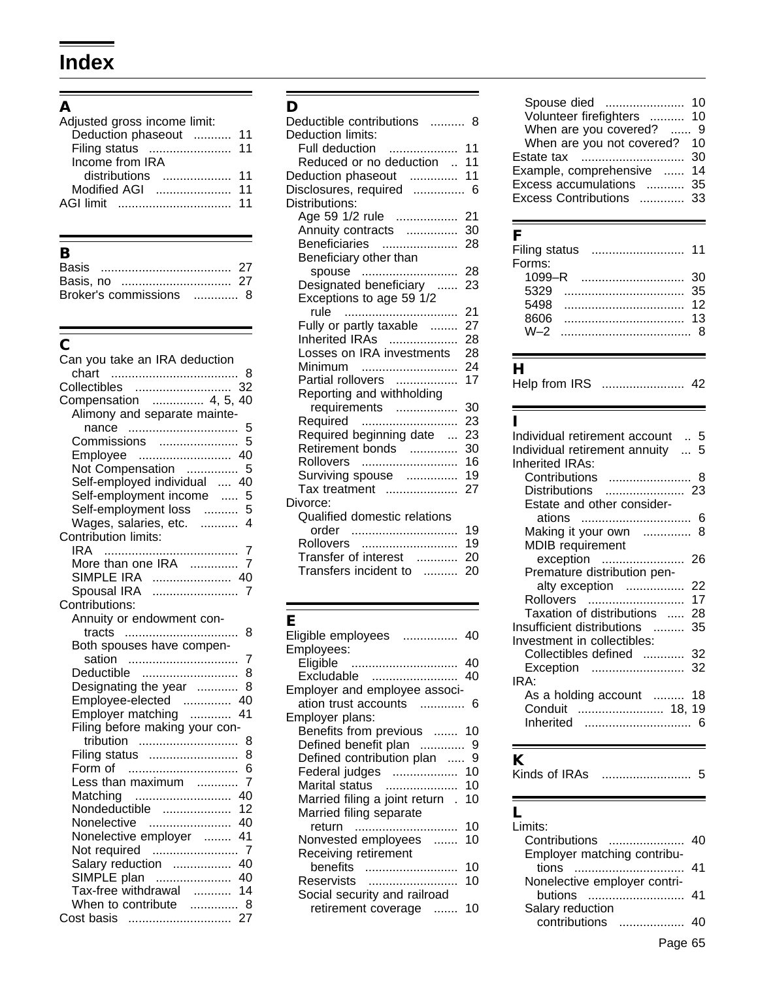# **Index**

# **A**

| 11 |
|----|
| 11 |
|    |
| 11 |
| 11 |
| 11 |
|    |

# **B**

| Broker's commissions  8 |  |
|-------------------------|--|

# $\overline{\overline{c}}$

| Can you take an IRA deduction  |                |
|--------------------------------|----------------|
| <br>chart                      | - 8            |
|                                |                |
| Compensation  4, 5, 40         |                |
| Alimony and separate mainte-   |                |
| nance                          | 5              |
| Commissions                    | 5              |
| Employee                       |                |
| Not Compensation               | 5              |
| Self-employed individual  40   |                |
| Self-employment income         | 5              |
| Self-employment loss           | 5              |
| Wages, salaries, etc.  4       |                |
| Contribution limits:           |                |
|                                | $\overline{7}$ |
|                                | $\overline{7}$ |
| SIMPLE IRA  40                 |                |
| Spousal IRA                    | $\overline{7}$ |
| Contributions:                 |                |
| Annuity or endowment con-      |                |
|                                | 8              |
| Both spouses have compen-      |                |
| sation                         | 7              |
| Deductible                     | 8              |
| Designating the year           | 8              |
| Employee-elected  40           |                |
| Employer matching              | 41             |
| Filing before making your con- |                |
| tribution                      | 8              |
| Filing status                  | 8              |
| Form of                        | 6              |
| Less than maximum              | $\overline{7}$ |
| Matching                       | 40             |
| Nondeductible                  | 12             |
| Nonelective                    | 40             |
| Nonelective employer  41       |                |
| Not required                   | $\overline{7}$ |
| Salary reduction  40           |                |
| SIMPLE plan  40                | 14             |
| Tax-free withdrawal            |                |
| When to contribute  8          |                |
| Cost basis                     | 27             |

#### **D**

| Deductible contributions  8<br>Deduction limits: |     |
|--------------------------------------------------|-----|
| .<br>Full deduction                              | 11  |
| Reduced or no deduction                          | 11  |
| Deduction phaseout                               | 11  |
| Disclosures, required                            | - 6 |
| Distributions:                                   |     |
| Age 59 1/2 rule                                  | 21  |
| Annuity contracts                                | 30  |
| <b>Beneficiaries</b>                             | 28  |
| Beneficiary other than                           |     |
| spouse                                           | 28  |
| Designated beneficiary                           | 23  |
| Exceptions to age 59 1/2                         |     |
|                                                  | 21  |
| rule<br>Fully or partly taxable                  | 27  |
| Inherited IRAs                                   | 28  |
| Losses on IRA investments                        | 28  |
| Minimum                                          |     |
|                                                  | 24  |
| Partial rollovers                                | 17  |
| Reporting and withholding                        |     |
| requirements                                     | 30  |
| Required                                         | 23  |
| Required beginning date                          | 23  |
| Retirement bonds                                 | 30  |
| Rollovers                                        | 16  |
| Surviving spouse                                 | 19  |
| Tax treatment                                    | 27  |
| Divorce:                                         |     |
| Qualified domestic relations                     |     |
| order                                            | 19  |
| Rollovers                                        | 19  |
| Transfer of interest                             | 20  |
| Transfers incident to                            | 20  |
|                                                  |     |

#### **E**

| Eligible employees<br>Employees:   | 40 |
|------------------------------------|----|
| Eligible  40                       |    |
| Excludable                         | 40 |
| Employer and employee associ-      |    |
| ation trust accounts               | 6  |
| Employer plans:                    |    |
| Benefits from previous  10         |    |
| Defined benefit plan  9            |    |
| Defined contribution plan  9       |    |
| Federal judges  10                 |    |
| Marital status                     |    |
| Married filing a joint return . 10 |    |
| Married filing separate            |    |
| return                             | 10 |
| Nonvested employees                | 10 |
| Receiving retirement               |    |
| benefits                           | 10 |
| Reservists                         | 10 |
| Social security and railroad       |    |
| retirement coverage                | 10 |
|                                    |    |

| Spouse died                      | 10 |
|----------------------------------|----|
| Volunteer firefighters  10       |    |
| When are you covered?  9         |    |
| When are you not covered?        | 10 |
| Estate tax                       | 30 |
| Example, comprehensive<br>$\sim$ | 14 |
| Excess accumulations  35         |    |
| Excess Contributions             | 33 |
|                                  |    |

## **F**

| Filing status |    |
|---------------|----|
| Forms:        |    |
| 1099–R        | 30 |
| 5329          | 35 |
| 5498          | 12 |
| 8606          | 13 |
| $M-2$         |    |
|               |    |

## **H**

| Help from IRS |  |  |
|---------------|--|--|
|---------------|--|--|

#### **I**

| Individual retirement account  5 |    |
|----------------------------------|----|
| Individual retirement annuity  5 |    |
| Inherited IRAs:                  |    |
| Contributions  8                 |    |
| Distributions  23                |    |
| Estate and other consider-       |    |
|                                  |    |
| Making it your own  8            |    |
| <b>MDIB</b> requirement          |    |
| exception                        | 26 |
| Premature distribution pen-      |    |
| alty exception                   | 22 |
| Rollovers                        | 17 |
| Taxation of distributions        | 28 |
| Insufficient distributions       | 35 |
| Investment in collectibles:      |    |
| Collectibles defined  32         |    |
| Exception                        | 32 |
| IRA:                             |    |
| As a holding account  18         |    |
| Conduit  18, 19                  |    |
|                                  |    |
|                                  |    |

### **K**

Kinds of IRAs .......................... 5

#### **L**

| I imits:                     |    |
|------------------------------|----|
| Contributions                |    |
| Employer matching contribu-  |    |
| tions                        | 41 |
| Nonelective employer contri- |    |
| <b>butions</b>               |    |
| Salary reduction             |    |
| contributions                |    |
|                              |    |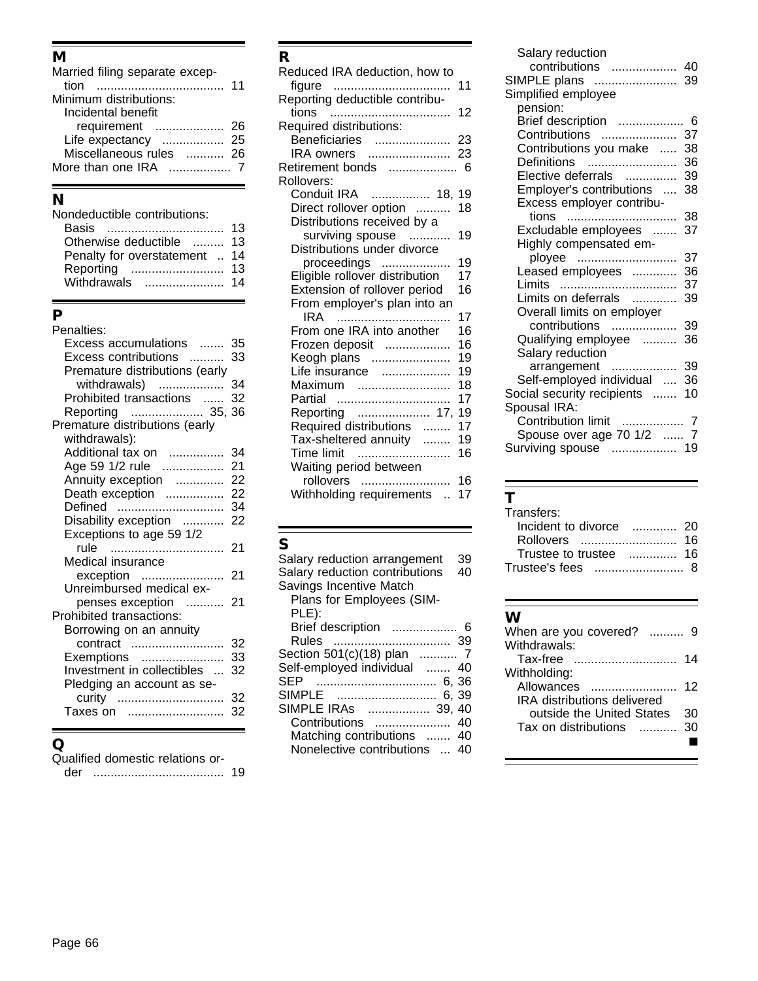## **M**

| Married filing separate excep- |    |
|--------------------------------|----|
| tion                           | 11 |
| Minimum distributions:         |    |
| Incidental benefit             |    |
| requirement                    |    |
| Life expectancy  25            |    |
| Miscellaneous rules  26        |    |
| More than one IRA $\ldots$ 7   |    |
|                                |    |

## **N**

| Nondeductible contributions: |    |
|------------------------------|----|
| Basis                        | 13 |
| Otherwise deductible         | 13 |
| Penalty for overstatement    | 14 |
| Reporting                    | 13 |
| Withdrawals                  | 14 |
|                              |    |

## **P**

| Penalties:                     |    |
|--------------------------------|----|
| Excess accumulations           | 35 |
| Excess contributions           | 33 |
| Premature distributions (early |    |
| withdrawals)                   | 34 |
| Prohibited transactions        | 32 |
| Reporting  35, 36              |    |
| Premature distributions (early |    |
| withdrawals):                  |    |
| Additional tax on              | 34 |
| Age 59 1/2 rule                | 21 |
| Annuity exception              | 22 |
| Death exception                | 22 |
| Defined                        | 34 |
| Disability exception           | 22 |
| Exceptions to age 59 1/2       |    |
| rule                           | 21 |
| Medical insurance              |    |
| exception                      | 21 |
| Unreimbursed medical ex-       |    |
| penses exception               | 21 |
| Prohibited transactions:       |    |
| Borrowing on an annuity        |    |
| contract                       | 32 |
| Exemptions                     | 33 |
| Investment in collectibles     | 32 |
| Pledging an account as se-     |    |
| curity                         | 32 |
| Taxes on                       | 32 |
|                                |    |

### **Q**

Qualified domestic relations or-

der ...................................... 19

# **R**

| Reduced IRA deduction, how to  |    |
|--------------------------------|----|
| figure                         | 11 |
| Reporting deductible contribu- |    |
| tions                          | 12 |
| Required distributions:        |    |
| Beneficiaries                  | 23 |
| IRA owners  23                 |    |
| Retirement bonds  6            |    |
| Rollovers:                     |    |
| Conduit IRA  18, 19            |    |
| Direct rollover option         | 18 |
| Distributions received by a    |    |
| surviving spouse               | 19 |
| Distributions under divorce    |    |
| proceedings                    | 19 |
| Eligible rollover distribution | 17 |
| Extension of rollover period   | 16 |
| From employer's plan into an   |    |
| IRA                            | 17 |
| From one IRA into another      | 16 |
| Frozen deposit                 | 16 |
| Keogh plans                    | 19 |
| Life insurance                 | 19 |
| Maximum                        | 18 |
| Partial                        | 17 |
| Reporting  17,                 | 19 |
| Required distributions         | 17 |
| Tax-sheltered annuity          | 19 |
| Time limit                     | 16 |
| Waiting period between         |    |
| rollovers                      | 16 |
| Withholding requirements       | 17 |

| S                              |    |
|--------------------------------|----|
| Salary reduction arrangement   | 39 |
| Salary reduction contributions | 40 |
| Savings Incentive Match        |    |
| Plans for Employees (SIM-      |    |
| PLE):                          |    |
| Brief description              |    |
| Rules                          |    |
| Section 501(c)(18) plan  7     |    |
| Self-employed individual  40   |    |
| SEP                            |    |
| SIMPLE                         |    |
| SIMPLE IRAs  39, 40            |    |
| Contributions  40              |    |
| Matching contributions  40     |    |
| Nonelective contributions  40  |    |
|                                |    |

| Salary reduction           |     |
|----------------------------|-----|
| contributions              | 40  |
| SIMPLE plans               | 39  |
| Simplified employee        |     |
| pension:                   |     |
| Brief description          | - 6 |
| Contributions              | 37  |
| Contributions you make     | 38  |
| Definitions                | 36  |
| Elective deferrals         | 39  |
| Employer's contributions   | 38  |
| Excess employer contribu-  |     |
| tions                      | 38  |
| Excludable employees       | 37  |
| Highly compensated em-     |     |
| ployee                     | 37  |
| Leased employees           | 36  |
| Limits                     | 37  |
| Limits on deferrals        | 39  |
| Overall limits on employer |     |
| contributions              | 39  |
| Qualifying employee        | 36  |
| Salary reduction           |     |
| arrangement                | 39  |
| Self-employed individual   | 36  |
| Social security recipients | 10  |
| Spousal IRA:               |     |
| Contribution limit  7      |     |
| Spouse over age 70 1/2  7  |     |
| Surviving spouse  19       |     |

# **T**

| Transfers:              |  |
|-------------------------|--|
| Incident to divorce  20 |  |
|                         |  |
| Trustee to trustee  16  |  |
|                         |  |

| When are you covered?              |    |
|------------------------------------|----|
| Withdrawals:                       |    |
| Tax-free                           | 14 |
| Withholding:                       |    |
| Allowances                         | 12 |
| <b>IRA</b> distributions delivered |    |
| outside the United States          | 30 |
| Tax on distributions               | 30 |
|                                    |    |
|                                    |    |